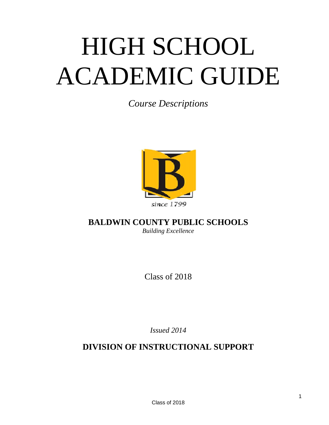# HIGH SCHOOL ACADEMIC GUIDE

*Course Descriptions* 



# **BALDWIN COUNTY PUBLIC SCHOOLS**  *Building Excellence*

Class of 2018

*Issued 2014* 

**DIVISION OF INSTRUCTIONAL SUPPORT**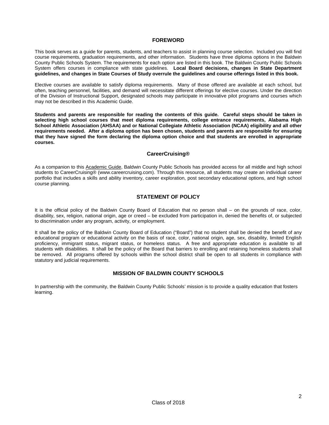# **FOREWORD**

This book serves as a guide for parents, students, and teachers to assist in planning course selection. Included you will find course requirements, graduation requirements, and other information. Students have three diploma options in the Baldwin County Public Schools System. The requirements for each option are listed in this book. The Baldwin County Public Schools System offers courses in compliance with state guidelines. **Local Board decisions, changes in State Department guidelines, and changes in State Courses of Study overrule the guidelines and course offerings listed in this book.**

Elective courses are available to satisfy diploma requirements. Many of those offered are available at each school, but often, teaching personnel, facilities, and demand will necessitate different offerings for elective courses. Under the direction of the Division of Instructional Support, designated schools may participate in innovative pilot programs and courses which may not be described in this Academic Guide.

**Students and parents are responsible for reading the contents of this guide. Careful steps should be taken in selecting high school courses that meet diploma requirements, college entrance requirements, Alabama High School Athletic Association (AHSAA) and or National Collegiate Athletic Association (NCAA) eligibility and all other requirements needed. After a diploma option has been chosen, students and parents are responsible for ensuring that they have signed the form declaring the diploma option choice and that students are enrolled in appropriate courses.** 

# **CareerCruising®**

As a companion to this Academic Guide, Baldwin County Public Schools has provided access for all middle and high school students to CareerCruising® (www.careercruising.com). Through this resource, all students may create an individual career portfolio that includes a skills and ability inventory, career exploration, post secondary educational options, and high school course planning.

# **STATEMENT OF POLICY**

It is the official policy of the Baldwin County Board of Education that no person shall – on the grounds of race, color, disability, sex, religion, national origin, age or creed – be excluded from participation in, denied the benefits of, or subjected to discrimination under any program, activity, or employment.

It shall be the policy of the Baldwin County Board of Education ("Board") that no student shall be denied the benefit of any educational program or educational activity on the basis of race, color, national origin, age, sex, disability, limited English proficiency, immigrant status, migrant status, or homeless status. A free and appropriate education is available to all students with disabilities. It shall be the policy of the Board that barriers to enrolling and retaining homeless students shall be removed. All programs offered by schools within the school district shall be open to all students in compliance with statutory and judicial requirements.

# **MISSION OF BALDWIN COUNTY SCHOOLS**

In partnership with the community, the Baldwin County Public Schools' mission is to provide a quality education that fosters learning.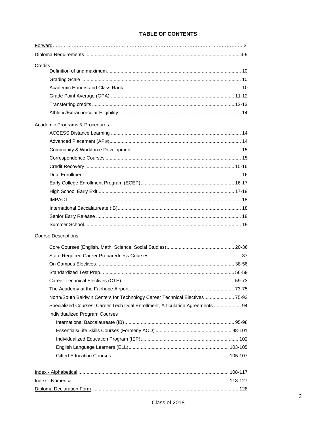| Credits                                                                       |  |
|-------------------------------------------------------------------------------|--|
|                                                                               |  |
|                                                                               |  |
|                                                                               |  |
|                                                                               |  |
|                                                                               |  |
|                                                                               |  |
| <b>Academic Programs &amp; Procedures</b>                                     |  |
|                                                                               |  |
|                                                                               |  |
|                                                                               |  |
|                                                                               |  |
|                                                                               |  |
|                                                                               |  |
|                                                                               |  |
|                                                                               |  |
|                                                                               |  |
|                                                                               |  |
|                                                                               |  |
|                                                                               |  |
| <b>Course Descriptions</b>                                                    |  |
|                                                                               |  |
|                                                                               |  |
|                                                                               |  |
|                                                                               |  |
|                                                                               |  |
|                                                                               |  |
| North/South Baldwin Centers for Technology Career Technical Electives 75-93   |  |
| Specialized Courses, Career Tech Dual Enrollment, Articulation Agreements  94 |  |
| Individualized Program Courses                                                |  |
|                                                                               |  |
|                                                                               |  |
|                                                                               |  |
|                                                                               |  |
|                                                                               |  |
|                                                                               |  |
|                                                                               |  |
|                                                                               |  |
|                                                                               |  |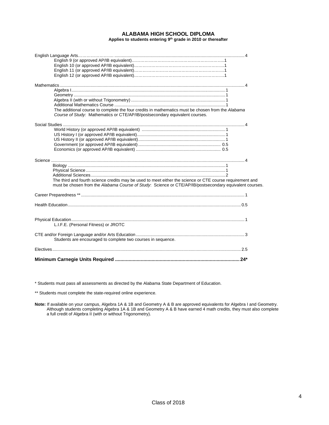#### **ALABAMA HIGH SCHOOL DIPLOMA**  Applies to students entering 9<sup>th</sup> grade in 2010 or thereafter

| The additional course to complete the four credits in mathematics must be chosen from the Alabama<br>Course of Study: Mathematics or CTE/AP/IB/postsecondary equivalent courses.                                     |  |
|----------------------------------------------------------------------------------------------------------------------------------------------------------------------------------------------------------------------|--|
|                                                                                                                                                                                                                      |  |
| The third and fourth science credits may be used to meet either the science or CTE course requirement and<br>must be chosen from the Alabama Course of Study. Science or CTE/AP/IB/postsecondary equivalent courses. |  |
|                                                                                                                                                                                                                      |  |
|                                                                                                                                                                                                                      |  |
| L.I.F.E. (Personal Fitness) or JROTC                                                                                                                                                                                 |  |
| Students are encouraged to complete two courses in sequence.                                                                                                                                                         |  |
|                                                                                                                                                                                                                      |  |
|                                                                                                                                                                                                                      |  |

\* Students must pass all assessments as directed by the Alabama State Department of Education.

\*\* Students must complete the state-required online experience.

**Note:** If available on your campus, Algebra 1A & 1B and Geometry A & B are approved equivalents for Algebra I and Geometry. Although students completing Algebra 1A & 1B and Geometry A & B have earned 4 math credits, they must also complete a full credit of Algebra II (with or without Trigonometry).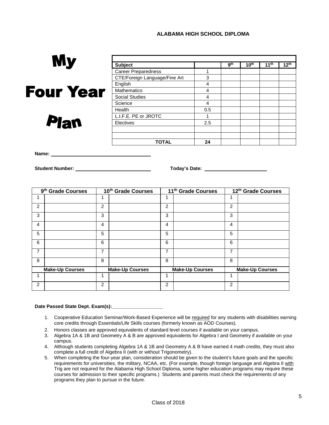# **ALABAMA HIGH SCHOOL DIPLOMA**

| My               |                               |     |     |                  |                  |                  |
|------------------|-------------------------------|-----|-----|------------------|------------------|------------------|
|                  | <b>Subject</b>                |     | gth | 10 <sup>th</sup> | 11 <sup>th</sup> | 12 <sup>th</sup> |
|                  | <b>Career Preparedness</b>    |     |     |                  |                  |                  |
|                  | CTE/Foreign Language/Fine Art | 3   |     |                  |                  |                  |
|                  | English                       | 4   |     |                  |                  |                  |
| <b>Four Year</b> | <b>Mathematics</b>            | 4   |     |                  |                  |                  |
|                  | <b>Social Studies</b>         | 4   |     |                  |                  |                  |
|                  | Science                       | 4   |     |                  |                  |                  |
|                  | Health                        | 0.5 |     |                  |                  |                  |
|                  | L.I.F.E. PE or JROTC          |     |     |                  |                  |                  |
| <b>Plan</b>      | Electives                     | 2.5 |     |                  |                  |                  |
|                  |                               |     |     |                  |                  |                  |
|                  |                               |     |     |                  |                  |                  |
|                  | <b>TOTAL</b>                  | 24  |     |                  |                  |                  |

**Name:** 

**Student Number: Today's Date:** 

|                | 9 <sup>th</sup> Grade Courses | 10th Grade Courses |                        | 11 <sup>th</sup> Grade Courses |                        |   | 12th Grade Courses     |
|----------------|-------------------------------|--------------------|------------------------|--------------------------------|------------------------|---|------------------------|
|                |                               | и                  |                        |                                |                        |   |                        |
| $\overline{2}$ |                               | 2                  |                        | 2                              |                        | 2 |                        |
| 3              |                               | 3                  |                        | 3                              |                        | 3 |                        |
| 4              |                               | 4                  |                        | 4                              |                        | 4 |                        |
| 5              |                               | 5                  |                        | 5                              |                        | 5 |                        |
| 6              |                               | 6                  |                        | 6                              |                        | 6 |                        |
| $\overline{7}$ |                               | 7                  |                        | 7                              |                        | 7 |                        |
| 8              |                               | 8                  |                        | 8                              |                        | 8 |                        |
|                | <b>Make-Up Courses</b>        |                    | <b>Make-Up Courses</b> |                                | <b>Make-Up Courses</b> |   | <b>Make-Up Courses</b> |
| 1              |                               | 1                  |                        |                                |                        | 1 |                        |
| $\overline{2}$ |                               | 2                  |                        | 2                              |                        | 2 |                        |

#### **Date Passed State Dept. Exam(s):\_\_\_\_\_\_\_\_\_\_\_\_\_\_\_\_\_\_\_**

- 1. Cooperative Education Seminar/Work-Based Experience will be required for any students with disabilities earning core credits through Essentials/Life Skills courses (formerly known as AOD Courses).
- 2. Honors classes are approved equivalents of standard level courses if available on your campus.
- 3. Algebra 1A & 1B and Geometry A & B are approved equivalents for Algebra I and Geometry if available on your campus.
- 4. Although students completing Algebra 1A & 1B and Geometry A & B have earned 4 math credits, they must also complete a full credit of Algebra II (with or without Trigonometry).
- 5. When completing the four-year plan, consideration should be given to the student's future goals and the specific requirements for universities, the military, NCAA, etc. (For example, though foreign language and Algebra II with Trig are not required for the Alabama High School Diploma, some higher education programs may require these courses for admission to their specific programs.) Students and parents must check the requirements of any programs they plan to pursue in the future.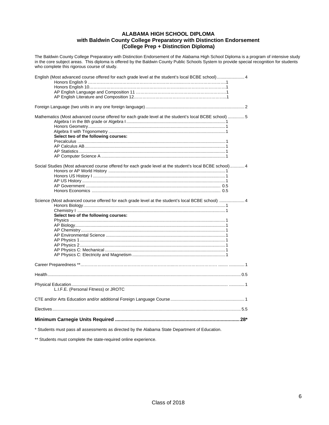# **ALABAMA HIGH SCHOOL DIPLOMA with Baldwin County College Preparatory with Distinction Endorsement (College Prep + Distinction Diploma)**

The Baldwin County College Preparatory with Distinction Endorsement of the Alabama High School Diploma is a program of intensive study in the core subject areas. This diploma is offered by the Baldwin County Public Schools System to provide special recognition for students who complete this rigorous course of study.

| English (Most advanced course offered for each grade level at the student's local BCBE school) 4                                              |
|-----------------------------------------------------------------------------------------------------------------------------------------------|
|                                                                                                                                               |
| Mathematics (Most advanced course offered for each grade level at the student's local BCBE school)  5<br>Select two of the following courses: |
| Social Studies (Most advanced course offered for each grade level at the student's local BCBE school) 4                                       |
|                                                                                                                                               |
|                                                                                                                                               |
|                                                                                                                                               |
|                                                                                                                                               |
| Science (Most advanced course offered for each grade level at the student's local BCBE school)  4<br>Select two of the following courses:     |
|                                                                                                                                               |
|                                                                                                                                               |
| L.I.F.E. (Personal Fitness) or JROTC                                                                                                          |
|                                                                                                                                               |
|                                                                                                                                               |
|                                                                                                                                               |
|                                                                                                                                               |

\* Students must pass all assessments as directed by the Alabama State Department of Education.

\*\* Students must complete the state-required online experience.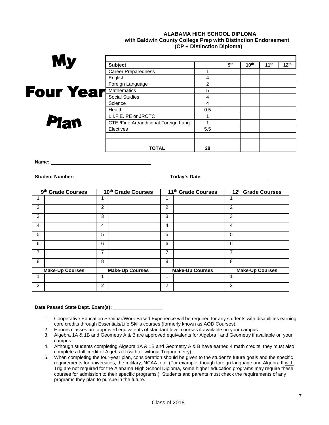# **ALABAMA HIGH SCHOOL DIPLOMA with Baldwin County College Prep with Distinction Endorsement (CP + Distinction Diploma)**

| My               | <b>Subject</b>                         |     | gth | 10 <sup>th</sup> | 11 <sup>th</sup> | $12^{th}$ |
|------------------|----------------------------------------|-----|-----|------------------|------------------|-----------|
|                  | <b>Career Preparedness</b>             |     |     |                  |                  |           |
|                  | English                                | 4   |     |                  |                  |           |
|                  | Foreign Language                       | 2   |     |                  |                  |           |
| <b>Four Year</b> | <b>Mathematics</b>                     | 5   |     |                  |                  |           |
|                  | <b>Social Studies</b>                  | 4   |     |                  |                  |           |
|                  | Science                                | 4   |     |                  |                  |           |
|                  | Health                                 | 0.5 |     |                  |                  |           |
|                  | L.I.F.E. PE or JROTC                   |     |     |                  |                  |           |
| <b>Plan</b>      | CTE /Fine Art/additional Foreign Lang. |     |     |                  |                  |           |
|                  | Electives                              | 5.5 |     |                  |                  |           |
|                  |                                        |     |     |                  |                  |           |
|                  |                                        |     |     |                  |                  |           |
|                  | <b>TOTAL</b>                           | 28  |     |                  |                  |           |

**Name:** 

**Student Number:** Number: Number: Number: Number: Number: Number: Number: Number: Number: Number 2012 10: Number 2014

<u> 1980 - Johann Barn, mars ann an t-Amhain Aonaich an t-Aonaich an t-Aonaich ann an t-Aonaich ann an t-Aonaich</u>

|   | 9 <sup>th</sup> Grade Courses |   | 10th Grade Courses     |   | 11 <sup>th</sup> Grade Courses |   | 12th Grade Courses     |
|---|-------------------------------|---|------------------------|---|--------------------------------|---|------------------------|
|   |                               | 1 |                        |   |                                |   |                        |
| 2 |                               | 2 |                        | 2 |                                | 2 |                        |
| 3 |                               | 3 |                        | 3 |                                | 3 |                        |
| 4 |                               | 4 |                        | 4 |                                | 4 |                        |
| 5 |                               | 5 |                        | 5 |                                | 5 |                        |
| 6 |                               | 6 |                        | 6 |                                | 6 |                        |
| 7 |                               | 7 |                        | 7 |                                | 7 |                        |
| 8 |                               | 8 |                        | 8 |                                | 8 |                        |
|   | <b>Make-Up Courses</b>        |   | <b>Make-Up Courses</b> |   | <b>Make-Up Courses</b>         |   | <b>Make-Up Courses</b> |
| 1 |                               |   |                        | и |                                | 1 |                        |
| 2 |                               | 2 |                        | 2 |                                | 2 |                        |

# **Date Passed State Dept. Exam(s): \_\_\_\_\_\_\_\_\_\_\_\_\_\_\_\_\_\_**

- 1. Cooperative Education Seminar/Work-Based Experience will be required for any students with disabilities earning core credits through Essentials/Life Skills courses (formerly known as AOD Courses).
- 2. Honors classes are approved equivalents of standard level courses if available on your campus.
- 3. Algebra 1A & 1B and Geometry A & B are approved equivalents for Algebra I and Geometry if available on your campus.
- 4. Although students completing Algebra 1A & 1B and Geometry A & B have earned 4 math credits, they must also complete a full credit of Algebra II (with or without Trigonometry).
- 5. When completing the four-year plan, consideration should be given to the student's future goals and the specific requirements for universities, the military, NCAA, etc. (For example, though foreign language and Algebra II with Trig are not required for the Alabama High School Diploma, some higher education programs may require these courses for admission to their specific programs.) Students and parents must check the requirements of any programs they plan to pursue in the future.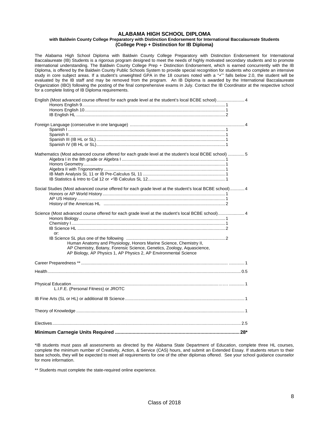#### **ALABAMA HIGH SCHOOL DIPLOMA with Baldwin County College Preparatory with Distinction Endorsement for International Baccalaureate Students (College Prep + Distinction for IB Diploma)**

The Alabama High School Diploma with Baldwin County College Preparatory with Distinction Endorsement for International Baccalaureate (IB) Students is a rigorous program designed to meet the needs of highly motivated secondary students and to promote international understanding. The Baldwin County College Prep + Distinction Endorsement, which is earned concurrently with the IB Diploma, is offered by the Baldwin County Public Schools System to provide special recognition for students who complete an intensive study in core subject areas. If a student's unweighted GPA in the 18 courses noted with a " $\checkmark$ " falls below 2.0, the student will be evaluated by the IB staff and may be removed from the program. An IB Diploma is awarded by the International Baccalaureate Organization (IBO) following the posting of the final comprehensive exams in July. Contact the IB Coordinator at the respective school for a complete listing of IB Diploma requirements.

| English (Most advanced course offered for each grade level at the student's local BCBE school) 4                                                                                                                                                                                                                             |
|------------------------------------------------------------------------------------------------------------------------------------------------------------------------------------------------------------------------------------------------------------------------------------------------------------------------------|
|                                                                                                                                                                                                                                                                                                                              |
| Mathematics (Most advanced course offered for each grade level at the student's local BCBE school) 5                                                                                                                                                                                                                         |
| Social Studies (Most advanced course offered for each grade level at the student's local BCBE school) 4                                                                                                                                                                                                                      |
| Science (Most advanced course offered for each grade level at the student's local BCBE school) 4<br>or:<br>Human Anatomy and Physiology, Honors Marine Science, Chemistry II,<br>AP Chemistry, Botany, Forensic Science, Genetics, Zoology, Aquascience,<br>AP Biology, AP Physics 1, AP Physics 2, AP Environmental Science |
|                                                                                                                                                                                                                                                                                                                              |
|                                                                                                                                                                                                                                                                                                                              |
| L.I.F.E. (Personal Fitness) or JROTC                                                                                                                                                                                                                                                                                         |
|                                                                                                                                                                                                                                                                                                                              |
|                                                                                                                                                                                                                                                                                                                              |
|                                                                                                                                                                                                                                                                                                                              |
|                                                                                                                                                                                                                                                                                                                              |

\*IB students must pass all assessments as directed by the Alabama State Department of Education, complete three HL courses, complete the minimum number of Creativity, Action, & Service (CAS) hours, and submit an Extended Essay. If students return to their base schools, they will be expected to meet all requirements for one of the other diplomas offered. See your school guidance counselor for more information.

\*\* Students must complete the state-required online experience.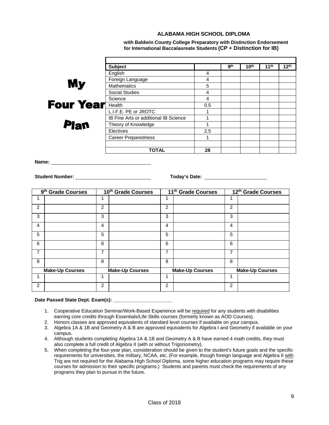# **ALABAMA HIGH SCHOOL DIPLOMA**

 **with Baldwin County College Preparatory with Distinction Endorsement for International Baccalaureate Students (CP + Distinction for IB)** 

|                  | <b>Subject</b>                        |     | gth | 10 <sup>th</sup> | 11 <sup>th</sup> | 12 <sup>th</sup> |
|------------------|---------------------------------------|-----|-----|------------------|------------------|------------------|
|                  | English                               | 4   |     |                  |                  |                  |
|                  | Foreign Language                      | 4   |     |                  |                  |                  |
| <b>My</b>        | <b>Mathematics</b>                    | 5   |     |                  |                  |                  |
|                  | Social Studies                        | 4   |     |                  |                  |                  |
|                  | Science                               | 4   |     |                  |                  |                  |
| <b>Four Year</b> | Health                                | 0.5 |     |                  |                  |                  |
|                  | L.I.F.E. PE or JROTC                  |     |     |                  |                  |                  |
|                  | IB Fine Arts or additional IB Science |     |     |                  |                  |                  |
| <b>Plan</b>      | Theory of Knowledge                   |     |     |                  |                  |                  |
|                  | <b>Electives</b>                      | 2.5 |     |                  |                  |                  |
|                  | <b>Career Preparedness</b>            |     |     |                  |                  |                  |
|                  |                                       |     |     |                  |                  |                  |
|                  | <b>TOTAL</b>                          | 28  |     |                  |                  |                  |

**Name:** 

**Student Number:** Today's Date: 1999

|                | 9 <sup>th</sup> Grade Courses |   | 10th Grade Courses     |                | 11 <sup>th</sup> Grade Courses |   | 12th Grade Courses     |
|----------------|-------------------------------|---|------------------------|----------------|--------------------------------|---|------------------------|
|                |                               | 1 |                        |                |                                |   |                        |
| $\overline{2}$ |                               | 2 |                        | $\overline{2}$ |                                | 2 |                        |
| 3              |                               | 3 |                        | 3              |                                | 3 |                        |
| 4              |                               | 4 |                        | 4              |                                | 4 |                        |
| 5              |                               | 5 |                        | 5              |                                | 5 |                        |
| 6              |                               | 6 |                        | 6              |                                | 6 |                        |
| 7              |                               | 7 |                        | 7              |                                | 7 |                        |
| 8              |                               | 8 |                        | 8              |                                | 8 |                        |
|                | <b>Make-Up Courses</b>        |   | <b>Make-Up Courses</b> |                | <b>Make-Up Courses</b>         |   | <b>Make-Up Courses</b> |
| 1              |                               | 1 |                        |                |                                | 1 |                        |
| $\overline{c}$ |                               | 2 |                        | $\overline{2}$ |                                | 2 |                        |

#### Date Passed State Dept. Exam(s): \_\_\_\_

- 1. Cooperative Education Seminar/Work-Based Experience will be required for any students with disabilities earning core credits through Essentials/Life Skills courses (formerly known as AOD Courses).
- 2. Honors classes are approved equivalents of standard level courses if available on your campus.
- 3. Algebra 1A & 1B and Geometry A & B are approved equivalents for Algebra I and Geometry if available on your campus.
- 4. Although students completing Algebra 1A & 1B and Geometry A & B have earned 4 math credits, they must also complete a full credit of Algebra II (with or without Trigonometry).
- 5. When completing the four-year plan, consideration should be given to the student's future goals and the specific requirements for universities, the military, NCAA, etc. (For example, though foreign language and Algebra II with Trig are not required for the Alabama High School Diploma, some higher education programs may require these courses for admission to their specific programs.) Students and parents must check the requirements of any programs they plan to pursue in the future.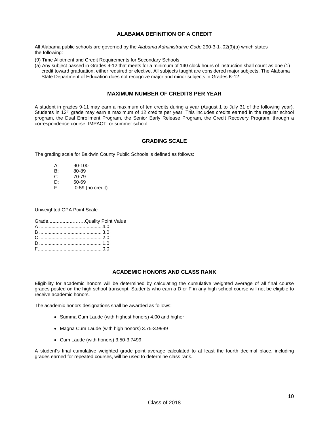# **ALABAMA DEFINITION OF A CREDIT**

All Alabama public schools are governed by the *Alabama Administrative Code* 290-3-1-.02(9)(a) which states the following:

- (9) Time Allotment and Credit Requirements for Secondary Schools
- (a) Any subject passed in Grades 9-12 that meets for a minimum of 140 clock hours of instruction shall count as one (1) credit toward graduation, either required or elective. All subjects taught are considered major subjects. The Alabama State Department of Education does not recognize major and minor subjects in Grades K-12.

# **MAXIMUM NUMBER OF CREDITS PER YEAR**

A student in grades 9-11 may earn a maximum of ten credits during a year (August 1 to July 31 of the following year). Students in 12th grade may earn a maximum of 12 credits per year. This includes credits earned in the regular school program, the Dual Enrollment Program, the Senior Early Release Program, the Credit Recovery Program, through a correspondence course, IMPACT, or summer school.

# **GRADING SCALE**

The grading scale for Baldwin County Public Schools is defined as follows:

- A: 90-100<br>B: 80-89
- B: 80-89<br>C: 70-79
- C: 70-79<br>D: 60-69
- D:  $60-69$ <br>F:  $0-59$
- 0-59 (no credit)

Unweighted GPA Point Scale

| GradeQuality Point Value |
|--------------------------|
|                          |
|                          |
|                          |
|                          |
|                          |

# **ACADEMIC HONORS AND CLASS RANK**

Eligibility for academic honors will be determined by calculating the cumulative weighted average of all final course grades posted on the high school transcript. Students who earn a D or F in any high school course will not be eligible to receive academic honors.

The academic honors designations shall be awarded as follows:

- Summa Cum Laude (with highest honors) 4.00 and higher
- Magna Cum Laude (with high honors) 3.75-3.9999
- Cum Laude (with honors) 3.50-3.7499

A student's final cumulative weighted grade point average calculated to at least the fourth decimal place, including grades earned for repeated courses, will be used to determine class rank.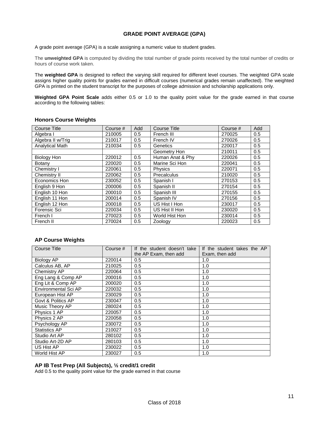# **GRADE POINT AVERAGE (GPA)**

A grade point average (GPA) is a scale assigning a numeric value to student grades.

The **unweighted GPA** is computed by dividing the total number of grade points received by the total number of credits or hours of course work taken.

The **weighted GPA** is designed to reflect the varying skill required for different level courses. The weighted GPA scale assigns higher quality points for grades earned in difficult courses (numerical grades remain unaffected). The weighted GPA is printed on the student transcript for the purposes of college admission and scholarship applications only.

**Weighted GPA Point Scale** adds either 0.5 or 1.0 to the quality point value for the grade earned in that course according to the following tables:

| <b>Honors Course Weights</b> |  |  |  |  |
|------------------------------|--|--|--|--|
|------------------------------|--|--|--|--|

| Course Title           | Course # | Add | Course Title     | Course # | Add |
|------------------------|----------|-----|------------------|----------|-----|
| Algebra I              | 210005   | 0.5 | French III       | 270025   | 0.5 |
| Algebra II w/Trig      | 210017   | 0.5 | French IV        | 270026   | 0.5 |
| <b>Analytical Math</b> | 210034   | 0.5 | Genetics         | 220017   | 0.5 |
|                        |          |     | Geometry Hon     | 210011   | 0.5 |
| Biology Hon            | 220012   | 0.5 | Human Anat & Phy | 220026   | 0.5 |
| Botany                 | 220020   | 0.5 | Marine Sci Hon   | 220041   | 0.5 |
| Chemistry I            | 220061   | 0.5 | <b>Physics</b>   | 220071   | 0.5 |
| Chemistry II           | 220062   | 0.5 | Precalculus      | 210020   | 0.5 |
| Economics Hon          | 230052   | 0.5 | Spanish I        | 270153   | 0.5 |
| English 9 Hon          | 200006   | 0.5 | Spanish II       | 270154   | 0.5 |
| English 10 Hon         | 200010   | 0.5 | Spanish III      | 270155   | 0.5 |
| English 11 Hon         | 200014   | 0.5 | Spanish IV       | 270156   | 0.5 |
| English 12 Hon         | 200018   | 0.5 | US Hist I Hon    | 230017   | 0.5 |
| Forensic Sci           | 220034   | 0.5 | US Hist II Hon   | 230020   | 0.5 |
| French I               | 270023   | 0.5 | World Hist Hon   | 230014   | 0.5 |
| French II              | 270024   | 0.5 | Zoology          | 220023   | 0.5 |

# **AP Course Weights**

| <b>Course Title</b>  | Course $#$ | If the student doesn't take | If the student takes the AP |
|----------------------|------------|-----------------------------|-----------------------------|
|                      |            | the AP Exam, then add       | Exam, then add              |
| Biology AP           | 220014     | 0.5                         | 1.0                         |
| Calculus AB, AP      | 210025     | 0.5                         | 1.0                         |
| Chemistry AP         | 220064     | 0.5                         | 1.0                         |
| Eng Lang & Comp AP   | 200016     | 0.5                         | 1.0                         |
| Eng Lit & Comp AP    | 200020     | 0.5                         | 1.0                         |
| Environmental Sci AP | 220032     | 0.5                         | 1.0                         |
| European Hist AP     | 230029     | 0.5                         | 1.0                         |
| Govt & Politics AP   | 230047     | 0.5                         | 1.0                         |
| Music Theory AP      | 280024     | 0.5                         | 1.0                         |
| Physics 1 AP         | 220057     | 0.5                         | 1.0                         |
| Physics 2 AP         | 220058     | 0.5                         | 1.0                         |
| Psychology AP        | 230072     | 0.5                         | 1.0                         |
| <b>Statistics AP</b> | 210027     | 0.5                         | 1.0                         |
| Studio Art AP        | 280102     | 0.5                         | 1.0                         |
| Studio Art-2D AP     | 280103     | 0.5                         | 1.0                         |
| US Hist AP           | 230022     | 0.5                         | 1.0                         |
| World Hist AP        | 230027     | 0.5                         | 1.0                         |

# **AP IB Test Prep (All Subjects), ½ credit/1 credit**

Add 0.5 to the quality point value for the grade earned in that course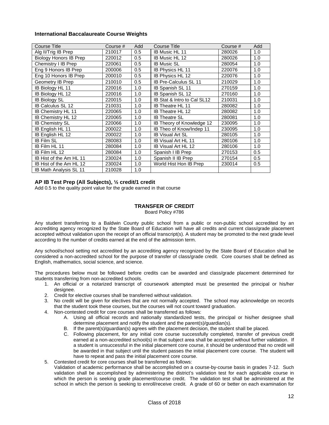# **International Baccalaureate Course Weights**

| <b>Course Title</b>           | Course # | Add | <b>Course Title</b>              | Course # | Add |
|-------------------------------|----------|-----|----------------------------------|----------|-----|
| Alg II/Trig IB Prep           | 210017   | 0.5 | IB Music HL 11                   | 280026   | 1.0 |
| Biology Honors IB Prep        | 220012   | 0.5 | IB Music HL 12                   | 280026   | 1.0 |
| Chemistry I IB Prep           | 220061   | 0.5 | <b>IB Music SL</b>               | 280054   | 1.0 |
| Eng 9 Honors IB Prep          | 200006   | 0.5 | IB Physics HL 11                 | 220076   | 1.0 |
| Eng 10 Honors IB Prep         | 200010   | 0.5 | IB Physics HL 12                 | 220076   | 1.0 |
| Geometry IB Prep              | 210010   | 0.5 | <b>IB Pre-Calculus SL 11</b>     | 210029   | 1.0 |
| IB Biology HL 11              | 220016   | 1.0 | <b>IB Spanish SL 11</b>          | 270159   | 1.0 |
| IB Biology HL 12              | 220016   | 1.0 | IB Spanish SL 12                 | 270160   | 1.0 |
| <b>IB Biology SL</b>          | 220015   | 1.0 | IB Stat & Intro to Cal SL12      | 210031   | 1.0 |
| <b>IB Calculus SL 12</b>      | 210031   | 1.0 | <b>IB Theatre HL 11</b>          | 280082   | 1.0 |
| IB Chemistry HL 11            | 220065   | 1.0 | <b>IB Theatre HL 12</b>          | 280082   | 1.0 |
| IB Chemistry HL 12            | 220065   | 1.0 | <b>IB Theatre SL</b>             | 280081   | 1.0 |
| <b>IB Chemistry SL</b>        | 220066   | 1.0 | <b>IB Theory of Knowledge 12</b> | 230095   | 1.0 |
| IB English HL 11              | 200022   | 1.0 | IB Theo of Know/Indep 11         | 230095   | 1.0 |
| IB English HL 12              | 200022   | 1.0 | <b>IB Visual Art SL</b>          | 280105   | 1.0 |
| <b>IB Film SL</b>             | 280083   | 1.0 | IB Visual Art HL 11              | 280106   | 1.0 |
| IB Film HL 11                 | 280084   | 1.0 | <b>IB Visual Art HL 12</b>       | 280106   | 1.0 |
| IB Film HL 12                 | 280084   | 1.0 | Spanish I IB Prep                | 270153   | 0.5 |
| IB Hist of the Am HL 11       | 230024   | 1.0 | Spanish II IB Prep               | 270154   | 0.5 |
| IB Hist of the Am HL 12       | 230024   | 1.0 | World Hist Hon IB Prep           | 230014   | 0.5 |
| <b>IB Math Analysis SL 11</b> | 210028   | 1.0 |                                  |          |     |

# **AP IB Test Prep (All Subjects), ½ credit/1 credit**

Add 0.5 to the quality point value for the grade earned in that course

# **TRANSFER OF CREDIT**

Board Policy #786

Any student transferring to a Baldwin County public school from a public or non-public school accredited by an accrediting agency recognized by the State Board of Education will have all credits and current class/grade placement accepted without validation upon the receipt of an official transcript(s). A student may be promoted to the next grade level according to the number of credits earned at the end of the admission term.

Any school/school setting not accredited by an accrediting agency recognized by the State Board of Education shall be considered a non-accredited school for the purpose of transfer of class/grade credit. Core courses shall be defined as English, mathematics, social science, and science.

The procedures below must be followed before credits can be awarded and class/grade placement determined for students transferring from non-accredited schools.

- 1. An official or a notarized transcript of coursework attempted must be presented the principal or his/her designee.
- 2. Credit for elective courses shall be transferred without validation.
- 3. No credit will be given for electives that are not normally accepted. The school may acknowledge on records that the student took these courses, but the courses will not count toward graduation.
- 4. Non-contested credit for core courses shall be transferred as follows:
	- A. Using all official records and nationally standardized tests, the principal or his/her designee shall determine placement and notify the student and the parent(s)/guardian(s).
	- B. If the parent(s)/guardian(s) agrees with the placement decision, the student shall be placed.
	- C. Following placement, for any initial core course successfully completed, transfer of previous credit earned at a non-accredited school(s) in that subject area shall be accepted without further validation. If a student is unsuccessful in the initial placement core course, it should be understood that no credit will be awarded in that subject until the student passes the initial placement core course. The student will have to repeat and pass the initial placement core course.
- 5. Contested credit for core courses shall be transferred as follows:
	- Validation of academic performance shall be accomplished on a course-by-course basis in grades 7-12. Such validation shall be accomplished by administering the district's validation test for each applicable course in which the person is seeking grade placement/course credit. The validation test shall be administered at the school in which the person is seeking to enroll/receive credit. A grade of 60 or better on each examination for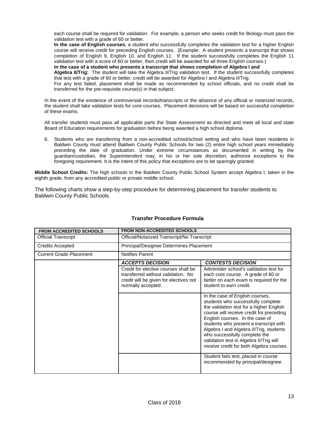each course shall be required for validation. For example, a person who seeks credit for Biology must pass the validation test with a grade of 60 or better.

**In the case of English courses**, a student who successfully completes the validation test for a higher English course will receive credit for preceding English courses. (Example: A student presents a transcript that shows completion of English 9, English 10, and English 11. If the student successfully completes the English 11 validation test with a score of 60 or better, then credit will be awarded for all three English courses.)

**In the case of a student who presents a transcript that shows completion of Algebra I and** 

**Algebra II/Trig:** The student will take the Algebra II/Trig validation test. If the student successfully completes that test with a grade of 60 or better, credit will be awarded for Algebra I and Algebra II/Trig.

For any test failed, placement shall be made as recommended by school officials, and no credit shall be transferred for the pre-requisite course(s) in that subject.

In the event of the existence of controversial records/transcripts or the absence of any official or notarized records, the student shall take validation tests for core courses. Placement decisions will be based on successful completion of these exams.

All transfer students must pass all applicable parts the State Assessment as directed and meet all local and state Board of Education requirements for graduation before being awarded a high school diploma.

6. Students who are transferring from a non-accredited school/school setting and who have been residents in Baldwin County must attend Baldwin County Public Schools for two (2) entire high school years immediately preceding the date of graduation. Under extreme circumstances as documented in writing by the guardian/custodian, the Superintendent may, in his or her sole discretion, authorize exceptions to the foregoing requirement. It is the intent of this policy that exceptions are to be sparingly granted.

**Middle School Credits:** The high schools in the Baldwin County Public School System accept Algebra I, taken in the eighth grade, from any accredited public or private middle school.

The following charts show a step-by-step procedure for determining placement for transfer students to Baldwin County Public Schools.

| <b>FROM ACCREDITED SCHOOLS</b> | <b>FROM NON-ACCREDITED SCHOOLS</b>                                                                                                         |                                                                                                                                                                                                                                                                                                                                                                                                               |  |
|--------------------------------|--------------------------------------------------------------------------------------------------------------------------------------------|---------------------------------------------------------------------------------------------------------------------------------------------------------------------------------------------------------------------------------------------------------------------------------------------------------------------------------------------------------------------------------------------------------------|--|
| <b>Official Transcript</b>     | Official/Notarized Transcript/No Transcript                                                                                                |                                                                                                                                                                                                                                                                                                                                                                                                               |  |
| <b>Credits Accepted</b>        | Principal/Designee Determines Placement                                                                                                    |                                                                                                                                                                                                                                                                                                                                                                                                               |  |
| <b>Current Grade Placement</b> | <b>Notifies Parent</b>                                                                                                                     |                                                                                                                                                                                                                                                                                                                                                                                                               |  |
|                                | <b>ACCEPTS DECISION</b>                                                                                                                    | <b>CONTESTS DECISION</b>                                                                                                                                                                                                                                                                                                                                                                                      |  |
|                                | Credit for elective courses shall be<br>transferred without validation. No<br>credit will be given for electives not<br>normally accepted. | Administer school's validation test for<br>each core course. A grade of 60 or<br>better on each exam is required for the<br>student to earn credit.                                                                                                                                                                                                                                                           |  |
|                                |                                                                                                                                            | In the case of English courses,<br>students who successfully complete<br>the validation test for a higher English<br>course will receive credit for preceding<br>English courses. In the case of<br>students who present a transcript with<br>Algebra I and Algebra II/Trig, students<br>who successfully complete the<br>validation test in Algebra II/Trig will<br>receive credit for both Algebra courses. |  |
|                                |                                                                                                                                            | Student fails test, placed in course<br>recommended by principal/designee.                                                                                                                                                                                                                                                                                                                                    |  |

# **Transfer Procedure Formula**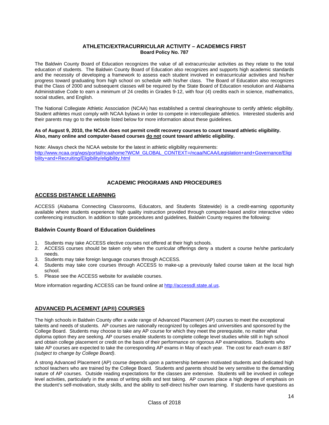# **ATHLETIC/EXTRACURRICULAR ACTIVITY – ACADEMICS FIRST Board Policy No. 787**

The Baldwin County Board of Education recognizes the value of all extracurricular activities as they relate to the total education of students. The Baldwin County Board of Education also recognizes and supports high academic standards and the necessity of developing a framework to assess each student involved in extracurricular activities and his/her progress toward graduating from high school on schedule with his/her class. The Board of Education also recognizes that the Class of 2000 and subsequent classes will be required by the State Board of Education resolution and Alabama Administrative Code to earn a minimum of 24 credits in Grades 9-12, with four (4) credits each in science, mathematics, social studies, and English.

The National Collegiate Athletic Association (NCAA) has established a central clearinghouse to certify athletic eligibility. Student athletes must comply with NCAA bylaws in order to compete in intercollegiate athletics. Interested students and their parents may go to the website listed below for more information about these guidelines.

#### **As of August 9, 2010, the NCAA does not permit credit recovery courses to count toward athletic eligibility. Also, many online and computer-based courses do not count toward athletic eligibility.**

Note: Always check the NCAA website for the latest in athletic eligibility requirements: http://www.ncaa.org/wps/portal/ncaahome?WCM\_GLOBAL\_CONTEXT=/ncaa/NCAA/Legislation+and+Governance/Eligi bility+and+Recruiting/Eligibility/eligibility.html

# **ACADEMIC PROGRAMS AND PROCEDURES**

# **ACCESS DISTANCE LEARNING**

ACCESS (Alabama Connecting Classrooms, Educators, and Students Statewide) is a credit-earning opportunity available where students experience high quality instruction provided through computer-based and/or interactive video conferencing instruction. In addition to state procedures and guidelines, Baldwin County requires the following:

# **Baldwin County Board of Education Guidelines**

- 1. Students may take ACCESS elective courses not offered at their high schools.
- 2. ACCESS courses should be taken only when the curricular offerings deny a student a course he/she particularly needs.
- 3. Students may take foreign language courses through ACCESS.
- 4. Students may take core courses through ACCESS to make-up a previously failed course taken at the local high school.
- 5. Please see the ACCESS website for available courses.

More information regarding ACCESS can be found online at http://accessdl.state.al.us.

# **ADVANCED PLACEMENT (AP®) COURSES**

The high schools in Baldwin County offer a wide range of Advanced Placement (AP) courses to meet the exceptional talents and needs of students. AP courses are nationally recognized by colleges and universities and sponsored by the College Board. Students may choose to take any AP course for which they meet the prerequisite, no matter what diploma option they are seeking. AP courses enable students to complete college level studies while still in high school and obtain college placement or credit on the basis of their performance on rigorous AP examinations. Students who take AP courses are expected to take the corresponding AP exams in May of each year. The cost fo*r each exam is \$87 (subject to change by College Board)*.

A strong Advanced Placement (AP) course depends upon a partnership between motivated students and dedicated high school teachers who are trained by the College Board. Students and parents should be very sensitive to the demanding nature of AP courses. Outside reading expectations for the classes are extensive. Students will be involved in college level activities, particularly in the areas of writing skills and test taking. AP courses place a high degree of emphasis on the student's self-motivation, study skills, and the ability to self-direct his/her own learning. If students have questions as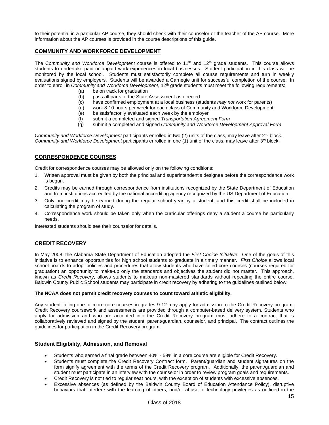to their potential in a particular AP course, they should check with their counselor or the teacher of the AP course. More information about the AP courses is provided in the course descriptions of this guide.

# **COMMUNITY AND WORKFORCE DEVELOPMENT**

The C*ommunity and Workforce Development* course is offered to 11th and 12th grade students. This course allows students to undertake paid or unpaid work experiences in local businesses. Student participation in this class will be monitored by the local school. Students must satisfactorily complete all course requirements and turn in weekly evaluations signed by employers. Students will be awarded a Carnegie unit for successful completion of the course. In order to enroll in *Community and Workforce Development*, 12th grade students must meet the following requirements:

- (a) be on track for graduation
- (b) pass all parts of the State Assessment as directed
- (c) have confirmed employment at a local business (students *may not* work for parents)
- (d) work 8-10 hours per week for each class of Community and Workforce Development
- (e) be satisfactorily evaluated each week by the employer
- (f) submit a completed and signed *Transportation Agreement Form*
- (g) submit a completed and signed *Community and Workforce Development Approval Form*

*Community and Workforce Development* participants enrolled in two (2) units of the class, may leave after 2<sup>nd</sup> block. *Community and Workforce Development* participants enrolled in one (1) unit of the class, may leave after 3<sup>rd</sup> block.

# **CORRESPONDENCE COURSES**

Credit for correspondence courses may be allowed only on the following conditions:

- 1. Written approval must be given by both the principal and superintendent's designee before the correspondence work is begun.
- 2. Credits may be earned through correspondence from institutions recognized by the State Department of Education and from institutions accredited by the national accrediting agency recognized by the US Department of Education.
- 3. Only one credit may be earned during the regular school year by a student, and this credit shall be included in calculating the program of study.
- 4. Correspondence work should be taken only when the curricular offerings deny a student a course he particularly needs.

Interested students should see their counselor for details.

# **CREDIT RECOVERY**

In May 2008, the Alabama State Department of Education adopted the *First Choice Initiative*. One of the goals of this initiative is to enhance opportunities for high school students to graduate in a timely manner. *First Choice* allows local school boards to adopt policies and procedures that allow students who have failed core courses (courses required for graduation) an opportunity to make-up only the standards and objectives the student did not master. This approach, known as *Credit Recovery*, allows students to makeup non-mastered standards without repeating the entire course. Baldwin County Public School students may participate in credit recovery by adhering to the guidelines outlined below.

#### **The NCAA does not permit credit recovery courses to count toward athletic eligibility.**

Any student failing one or more core courses in grades 9-12 may apply for admission to the Credit Recovery program. Credit Recovery coursework and assessments are provided through a computer-based delivery system. Students who apply for admission and who are accepted into the Credit Recovery program must adhere to a contract that is collaboratively reviewed and signed by the student, parent/guardian, counselor, and principal. The contract outlines the guidelines for participation in the Credit Recovery program.

#### **Student Eligibility, Admission, and Removal**

- Students who earned a final grade between 40% 59% in a core course are eligible for Credit Recovery.
- Students must complete the Credit Recovery Contract form. Parent/guardian and student signatures on the form signify agreement with the terms of the Credit Recovery program. Additionally, the parent/guardian and student must participate in an interview with the counselor in order to review program goals and requirements.
- Credit Recovery is not tied to regular seat hours, with the exception of students with excessive absences.
- Excessive absences (as defined by the Baldwin County Board of Education Attendance Policy), disruptive behaviors that interfere with the learning of others, and/or abuse of technology privileges as outlined in the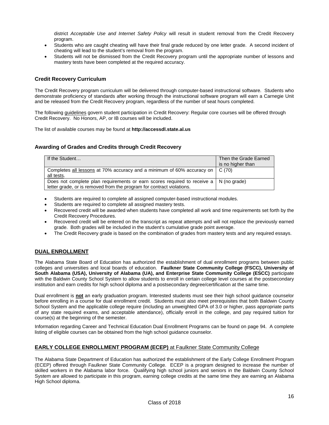district *Acceptable Use and Internet Safety Policy* will result in student removal from the Credit Recovery program.

- Students who are caught cheating will have their final grade reduced by one letter grade. A second incident of cheating will lead to the student's removal from the program.
- Students will not be dismissed from the Credit Recovery program until the appropriate number of lessons and mastery tests have been completed at the required accuracy.

# **Credit Recovery Curriculum**

The Credit Recovery program curriculum will be delivered through computer-based instructional software. Students who demonstrate proficiency of standards after working through the instructional software program will earn a Carnegie Unit and be released from the Credit Recovery program, regardless of the number of seat hours completed.

The following guidelines govern student participation in Credit Recovery: Regular core courses will be offered through Credit Recovery. No Honors, AP, or IB courses will be included.

The list of available courses may be found at **http://accessdl.state.al.us** 

# **Awarding of Grades and Credits through Credit Recovery**

| If the Student                                                                                                                                                        | Then the Grade Earned<br>is no higher than |
|-----------------------------------------------------------------------------------------------------------------------------------------------------------------------|--------------------------------------------|
| Completes all lessons at 70% accuracy and a minimum of 60% accuracy on  <br>all tests.                                                                                | C(70)                                      |
| Does not complete plan requirements or earn scores required to receive $a \mid N$ (no grade)<br>letter grade, or is removed from the program for contract violations. |                                            |

- Students are required to complete all assigned computer-based instructional modules.
- Students are required to complete all assigned mastery tests.
- Recovered credit will be awarded when students have completed all work and time requirements set forth by the Credit Recovery Procedures.
- Recovered credit will be entered on the transcript as repeat attempts and will not replace the previously earned grade. Both grades will be included in the student's cumulative grade point average.
- The Credit Recovery grade is based on the combination of grades from mastery tests and any required essays.

# **DUAL ENROLLMENT**

The Alabama State Board of Education has authorized the establishment of dual enrollment programs between public colleges and universities and local boards of education. **Faulkner State Community College (FSCC), University of South Alabama (USA), University of Alabama (UA), and Enterprise State Community College (ESCC)** participate with the Baldwin County School System to allow students to enroll in certain college level courses at the postsecondary institution and earn credits for high school diploma and a postsecondary degree/certification at the same time.

Dual enrollment is **not** an early graduation program. Interested students must see their high school guidance counselor before enrolling in a course for dual enrollment credit. Students must also meet prerequisites that both Baldwin County School System and the applicable college require (including an unweighted GPA of 3.0 or higher, pass appropriate parts of any state required exams, and acceptable attendance), officially enroll in the college, and pay required tuition for course(s) at the beginning of the semester.

Information regarding Career and Technical Education Dual Enrollment Programs can be found on page 94. A complete listing of eligible courses can be obtained from the high school guidance counselor.

# **EARLY COLLEGE ENROLLMENT PROGRAM (ECEP)** at Faulkner State Community College

The Alabama State Department of Education has authorized the establishment of the Early College Enrollment Program (ECEP) offered through Faulkner State Community College. ECEP is a program designed to increase the number of skilled workers in the Alabama labor force. Qualifying high school juniors and seniors in the Baldwin County School System are allowed to participate in this program, earning college credits at the same time they are earning an Alabama High School diploma.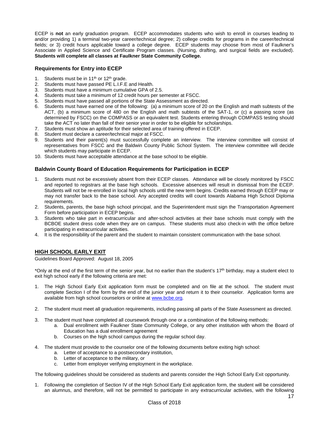ECEP is **not** an early graduation program. ECEP accommodates students who wish to enroll in courses leading to and/or providing 1) a terminal two-year career/technical degree; 2) college credits for programs in the career/technical fields; or 3) credit hours applicable toward a college degree. ECEP students may choose from most of Faulkner's Associate in Applied Science and Certificate Program classes. (Nursing, drafting, and surgical fields are excluded). **Students will complete all classes at Faulkner State Community College.** 

# **Requirements for Entry into ECEP**

- 1. Students must be in  $11<sup>th</sup>$  or  $12<sup>th</sup>$  grade.
- 2. Students must have passed PE L.I.F.E and Health.
- 3. Students must have a minimum cumulative GPA of 2.5.
- 4. Students must take a minimum of 12 credit hours per semester at FSCC.
- 5. Students must have passed all portions of the State Assessment as directed.
- 6. Students must have earned one of the following: (a) a minimum score of 20 on the English and math subtests of the ACT, (b) a minimum score of 480 on the English and math subtests of the SAT-1, or (c) a passing score (as determined by FSCC) on the COMPASS or an equivalent test. Students entering through COMPASS testing should take the ACT no later than fall of their senior year in order to be eligible for scholarships.
- 7. Students must show an aptitude for their selected area of training offered in ECEP.
- Student must declare a career/technical major at FSCC.
- 9. Students and their parent(s) must successfully complete an interview. The interview committee will consist of representatives from FSCC and the Baldwin County Public School System. The interview committee will decide which students may participate in ECEP.
- 10. Students must have acceptable attendance at the base school to be eligible.

#### **Baldwin County Board of Education Requirements for Participation in ECEP**

- 1. Students must not be excessively absent from their ECEP classes. Attendance will be closely monitored by FSCC and reported to registrars at the base high schools. Excessive absences will result in dismissal from the ECEP. Students will not be re-enrolled in local high schools until the new term begins. Credits earned through ECEP may or may not transfer back to the base school. Any accepted credits will count towards Alabama High School Diploma requirements.
- 2. Students, parents, the base high school principal, and the Superintendent must sign the Transportation Agreement Form before participation in ECEP begins.
- 3. Students who take part in extracurricular and after-school activities at their base schools must comply with the BCBOE student dress code when they are on campus. These students must also check-in with the office before participating in extracurricular activities.
- 4. It is the responsibility of the parent and the student to maintain consistent communication with the base school.

#### **HIGH SCHOOL EARLY EXIT**

Guidelines Board Approved: August 18, 2005

\*Only at the end of the first term of the senior year, but no earlier than the student's 17<sup>th</sup> birthday, may a student elect to exit high school early if the following criteria are met:

- 1. The High School Early Exit application form must be completed and on file at the school. The student must complete Section I of the form by the end of the junior year and return it to their counselor. Application forms are available from high school counselors or online at www.bcbe.org.
- 2. The student must meet all graduation requirements, including passing all parts of the State Assessment as directed.
- 3. The student must have completed all coursework through one or a combination of the following methods:
	- a. Dual enrollment with Faulkner State Community College, or any other institution with whom the Board of Education has a dual enrollment agreement
	- b. Courses on the high school campus during the regular school day.
- 4. The student must provide to the counselor one of the following documents before exiting high school:
	- a. Letter of acceptance to a postsecondary institution,
	- b. Letter of acceptance to the military, or
	- c. Letter from employer verifying employment in the workplace.

The following guidelines should be considered as students and parents consider the High School Early Exit opportunity.

1. Following the completion of Section IV of the High School Early Exit application form, the student will be considered an alumnus, and therefore, will not be permitted to participate in any extracurricular activities, with the following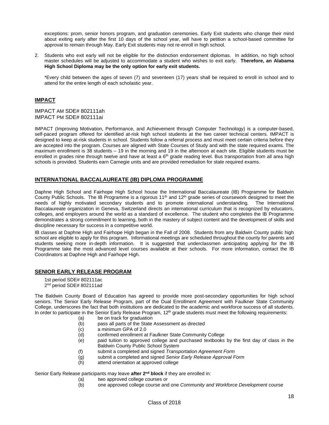exceptions: prom, senior honors program, and graduation ceremonies. Early Exit students who change their mind about exiting early after the first 10 days of the school year, will have to petition a school-based committee for approval to remain through May. Early Exit students may not re-enroll in high school.

2. Students who exit early will not be eligible for the distinction endorsement diplomas. In addition, no high school master schedules will be adjusted to accommodate a student who wishes to exit early. **Therefore, an Alabama High School Diploma may be the only option for early exit students.**

\*Every child between the ages of seven (7) and seventeen (17) years shall be required to enroll in school and to attend for the entire length of each scholastic year.

# **IMPACT**

IMPACT AM SDE# 802111ah IMPACT PM SDE# 802111ai

IMPACT (Improving Motivation, Performance, and Achievement through Computer Technology) is a computer-based, self-paced program offered for identified at-risk high school students at the two career technical centers. IMPACT is designed to keep at-risk students in school. Students follow a referral process and must meet certain criteria before they are accepted into the program. Courses are aligned with State Courses of Study and with the state required exams. The maximum enrollment is 38 students – 19 in the morning and 19 in the afternoon at each site. Eligible students must be enrolled in grades nine through twelve and have at least a  $6<sup>th</sup>$  grade reading level. Bus transportation from all area high schools is provided. Students earn Carnegie units and are provided remediation for state required exams.

# **INTERNATIONAL BACCALAUREATE (IB) DIPLOMA PROGRAMME**

Daphne High School and Fairhope High School house the International Baccalaureate (IB) Programme for Baldwin County Public Schools. The IB Programme is a rigorous 11<sup>th</sup> and 12<sup>th</sup> grade series of coursework designed to meet the needs of highly motivated secondary students and to promote international understanding. The International Baccalaureate organization in Geneva, Switzerland directs an international curriculum that is recognized by educators, colleges, and employers around the world as a standard of excellence. The student who completes the IB Programme demonstrates a strong commitment to learning, both in the mastery of subject content and the development of skills and discipline necessary for success in a competitive world.

IB classes at Daphne High and Fairhope High began in the Fall of 2008. Students from any Baldwin County public high school are eligible to apply for this program. Informational meetings are scheduled throughout the county for parents and students seeking more in-depth information. It is suggested that underclassmen anticipating applying for the IB Programme take the most advanced level courses available at their schools. For more information, contact the IB Coordinators at Daphne High and Fairhope High.

# **SENIOR EARLY RELEASE PROGRAM**

1st period SDE# 802111ac 2nd period SDE# 802111ad

The Baldwin County Board of Education has agreed to provide more post-secondary opportunities for high school seniors. The Senior Early Release Program, part of the Dual Enrollment Agreement with Faulkner State Community College, underscores the fact that both institutions are dedicated to the academic and workforce success of all students. In order to participate in the Senior Early Release Program, 12<sup>th</sup> grade students must meet the following requirements:

- (a) be on track for graduation
- (b) pass all parts of the State Assessment as directed
- (c) a minimum GPA of 2.0
- (d) confirmed enrollment at Faulkner State Community College
- (e) paid tuition to approved college and purchased textbooks by the first day of class in the Baldwin County Public School System
- (f) submit a completed and signed *Transportation Agreement Form*
- (g) submit a completed and signed *Senior Early Release Approval Form*
- (h) attend orientation at approved college

Senior Early Release participants may leave **after 2nd block** if they are enrolled in:

- (a) two approved college courses or
- (b) one approved college course and one *Community and Workforce Development* course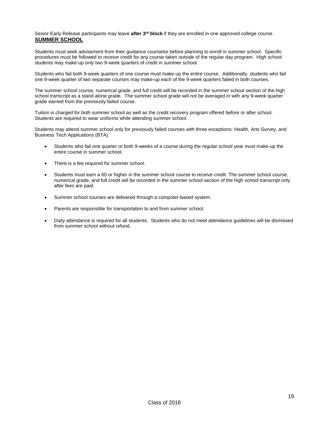Senior Early Release participants may leave **after 3rd block** if they are enrolled in one approved college course. **SUMMER SCHOOL** 

Students must seek advisement from their guidance counselor before planning to enroll in summer school. Specific procedures must be followed to receive credit for any course taken outside of the regular day program. High school students may make-up only two 9-week quarters of credit in summer school.

Students who fail both 9-week quarters of one course must make-up the entire course. Additionally, students who fail one 9-week quarter of two separate courses may make-up each of the 9-week quarters failed in both courses.

The summer school course, numerical grade, and full credit will be recorded in the summer school section of the high school transcript as a stand alone grade. The summer school grade will not be averaged in with any 9-week quarter grade earned from the previously failed course.

Tuition is charged for both summer school as well as the credit recovery program offered before or after school. Students are required to wear uniforms while attending summer school.

Students may attend summer school only for previously failed courses with three exceptions: Health, Arts Survey, and Business Tech Applications (BTA).

- Students who fail one quarter or both 9-weeks of a course during the regular school year must make-up the entire course in summer school.
- There is a fee required for summer school.
- Students must earn a 60 or higher in the summer school course to receive credit. The summer school course, numerical grade, and full credit will be recorded in the summer school section of the high school transcript only after fees are paid.
- Summer school courses are delivered through a computer-based system.
- Parents are responsible for transportation to and from summer school.
- Daily attendance is required for all students. Students who do not meet attendance guidelines will be dismissed from summer school without refund.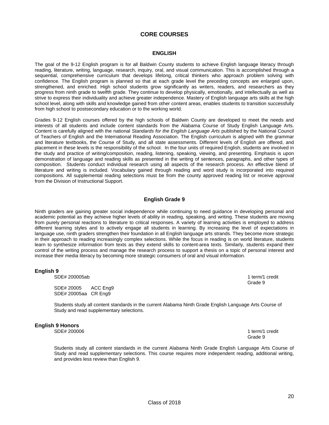# **CORE COURSES**

#### **ENGLISH**

The goal of the 9-12 English program is for all Baldwin County students to achieve English language literacy through reading, literature, writing, language, research, inquiry, oral, and visual communication. This is accomplished through a sequential, comprehensive curriculum that develops lifelong, critical thinkers who approach problem solving with confidence. The English program is planned so that at each grade level the preceding concepts are enlarged upon, strengthened, and enriched. High school students grow significantly as writers, readers, and researchers as they progress from ninth grade to twelfth grade. They continue to develop physically, emotionally, and intellectually as well as strive to express their individuality and achieve greater independence. Mastery of English language arts skills at the high school level, along with skills and knowledge gained from other content areas, enables students to transition successfully from high school to postsecondary education or to the working world.

Grades 9-12 English courses offered by the high schools of Baldwin County are developed to meet the needs and interests of all students and include content standards from the Alabama Course of Study English Language Arts. Content is carefully aligned with the national *Standards for the English Language Arts* published by the National Council of Teachers of English and the International Reading Association. The English curriculum is aligned with the grammar and literature textbooks, the Course of Study, and all state assessments. Different levels of English are offered, and placement in these levels is the responsibility of the school. In the four units of required English, students are involved in the study and practice of writing/composition, reading, listening, speaking, viewing, and presenting. Emphasis is upon demonstration of language and reading skills as presented in the writing of sentences, paragraphs, and other types of composition. Students conduct individual research using all aspects of the research process. An effective blend of literature and writing is included. Vocabulary gained through reading and word study is incorporated into required compositions. All supplemental reading selections must be from the county approved reading list or receive approval from the Division of Instructional Support.

# **English Grade 9**

Ninth graders are gaining greater social independence while continuing to need guidance in developing personal and academic potential as they achieve higher levels of ability in reading, speaking, and writing. These students are moving from purely personal reactions to literature to critical responses. A variety of learning activities is employed to address different learning styles and to actively engage all students in learning. By increasing the level of expectations in language use, ninth graders strengthen their foundation in all English language arts strands. They become more strategic in their approach to reading increasingly complex selections. While the focus in reading is on world literature, students learn to synthesize information from texts as they extend skills to content-area texts. Similarly, students expand their control of the writing process and manage the research process to support a thesis on a topic of personal interest and increase their media literacy by becoming more strategic consumers of oral and visual information.

#### **English 9**

SDE# 200005ab 1 term/1 credit

 SDE# 20005 ACC Eng9 SDE# 20005aa CR Eng9

**Example 20**  $\overline{\phantom{a}}$  **Grade 9** 

Students study all content standards in the current Alabama Ninth Grade English Language Arts Course of Study and read supplementary selections.

#### **English 9 Honors**

SDE# 200006 1 term/1 credit Grade 9 (1999) and the state of the state of the state of the state of the state of the state of the state of the state of the state of the state of the state of the state of the state of the state of the state of the stat

Students study all content standards in the current Alabama Ninth Grade English Language Arts Course of Study and read supplementary selections. This course requires more independent reading, additional writing, and provides less review than English 9.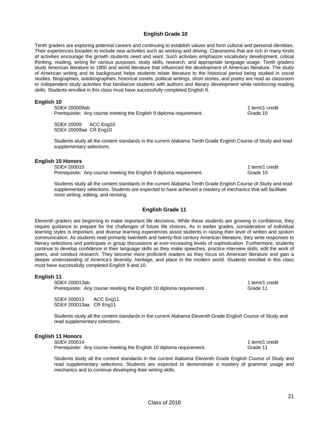# **English Grade 10**

Tenth graders are exploring potential careers and continuing to establish values and form cultural and personal identities. Their experiences broaden to include new activities such as working and driving. Classrooms that are rich in many kinds of activities encourage the growth students need and want. Such activities emphasize vocabulary development, critical thinking, reading, writing for various purposes, study skills, research, and appropriate language usage. Tenth graders study American literature to 1900 and world literature that influenced the development of American literature. The study of American writing and its background helps students relate literature to the historical period being studied in social studies. Biographies, autobiographies, historical novels, political writings, short stories, and poetry are read as classroom or independent study activities that familiarize students with authors and literary development while reinforcing reading skills. Students enrolled in this class must have successfully completed English 9.

# **English 10**

| SDE# 200009ab                                                       | 1 term/1 credit |
|---------------------------------------------------------------------|-----------------|
| Prerequisite: Any course meeting the English 9 diploma requirement. | Grade 10        |

SDE# 20009 ACC Eng10 SDE# 20009aa CR Eng10

Students study all the content standards in the current Alabama Tenth Grade English Course of Study and read supplementary selections.

#### **English 10 Honors**

SDE# 200010 1 term/1 credit 1 term/1 credit 1 term/1 credit 1 term/1 credit Prerequisite: Any course meeting the English 9 diploma requirement. Grade 10

Students study all the content standards in the current Alabama Tenth Grade English Course of Study and read supplementary selections. Students are expected to have achieved a mastery of mechanics that will facilitate more writing, editing, and revising.

# **English Grade 11**

Eleventh graders are beginning to make important life decisions. While these students are growing in confidence, they require guidance to prepare for the challenges of future life choices. As in earlier grades, consideration of individual learning styles is important, and diverse learning experiences assist students in raising their level of written and spoken communication. As students read primarily twentieth and twenty-first century American literature, they write responses to literary selections and participate in group discussions at ever-increasing levels of sophistication. Furthermore, students continue to develop confidence in their language skills as they make speeches, practice interview skills, edit the work of peers, and conduct research. They become more proficient readers as they focus on American literature and gain a deeper understanding of America's diversity, heritage, and place in the modern world. Students enrolled in this class must have successfully completed English 9 and 10.

#### **English 11**

SDE# 200013ab 1 term/1 credit Prerequisite: Any course meeting the English 10 diploma requirement. Grade 11

SDE# 200013 ACC Eng11 SDE# 200013aa CR Eng11

Students study all the content standards in the current Alabama Eleventh Grade English Course of Study and read supplementary selections.

# **English 11 Honors**

SDE# 200014 1 term/1 credit Prerequisite: Any course meeting the English 10 diploma requirement. Grade 11

Students study all the content standards in the current Alabama Eleventh Grade English Course of Study and read supplementary selections. Students are expected to demonstrate a mastery of grammar usage and mechanics and to continue developing their writing skills.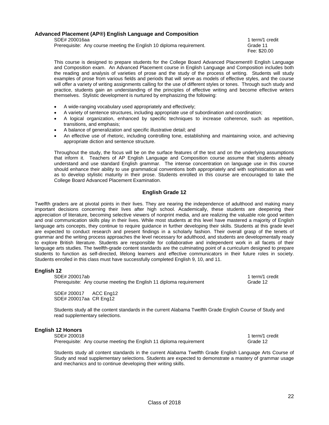# **Advanced Placement (AP®) English Language and Composition**

SDE# 200016aa 1 term/1 credit 1 term/1 credit 1 term/1 credit 1 term/1 credit 1 term/1 credit

Prerequisite: Any course meeting the English 10 diploma requirement. Grade 11

Fee: \$20.00

This course is designed to prepare students for the College Board Advanced Placement® English Language and Composition exam. An Advanced Placement course in English Language and Composition includes both the reading and analysis of varieties of prose and the study of the process of writing. Students will study examples of prose from various fields and periods that will serve as models of effective styles, and the course will offer a variety of writing assignments calling for the use of different styles or tones. Through such study and practice, students gain an understanding of the principles of effective writing and become effective writers themselves. Stylistic development is nurtured by emphasizing the following:

- A wide-ranging vocabulary used appropriately and effectively;
- A variety of sentence structures, including appropriate use of subordination and coordination;
- A logical organization, enhanced by specific techniques to increase coherence, such as repetition, transitions, and emphasis;
- A balance of generalization and specific illustrative detail; and
- An effective use of rhetoric, including controlling tone, establishing and maintaining voice, and achieving appropriate diction and sentence structure.

Throughout the study, the focus will be on the surface features of the text and on the underlying assumptions that inform it. Teachers of AP English Language and Composition course assume that students already understand and use standard English grammar. The intense concentration on language use in this course should enhance their ability to use grammatical conventions both appropriately and with sophistication as well as to develop stylistic maturity in their prose. Students enrolled in this course are encouraged to take the College Board Advanced Placement Examination.

# **English Grade 12**

Twelfth graders are at pivotal points in their lives. They are nearing the independence of adulthood and making many important decisions concerning their lives after high school. Academically, these students are deepening their appreciation of literature, becoming selective viewers of nonprint media, and are realizing the valuable role good written and oral communication skills play in their lives. While most students at this level have mastered a majority of English language arts concepts, they continue to require guidance in further developing their skills. Students at this grade level are expected to conduct research and present findings in a scholarly fashion. Their overall grasp of the tenets of grammar and the writing process approaches the level necessary for adulthood, and students are developmentally ready to explore British literature. Students are responsible for collaborative and independent work in all facets of their language arts studies. The twelfth-grade content standards are the culminating point of a curriculum designed to prepare students to function as self-directed, lifelong learners and effective communicators in their future roles in society. Students enrolled in this class must have successfully completed English 9, 10, and 11.

# **English 12**

SDE# 200017ab 1 term/1 credit Prerequisite: Any course meeting the English 11 diploma requirement Grade 12

SDE# 200017 ACC Eng12 SDE# 200017aa CR Eng12

Students study all the content standards in the current Alabama Twelfth Grade English Course of Study and read supplementary selections.

# **English 12 Honors**

SDE# 200018 1 term/1 credit Prerequisite: Any course meeting the English 11 diploma requirement Grade 12

Students study all content standards in the current Alabama Twelfth Grade English Language Arts Course of Study and read supplementary selections. Students are expected to demonstrate a mastery of grammar usage and mechanics and to continue developing their writing skills.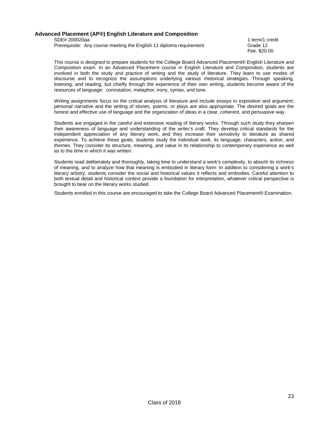# **Advanced Placement (AP®) English Literature and Composition**

SDE# 200020aa 1 term/1 credit 1 term/2 credit 1 term/2 credit 1 term/2 credit 1 term/2 credit 1 term/2 credit Prerequisite: Any course meeting the English 11 diploma requirement Grade 12

Fee: \$20.00

This course is designed to prepare students for the College Board Advanced Placement® English Literature and Composition exam. In an Advanced Placement course in English Literature and Composition, students are involved in both the study and practice of writing and the study of literature. They learn to use modes of discourse and to recognize the assumptions underlying various rhetorical strategies. Through speaking, listening, and reading, but chiefly through the experience of their own writing, students become aware of the resources of language: connotation, metaphor, irony, syntax, and tone.

Writing assignments focus on the critical analysis of literature and include essays in exposition and argument; personal narrative and the writing of stories, poems, or plays are also appropriate. The desired goals are the honest and effective use of language and the organization of ideas in a clear, coherent, and persuasive way.

Students are engaged in the careful and extensive reading of literary works. Through such study they sharpen their awareness of language and understanding of the writer's craft. They develop critical standards for the independent appreciation of any literary work, and they increase their sensitivity to literature as shared experience. To achieve these goals, students study the individual work, its language, characters, action, and themes. They consider its structure, meaning, and value in its relationship to contemporary experience as well as to the time in which it was written.

Students read deliberately and thoroughly, taking time to understand a work's complexity, to absorb its richness of meaning, and to analyze how that meaning is embodied in literary form. In addition to considering a work's literary artistry, students consider the social and historical values it reflects and embodies. Careful attention to both textual detail and historical context provide a foundation for interpretation, whatever critical perspective is brought to bear on the literary works studied.

Students enrolled in this course are encouraged to take the College Board Advanced Placement® Examination.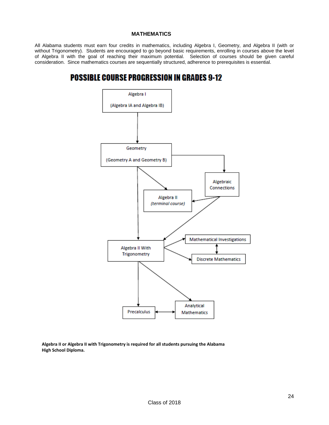# **MATHEMATICS**

All Alabama students must earn four credits in mathematics, including Algebra I, Geometry, and Algebra II (with or without Trigonometry). Students are encouraged to go beyond basic requirements, enrolling in courses above the level of Algebra II with the goal of reaching their maximum potential. Selection of courses should be given careful consideration. Since mathematics courses are sequentially structured, adherence to prerequisites is essential.

# **POSSIBLE COURSE PROGRESSION IN GRADES 9-12**



**Algebra II or Algebra II with Trigonometry is required for all students pursuing the Alabama High School Diploma.**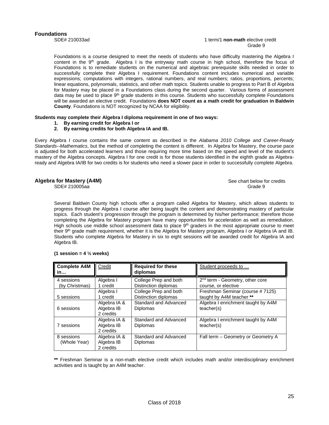Foundations is a course designed to meet the needs of students who have difficulty mastering the Algebra I content in the 9<sup>th</sup> grade. Algebra I is the entryway math course in high school, therefore the focus of Foundations is to remediate students on the numerical and algebraic prerequisite skills needed in order to successfully complete their Algebra I requirement. Foundations content includes numerical and variable expressions; computations with integers, rational numbers, and real numbers; ratios, proportions, percents; linear equations, polynomials, statistics, and other math topics. Students unable to progress to Part B of Algebra for Mastery may be placed in a Foundations class during the second quarter. Various forms of assessment data may be used to place 9<sup>th</sup> grade students in this course. Students who successfully complete Foundations will be awarded an elective credit. Foundations **does NOT count as a math credit for graduation in Baldwin County**. Foundations is NOT recognized by NCAA for eligibility.

#### **Students may complete their Algebra I diploma requirement in one of two ways:**

- **1. By earning credit for Algebra I or**
- **2. By earning credits for both Algebra IA and IB.**

Every Algebra I course contains the same content as described in the *Alabama 2010 College and Career-Ready Standards--Mathematics*, but the method of completing the content is different. In Algebra for Mastery, the course pace is adjusted for both accelerated learners and those requiring more time based on the speed and level of the student's mastery of the Algebra concepts. Algebra I for one credit is for those students identified in the eighth grade as Algebraready and Algebra IA/IB for two credits is for students who need a slower pace in order to successfully complete Algebra.

# **Algebra for Mastery (A4M) See chart below for credits** and **See chart below for credits** and **See chart below for credits**

SDE# 210005aa Grade 9

Several Baldwin County high schools offer a program called Algebra for Mastery, which allows students to progress through the Algebra I course after being taught the content and demonstrating mastery of particular topics. Each student's progression through the program is determined by his/her performance; therefore those completing the Algebra for Mastery program have many opportunities for acceleration as well as remediation. High schools use middle school assessment data to place  $9<sup>th</sup>$  graders in the most appropriate course to meet their 9<sup>th</sup> grade math requirement, whether it is the Algebra for Mastery program, Algebra I or Algebra IA and IB. Students who complete Algebra for Mastery in six to eight sessions will be awarded credit for Algebra IA and Algebra IB.

| <b>Complete A4M</b><br>in    | Credit                                  | <b>Required for these</b><br>diplomas         | Student proceeds to                                                |
|------------------------------|-----------------------------------------|-----------------------------------------------|--------------------------------------------------------------------|
| 4 sessions<br>(by Christmas) | Algebra I<br>1 credit                   | College Prep and both<br>Distinction diplomas | 2 <sup>nd</sup> term - Geometry, other core<br>course, or elective |
| 5 sessions                   | Algebra I<br>1 credit                   | College Prep and both<br>Distinction diplomas | Freshman Seminar (course #7125)<br>taught by A4M teacher **        |
| 6 sessions                   | Algebra IA &<br>Algebra IB<br>2 credits | Standard and Advanced<br><b>Diplomas</b>      | Algebra I enrichment taught by A4M<br>teacher(s)                   |
| 7 sessions                   | Algebra IA &<br>Algebra IB<br>2 credits | Standard and Advanced<br><b>Diplomas</b>      | Algebra I enrichment taught by A4M<br>teacher(s)                   |
| 8 sessions<br>(Whole Year)   | Algebra IA &<br>Algebra IB<br>2 credits | Standard and Advanced<br><b>Diplomas</b>      | Fall term - Geometry or Geometry A                                 |

#### **(1 session = 4 ½ weeks)**

**\*\*** Freshman Seminar is a non-math elective credit which includes math and/or interdisciplinary enrichment activities and is taught by an A4M teacher.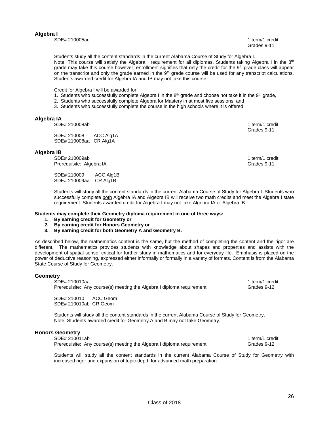# **Algebra I**

SDE# 210005ae 1 term/1 credit 1 term/1 credit 1 term/1 credit 1 term/1 credit 1 term/1 credit

Grades 9-11

Students study all the content standards in the current Alabama Course of Study for Algebra I. Note: This course will satisfy the Algebra I requirement for all diplomas. Students taking Algebra I in the 8<sup>th</sup> grade may take this course however, enrollment signifies that only the credit for the 9<sup>th</sup> grade class will appear on the transcript and only the grade earned in the 9<sup>th</sup> grade course will be used for any transcript calculations. Students awarded credit for Algebra IA and IB may not take this course.

Credit for Algebra I will be awarded for

- 1. Students who successfully complete Algebra I in the  $8<sup>th</sup>$  grade and choose not take it in the  $9<sup>th</sup>$  grade,
- 2. Students who successfully complete Algebra for Mastery in at most five sessions, and
- 3. Students who successfully complete the course in the high schools where it is offered.

#### **Algebra IA**

SDE# 210008ab 1 term/1 credit

SDE# 210008 ACC Alg1A SDE# 210008aa CR Alg1A

#### **Algebra IB**

SDE# 210009ab 1 term/1 credit Prerequisite: Algebra IA Grades 9-11

SDE# 210009 ACC Alg1B SDE# 210009aa CR Alg1B

Grades 9-11

Students will study all the content standards in the current Alabama Course of Study for Algebra I. Students who successfully complete both Algebra IA and Algebra IB will receive two math credits and meet the Algebra I state requirement. Students awarded credit for Algebra I may not take Algebra IA or Algebra IB.

#### **Students may complete their Geometry diploma requirement in one of three ways:**

- **1. By earning credit for Geometry or**
- **2. By earning credit for Honors Geometry or**
- **3. By earning credit for both Geometry A and Geometry B.**

As described below, the mathematics content is the same, but the method of completing the content and the rigor are different. The mathematics provides students with knowledge about shapes and properties and assists with the development of spatial sense, critical for further study in mathematics and for everyday life. Emphasis is placed on the power of deductive reasoning, expressed either informally or formally in a variety of formats. Content is from the Alabama State Course of Study for Geometry.

# **Geometry**

SDE# 210010aa 1 term/1 credit 1 term/2 credit 1 term/2 credit 1 term/2 credit 1 term/2 credit 1 term Prerequisite: Any course(s) meeting the Algebra I diploma requirement Grades 9-12

SDE# 210010 ACC Geom SDE# 210010ab CR Geom

Students will study all the content standards in the current Alabama Course of Study for Geometry. Note: Students awarded credit for Geometry A and B may not take Geometry.

#### **Honors Geometry**

| SDE# 210011ab                                                         | 1 term/1 credit |
|-----------------------------------------------------------------------|-----------------|
| Prerequisite: Any course(s) meeting the Algebra I diploma requirement | Grades 9-12     |

Students will study all the content standards in the current Alabama Course of Study for Geometry with increased rigor and expansion of topic-depth for advanced math preparation.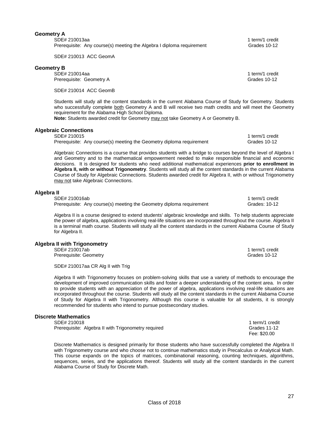# **Geometry A**

| SDE# 210013aa |                                                                       |  |
|---------------|-----------------------------------------------------------------------|--|
|               | Prerequisite: Any course(s) meeting the Algebra I diploma requirement |  |

SDE# 210013 ACC GeomA

# **Geometry B**

SDE# 210014aa 1 term/1 credit Prerequisite: Geometry A Grades 10-12

SDE# 210014 ACC GeomB

Students will study all the content standards in the current Alabama Course of Study for Geometry. Students who successfully complete both Geometry A and B will receive two math credits and will meet the Geometry requirement for the Alabama High School Diploma.

**Note:** Students awarded credit for Geometry may not take Geometry A or Geometry B.

# **Algebraic Connections**

| SDE# 210015 |                                                                      | 1 term/1 credit |
|-------------|----------------------------------------------------------------------|-----------------|
|             | Prerequisite: Any course(s) meeting the Geometry diploma requirement | Grades 10-12    |

Algebraic Connections is a course that provides students with a bridge to courses beyond the level of Algebra I and Geometry and to the mathematical empowerment needed to make responsible financial and economic decisions. It is designed for students who need additional mathematical experiences **prior to enrollment in Algebra II, with or without Trigonometry**. Students will study all the content standards in the current Alabama Course of Study for Algebraic Connections. Students awarded credit for Algebra II, with or without Trigonometry may not take Algebraic Connections.

# **Algebra II**

| SDE# 210016ab                                                        |  |
|----------------------------------------------------------------------|--|
| Prerequisite: Any course(s) meeting the Geometry diploma requirement |  |

Algebra II is a course designed to extend students' algebraic knowledge and skills. To help students appreciate the power of algebra, applications involving real-life situations are incorporated throughout the course. Algebra II is a terminal math course. Students will study all the content standards in the current Alabama Course of Study for Algebra II.

# **Algebra II with Trigonometry**

SDE# 210017ab 1 term/1 credit Prerequisite: Geometry Grades 10-12

SDE# 210017aa CR Alg II with Trig

Algebra II with Trigonometry focuses on problem-solving skills that use a variety of methods to encourage the development of improved communication skills and foster a deeper understanding of the content area. In order to provide students with an appreciation of the power of algebra, applications involving real-life situations are incorporated throughout the course. Students will study all the content standards in the current Alabama Course of Study for Algebra II with Trigonometry. Although this course is valuable for all students, it is strongly recommended for students who intend to pursue postsecondary studies.

# **Discrete Mathematics**

| .                                                   |                 |
|-----------------------------------------------------|-----------------|
| SDE# 210018                                         | 1 term/1 credit |
| Prerequisite: Algebra II with Trigonometry required | Grades 11-12    |
|                                                     | Fee: \$20.00    |

Discrete Mathematics is designed primarily for those students who have successfully completed the Algebra II with Trigonometry course and who choose not to continue mathematics study in Precalculus or Analytical Math. This course expands on the topics of matrices, combinational reasoning, counting techniques, algorithms, sequences, series, and the applications thereof. Students will study all the content standards in the current Alabama Course of Study for Discrete Math.

1 term/1 credit Grades 10-12

1 term/1 credit

1 term/1 credit Grades: 10-12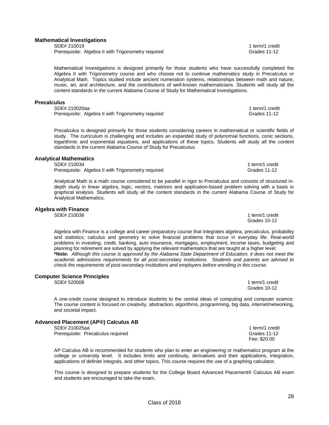#### **Mathematical Investigations**

SDE# 210019 1 term/1 credit<br>Prerequisite: Algebra II with Trigonometry required 1 term and 1 term and 1 term/1 credit Prerequisite: Algebra II with Trigonometry required

Mathematical Investigations is designed primarily for those students who have successfully completed the Algebra II with Trigonometry course and who choose not to continue mathematics study in Precalculus or Analytical Math. Topics studied include ancient numeration systems, relationships between math and nature, music, art, and architecture, and the contributions of well-known mathematicians. Students will study all the content standards in the current Alabama Course of Study for Mathematical Investigations.

#### **Precalculus**

SDE# 210020aa 1 term/1 credit<br>Prerequisite: Algebra II with Trigonometry required 1 term and 1 term and 1 term/1 credit Prerequisite: Algebra II with Trigonometry required

Precalculus is designed primarily for those students considering careers in mathematical or scientific fields of study. The curriculum is challenging and includes an expanded study of polynomial functions, conic sections, logarithmic and exponential equations, and applications of these topics. Students will study all the content standards in the current Alabama Course of Study for Precalculus.

#### **Analytical Mathematics**

SDE# 210034 1 term/1 credit Prerequisite: Algebra II with Trigonometry required Grades 11-12

Analytical Math is a math course considered to be parallel in rigor to Precalculus and consists of structured indepth study in linear algebra, logic, vectors, matrices and application-based problem solving with a basis in graphical analysis. Students will study all the content standards in the current Alabama Course of Study for Analytical Mathematics.

Grades 10-12

# **Algebra with Finance**

SDE# 210036 1 term/1 credit

Algebra with Finance is a college and career preparatory course that integrates algebra, precalculus, probability and statistics; calculus and geometry to solve financial problems that occur in everyday life. Real-world problems in investing, credit, banking, auto insurance, mortgages, employment, income taxes, budgeting and planning for retirement are solved by applying the relevant mathematics that are taught at a higher level. **\*Note:** *Although this course is approved by the Alabama State Department of Education, it does not meet the academic admissions requirements for all post-secondary institutions. Students and parents are advised to check the requirements of post-secondary institutions and employers before enrolling in this course.*

# **Computer Science Principles**

A one-credit course designed to introduce students to the central ideas of computing and computer science. The course content is focused on creativity, abstraction, algorithms, programming, big data, internet/networking, and societal impact.

# **Advanced Placement (AP®) Calculus AB**

SDE# 210025aa 1 term/1 credit<br>Prerequisite: Precalculus required 1 term/2 credit 1 term/1 credit<br>Prerequisite: Precalculus required Prerequisite: Precalculus required

AP Calculus AB is recommended for students who plan to enter an engineering or mathematics program at the college or university level. It includes limits and continuity, derivatives and their applications, integration, applications of definite integrals, and other topics. This course requires the use of a graphing calculator.

This course is designed to prepare students for the College Board Advanced Placement® Calculus AB exam and students are encouraged to take the exam.

SDE# 520008 1 term/1 credit Grades 10-12

Fee: \$20.00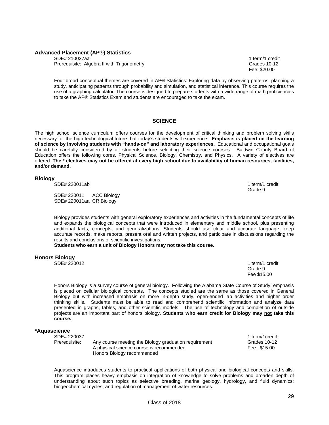#### **Advanced Placement (AP®) Statistics**

SDE# 210027aa 1 term/1 credit Prerequisite: Algebra II with Trigonometry **Constructs** Crades 10-12

Fee: \$20.00

Four broad conceptual themes are covered in AP® Statistics: Exploring data by observing patterns, planning a study, anticipating patterns through probability and simulation, and statistical inference. This course requires the use of a graphing calculator. The course is designed to prepare students with a wide range of math proficiencies to take the AP® Statistics Exam and students are encouraged to take the exam.

# **SCIENCE**

The high school science curriculum offers courses for the development of critical thinking and problem solving skills necessary for the high technological future that today's students will experience. **Emphasis is placed on the learning of science by involving students with "hands-on" and laboratory experiences.** Educational and occupational goals should be carefully considered by all students before selecting their science courses. Baldwin County Board of Education offers the following cores, Physical Science, Biology, Chemistry, and Physics. A variety of electives are offered. **The \* electives may not be offered at every high school due to availability of human resources, facilities, and/or demand.**

# **Biology**

SDE# 220011ab 1 term/1 credit 1 term/1 credit 1 term/1 credit 1 term/1 credit

SDE# 220011 ACC Biology SDE# 220011aa CR Biology

Grade 9 (1999) and the state of the state of the state of the state of the state of the state of the state of the state of the state of the state of the state of the state of the state of the state of the state of the stat

Biology provides students with general exploratory experiences and activities in the fundamental concepts of life and expands the biological concepts that were introduced in elementary and middle school, plus presenting additional facts, concepts, and generalizations. Students should use clear and accurate language, keep accurate records, make reports, present oral and written projects, and participate in discussions regarding the results and conclusions of scientific investigations.

#### **Students who earn a unit of Biology Honors may not take this course.**

# **Honors Biology**

1 term/1 credit<br>Grade 9 Grade 9 (1999) and the contract of the contract of the contract of the contract of the contract of the contract of the contract of the contract of the contract of the contract of the contract of the contract of the contrac Fee \$15.00

Honors Biology is a survey course of general biology. Following the Alabama State Course of Study, emphasis is placed on cellular biological concepts. The concepts studied are the same as those covered in General Biology but with increased emphasis on more in-depth study, open-ended lab activities and higher order thinking skills. Students must be able to read and comprehend scientific information and analyze data presented in graphs, tables, and other scientific models. The use of technology and completion of outside projects are an important part of honors biology. **Students who earn credit for Biology may not take this course.** 

# **\*Aquascience**

SDE# 220037 1 term/1credit Prerequisite: Any course meeting the Biology graduation requirement Grades 10-12 A physical science course is recommended Fee: \$15.00 Honors Biology recommended

Aquascience introduces students to practical applications of both physical and biological concepts and skills. This program places heavy emphasis on integration of knowledge to solve problems and broaden depth of understanding about such topics as selective breeding, marine geology, hydrology, and fluid dynamics; biogeochemical cycles; and regulation of management of water resources.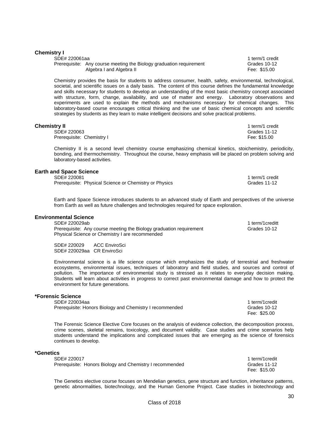#### **Chemistry I**

SDE# 220061aa 1 term/1 credit 1 term/1 credit 1 term/1 credit 1 term/1 credit 1 term/1 credit Prerequisite: Any course meeting the Biology graduation requirement Grades 10-12 Algebra I and Algebra II **Fee: \$15.00** 

Chemistry provides the basis for students to address consumer, health, safety, environmental, technological, societal, and scientific issues on a daily basis. The content of this course defines the fundamental knowledge and skills necessary for students to develop an understanding of the most basic chemistry concept associated with structure, form, change, availability, and use of matter and energy. Laboratory observations and experiments are used to explain the methods and mechanisms necessary for chemical changes. This laboratory-based course encourages critical thinking and the use of basic chemical concepts and scientific strategies by students as they learn to make intelligent decisions and solve practical problems.

#### **Chemistry II** 1 term/1 credit

 SDE# 220063 Grades 11-12 Prerequisite: Chemistry I **Fee: \$15.00** 

Chemistry II is a second level chemistry course emphasizing chemical kinetics, stoichemistry, periodicity, bonding, and thermochemistry. Throughout the course, heavy emphasis will be placed on problem solving and laboratory-based activities.

# **Earth and Space Science**

SDE# 220081 1 term/1 credit<br>Prerequisite: Physical Science or Chemistry or Physics 1992 1 1 term and the Grades 11-12 Prerequisite: Physical Science or Chemistry or Physics

Earth and Space Science introduces students to an advanced study of Earth and perspectives of the universe from Earth as well as future challenges and technologies required for space exploration.

# **Environmental Science**

SDE# 220029ab 1 term/1creditt Prerequisite: Any course meeting the Biology graduation requirement Grades 10-12 Physical Science or Chemistry I are recommended

SDE# 220029 ACC EnviroSci SDE# 220029aa CR EnviroSci

Environmental science is a life science course which emphasizes the study of terrestrial and freshwater ecosystems, environmental issues, techniques of laboratory and field studies, and sources and control of pollution. The importance of environmental study is stressed as it relates to everyday decision making. Students will learn about activities in progress to correct past environmental damage and how to protect the environment for future generations.

#### **\*Forensic Science**

SDE# 220034aa 1 term/1credit Prerequisite: Honors Biology and Chemistry I recommended Grades 10-12

The Forensic Science Elective Core focuses on the analysis of evidence collection, the decomposition process, crime scenes, skeletal remains, toxicology, and document validity. Case studies and crime scenarios help students understand the implications and complicated issues that are emerging as the science of forensics continues to develop.

The Genetics elective course focuses on Mendelian genetics, gene structure and function, inheritance patterns, genetic abnormalities, biotechnology, and the Human Genome Project. Case studies in biotechnology and

#### **\*Genetics**

SDE# 220017 1 term/1credit Prerequisite: Honors Biology and Chemistry I recommended Grades 11-12

Fee: \$15.00

Fee: \$25.00

30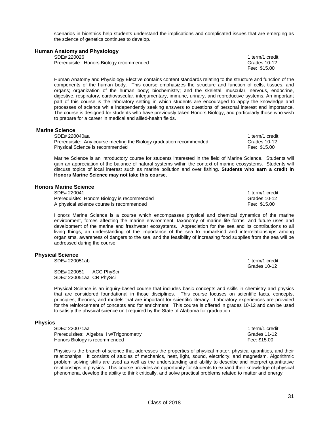scenarios in bioethics help students understand the implications and complicated issues that are emerging as the science of genetics continues to develop.

| <b>Human Anatomy and Physiology</b>      |                 |
|------------------------------------------|-----------------|
| SDE# 220026                              | 1 term/1 credit |
| Prerequisite: Honors Biology recommended | Grades 10-12    |
|                                          | Fee: \$15.00    |

Human Anatomy and Physiology Elective contains content standards relating to the structure and function of the components of the human body. This course emphasizes the structure and function of cells, tissues, and organs; organization of the human body; biochemistry; and the skeletal, muscular, nervous, endocrine, digestive, respiratory, cardiovascular, integumentary, immune, urinary, and reproductive systems. An important part of this course is the laboratory setting in which students are encouraged to apply the knowledge and processes of science while independently seeking answers to questions of personal interest and importance. The course is designed for students who have previously taken Honors Biology, and particularly those who wish to prepare for a career in medical and allied-health fields.

#### **Marine Science**

| SDE# 220040aa                                                       | 1 term/1 credit |
|---------------------------------------------------------------------|-----------------|
| Prerequisite: Any course meeting the Biology graduation recommended | Grades 10-12    |
| Physical Science is recommended                                     | Fee: \$15.00    |

Marine Science is an introductory course for students interested in the field of Marine Science. Students will gain an appreciation of the balance of natural systems within the context of marine ecosystems. Students will discuss topics of local interest such as marine pollution and over fishing. **Students who earn a credit in Honors Marine Science may not take this course.** 

#### **Honors Marine Science**

| SDE# 220041                                 | 1 term/1 credit |
|---------------------------------------------|-----------------|
| Prerequisite: Honors Biology is recommended | Grades 10-12    |
| A physical science course is recommended    | Fee: \$15.00    |

Honors Marine Science is a course which encompasses physical and chemical dynamics of the marine environment, forces affecting the marine environment, taxonomy of marine life forms, and future uses and development of the marine and freshwater ecosystems. Appreciation for the sea and its contributions to all living things, an understanding of the importance of the sea to humankind and interrelationships among organisms, awareness of dangers to the sea, and the feasibility of increasing food supplies from the sea will be addressed during the course.

# **Physical Science**

SDE# 220051ab 1 term/1 credit

SDE# 220051 ACC PhySci SDE# 220051aa CR PhySci

Physical Science is an inquiry-based course that includes basic concepts and skills in chemistry and physics that are considered foundational in those disciplines. This course focuses on scientific facts, concepts, principles, theories, and models that are important for scientific literacy. Laboratory experiences are provided for the reinforcement of concepts and for enrichment. This course is offered in grades 10-12 and can be used to satisfy the physical science unit required by the State of Alabama for graduation.

#### **Physics**

| SDE# 220071aa                            | 1 term/1 credit |
|------------------------------------------|-----------------|
| Prerequisites: Algebra II w/Trigonometry | Grades 11-12    |
| Honors Biology is recommended            | Fee: \$15.00    |

Physics is the branch of science that addresses the properties of physical matter, physical quantities, and their relationships. It consists of studies of mechanics, heat, light, sound, electricity, and magnetism. Algorithmic problem solving skills are used as well as the understanding and ability to describe and interpret quantitative relationships in physics. This course provides an opportunity for students to expand their knowledge of physical phenomena, develop the ability to think critically, and solve practical problems related to matter and energy.

Grades 10-12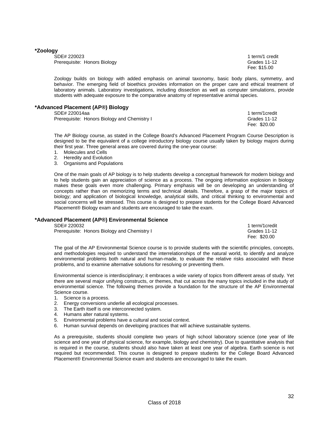#### **\*Zoology**

SDE# 220023 1 term/1 credit Prerequisite: Honors Biology Grades 11-12

Fee: \$15.00

Zoology builds on biology with added emphasis on animal taxonomy, basic body plans, symmetry, and behavior. The emerging field of bioethics provides information on the proper care and ethical treatment of laboratory animals. Laboratory investigations, including dissection as well as computer simulations, provide students with adequate exposure to the comparative anatomy of representative animal species.

# **\*Advanced Placement (AP®) Biology**

SDE# 220014aa 1 term/1credit

Prerequisite: Honors Biology and Chemistry I Grades 11-12

Fee: \$20.00

The AP Biology course, as stated in the College Board's Advanced Placement Program Course Description is designed to be the equivalent of a college introductory biology course usually taken by biology majors during their first year. Three general areas are covered during the one-year course:

- 1. Molecules and Cells
- 2. Heredity and Evolution
- 3. Organisms and Populations

One of the main goals of AP biology is to help students develop a conceptual framework for modern biology and to help students gain an appreciation of science as a process. The ongoing information explosion in biology makes these goals even more challenging. Primary emphasis will be on developing an understanding of concepts rather than on memorizing terms and technical details. Therefore, a grasp of the major topics of biology; and application of biological knowledge, analytical skills, and critical thinking to environmental and social concerns will be stressed. This course is designed to prepare students for the College Board Advanced Placement® Biology exam and students are encouraged to take the exam.

#### **\*Advanced Placement (AP®) Environmental Science**

| SDE# 220032                                  | 1 term/1 credit |
|----------------------------------------------|-----------------|
| Prerequisite: Honors Biology and Chemistry I | Grades 11-12    |
|                                              | Fee: \$20.00    |

The goal of the AP Environmental Science course is to provide students with the scientific principles, concepts, and methodologies required to understand the interrelationships of the natural world, to identify and analyze environmental problems both natural and human-made, to evaluate the relative risks associated with these problems, and to examine alternative solutions for resolving or preventing them.

Environmental science is interdisciplinary; it embraces a wide variety of topics from different areas of study. Yet there are several major unifying constructs, or themes, that cut across the many topics included in the study of environmental science. The following themes provide a foundation for the structure of the AP Environmental Science course.

- 1. Science is a process.
- 2. Energy conversions underlie all ecological processes.
- 3. The Earth itself is one interconnected system.
- 4. Humans alter natural systems.
- 5. Environmental problems have a cultural and social context.
- 6. Human survival depends on developing practices that will achieve sustainable systems.

As a prerequisite, students should complete two years of high school laboratory science (one year of life science and one year of physical science, for example, biology and chemistry). Due to quantitative analysis that is required in the course, students should also have taken at least one year of algebra. Earth science is not required but recommended. This course is designed to prepare students for the College Board Advanced Placement® Environmental Science exam and students are encouraged to take the exam.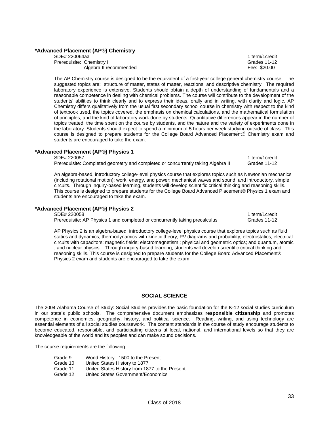# **\*Advanced Placement (AP®) Chemistry**

| SDE# 220064aa             |                        |
|---------------------------|------------------------|
| Prerequisite: Chemistry I |                        |
|                           | Algebra II recommended |

The AP Chemistry course is designed to be the equivalent of a first-year college general chemistry course. The suggested topics are: structure of matter, states of matter, reactions, and descriptive chemistry. The required laboratory experience is extensive. Students should obtain a depth of understanding of fundamentals and a reasonable competence in dealing with chemical problems. The course will contribute to the development of the students' abilities to think clearly and to express their ideas, orally and in writing, with clarity and logic. AP Chemistry differs qualitatively from the usual first secondary school course in chemistry with respect to the kind of textbook used, the topics covered, the emphasis on chemical calculations, and the mathematical formulation of principles, and the kind of laboratory work done by students. Quantitative differences appear in the number of topics treated, the time spent on the course by students, and the nature and the variety of experiments done in the laboratory. Students should expect to spend a minimum of 5 hours per week studying outside of class. This course is designed to prepare students for the College Board Advanced Placement® Chemistry exam and students are encouraged to take the exam.

# **\*Advanced Placement (AP®) Physics 1**

SDE# 220057 1 term/1credit

Prerequisite: Completed geometry and completed or concurrently taking Algebra II Grades 11-12

An algebra-based, introductory college-level physics course that explores topics such as Newtonian mechanics (including rotational motion); work, energy, and power; mechanical waves and sound; and introductory, simple circuits. Through inquiry-based learning, students will develop scientific critical thinking and reasoning skills. This course is designed to prepare students for the College Board Advanced Placement® Physics 1 exam and students are encouraged to take the exam.

#### **\*Advanced Placement (AP®) Physics 2**

SDE# 220058 1 term/1credit

Prerequisite: AP Physics 1 and completed or concurrently taking precalculus Grades 11-12

AP Physics 2 is an algebra-based, introductory college-level physics course that explores topics such as fluid statics and dynamics; thermodynamics with kinetic theory; PV diagrams and probability; electrostatics; electrical circuits with capacitors; magnetic fields; electromagnetism,; physical and geometric optics; and quantum, atomic , and nuclear physics.. Through inquiry-based learning, students will develop scientific critical thinking and reasoning skills. This course is designed to prepare students for the College Board Advanced Placement® Physics 2 exam and students are encouraged to take the exam.

# **SOCIAL SCIENCE**

The 2004 Alabama Course of Study: Social Studies provides the basic foundation for the K-12 social studies curriculum in our state's public schools. The comprehensive document emphasizes **responsible citizenship** and promotes competence in economics, geography, history, and political science. Reading, writing, and using technology are essential elements of all social studies coursework. The content standards in the course of study encourage students to become educated, responsible, and participating citizens at local, national, and international levels so that they are knowledgeable of the world and its peoples and can make sound decisions.

The course requirements are the following:

- Grade 9 World History: 1500 to the Present<br>Grade 10 United States History to 1877
- Grade 10 United States History to 1877<br>Grade 11 United States History from 18
- United States History from 1877 to the Present
- Grade 12 United States Government/Economics

1 term/1credit Grades 11-12 Fee: \$20.00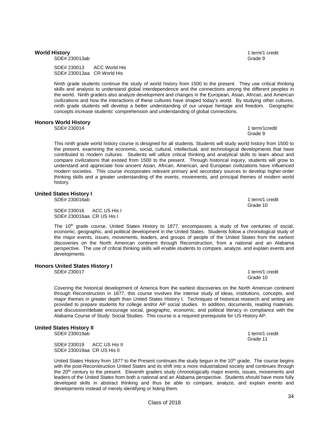#### **World History** 1 term/1 credit

SDE# 230013ab Grade 9

 SDE# 230013 ACC World His SDE# 230013aa CR World His

Ninth grade students continue the study of world history from 1500 to the present. They use critical thinking skills and analysis to understand global interdependence and the connections among the different peoples in the world. Ninth graders also analyze development and changes in the European, Asian, African, and American civilizations and how the interactions of these cultures have shaped today's world. By studying other cultures, ninth grade students will develop a better understanding of our unique heritage and freedom. Geographic concepts increase students' comprehension and understanding of global connections.

#### **Honors World History**

SDE# 230014 1 term/1credit Grade 9 (1999) and the contract of the contract of the contract of the contract of the contract of the contract of the contract of the contract of the contract of the contract of the contract of the contract of the contrac

This ninth grade world history course is designed for all students. Students will study world history from 1500 to the present, examining the economic, social, cultural, intellectual, and technological developments that have contributed to modern cultures. Students will utilize critical thinking and analytical skills to learn about and compare civilizations that existed from 1500 to the present. Through historical inquiry, students will grow to understand and appreciate how ancient Asian, African, American, and European civilizations have influenced modern societies. This course incorporates relevant primary and secondary sources to develop higher-order thinking skills and a greater understanding of the events, movements, and principal themes of modern world history.

# **United States History I**

SDE# 230016ab 1 term/1 credit

SDE# 230016 ACC US His I SDE# 230016aa CR US His I

The 10<sup>th</sup> grade course, United States History to 1877, encompasses a study of five centuries of social, economic, geographic, and political development in the United States. Students follow a chronological study of the major events, issues, movements, leaders, and groups of people of the United States from the earliest discoveries on the North American continent through Reconstruction, from a national and an Alabama perspective. The use of critical thinking skills will enable students to compare, analyze, and explain events and developments.

#### **Honors United States History I**

SDE# 230017 1 term/1 credit

Covering the historical development of America from the earliest discoveries on the North American continent through Reconstruction in 1877, this course involves the intense study of ideas, institutions, concepts, and major themes in greater depth than United States History I. Techniques of historical research and writing are provided to prepare students for college and/or AP social studies. In addition, documents, reading materials, and discussion/debate encourage social, geographic, economic, and political literacy in compliance with the Alabama Course of Study: Social Studies. This course is a required prerequisite for US History AP.

Grade 10 and the contract of the contract of the contract of the contract of the contract of the contract of the contract of the contract of the contract of the contract of the contract of the contract of the contract of t

# **United States History II**

 SDE# 230019 ACC US His II SDE# 230019aa CR US His II

United States History from 1877 to the Present continues the study begun in the 10<sup>th</sup> grade. The course begins with the post-Reconstruction United States and its shift into a more industrialized society and continues through the 20<sup>th</sup> century to the present. Eleventh graders study chronologically major events, issues, movements and leaders of the United States from both a national and an Alabama perspective. Students should have more fully developed skills in abstract thinking and thus be able to compare, analyze, and explain events and developments instead of merely identifying or listing them.

Grade 10 and the contract of the contract of the contract of the contract of the contract of the contract of the contract of the contract of the contract of the contract of the contract of the contract of the contract of t

SDE# 230019ab 1 term/1 credit Grade 11 **Grade 11 Grade 11**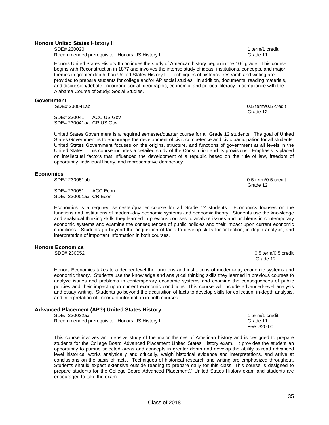#### **Honors United States History II**

SDE# 230020 1 term/1 credit Recommended prerequisite: Honors US History I Grade 11

Honors United States History II continues the study of American history begun in the 10<sup>th</sup> grade. This course begins with Reconstruction in 1877 and involves the intense study of ideas, institutions, concepts, and major themes in greater depth than United States History II. Techniques of historical research and writing are provided to prepare students for college and/or AP social studies. In addition, documents, reading materials, and discussion/debate encourage social, geographic, economic, and political literacy in compliance with the Alabama Course of Study: Social Studies.

#### **Government**

SDE# 230041ab 0.5 term/0.5 credit

Grade 12 and 2012 and 2012 and 2012 and 2012 and 2012 and 2012 and 2012 and 2012 and 2012 and 2012 and 2012 and 201 SDE# 230041 ACC US Gov SDE# 230041aa CR US Gov

United States Government is a required semester/quarter course for all Grade 12 students. The goal of United States Government is to encourage the development of civic competence and civic participation for all students. United States Government focuses on the origins, structure, and functions of government at all levels in the United States. This course includes a detailed study of the Constitution and its provisions. Emphasis is placed on intellectual factors that influenced the development of a republic based on the rule of law, freedom of opportunity, individual liberty, and representative democracy.

## **Economics**

SDE# 230051 ACC Econ SDE# 230051aa CR Econ

Economics is a required semester/quarter course for all Grade 12 students. Economics focuses on the functions and institutions of modern-day economic systems and economic theory. Students use the knowledge and analytical thinking skills they learned in previous courses to analyze issues and problems in contemporary economic systems and examine the consequences of public policies and their impact upon current economic conditions. Students go beyond the acquisition of facts to develop skills for collection, in-depth analysis, and interpretation of important information in both courses.

# **Honors Economics**

Honors Economics takes to a deeper level the functions and institutions of modern-day economic systems and economic theory. Students use the knowledge and analytical thinking skills they learned in previous courses to analyze issues and problems in contemporary economic systems and examine the consequences of public policies and their impact upon current economic conditions. This course will include advanced-level analysis and essay writing. Students go beyond the acquisition of facts to develop skills for collection, in-depth analysis, and interpretation of important information in both courses.

#### **Advanced Placement (AP®) United States History**

SDE# 230022aa 1 term/1 credit

| Recommended prerequisite: Honors US History I | Grade 11 |
|-----------------------------------------------|----------|
|-----------------------------------------------|----------|

This course involves an intensive study of the major themes of American history and is designed to prepare students for the College Board Advanced Placement United States History exam. It provides the student an opportunity to pursue selected areas and concepts in greater depth and develop the ability to read advanced level historical works analytically and critically, weigh historical evidence and interpretations, and arrive at conclusions on the basis of facts. Techniques of historical research and writing are emphasized throughout. Students should expect extensive outside reading to prepare daily for this class. This course is designed to prepare students for the College Board Advanced Placement® United States History exam and students are encouraged to take the exam.

 SDE# 230051ab 0.5 term/0.5 credit Grade 12 and 2012 and 2012 and 2012 and 2012 and 2012 and 2012 and 2012 and 2012 and 2012 and 2012 and 2012 and 201

 $0.5$  term/0.5 credit Grade 12 and 2012 and 2012 and 2012 and 2012 and 2012 and 2012 and 2012 and 2012 and 2012 and 2012 and 2012 and 201

Fee: \$20.00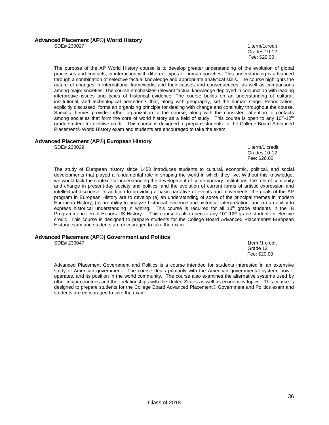# **Advanced Placement (AP®) World History**

SDE# 230027 1 term/1credit **Cancel 2016 Constant Constant Constant Constant Constant Constant Constant Constant Constant Constant Constant Constant Constant Constant Constant Constant Constant Constant Constant Constant Constant Constant Constant** Fee: \$20.00

The purpose of the AP World History course is to develop greater understanding of the evolution of global processes and contacts, in interaction with different types of human societies. This understanding is advanced through a combination of selective factual knowledge and appropriate analytical skills. The course highlights the nature of changes in international frameworks and their causes and consequences, as well as comparisons among major societies. The course emphasizes relevant factual knowledge deployed in conjunction with leading interpretive issues and types of historical evidence. The course builds on an understanding of cultural, institutional, and technological precedents that, along with geography, set the human stage. Periodization, explicitly discussed, forms an organizing principle for dealing with change and continuity throughout the course. Specific themes provide further organization to the course, along with the consistent attention to contacts among societies that form the core of world history as a field of study. This course is open to any 10<sup>th</sup>-12<sup>th</sup> grade student for elective credit. This course is designed to prepare students for the College Board Advanced Placement® World History exam and students are encouraged to take the exam.

# **Advanced Placement (AP®) European History**

1 term/1 credit Grades 10-12 Fee: \$20.00

The study of European history since 1450 introduces students to cultural, economic, political, and social developments that played a fundamental role in shaping the world in which they live. Without this knowledge, we would lack the context for understanding the development of contemporary institutions, the role of continuity and change in present-day society and politics, and the evolution of current forms of artistic expression and intellectual discourse. In addition to providing a basic narrative of events and movements, the goals of the AP program in European History are to develop (a) an understanding of some of the principal themes in modern European History, (b) an ability to analyze historical evidence and historical interpretation, and (c) an ability to express historical understanding in writing. This course is required for all  $10<sup>th</sup>$  grade students in the IB Programme in lieu of Honors US History I. This course is also open to any 10<sup>th</sup>-12<sup>th</sup> grade student for elective credit. This course is designed to prepare students for the College Board Advanced Placement® European History exam and students are encouraged to take the exam.

# **Advanced Placement (AP®) Government and Politics**

SDE# 230047 1term/1 credit Grade 12 and 2012 and 2012 and 2012 and 2012 and 2012 and 2012 and 2012 and 2012 and 2012 and 2012 and 2012 and 201 Fee: \$20.00

Advanced Placement Government and Politics is a course intended for students interested in an extensive study of American government. The course deals primarily with the American governmental system, how it operates, and its position in the world community. The course also examines the alternative systems used by other major countries and their relationships with the United States as well as economics topics. This course is designed to prepare students for the College Board Advanced Placement® Government and Politics exam and students are encouraged to take the exam.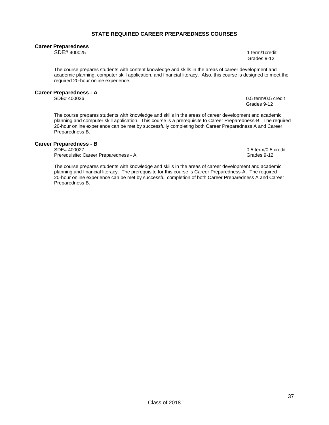### **STATE REQUIRED CAREER PREPAREDNESS COURSES**

#### **Career Preparedness**

SDE# 400025 1 term/1credit Grades 9-12

The course prepares students with content knowledge and skills in the areas of career development and academic planning, computer skill application, and financial literacy. Also, this course is designed to meet the required 20-hour online experience.

# **Career Preparedness - A**

 $0.5$  term/0.5 credit Grades 9-12

The course prepares students with knowledge and skills in the areas of career development and academic planning and computer skill application. This course is a prerequisite to Career Preparedness-B. The required 20-hour online experience can be met by successfully completing both Career Preparedness A and Career Preparedness B.

# **Career Preparedness - B**

Prerequisite: Career Preparedness - A

0.5 term/0.5 credit<br>Grades 9-12

The course prepares students with knowledge and skills in the areas of career development and academic planning and financial literacy. The prerequisite for this course is Career Preparedness-A. The required 20-hour online experience can be met by successful completion of both Career Preparedness A and Career Preparedness B.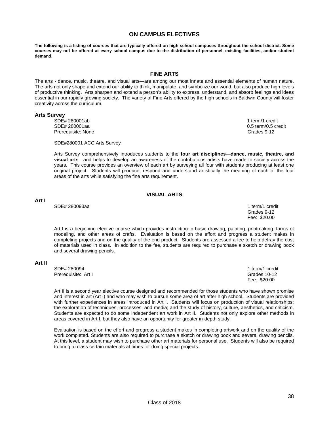# **ON CAMPUS ELECTIVES**

**The following is a listing of courses that are typically offered on high school campuses throughout the school district. Some courses may not be offered at every school campus due to the distribution of personnel, existing facilities, and/or student demand.** 

### **FINE ARTS**

The arts - dance, music, theatre, and visual arts—are among our most innate and essential elements of human nature. The arts not only shape and extend our ability to think, manipulate, and symbolize our world, but also produce high levels of productive thinking. Arts sharpen and extend a person's ability to express, understand, and absorb feelings and ideas essential in our rapidly growing society. The variety of Fine Arts offered by the high schools in Baldwin County will foster creativity across the curriculum.

#### **Arts Survey**

SDE# 280001ab 1 term/1 credit SDE# 280001aa 0.5 term/0.5 credit Prerequisite: None Grades 9-12

SDE#280001 ACC Arts Survey

Arts Survey comprehensively introduces students to the **four art disciplines—dance, music, theatre, and visual arts**—and helps to develop an awareness of the contributions artists have made to society across the years. This course provides an overview of each art by surveying all four with students producing at least one original project. Students will produce, respond and understand artistically the meaning of each of the four areas of the arts while satisfying the fine arts requirement.

# **VISUAL ARTS**

### **Art I**

 SDE# 280093aa 1 term/1 credit Grades 9-12 Fee: \$20.00

Art I is a beginning elective course which provides instruction in basic drawing, painting, printmaking, forms of modeling, and other areas of crafts. Evaluation is based on the effort and progress a student makes in completing projects and on the quality of the end product. Students are assessed a fee to help defray the cost of materials used in class. In addition to the fee, students are required to purchase a sketch or drawing book and several drawing pencils.

#### **Art II**

SDE# 280094 1 term/1 credit Prerequisite: Art I Grades 10-12

Fee: \$20.00

Art II is a second year elective course designed and recommended for those students who have shown promise and interest in art (Art I) and who may wish to pursue some area of art after high school. Students are provided with further experiences in areas introduced in Art I. Students will focus on production of visual relationships; the exploration of techniques, processes, and media; and the study of history, culture, aesthetics, and criticism. Students are expected to do some independent art work in Art II. Students not only explore other methods in areas covered in Art I, but they also have an opportunity for greater in-depth study.

Evaluation is based on the effort and progress a student makes in completing artwork and on the quality of the work completed. Students are also required to purchase a sketch or drawing book and several drawing pencils. At this level, a student may wish to purchase other art materials for personal use. Students will also be required to bring to class certain materials at times for doing special projects.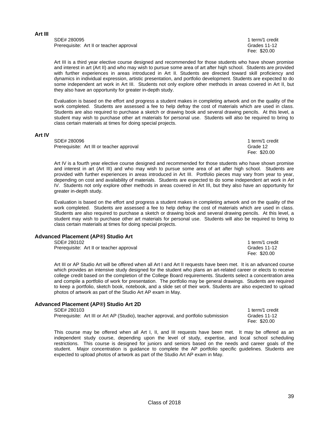**Art III**

SDE# 280095 1 term/1 credit Prerequisite: Art II or teacher approval example of the state of the Grades 11-12

Fee: \$20.00

Art III is a third year elective course designed and recommended for those students who have shown promise and interest in art (Art II) and who may wish to pursue some area of art after high school. Students are provided with further experiences in areas introduced in Art II. Students are directed toward skill proficiency and dynamics in individual expression, artistic presentation, and portfolio development. Students are expected to do some independent art work in Art III. Students not only explore other methods in areas covered in Art II, but they also have an opportunity for greater in-depth study.

Evaluation is based on the effort and progress a student makes in completing artwork and on the quality of the work completed. Students are assessed a fee to help defray the cost of materials which are used in class. Students are also required to purchase a sketch or drawing book and several drawing pencils. At this level, a student may wish to purchase other art materials for personal use. Students will also be required to bring to class certain materials at times for doing special projects.

#### **Art IV**

SDE# 280096 1 term/1 credit Prerequisite: Art III or teacher approval Grade 12

Fee: \$20.00

Art IV is a fourth year elective course designed and recommended for those students who have shown promise and interest in art (Art III) and who may wish to pursue some area of art after high school. Students are provided with further experiences in areas introduced in Art III. Portfolio pieces may vary from year to year, depending on cost and availability of materials. Students are expected to do some independent art work in Art IV. Students not only explore other methods in areas covered in Art III, but they also have an opportunity for greater in-depth study.

Evaluation is based on the effort and progress a student makes in completing artwork and on the quality of the work completed. Students are assessed a fee to help defray the cost of materials which are used in class. Students are also required to purchase a sketch or drawing book and several drawing pencils. At this level, a student may wish to purchase other art materials for personal use. Students will also be required to bring to class certain materials at times for doing special projects.

### **Advanced Placement (AP®) Studio Art**

| SDE# 280102                              | 1 term/1 credit |
|------------------------------------------|-----------------|
| Prerequisite: Art II or teacher approval | Grades 11-12    |
|                                          | Fee: \$20.00    |

Art III or AP Studio Art will be offered when all Art I and Art II requests have been met. It is an advanced course which provides an intensive study designed for the student who plans an art-related career or elects to receive college credit based on the completion of the College Board requirements. Students select a concentration area and compile a portfolio of work for presentation. The portfolio may be general drawings. Students are required to keep a portfolio, sketch book, notebook, and a slide set of their work. Students are also expected to upload photos of artwork as part of the Studio Art AP exam in May.

## **Advanced Placement (AP®) Studio Art 2D**

SDE# 280103 1 term/1 credit Prerequisite: Art III or Art AP (Studio), teacher approval, and portfolio submission Grades 11-12

This course may be offered when all Art I, II, and III requests have been met. It may be offered as an independent study course, depending upon the level of study, expertise, and local school scheduling restrictions. This course is designed for juniors and seniors based on the needs and career goals of the student. Major concentration is guidance to complete the AP portfolio specific guidelines. Students are expected to upload photos of artwork as part of the Studio Art AP exam in May.

Fee: \$20.00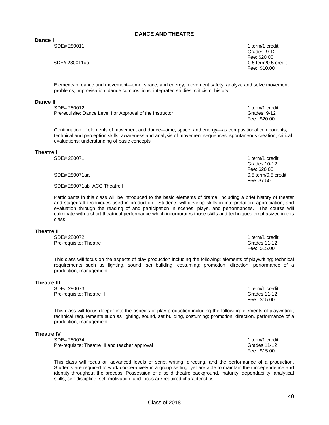### **DANCE AND THEATRE**

**Dance I**<br>SDE# 280011

1 term/1 credit<br>Grades: 9-12 Grades: 9-12 Fee: \$20.00 SDE# 280011aa 0.5 term/0.5 credit Fee: \$10.00

Fee: \$20.00

Grades 10-12 Fee: \$20.00

Elements of dance and movement—time, space, and energy; movement safety; analyze and solve movement problems; improvisation; dance compositions; integrated studies; criticism; history

#### **Dance II**

SDE# 280012 1 term/1 credit Prerequisite: Dance Level I or Approval of the Instructor Grades: 9-12

Continuation of elements of movement and dance—time, space, and energy—as compositional components; technical and perception skills; awareness and analysis of movement sequences; spontaneous creation, critical evaluations; understanding of basic concepts

#### **Theatre I**

SDE# 280071 1 term/1 credit

SDE# 280071aa 0.5 term/0.5 credit

SDE# 280071ab ACC Theatre I

Participants in this class will be introduced to the basic elements of drama, including a brief history of theater and stagecraft techniques used in production. Students will develop skills in interpretation, appreciation, and evaluation through the reading of and participation in scenes, plays, and performances. The course will culminate with a short theatrical performance which incorporates those skills and techniques emphasized in this class.

Fee: \$7.50

### **Theatre II**

SDE# 280072 1 term/1 credit<br>Pre-requisite: Theatre I and the state of the state of the state of the State of Theorem in the State of Theorem Pre-requisite: Theatre I

This class will focus on the aspects of play production including the following: elements of playwriting; technical requirements such as lighting, sound, set building, costuming; promotion, direction, performance of a production, management.

#### **Theatre III**

SDE# 280073 1 term/1 credit Pre-requisite: Theatre II Grades 11-12 Fee: \$15.00

This class will focus deeper into the aspects of play production including the following: elements of playwriting; technical requirements such as lighting, sound, set building, costuming; promotion, direction, performance of a production, management.

### **Theatre IV**

SDE# 280074 1 term/1 credit<br>Pre-requisite: Theatre III and teacher approval example of the state of the Grades 11-12 Pre-requisite: Theatre III and teacher approval

This class will focus on advanced levels of script writing, directing, and the performance of a production. Students are required to work cooperatively in a group setting, yet are able to maintain their independence and identity throughout the process. Possession of a solid theatre background, maturity, dependability, analytical skills, self-discipline, self-motivation, and focus are required characteristics.

Fee: \$15.00

Fee: \$15.00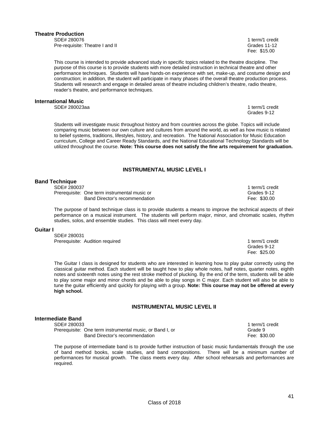#### Class of 2018

# **Theatre Production**

 SDE# 280076 1 term/1 credit Pre-requisite: Theatre I and II Grades 11-12

This course is intended to provide advanced study in specific topics related to the theatre discipline. The purpose of this course is to provide students with more detailed instruction in technical theatre and other performance techniques. Students will have hands-on experience with set, make-up, and costume design and construction; in addition, the student will participate in many phases of the overall theatre production process. Students will research and engage in detailed areas of theatre including children's theatre, radio theatre, reader's theatre, and performance techniques.

### **International Music**

SDE# 280023aa 1 term/1 credit

Students will investigate music throughout history and from countries across the globe. Topics will include comparing music between our own culture and cultures from around the world, as well as how music is related to belief systems, traditions, lifestyles, history, and recreation. The National Association for Music Education curriculum, College and Career Ready Standards, and the National Educational Technology Standards will be utilized throughout the course. **Note: This course does not satisfy the fine arts requirement for graduation.**

### **INSTRUMENTAL MUSIC LEVEL I**

**Canadian Structure 1988 Constant Constant Constant Constant Constant Constant Constant Constant Constant Constant Constant Constant Constant Constant Constant Constant Constant Constant Constant Constant Constant Consta** 

### **Band Technique**

SDE# 280037 1 term/1 credit Prerequisite: One term instrumental music or Grades 9-12 Band Director's recommendation example of the state of the Fee: \$30.00

The purpose of band technique class is to provide students a means to improve the technical aspects of their performance on a musical instrument. The students will perform major, minor, and chromatic scales, rhythm studies, solos, and ensemble studies. This class will meet every day.

#### **Guitar I**

SDE# 280031 Prerequisite: Audition required1 term/1 credit

The Guitar I class is designed for students who are interested in learning how to play guitar correctly using the classical guitar method. Each student will be taught how to play whole notes, half notes, quarter notes, eighth notes and sixteenth notes using the rest stroke method of plucking. By the end of the term, students will be able to play some major and minor chords and be able to play songs in C major. Each student will also be able to tune the guitar efficiently and quickly for playing with a group. **Note: This course may not be offered at every high school.**

### **INSTRUMENTAL MUSIC LEVEL II**

# **Intermediate Band**

SDE# 280033 1 term/1 credit Prerequisite: One term instrumental music, or Band I, or Grand Canada 9 Band Director's recommendation example of the state of the Fee: \$30.00 Fee: \$30.00

The purpose of intermediate band is to provide further instruction of basic music fundamentals through the use of band method books, scale studies, and band compositions. There will be a minimum number of performances for musical growth. The class meets every day. After school rehearsals and performances are required.

 Grades 9-12 Fee: \$25.00

Fee: \$15.00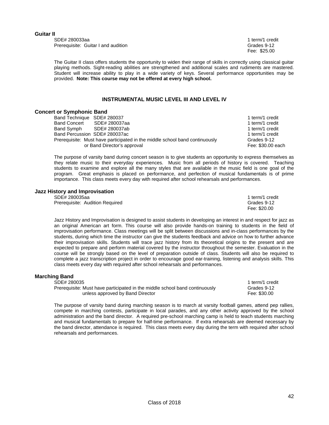#### **Guitar II**

SDE# 280033aa1 term/1 credit Prerequisite: Guitar I and audition **by a strategier of the Contract Contract Contract Contract Contract Contract Contract Contract Contract Contract Contract Contract Contract Contract Contract Contract Contract Contract** 

Fee: \$25.00

The Guitar II class offers students the opportunity to widen their range of skills in correctly using classical guitar playing methods. Sight-reading abilities are strengthened and additional scales and rudiments are mastered. Student will increase ability to play in a wide variety of keys. Several performance opportunities may be provided. **Note: This course may not be offered at every high school.**

#### **INSTRUMENTAL MUSIC LEVEL III AND LEVEL IV**

## **Concert or Symphonic Band**

| n or own phonome band      |                                                                             |                   |
|----------------------------|-----------------------------------------------------------------------------|-------------------|
| Band Technique SDE# 280037 |                                                                             | 1 term/1 credit   |
| <b>Band Concert</b>        | SDE# 280037aa                                                               | 1 term/1 credit   |
| Band Symph                 | SDE# 280037ab                                                               | 1 term/1 credit   |
|                            | Band Percussion SDE# 280037ac                                               | 1 term/1 credit   |
|                            | Prerequisite: Must have participated in the middle school band continuously | Grades 9-12       |
|                            | or Band Director's approval                                                 | Fee: \$30.00 each |

The purpose of varsity band during concert season is to give students an opportunity to express themselves as they relate music to their everyday experiences. Music from all periods of history is covered. Teaching students to examine and explore all the many styles that are available in the music field is one goal of the program. Great emphasis is placed on performance, and perfection of musical fundamentals is of prime importance. This class meets every day with required after school rehearsals and performances.

#### **Jazz History and Improvisation**

SDE# 280035aa1 term/1 credit Prerequisite: Audition Required Grades 9-12 Fee: \$20.00

Jazz History and Improvisation is designed to assist students in developing an interest in and respect for jazz as an original American art form. This course will also provide hands-on training to students in the field of improvisation performance. Class meetings will be split between discussions and in-class performances by the students, during which time the instructor can give the students feedback and advice on how to further advance their improvisation skills. Students will trace jazz history from its theoretical origins to the present and are expected to prepare and perform material covered by the instructor throughout the semester. Evaluation in the course will be strongly based on the level of preparation outside of class. Students will also be required to complete a jazz transcription project in order to encourage good ear-training, listening and analysis skills. This class meets every day with required after school rehearsals and performances.

#### **Marching Band**

SDE# 280035 1 term/1 credit Prerequisite: Must have participated in the middle school band continuously Grades 9-12 unless approved by Band Director **Fee: \$30.00** Fee: \$30.00

The purpose of varsity band during marching season is to march at varsity football games, attend pep rallies, compete in marching contests, participate in local parades, and any other activity approved by the school administration and the band director. A required pre-school marching camp is held to teach students marching and musical fundamentals to prepare for half-time performance. If extra rehearsals are deemed necessary by the band director, attendance is required. This class meets every day during the term with required after school rehearsals and performances.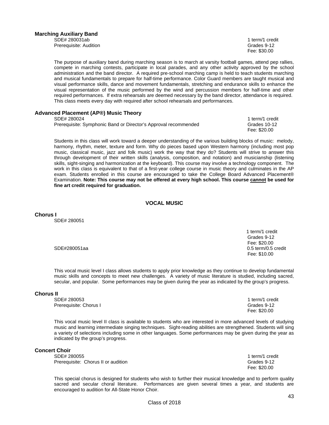Prerequisite: Audition Communication Communication Communication Communication Communication Communication Communication Communication Communication Communication Communication Communication Communication Communication Com

Fee: \$30.00

The purpose of auxiliary band during marching season is to march at varsity football games, attend pep rallies, compete in marching contests, participate in local parades, and any other activity approved by the school administration and the band director. A required pre-school marching camp is held to teach students marching and musical fundamentals to prepare for half-time performance. Color Guard members are taught musical and visual performance skills, dance and movement fundamentals, stretching and endurance skills to enhance the visual representation of the music performed by the wind and percussion members for half-time and other required performances. If extra rehearsals are deemed necessary by the band director, attendance is required. This class meets every day with required after school rehearsals and performances.

### **Advanced Placement (AP®) Music Theory**

SDE# 280024 1 term/1 credit Prerequisite: Symphonic Band or Director's Approval recommended Grades 10-12

Fee: \$20.00

Students in this class will work toward a deeper understanding of the various building blocks of music: melody, harmony, rhythm, meter, texture and form. Why do pieces based upon Western harmony (including most pop music, classical music, jazz and folk music) work the way that they do? Students will strive to answer this through development of their written skills (analysis, composition, and notation) and musicianship (listening skills, sight-singing and harmonization at the keyboard). This course may involve a technology component. The work in this class is equivalent to that of a first-year college course in music theory and culminates in the AP exam. Students enrolled in this course are encouraged to take the College Board Advanced Placement® Examination. **Note: This course may not be offered at every high school. This course cannot be used for fine art credit required for graduation.**

#### **VOCAL MUSIC**

**Chorus I** 

SDE# 280051

 1 term/1 credit Grades 9-12 Fee: \$20.00 SDE#280051aa 0.5 term/0.5 credit Fee: \$10.00

This vocal music level I class allows students to apply prior knowledge as they continue to develop fundamental music skills and concepts to meet new challenges. A variety of music literature is studied, including sacred, secular, and popular. Some performances may be given during the year as indicated by the group's progress.

#### **Chorus II**

SDE# 280053 1 term/1 credit Prerequisite: Chorus I Grades 9-12

Fee: \$20.00

This vocal music level II class is available to students who are interested in more advanced levels of studying music and learning intermediate singing techniques. Sight-reading abilities are strengthened. Students will sing a variety of selections including some in other languages. Some performances may be given during the year as indicated by the group's progress.

### **Concert Choir**

SDE# 280055 1 term/1 credit Prerequisite: Chorus II or audition Grades 9-12

This special chorus is designed for students who wish to further their musical knowledge and to perform quality sacred and secular choral literature. Performances are given several times a year, and students are encouraged to audition for All-State Honor Choir.

Fee: \$20.00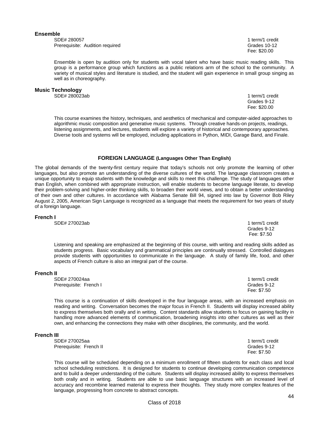#### **Ensemble**

SDE# 280057 1 term/1 credit Prerequisite: Audition required Grades 10-12

Fee: \$20.00

Ensemble is open by audition only for students with vocal talent who have basic music reading skills. This group is a performance group which functions as a public relations arm of the school to the community. A variety of musical styles and literature is studied, and the student will gain experience in small group singing as well as in choreography.

#### **Music Technology**

SDE# 280023ab 1 term/1 credit

 Grades 9-12 Fee: \$20.00

This course examines the history, techniques, and aesthetics of mechanical and computer-aided approaches to algorithmic music composition and generative music systems. Through creative hands-on projects, readings, listening assignments, and lectures, students will explore a variety of historical and contemporary approaches. Diverse tools and systems will be employed, including applications in Python, MIDI, Garage Band, and Finale.

#### **FOREIGN LANGUAGE (Languages Other Than English)**

The global demands of the twenty-first century require that today's schools not only promote the learning of other languages, but also promote an understanding of the diverse cultures of the world. The language classroom creates a unique opportunity to equip students with the knowledge and skills to meet this challenge. The study of languages other than English, when combined with appropriate instruction, will enable students to become language literate, to develop their problem-solving and higher-order thinking skills, to broaden their world views, and to obtain a better understanding of their own and other cultures. In accordance with Alabama Senate Bill 94, signed into law by Governor Bob Riley August 2, 2005, American Sign Language is recognized as a language that meets the requirement for two years of study of a foreign language.

#### **French I**

SDE# 270023ab 1 term/1 credit

Listening and speaking are emphasized at the beginning of this course, with writing and reading skills added as students progress. Basic vocabulary and grammatical principles are continually stressed. Controlled dialogues provide students with opportunities to communicate in the language. A study of family life, food, and other aspects of French culture is also an integral part of the course.

#### **French II**

SDE# 270024aa 1 term/1 credit in the state of the state of the state of the state of the state of the state of the state of the state of the state of the state of the state of the state of the state of the state of the sta Prerequisite: French I Grades 9-12

This course is a continuation of skills developed in the four language areas, with an increased emphasis on reading and writing. Conversation becomes the major focus in French II. Students will display increased ability to express themselves both orally and in writing. Content standards allow students to focus on gaining facility in handling more advanced elements of communication, broadening insights into other cultures as well as their own, and enhancing the connections they make with other disciplines, the community, and the world.

#### **French III**

| SDE# 270025aa           | 1 term/1 credit |
|-------------------------|-----------------|
| Prerequisite: French II | Grades 9-12     |
|                         | Fee: \$7.50     |

This course will be scheduled depending on a minimum enrollment of fifteen students for each class and local school scheduling restrictions. It is designed for students to continue developing communication competence and to build a deeper understanding of the culture. Students will display increased ability to express themselves both orally and in writing. Students are able to use basic language structures with an increased level of accuracy and recombine learned material to express their thoughts. They study more complex features of the language, progressing from concrete to abstract concepts.

 Grades 9-12 Fee: \$7.50

Fee: \$7.50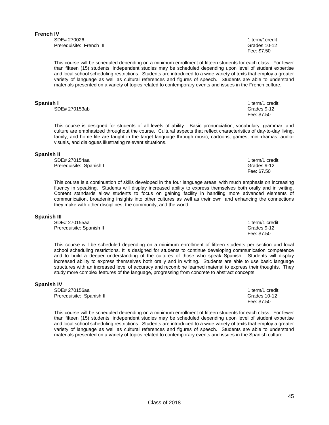#### **French IV**

SDE# 270026 1 term/1credit Prerequisite: French III Grades 10-12

Class of 2018

Fee: \$7.50

This course will be scheduled depending on a minimum enrollment of fifteen students for each class. For fewer than fifteen (15) students, independent studies may be scheduled depending upon level of student expertise and local school scheduling restrictions. Students are introduced to a wide variety of texts that employ a greater variety of language as well as cultural references and figures of speech. Students are able to understand materials presented on a variety of topics related to contemporary events and issues in the French culture.

### **Spanish I 1** term/1 credit **1** term/1 credit **1** term/1 credit **1** term/1 credit **1**

SDE# 270153ab Grades 9-12

This course is designed for students of all levels of ability. Basic pronunciation, vocabulary, grammar, and culture are emphasized throughout the course. Cultural aspects that reflect characteristics of day-to-day living, family, and home life are taught in the target language through music, cartoons, games, mini-dramas, audiovisuals, and dialogues illustrating relevant situations.

Fee: \$7.50

#### **Spanish II**

SDE# 270154aa 1 term/1 credit Prerequisite: Spanish I Grades 9-12 Fee: \$7.50

This course is a continuation of skills developed in the four language areas, with much emphasis on increasing fluency in speaking. Students will display increased ability to express themselves both orally and in writing. Content standards allow students to focus on gaining facility in handling more advanced elements of communication, broadening insights into other cultures as well as their own, and enhancing the connections they make with other disciplines, the community, and the world.

#### **Spanish III**

| SDE# 270155aa            | 1 term/1 credit |
|--------------------------|-----------------|
| Prerequisite: Spanish II | Grades 9-12     |
|                          | Fee: \$7.50     |

This course will be scheduled depending on a minimum enrollment of fifteen students per section and local school scheduling restrictions. It is designed for students to continue developing communication competence and to build a deeper understanding of the cultures of those who speak Spanish. Students will display increased ability to express themselves both orally and in writing. Students are able to use basic language structures with an increased level of accuracy and recombine learned material to express their thoughts. They study more complex features of the language, progressing from concrete to abstract concepts.

#### **Spanish IV**

SDE# 270156aa 1 term/1 credit in the state of the state of the state of the state of the state of the state of the state of the state of the state of the state of the state of the state of the state of the state of the sta Prerequisite: Spanish III Grades 10-12

This course will be scheduled depending on a minimum enrollment of fifteen students for each class. For fewer than fifteen (15) students, independent studies may be scheduled depending upon level of student expertise and local school scheduling restrictions. Students are introduced to a wide variety of texts that employ a greater variety of language as well as cultural references and figures of speech. Students are able to understand materials presented on a variety of topics related to contemporary events and issues in the Spanish culture.

Fee: \$7.50

45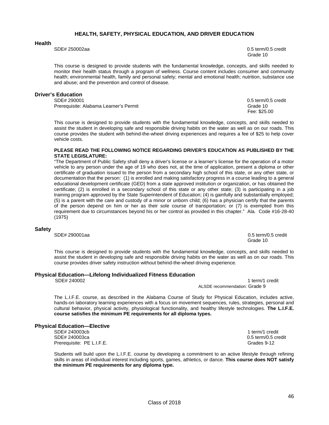## **HEALTH, SAFETY, PHYSICAL EDUCATION, AND DRIVER EDUCATION**

#### **Health**

SDE# 250002aa 0.5 term/0.5 credit Grade 10 and the contract of the contract of the contract of the contract of the contract of the contract of the contract of the contract of the contract of the contract of the contract of the contract of the contract of t

This course is designed to provide students with the fundamental knowledge, concepts, and skills needed to monitor their health status through a program of wellness. Course content includes consumer and community health; environmental health, family and personal safety; mental and emotional health; nutrition, substance use and abuse; and the prevention and control of disease.

### **Driver's Education**

SDE# 290001 0.5 term/0.5 credit Prerequisite: Alabama Learner's Permit Grade 10 and Crack Crack Grade 10 and Grade 10

Fee: \$25.00

This course is designed to provide students with the fundamental knowledge, concepts, and skills needed to assist the student in developing safe and responsible driving habits on the water as well as on our roads. This course provides the student with behind-the-wheel driving experiences and requires a fee of \$25 to help cover vehicle costs.

#### **PLEASE READ THE FOLLOWING NOTICE REGARDING DRIVER'S EDUCATION AS PUBLISHED BY THE STATE LEGISLATURE:**

"The Department of Public Safety shall deny a driver's license or a learner's license for the operation of a motor vehicle to any person under the age of 19 who does not, at the time of application, present a diploma or other certificate of graduation issued to the person from a secondary high school of this state, or any other state, or documentation that the person: (1) is enrolled and making satisfactory progress in a course leading to a general educational development certificate (GED) from a state approved institution or organization, or has obtained the certificate; (2) is enrolled in a secondary school of this state or any other state; (3) is participating in a job training program approved by the State Superintendent of Education; (4) is gainfully and substantially employed; (5) is a parent with the care and custody of a minor or unborn child; (6) has a physician certify that the parents of the person depend on him or her as their sole course of transportation; or (7) is exempted from this requirement due to circumstances beyond his or her control as provided in this chapter." Ala. Code #16-28-40 (1975)

#### **Safety**

SDE# 290001aa 0.5 term/0.5 credit

Grade 10 and the contract of the contract of the contract of the contract of the contract of the contract of the contract of the contract of the contract of the contract of the contract of the contract of the contract of t

This course is designed to provide students with the fundamental knowledge, concepts, and skills needed to assist the student in developing safe and responsible driving habits on the water as well as on our roads. This course provides driver safety instruction without behind-the-wheel driving experience.

# **Physical Education—Lifelong Individualized Fitness Education**

1 term/1 credit ALSDE recommendation: Grade 9

The L.I.F.E. course, as described in the Alabama Course of Study for Physical Education, includes active, hands-on laboratory learning experiences with a focus on movement sequences, rules, strategies, personal and cultural behavior, physical activity, physiological functionality, and healthy lifestyle technologies. **The L.I.F.E. course satisfies the minimum PE requirements for all diploma types.** 

#### **Physical Education—Elective**

SDE# 240003cb 1 term/1 credit SDE# 240003ca 0.5 term/0.5 credit Prerequisite: PE L.I.F.E. Grades 9-12

Students will build upon the L.I.F.E. course by developing a commitment to an active lifestyle through refining skills in areas of individual interest including sports, games, athletics, or dance. **This course does NOT satisfy the minimum PE requirements for any diploma type.**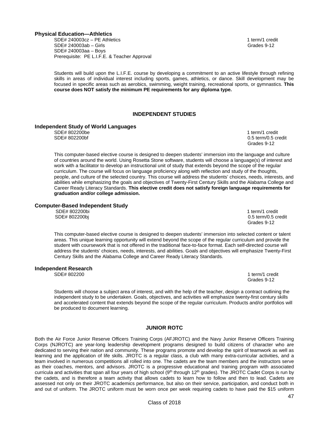#### **Physical Education—Athletics**

SDE# 240003cz – PE Athletics 1 term/1 credit SDE# 240003ab – Girls Grades 9-12 SDE# 240003aa – Boys Prerequisite: PE L.I.F.E. & Teacher Approval

Students will build upon the L.I.F.E. course by developing a commitment to an active lifestyle through refining skills in areas of individual interest including sports, games, athletics, or dance. Skill development may be focused in specific areas such as aerobics, swimming, weight training, recreational sports, or gymnastics. **This course does NOT satisfy the minimum PE requirements for any diploma type.**

### **INDEPENDENT STUDIES**

### **Independent Study of World Languages**

**SDE# 802200be** 1 term/1 credit

 SDE# 802200bf 0.5 term/0.5 credit Grades 9-12

This computer-based elective course is designed to deepen students' immersion into the language and culture of countries around the world. Using Rosetta Stone software, students will choose a language(s) of interest and work with a facilitator to develop an instructional unit of study that extends beyond the scope of the regular curriculum. The course will focus on language proficiency along with reflection and study of the thoughts, people, and culture of the selected country. This course will address the students' choices, needs, interests, and abilities while emphasizing the goals and objectives of Twenty-First Century Skills and the Alabama College and Career Ready Literacy Standards. **This elective credit does not satisfy foreign language requirements for graduation and/or college admission.** 

#### **Computer-Based Independent Study**

SDE# 802200bi 1 term/1 credit SDE# 802200bj 0.5 term/0.5 credit Grades 9-12

This computer-based elective course is designed to deepen students' immersion into selected content or talent areas. This unique learning opportunity will extend beyond the scope of the regular curriculum and provide the student with coursework that is not offered in the traditional face-to-face format. Each self-directed course will address the students' choices, needs, interests, and abilities. Goals and objectives will emphasize Twenty-First Century Skills and the Alabama College and Career Ready Literacy Standards.

#### **Independent Research**

SDE# 802200 1 term/1 credit Grades 9-12

Students will choose a subject area of interest, and with the help of the teacher, design a contract outlining the independent study to be undertaken. Goals, objectives, and activities will emphasize twenty-first century skills and accelerated content that extends beyond the scope of the regular curriculum. Products and/or portfolios will be produced to document learning.

# **JUNIOR ROTC**

Both the Air Force Junior Reserve Officers Training Corps (AFJROTC) and the Navy Junior Reserve Officers Training Corps (NJROTC) are year-long leadership development programs designed to build citizens of character who are dedicated to serving their nation and community. These programs promote and develop the spirit of teamwork as well as learning and the application of life skills. JROTC is a regular class, a club with many extra-curricular activities, and a team involved in numerous competitions all rolled into one. The cadets are the team members and the instructors serve as their coaches, mentors, and advisors. JROTC is a progressive educational and training program with associated curricula and activities that span all four years of high school  $(9<sup>th</sup>$  through 12<sup>th</sup> grades). The JROTC Cadet Corps is run by the cadets, and is therefore a team activity that allows cadets to learn how to follow and then to lead. Cadets are assessed not only on their JROTC academics performance, but also on their service, participation, and conduct both in and out of uniform. The JROTC uniform must be worn once per week requiring cadets to have paid the \$15 uniform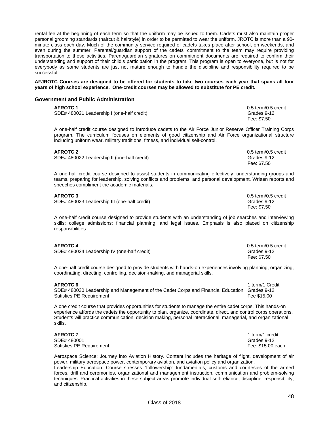rental fee at the beginning of each term so that the uniform may be issued to them. Cadets must also maintain proper personal grooming standards (haircut & hairstyle) in order to be permitted to wear the uniform. JROTC is more than a 90 minute class each day. Much of the community service required of cadets takes place after school, on weekends, and even during the summer. Parental/guardian support of the cadets' commitment to the team may require providing transportation to these activities. Parent/guardian signatures on commitment documents are required to confirm their understanding and support of their child's participation in the program. This program is open to everyone, but is not for everybody as some students are just not mature enough to handle the discipline and responsibility required to be successful.

**AFJROTC Courses are designed to be offered for students to take two courses each year that spans all four years of high school experience. One-credit courses may be allowed to substitute for PE credit.** 

#### **Government and Public Administration**

| <b>AFROTC 1</b>                            | 0.5 term/0.5 credit |
|--------------------------------------------|---------------------|
| SDE# 480021 Leadership I (one-half credit) | Grades 9-12         |
|                                            | Fee: \$7.50         |

A one-half credit course designed to introduce cadets to the Air Force Junior Reserve Officer Training Corps program. The curriculum focuses on elements of good citizenship and Air Force organizational structure including uniform wear, military traditions, fitness, and individual self-control.

| <b>AFROTC 2</b>                             | 0.5 term/0.5 credit |
|---------------------------------------------|---------------------|
| SDE# 480022 Leadership II (one-half credit) | Grades 9-12         |
|                                             | Fee: \$7.50         |

A one-half credit course designed to assist students in communicating effectively, understanding groups and teams, preparing for leadership, solving conflicts and problems, and personal development. Written reports and speeches compliment the academic materials.

| <b>AFROTC 3</b>                              | 0.5 term/0.5 credit |
|----------------------------------------------|---------------------|
| SDE# 480023 Leadership III (one-half credit) | Grades 9-12         |
|                                              | Fee: \$7.50         |

A one-half credit course designed to provide students with an understanding of job searches and interviewing skills; college admissions; financial planning; and legal issues. Emphasis is also placed on citizenship responsibilities.

| <b>AFROTC 4</b> |  |  |  |
|-----------------|--|--|--|
|                 |  |  |  |

| <b>AFROTC 4</b>                             | 0.5 term/0.5 credit |
|---------------------------------------------|---------------------|
| SDE# 480024 Leadership IV (one-half credit) | Grades 9-12         |
|                                             | Fee: \$7.50         |

A one-half credit course designed to provide students with hands-on experiences involving planning, organizing, coordinating, directing, controlling, decision-making, and managerial skills.

#### **AFROTC 6** 1 term/1 Credit

SDE# 480030 Leadership and Management of the Cadet Corps and Financial Education Grades 9-12 Satisfies PE Requirement **Fee \$15.00** Satisfies PE Requirement

A one credit course that provides opportunities for students to manage the entire cadet corps. This hands-on experience affords the cadets the opportunity to plan, organize, coordinate, direct, and control corps operations. Students will practice communication, decision making, personal interactional, managerial, and organizational skills.

 SDE# 480001 Grades 9-12 Satisfies PE Requirement **Fee: \$15.00 each** Fee: \$15.00 each

**AFROTC 7** 1 term/1 credit

Aerospace Science: Journey into Aviation History. Content includes the heritage of flight, development of air power, military aerospace power, contemporary aviation, and aviation policy and organization.

Leadership Education: Course stresses "followership" fundamentals, customs and courtesies of the armed forces, drill and ceremonies, organizational and management instruction, communication and problem-solving techniques. Practical activities in these subject areas promote individual self-reliance, discipline, responsibility, and citizenship.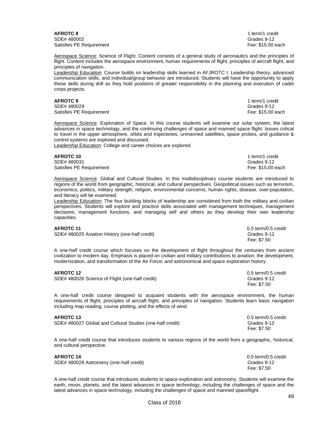**AFROTC 8** 1 term/1 credit

SDE# 480002 Grades 9-12 Satisfies PE Requirement **Fee: \$15.00 each** Fee: \$15.00 each

Aerospace Science: Science of Flight. Content consists of a general study of aeronautics and the principles of flight. Content includes the aerospace environment, human requirements of flight, principles of aircraft flight, and principles of navigation.

Leadership Education: Course builds on leadership skills learned in AFJROTC I. Leadership theory, advanced communication skills, and individual/group behavior are introduced. Students will have the opportunity to apply these skills during drill as they hold positions of greater responsibility in the planning and execution of cadet corps projects.

### **AFROTC 9** 1 term/1 credit

 SDE# 480029 Grades 9-12 Satisfies PE Requirement **Fee: \$15.00 each** Fee: \$15.00 each

Aerospace Science: Exploration of Space. In this course students will examine our solar system, the latest advances in space technology, and the continuing challenges of space and manned space flight. Issues critical to travel in the upper atmosphere, orbits and trajectories, unmanned satellites, space probes, and guidance & control systems are explored and discussed.

Leadership Education: College and career choices are explored.

**AFROTC 10** 1 term/1 credit<br> **SDE#** 480031 **12** 1 **cm** 1 **cm** 1 **cm** 1 **cm** 1 **cm** 1 **cm** 1 **cm** 1 **cm** 1 **cm** 1 **cm** 1 **cm** 2 SDE# 480031 Grades 9-12<br>
Satisfies PE Requirement<br>
Satisfies PE Requirement Satisfies PE Requirement

Aerospace Science: Global and Cultural Studies. In this multidisciplinary course students are introduced to regions of the world from geographic, historical, and cultural perspectives. Geopolitical issues such as terrorism, economics, politics, military strength, religion, environmental concerns, human rights, disease, over-population, and literacy will be examined.

Leadership Education: The four building blocks of leadership are considered from both the military and civilian perspectives. Students will explore and practice skills associated with management techniques, management decisions, management functions, and managing self and others as they develop their own leadership capacities.

SDE# 480025 Aviation History (one-half credit) Grades 9-12

**AFROTC 11** 0.5 term/0.5 credit Fee: \$7.50

A one-half credit course which focuses on the development of flight throughout the centuries from ancient civilization to modern day. Emphasis is placed on civilian and military contributions to aviation; the development, modernization, and transformation of the Air Force; and astronomical and space exploration history.

| <b>AFROTC 12</b>                                | 0.5 term/0.5 credit |
|-------------------------------------------------|---------------------|
| SDE# 480026 Science of Flight (one-half credit) | Grades 9-12         |
|                                                 | Fee: \$7.50         |

A one-half credit course designed to acquaint students with the aerospace environment, the human requirements of flight, principles of aircraft flight, and principles of navigation. Students learn basic navigation including map reading, course plotting, and the effects of wind.

| <b>AFROTC 13</b>                                          | 0.5 term/0.5 credit |
|-----------------------------------------------------------|---------------------|
| SDE# 480027 Global and Cultural Studies (one-half credit) | Grades 9-12         |
|                                                           | Fee: \$7.50         |

A one-half credit course that introduces students to various regions of the world from a geographic, historical, and cultural perspective.

| <b>AFROTC 14</b>                        | $0.5$ term/0.5 credit |
|-----------------------------------------|-----------------------|
| SDE# 480028 Astronomy (one-half credit) | Grades 9-12           |
|                                         | Fee: \$7.50           |

A one-half credit course that introduces students to space exploration and astronomy. Students will examine the earth, moon, planets, and the latest advances in space technology, including the challenges of space and the latest advances in space technology, including the challenges of space and manned spaceflight.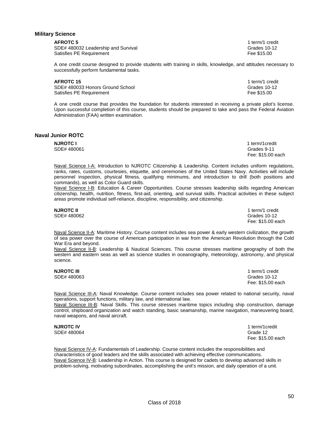#### **Military Science**

SDE# 480032 Leadership and Survival Grades 10-12 Satisfies PE Requirement **Fee \$15.00** Satisfies PE Requirement

**AFROTC 5** 1 term/1 credit

A one credit course designed to provide students with training in skills, knowledge, and attitudes necessary to successfully perform fundamental tasks.

#### **AFROTC 15** 1 term/1 credit

SDE# 480033 Honors Ground School Grades 10-12<br>Satisfies PE Requirement Grades 10-12 Satisfies PE Requirement

A one credit course that provides the foundation for students interested in receiving a private pilot's license. Upon successful completion of this course, students should be prepared to take and pass the Federal Aviation Administration (FAA) written examination.

### **Naval Junior ROTC**

| <b>NJROTC I</b> | 1 term/1credit    |
|-----------------|-------------------|
| SDE# 480061     | Grades 9-11       |
|                 | Fee: \$15.00 each |

Naval Science I-A: Introduction to NJROTC Citizenship & Leadership. Content includes uniform regulations, ranks, rates, customs, courtesies, etiquette, and ceremonies of the United States Navy. Activities will include personnel inspection, physical fitness, qualifying minimums, and introduction to drill (both positions and commands), as well as Color Guard skills.

Naval Science I-B: Education & Career Opportunities. Course stresses leadership skills regarding American citizenship, health, nutrition, fitness, first-aid, orienting, and survival skills. Practical activities in these subject areas promote individual self-reliance, discipline, responsibility, and citizenship.

**NJROTC II** 1 term/1 credit SDE# 480062 Grades 10-12 Fee: \$15.00 each

Naval Science II-A: Maritime History. Course content includes sea power & early western civilization, the growth of sea power over the course of American participation in war from the American Revolution through the Cold War Era and beyond.

Naval Science II-B: Leadership & Nautical Sciences. This course stresses maritime geography of both the western and eastern seas as well as science studies in oceanography, meteorology, astronomy, and physical science.

**NJROTC III** 1 term/1 credit SDE# 480063 Grades 10-12 Fee: \$15.00 each

Naval Science III-A: Naval Knowledge. Course content includes sea power related to national security, naval operations, support functions, military law, and international law.

Naval Science III-B: Naval Skills. This course stresses maritime topics including ship construction, damage control, shipboard organization and watch standing, basic seamanship, marine navigation, maneuvering board, naval weapons, and naval aircraft.

**NJROTC IV** 1 term/1credit SDF# 480064 SDE# 480064 Fee: \$15.00 each

Naval Science IV-A: Fundamentals of Leadership. Course content includes the responsibilities and characteristics of good leaders and the skills associated with achieving effective communications. Naval Science IV-B: Leadership in Action. This course is designed for cadets to develop advanced skills in problem-solving, motivating subordinates, accomplishing the unit's mission, and daily operation of a unit.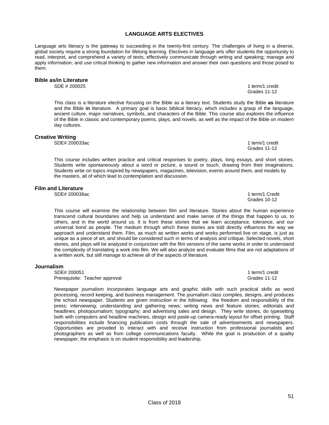## **LANGUAGE ARTS ELECTIVES**

Language arts literacy is the gateway to succeeding in the twenty-first century. The challenges of living in a diverse, global society require a strong foundation for lifelong learning. Electives in language arts offer students the opportunity to read, interpret, and comprehend a variety of texts; effectively communicate through writing and speaking; manage and apply information; and use critical thinking to gather new information and answer their own questions and those posed to them.

# **Bible as/in Literature**

This class is a literature elective focusing on the Bible as a literary text. Students study the Bible **as** literature and the Bible **in** literature. A primary goal is basic biblical literacy, which includes a grasp of the language, ancient culture, major narratives, symbols, and characters of the Bible. This course also explores the influence of the Bible in classic and contemporary poems, plays, and novels, as well as the impact of the Bible on modern day cultures.

#### **Creative Writing**

SDE# 200033ac 1 term/1 credit

This course includes written practice and critical responses to poetry, plays, long essays, and short stories. Students write spontaneously about a word or picture, a sound or touch, drawing from their imaginations. Students write on topics inspired by newspapers, magazines, television, events around them, and models by the masters, all of which lead to contemplation and discussion.

#### **Film and Literature**

SDE# 200036ac 1 term/1 Credit 1 term/1 Credit 1 term/1 Credit 1 term/1 Credit 1 term/1 Credit

This course will examine the relationship between film and literature. Stories about the human experience transcend cultural boundaries and help us understand and make sense of the things that happen to us, to others, and in the world around us. It is from these stories that we learn acceptance, tolerance, and our universal bond as people. The medium through which these stories are told directly influences the way we approach and understand them. Film, as much as written works and works performed live on stage, is just as unique as a piece of art, and should be considered such in terms of analysis and critique. Selected novels, short stories, and plays will be analyzed in conjunction with the film versions of the same works in order to understand the complexity of translating a work into film. We will also analyze and evaluate films that are not adaptations of

headlines; photojournalism; typography; and advertising sales and design. They write stories, do typesetting both with computers and headline machines, design and paste-up camera-ready layout for offset printing. Staff responsibilities include financing publication costs through the sale of advertisements and newspapers. Opportunities are provided to interact with and receive instruction from professional journalists and photographers as well as from college communications faculty. While the goal is production of a quality

#### **Journalism**

SDE# 200051 1 term/1 credit<br>Prerequisite: Teacher approval example and the set of the set of the set of the States 11-12 Prerequisite: Teacher approval

a written work, but still manage to achieve all of the aspects of literature.

newspaper, the emphasis is on student responsibility and leadership.

Newspaper journalism incorporates language arts and graphic skills with such practical skills as word processing, record keeping, and business management. The journalism class compiles, designs, and produces the school newspaper. Students are given instruction in the following: the freedom and responsibility of the press; interviewing; understanding and gathering news; writing news and feature stories; editorials and

1 term/1 credit Grades 11-12

Grades 10-12

Grades 11-12

51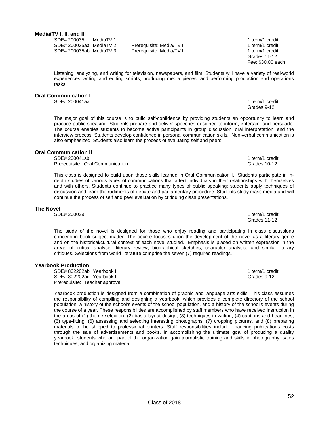**Media/TV I, II, and III** 

SDE# 200035 MediaTV 1 1 1 term/1 credit SDE# 200035aa MediaTV 2 Prerequisite: Media/TV I 1 term/1 credit SDE# 200035ab MediaTV 3 Prerequisite: Media/TV II 1 term/1 credit

Listening, analyzing, and writing for television, newspapers, and film. Students will have a variety of real-world experiences writing and editing scripts, producing media pieces, and performing production and operations tasks.

### **Oral Communication I**

SDE# 200041aa 1 term/1 credit 1 term/1 credit 1 term/1 credit 1 term/1 credit

The major goal of this course is to build self-confidence by providing students an opportunity to learn and practice public speaking. Students prepare and deliver speeches designed to inform, entertain, and persuade. The course enables students to become active participants in group discussion, oral interpretation, and the interview process. Students develop confidence in personal communication skills. Non-verbal communication is also emphasized. Students also learn the process of evaluating self and peers.

#### **Oral Communication II**

SDE# 200041sb 1 term/1 credit Prerequisite: Oral Communication I Grades 10-12

This class is designed to build upon those skills learned in Oral Communication I. Students participate in indepth studies of various types of communications that affect individuals in their relationships with themselves and with others. Students continue to practice many types of public speaking; students apply techniques of discussion and learn the rudiments of debate and parliamentary procedure. Students study mass media and will continue the process of self and peer evaluation by critiquing class presentations.

#### **The Novel**

SDE# 200029 1 term/1 credit 200029

 The study of the novel is designed for those who enjoy reading and participating in class discussions concerning book subject matter. The course focuses upon the development of the novel as a literary genre and on the historical/cultural context of each novel studied. Emphasis is placed on written expression in the areas of critical analysis, literary review, biographical sketches, character analysis, and similar literary critiques. Selections from world literature comprise the seven (7) required readings.

Grades 11-12

#### **Yearbook Production**

SDF# 802202ab Yearbook I 1 term/1 credit SDE# 802202ac Yearbook II Grades 9-12 Prerequisite: Teacher approval

Yearbook production is designed from a combination of graphic and language arts skills. This class assumes the responsibility of compiling and designing a yearbook, which provides a complete directory of the school population, a history of the school's events of the school population, and a history of the school's events during the course of a year. These responsibilities are accomplished by staff members who have received instruction in the areas of (1) theme selection, (2) basic layout design, (3) techniques in writing, (4) captions and headlines, (5) type-fitting, (6) assessing and selecting interesting photographs, (7) cropping pictures, and (8) preparing materials to be shipped to professional printers. Staff responsibilities include financing publications costs through the sale of advertisements and books. In accomplishing the ultimate goal of producing a quality yearbook, students who are part of the organization gain journalistic training and skills in photography, sales techniques, and organizing material.

 Grades 11-12 Fee: \$30.00 each

Grades 9-12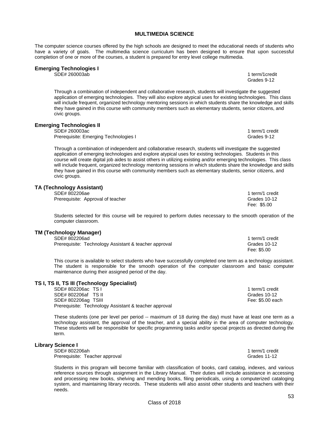#### **MULTIMEDIA SCIENCE**

The computer science courses offered by the high schools are designed to meet the educational needs of students who have a variety of goals. The multimedia science curriculum has been designed to ensure that upon successful completion of one or more of the courses, a student is prepared for entry level college multimedia.

Grades 9-12

#### **Emerging Technologies I**

SDE# 260003ab 1 term/1credit

Through a combination of independent and collaborative research, students will investigate the suggested application of emerging technologies. They will also explore atypical uses for existing technologies. This class will include frequent, organized technology mentoring sessions in which students share the knowledge and skills they have gained in this course with community members such as elementary students, senior citizens, and civic groups.

**Emerging Technologies II** 

SDE# 260003ac 1 term/1 credit<br>Prerequisite: Emerging Technologies I and the state of the state of the State Security of the State Security o Prerequisite: Emerging Technologies I

Through a combination of independent and collaborative research, students will investigate the suggested application of emerging technologies and explore atypical uses for existing technologies. Students in this course will create digital job aides to assist others in utilizing existing and/or emerging technologies. This class will include frequent, organized technology mentoring sessions in which students share the knowledge and skills they have gained in this course with community members such as elementary students, senior citizens, and civic groups.

#### **TA (Technology Assistant)**

SDE# 802206ae 1 term/1 credit in the state of the state of the state of the state of the state of the state of the state of the state of the state of the state of the state of the state of the state of the state of the sta Prerequisite: Approval of teacher Grades 10-12<br>
Fee: \$5.00

Students selected for this course will be required to perform duties necessary to the smooth operation of the computer classroom.

 $\epsilon = 5.00$ 

### **TM (Technology Manager)**

| SDE# 802206ad                                         | 1 term/1 credit |
|-------------------------------------------------------|-----------------|
| Prerequisite: Technology Assistant & teacher approval | Grades 10-12    |
|                                                       | Fee: \$5.00     |

This course is available to select students who have successfully completed one term as a technology assistant. The student is responsible for the smooth operation of the computer classroom and basic computer maintenance during their assigned period of the day.

## **TS I, TS II, TS III (Technology Specialist)**

SDE# 802206ac TS I 1 term/1 credit SDE# 802206af TS II Grades 10-12 SDE# 802206ag TSIII Fee: \$5.00 each Prerequisite: Technology Assistant & teacher approval

These students (one per level per period -- maximum of 18 during the day) must have at least one term as a technology assistant, the approval of the teacher, and a special ability in the area of computer technology. These students will be responsible for specific programming tasks and/or special projects as directed during the term.

### **Library Science I**

SDE# 802206ah 1 term/1 credit Prerequisite: Teacher approval and the contract of the contract of the Grades 11-12

Students in this program will become familiar with classification of books, card catalog, indexes, and various reference sources through assignment in the Library Manual. Their duties will include assistance in accessing and processing new books, shelving and mending books, filing periodicals, using a computerized cataloging system, and maintaining library records. These students will also assist other students and teachers with their needs.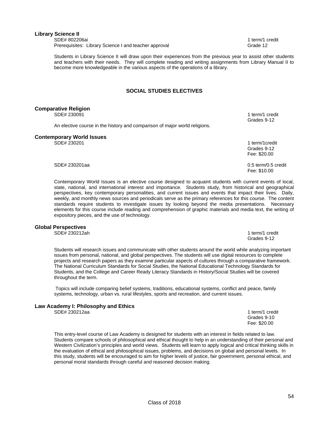### **Library Science II**

SDE# 802206ai 1 term/1 credit 1 term/1 credit 1 term/1 credit 1 term/1 credit 1 term/1 credit Prerequisites: Library Science I and teacher approval Grand Grade 12

Students in Library Science II will draw upon their experiences from the previous year to assist other students and teachers with their needs. They will complete reading and writing assignments from Library Manual II to become more knowledgeable in the various aspects of the operations of a library.

### **SOCIAL STUDIES ELECTIVES**

| <b>Comparative Religion</b>      |                                                                            |                                |
|----------------------------------|----------------------------------------------------------------------------|--------------------------------|
| SDE# 230091                      |                                                                            | 1 term/1 credit<br>Grades 9-12 |
|                                  | An elective course in the history and comparison of major world religions. |                                |
| <b>Contemporary World Issues</b> |                                                                            |                                |
| SDE# 230201                      |                                                                            | 1 term/1 credit                |
|                                  |                                                                            | Grades 9-12                    |
|                                  |                                                                            | Fee: \$20.00                   |
| SDE# 230201aa                    |                                                                            | 0.5 term/0.5 credit            |

Fee: \$10.00

Contemporary World Issues is an elective course designed to acquaint students with current events of local, state, national, and international interest and importance. Students study, from historical and geographical perspectives, key contemporary personalities, and current issues and events that impact their lives. Daily, weekly, and monthly news sources and periodicals serve as the primary references for this course. The content standards require students to investigate issues by looking beyond the media presentations. Necessary elements for this course include reading and comprehension of graphic materials and media text, the writing of expository pieces, and the use of technology.

#### **Global Perspectives**

Students will research issues and communicate with other students around the world while analyzing important issues from personal, national, and global perspectives. The students will use digital resources to complete projects and research papers as they examine particular aspects of cultures through a comparative framework. The National Curriculum Standards for Social Studies, the National Educational Technology Standards for Students, and the College and Career Ready Literacy Standards in History/Social Studies will be covered throughout the term.

Topics will include comparing belief systems, traditions, educational systems, conflict and peace, family systems, technology, urban vs. rural lifestyles, sports and recreation, and current issues.

 Grades 9-10 Fee: \$20.00

#### **Law Academy I: Philosophy and Ethics**

SDE# 230212aa 1 term/1 credit 1 term/1 credit 1 term/1 credit 1 term/1 credit 1 term/1 credit

This entry-level course of Law Academy is designed for students with an interest in fields related to law. Students compare schools of philosophical and ethical thought to help in an understanding of their personal and Western Civilization's principles and world views.Students will learn to apply logical and critical thinking skills in the evaluation of ethical and philosophical issues, problems, and decisions on global and personal levels. In this study, students will be encouraged to aim for higher levels of justice, fair government, personal ethical, and personal moral standards through careful and reasoned decision making.

Class of 2018

SDE# 230212ah 1 term/1 credit Grades 9-12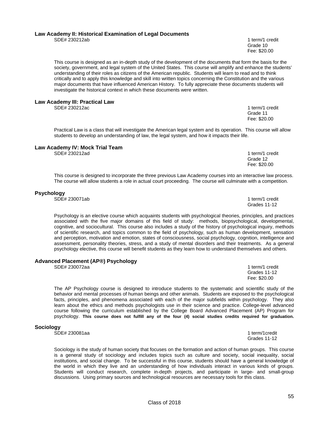#### **Law Academy II: Historical Examination of Legal Documents**  SDE# 230212ab 1 term/1 credit

This course is designed as an in-depth study of the development of the documents that form the basis for the society, government, and legal system of the United States. This course will amplify and enhance the students' understanding of their roles as citizens of the American republic. Students will learn to read and to think critically and to apply this knowledge and skill into written topics concerning the Constitution and the various major documents that have influenced American History. To fully appreciate these documents students will investigate the historical context in which these documents were written.

#### **Law Academy III: Practical Law**

SDE# 230212ac 1 term/1 credit

Practical Law is a class that will investigate the American legal system and its operation. This course will allow students to develop an understanding of law, the legal system, and how it impacts their life.

Grade 11 **Grade 11 Grade 11** Fee: \$20.00

Grade 12 and 2012 and 2012 and 2012 and 2012 and 2012 and 2012 and 2012 and 2012 and 2012 and 2012 and 2012 and 201 Fee: \$20.00

#### **Law Academy IV: Mock Trial Team**

SDE# 230212ad 1 term/1 credit

This course is designed to incorporate the three previous Law Academy courses into an interactive law process. The course will allow students a role in actual court proceeding. The course will culminate with a competition.

### **Psychology**

SDE# 230071ab 1 term/1 credit

Psychology is an elective course which acquaints students with psychological theories, principles, and practices associated with the five major domains of this field of study: methods, biopsychological, developmental, cognitive, and sociocultural. This course also includes a study of the history of psychological inquiry, methods of scientific research, and topics common to the field of psychology, such as human development, sensation and perception, motivation and emotion, states of consciousness, social psychology, cognition, intelligence and assessment, personality theories, stress, and a study of mental disorders and their treatments. As a general psychology elective, this course will benefit students as they learn how to understand themselves and others.

#### **Advanced Placement (AP®) Psychology**

The AP Psychology course is designed to introduce students to the systematic and scientific study of the behavior and mental processes of human beings and other animals. Students are exposed to the psychological facts, principles, and phenomena associated with each of the major subfields within psychology. They also learn about the ethics and methods psychologists use in their science and practice. College-level advanced course following the curriculum established by the College Board Advanced Placement (AP) Program for psychology. **This course does not fulfill any of the four (4) social studies credits required for graduation.** 

#### **Sociology**

SDE# 230081aa 1 term/1credit

 Sociology is the study of human society that focuses on the formation and action of human groups. This course is a general study of sociology and includes topics such as culture and society, social inequality, social institutions, and social change. To be successful in this course, students should have a general knowledge of the world in which they live and an understanding of how individuals interact in various kinds of groups. Students will conduct research, complete in-depth projects, and participate in large- and small-group discussions. Using primary sources and technological resources are necessary tools for this class.

Grades 11-12

SDE# 230072aa 1 term/1 credit<br>
Grades 11-12 Grades 11-12 Fee: \$20.00

55

Grade 10 and the contract of the contract of the contract of the contract of the contract of the contract of the contract of the contract of the contract of the contract of the contract of the contract of the contract of t Fee: \$20.00

Grades 11-12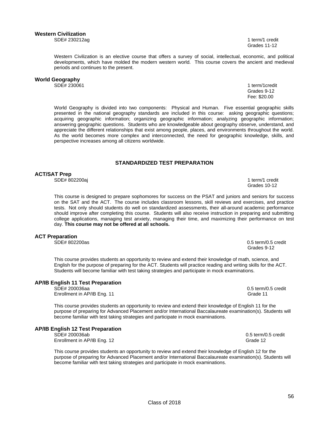SDE# 230212ag 1 term/1 credit Grades 11-12

Western Civilization is an elective course that offers a survey of social, intellectual, economic, and political developments, which have molded the modern western world. This course covers the ancient and medieval periods and continues to the present.

# **World Geography**

SDE# 230061 1 term/1credit

 Grades 9-12 Fee: \$20.00

World Geography is divided into two components: Physical and Human. Five essential geographic skills presented in the national geography standards are included in this course: asking geographic questions; acquiring geographic information; organizing geographic information; analyzing geographic information; answering geographic questions. Students who are knowledgeable about geography observe, understand, and appreciate the different relationships that exist among people, places, and environments throughout the world. As the world becomes more complex and interconnected, the need for geographic knowledge, skills, and perspective increases among all citizens worldwide.

### **STANDARDIZED TEST PREPARATION**

**ACT/SAT Prep** 

SDE# 802200aj 1 term/1 credit

This course is designed to prepare sophomores for success on the PSAT and juniors and seniors for success on the SAT and the ACT. The course includes classroom lessons, skill reviews and exercises, and practice tests. Not only should students do well on standardized assessments, their all-around academic performance should improve after completing this course. Students will also receive instruction in preparing and submitting college applications, managing test anxiety, managing their time, and maximizing their performance on test day. **This course may not be offered at all schools.** 

#### **ACT Preparation**

This course provides students an opportunity to review and extend their knowledge of math, science, and English for the purpose of preparing for the ACT. Students will practice reading and writing skills for the ACT. Students will become familiar with test taking strategies and participate in mock examinations.

#### **AP/IB English 11 Test Preparation**

SDE# 200036aa 0.5 term/0.5 credit

Enrollment in AP/IB Eng. 11 Grade 11 Grade 11

This course provides students an opportunity to review and extend their knowledge of English 11 for the purpose of preparing for Advanced Placement and/or International Baccalaureate examination(s). Students will become familiar with test taking strategies and participate in mock examinations.

# **AP/IB English 12 Test Preparation**

Enrollment in AP/IB Eng. 12 Grade 12 Grade 12

This course provides students an opportunity to review and extend their knowledge of English 12 for the purpose of preparing for Advanced Placement and/or International Baccalaureate examination(s). Students will become familiar with test taking strategies and participate in mock examinations.

SDE# 802200as 0.5 term/0.5 credit Grades 9-12

Grades 10-12

 $0.5$  term/0.5 credit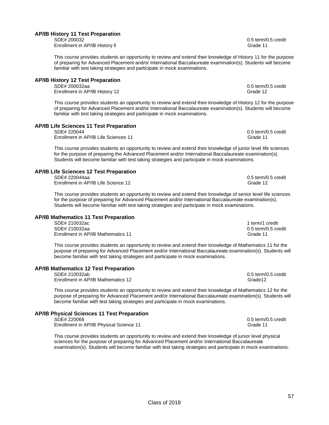### **AP/IB History 11 Test Preparation**

 SDE# 200032 0.5 term/0.5 credit Enrollment in AP/IB History II and Grade 11 and Grade 11 and Grade 11 and Grade 11

This course provides students an opportunity to review and extend their knowledge of History 11 for the purpose of preparing for Advanced Placement and/or International Baccalaureate examination(s). Students will become familiar with test taking strategies and participate in mock examinations.

# **AP/IB History 12 Test Preparation**

Enrollment in AP/IB History 12 Grade 12

This course provides students an opportunity to review and extend their knowledge of History 12 for the purpose of preparing for Advanced Placement and/or International Baccalaureate examination(s). Students will become familiar with test taking strategies and participate in mock examinations.

# **AP/IB Life Sciences 11 Test Preparation**

SDE# 220044 0.5 term/0.5 credit Enrollment in AP/IB Life Sciences 11 Grade 11 Grade 11

This course provides students an opportunity to review and extend their knowledge of junior level life sciences for the purpose of preparing the Advanced Placement and/or International Baccalaureate examination(s). Students will become familiar with test taking strategies and participate in mock examinations.

# **AP/IB Life Sciences 12 Test Preparation**

Enrollment in AP/IB Life Science 12

This course provides students an opportunity to review and extend their knowledge of senior level life sciences for the purpose of preparing for Advanced Placement and/or International Baccalaureate examination(s). Students will become familiar with test taking strategies and participate in mock examinations.

#### **AP/IB Mathematics 11 Test Preparation**

SDE# 210032ac 1 term/1 credit SDE# 210032aa 0.5 term/0.5 credit Enrollment in AP/IB Mathematics 11 Grade 11

This course provides students an opportunity to review and extend their knowledge of Mathematics 11 for the purpose of preparing for Advanced Placement and/or International Baccalaureate examination(s). Students will become familiar with test taking strategies and participate in mock examinations.

# **AP/IB Mathematics 12 Test Preparation**

Enrollment in AP/IB Mathematics 12 Grade12

This course provides students an opportunity to review and extend their knowledge of Mathematics 12 for the purpose of preparing for Advanced Placement and/or International Baccalaureate examination(s). Students will become familiar with test taking strategies and participate in mock examinations.

# **AP/IB Physical Sciences 11 Test Preparation**

Enrollment in AP/IB Physical Science 11 Grade 11 Grade 11

This course provides students an opportunity to review and extend their knowledge of junior level physical sciences for the purpose of preparing for Advanced Placement and/or International Baccalaureate examination(s). Students will become familiar with test taking strategies and participate in mock examinations.

0.5 term/0.5 credit

0.5 term/0.5 credit<br>Grade 12

 $0.5$  term/0.5 credit

 $0.5$  term/0.5 credit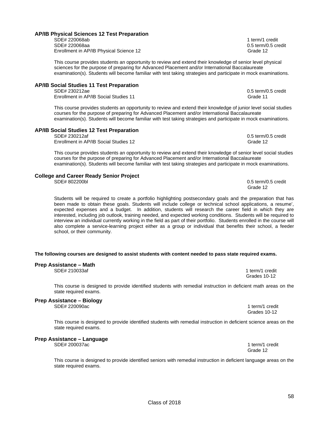### **AP/IB Physical Sciences 12 Test Preparation**

#### SDE# 220068ab 1 term/1 credit SDE# 220068aa 0.5 term/0.5 credit Enrollment in AP/IB Physical Science 12 Grade 12 Grade 12

This course provides students an opportunity to review and extend their knowledge of senior level physical sciences for the purpose of preparing for Advanced Placement and/or International Baccalaureate examination(s). Students will become familiar with test taking strategies and participate in mock examinations.

# **AP/IB Social Studies 11 Test Preparation**

Enrollment in AP/IB Social Studies 11 Grade 11 Grade 11

This course provides students an opportunity to review and extend their knowledge of junior level social studies courses for the purpose of preparing for Advanced Placement and/or International Baccalaureate examination(s). Students will become familiar with test taking strategies and participate in mock examinations.

#### **AP/IB Social Studies 12 Test Preparation**

 SDE# 230212af 0.5 term/0.5 credit Enrollment in AP/IB Social Studies 12 Grade 12 Grade 12

This course provides students an opportunity to review and extend their knowledge of senior level social studies courses for the purpose of preparing for Advanced Placement and/or International Baccalaureate examination(s). Students will become familiar with test taking strategies and participate in mock examinations.

#### **College and Career Ready Senior Project**

Students will be required to create a portfolio highlighting postsecondary goals and the preparation that has been made to obtain these goals. Students will include college or technical school applications, a resume', expected expenses and a budget. In addition, students will research the career field in which they are interested, including job outlook, training needed, and expected working conditions. Students will be required to interview an individual currently working in the field as part of their portfolio. Students enrolled in the course will also complete a service-learning project either as a group or individual that benefits their school, a feeder school, or their community.

#### **The following courses are designed to assist students with content needed to pass state required exams.**

### **Prep Assistance – Math**

SDE# 210033af 1 term/1 credit

This course is designed to provide identified students with remedial instruction in deficient math areas on the state required exams.

# **Prep Assistance – Biology**

This course is designed to provide identified students with remedial instruction in deficient science areas on the state required exams.

### **Prep Assistance – Language**

SDE# 200037ac 1 term/1 credit

This course is designed to provide identified seniors with remedial instruction in deficient language areas on the state required exams.

SDE# 802200bl 0.5 term/0.5 credit

Grades 10-12

SDE# 220090ac 1 term/1 credit Grades 10-12

Grade 12 and 2012 and 2012 and 2012 and 2012 and 2012 and 2012 and 2012 and 2012 and 2012 and 2012 and 2012 and 201

58

 $0.5$  term/ $0.5$  credit

Grade 12 and 2012 and 2012 and 2012 and 2012 and 2012 and 2012 and 2012 and 2012 and 2012 and 2012 and 2012 and 201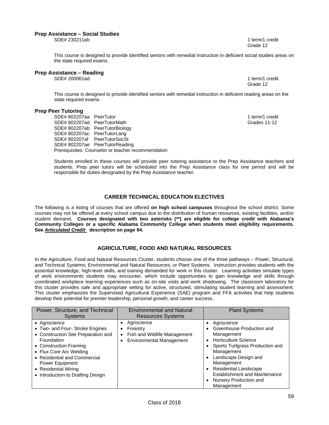#### **Prep Assistance – Social Studies**

SDE# 230211ab 1 term/1 credit Grade 12 and 2012 and 2012 and 2012 and 2012 and 2012 and 2012 and 2012 and 2012 and 2012 and 2012 and 2012 and 201

This course is designed to provide identified seniors with remedial instruction in deficient social studies areas on the state required exams.

#### **Prep Assistance – Reading**

SDE# 200061ad 1 term/1 credit

Grade 12 and 2012 and 2012 and 2012 and 2012 and 2012 and 2012 and 2012 and 2012 and 2012 and 2012 and 2012 and 201

This course is designed to provide identified seniors with remedial instruction in deficient reading areas on the state required exams.

#### **Prep Peer Tutoring**

SDE# 802207aa PeerTutor 1 term/1 credit SDE# 802207ad PeerTutorMath Grades 11-12 SDE# 802207ab PeerTutorBiology SDE# 802207ac PeerTutorLang SDE# 802207af PeerTutorSocSt SDE# 802207ae PeerTutorReading Prerequisites: Counselor or teacher recommendation

Students enrolled in these courses will provide peer tutoring assistance to the Prep Assistance teachers and students. Prep peer tutors will be scheduled into the Prep Assistance class for one period and will be responsible for duties designated by the Prep Assistance teacher.

### **CAREER TECHNICAL EDUCATION ELECTIVES**

The following is a listing of courses that are offered **on high school campuses** throughout the school district. Some courses may not be offered at every school campus due to the distribution of human resources, existing facilities, and/or student demand. **Courses designated with two asterisks (\*\*) are eligible for college credit with Alabama's Community Colleges or a specific Alabama Community College when students meet eligibility requirements. See** *Articulated Credit* **description on page 94.**

### **AGRICULTURE, FOOD AND NATURAL RESOURCES**

In the Agriculture, Food and Natural Resources Cluster, students choose one of the three pathways – Power, Structural, and Technical Systems; Environmental and Natural Resources; or Plant Systems. Instruction provides students with the essential knowledge, high-level skills, and training demanded for work in this cluster. Learning activities simulate types of work environments students may encounter, which include opportunities to gain knowledge and skills through coordinated workplace learning experiences such as on-site visits and work shadowing. The classroom laboratory for this cluster provides safe and appropriate setting for active, structured, stimulating student learning and assessment. This cluster emphasizes the Supervised Agricultural Experience (SAE) program and FFA activities that help students develop their potential for premier leadership, personal growth, and career success.

| Power, Structure, and Technical<br><b>Systems</b>                                                                                                                                                                                                                                 | <b>Environmental and Natural</b><br><b>Resources Systems</b>                                            | <b>Plant Systems</b>                                                                                                                                                                                                                                                                         |
|-----------------------------------------------------------------------------------------------------------------------------------------------------------------------------------------------------------------------------------------------------------------------------------|---------------------------------------------------------------------------------------------------------|----------------------------------------------------------------------------------------------------------------------------------------------------------------------------------------------------------------------------------------------------------------------------------------------|
| • Agriscience<br>• Two- and Four- Stroke Engines<br>• Construction Site Preparation and<br>Foundation<br>• Construction Framing<br>• Flux Core Arc Welding<br>• Residential and Commercial<br><b>Power Equipment</b><br>• Residential Wiring<br>• Introduction to Drafting Design | Agriscience<br>Forestry<br>$\bullet$<br>Fish and Wildlife Management<br><b>Environmental Management</b> | Agriscience<br>Greenhouse Production and<br>Management<br><b>Horticulture Science</b><br>Sports Turfgrass Production and<br>Management<br>Landscape Design and<br>Management<br><b>Residential Landscape</b><br><b>Establishment and Maintenance</b><br>Nursery Production and<br>Management |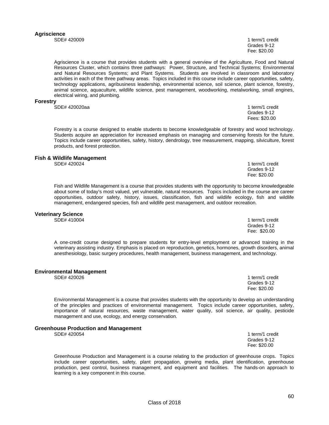#### **Agriscience**  SDE# 420009 1 term/1 credit

 Grades 9-12 Fee: \$20.00

Agriscience is a course that provides students with a general overview of the Agriculture, Food and Natural Resources Cluster, which contains three pathways: Power, Structure, and Technical Systems; Environmental and Natural Resources Systems; and Plant Systems. Students are involved in classroom and laboratory activities in each of the three pathway areas. Topics included in this course include career opportunities, safety, technology applications, agribusiness leadership, environmental science, soil science, plant science, forestry, animal science, aquaculture, wildlife science, pest management, woodworking, metalworking, small engines, electrical wiring, and plumbing.

#### **Forestry**

SDE# 420020aa 1 term/1 credit

 Grades 9-12 Fees: \$20.00

1 term/1 credit

Fee: \$20.00

Forestry is a course designed to enable students to become knowledgeable of forestry and wood technology. Students acquire an appreciation for increased emphasis on managing and conserving forests for the future. Topics include career opportunities, safety, history, dendrology, tree measurement, mapping, silviculture, forest products, and forest protection.

# **Fish & Wildlife Management**

Fish and Wildlife Management is a course that provides students with the opportunity to become knowledgeable about some of today's most valued, yet vulnerable, natural resources. Topics included in the course are career opportunities, outdoor safety, history, issues, classification, fish and wildlife ecology, fish and wildlife management, endangered species, fish and wildlife pest management, and outdoor recreation.

Grades 9-12

### **Veterinary Science**

A one-credit course designed to prepare students for entry-level employment or advanced training in the veterinary assisting industry. Emphasis is placed on reproduction, genetics, hormones, growth disorders, animal anesthesiology, basic surgery procedures, health management, business management, and technology.

### **Environmental Management**

SDE# 420026 1 term/1 credit

Environmental Management is a course that provides students with the opportunity to develop an understanding of the principles and practices of environmental management. Topics include career opportunities, safety, importance of natural resources, waste management, water quality, soil science, air quality, pesticide management and use, ecology, and energy conservation.

#### **Greenhouse Production and Management**

SDE# 420054 1 term/1 credit

Greenhouse Production and Management is a course relating to the production of greenhouse crops. Topics include career opportunities, safety, plant propagation, growing media, plant identification, greenhouse production, pest control, business management, and equipment and facilities. The hands-on approach to learning is a key component in this course.

SDE# 410004 1 term/1 credit Grades 9-12 Fee: \$20.00

 Grades 9-12 Fee: \$20.00

 Grades 9-12 Fee: \$20.00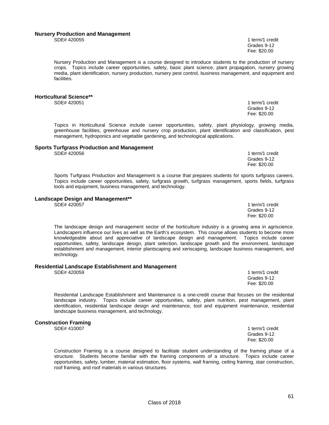#### **Nursery Production and Management**

SDE# 420055 1 term/1 credit Grades 9-12 Fee: \$20.00

Nursery Production and Management is a course designed to introduce students to the production of nursery crops. Topics include career opportunities, safety, basic plant science, plant propagation, nursery growing media, plant identification, nursery production, nursery pest control, business management, and equipment and facilities.

# **Horticultural Science\*\***

1 term/1 credit Grades 9-12 Fee: \$20.00

1 term/1 credit<br>Grades 9-12

1 term/1 credit

Topics in Horticultural Science include career opportunities, safety, plant physiology, growing media, greenhouse facilities, greenhouse and nursery crop production, plant identification and classification, pest management, hydroponics and vegetable gardening, and technological applications.

# **Sports Turfgrass Production and Management**

Sports Turfgrass Production and Management is a course that prepares students for sports turfgrass careers. Topics include career opportunities, safety, turfgrass growth, turfgrass management, sports fields, turfgrass tools and equipment, business management, and technology.

 Grades 9-12 Fee: \$20.00

 Grades 9-12 Fee: \$20.00

# **Landscape Design and Management\*\***

The landscape design and management sector of the horticulture industry is a growing area in agriscience. Landscapers influence our lives as well as the Earth's ecosystem. This course allows students to become more knowledgeable about and appreciative of landscape design and management. Topics include career opportunities, safety, landscape design, plant selection, landscape growth and the environment, landscape establishment and management, interior plantscaping and xeriscaping, landscape business management, and technology.

# **Residential Landscape Establishment and Management**

1 term/1 credit **Canadian Constitution Constitution Constitution Constitution Constitution Constitution Constitution Constitution** Fee: \$20.00

Residential Landscape Establishment and Maintenance is a one-credit course that focuses on the residential landscape industry. Topics include career opportunities, safety, plant nutrition, pest management, plant identification, residential landscape design and maintenance, tool and equipment maintenance, residential landscape business management, and technology.

### **Construction Framing**

SDE# 410007 1 term/1 credit Grades 9-12 Fee: \$20.00

Construction Framing is a course designed to facilitate student understanding of the framing phase of a structure. Students become familiar with the framing components of a structure. Topics include career opportunities, safety, lumber, material estimation, floor systems, wall framing, ceiling framing, stair construction, roof framing, and roof materials in various structures.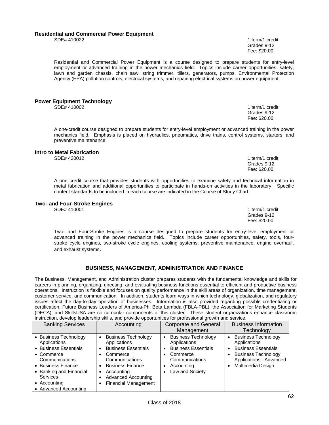### **Residential and Commercial Power Equipment**

Residential and Commercial Power Equipment is a course designed to prepare students for entry-level employment or advanced training in the power mechanics field. Topics include career opportunities, safety, lawn and garden chassis, chain saw, string trimmer, tillers, generators, pumps, Environmental Protection Agency (EPA) pollution controls, electrical systems, and repairing electrical systems on power equipment.

# **Power Equipment Technology**<br>SDE# 410002

A one-credit course designed to prepare students for entry-level employment or advanced training in the power mechanics field. Emphasis is placed on hydraulics, pneumatics, drive trains, control systems, starters, and preventive maintenance.

#### **Intro to Metal Fabrication**

SDE# 420012 1 term/1 credit

A one credit course that provides students with opportunities to examine safety and technical information in metal fabrication and additional opportunities to participate in hands-on activities in the laboratory. Specific content standards to be included in each course are indicated in the Course of Study Chart.

# **Two- and Four-Stroke Engines**

 Two- and Four-Stroke Engines is a course designed to prepare students for entry-level employment or advanced training in the power mechanics field. Topics include career opportunities, safety, tools, four stroke cycle engines, two-stroke cycle engines, cooling systems, preventive maintenance, engine overhaul, and exhaust systems.

### **BUSINESS, MANAGEMENT, ADMINISTRATION AND FINANCE**

The Business, Management, and Administration cluster prepares students with the fundamental knowledge and skills for careers in planning, organizing, directing, and evaluating business functions essential to efficient and productive business operations. Instruction is flexible and focuses on quality performance in the skill areas of organization, time management, customer service, and communication. In addition, students learn ways in which technology, globalization, and regulatory issues affect the day-to-day operation of businesses. Information is also provided regarding possible credentialing or certification. Future Business Leaders of America-Phi Beta Lambda (FBLA-PBL), the Association for Marketing Students (DECA), and SkillsUSA are co curricular components of this cluster. These student organizations enhance classroom instruction, develop leadership skills, and provide opportunities for professional growth and service.

| mondonon, do renep redderemp enmo, dina provide eppertannice for prefecencial grown dina corritori                                                                                         |                                                                                                                                                                                                       |                                                                                                                                                                |                                                                                                                                                        |  |  |
|--------------------------------------------------------------------------------------------------------------------------------------------------------------------------------------------|-------------------------------------------------------------------------------------------------------------------------------------------------------------------------------------------------------|----------------------------------------------------------------------------------------------------------------------------------------------------------------|--------------------------------------------------------------------------------------------------------------------------------------------------------|--|--|
| <b>Banking Services</b>                                                                                                                                                                    | Accounting                                                                                                                                                                                            | <b>Corporate and General</b>                                                                                                                                   | <b>Business Information</b>                                                                                                                            |  |  |
|                                                                                                                                                                                            |                                                                                                                                                                                                       | Management                                                                                                                                                     | Technology                                                                                                                                             |  |  |
| • Business Technology<br>Applications<br>• Business Essentials<br>$\bullet$ Commerce<br>Communications<br>• Business Finance<br>• Banking and Financial<br><b>Services</b><br>• Accounting | <b>Business Technology</b><br>Applications<br><b>Business Essentials</b><br>Commerce<br>Communications<br><b>Business Finance</b><br>Accounting<br>Advanced Accounting<br><b>Financial Management</b> | <b>Business Technology</b><br>٠<br>Applications<br><b>Business Essentials</b><br>$\bullet$<br>Commerce<br>Communications<br>Accounting<br>٠<br>Law and Society | <b>Business Technology</b><br>Applications<br><b>Business Essentials</b><br><b>Business Technology</b><br>Applications - Advanced<br>Multimedia Design |  |  |
| • Advanced Accounting                                                                                                                                                                      |                                                                                                                                                                                                       |                                                                                                                                                                |                                                                                                                                                        |  |  |

1 term/1 credit<br>Grades 9-12 Grades 9-12 Fee: \$20.00

 Grades 9-12 Fee: \$20.00

1 term/1 credit Grades 9-12 Fee: \$20.00

SDE# 410022 1 term/1 credit **Canadian Constitution Constitution Constitution Constitution Constitution Constitution Constitution Constitution** Fee: \$20.00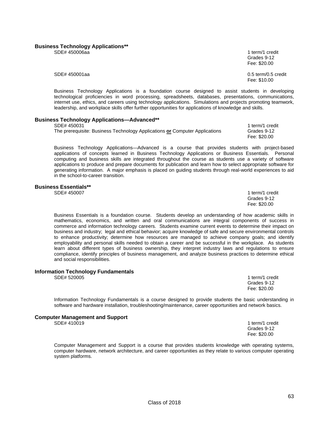#### **Business Technology Applications\*\***

SDE# 450006aa 1 term/1 credit 1 term/2 credit 1 term/2 credit 1 term/2 credit 1 term/2 credit 1 term/2 credit

Business Technology Applications is a foundation course designed to assist students in developing technological proficiencies in word processing, spreadsheets, databases, presentations, communications, internet use, ethics, and careers using technology applications. Simulations and projects promoting teamwork, leadership, and workplace skills offer further opportunities for applications of knowledge and skills.

# **Business Technology Applications—Advanced\*\***

| The prerequisite: Business Technology Applications or Computer Applications | Grades 9-12  |
|-----------------------------------------------------------------------------|--------------|
|                                                                             | Fee: \$20.00 |

Business Technology Applications—Advanced is a course that provides students with project-based applications of concepts learned in Business Technology Applications or Business Essentials. Personal computing and business skills are integrated throughout the course as students use a variety of software applications to produce and prepare documents for publication and learn how to select appropriate software for generating information. A major emphasis is placed on guiding students through real-world experiences to aid in the school-to-career transition.

#### **Business Essentials\*\***

SDE# 450007 1 term/1 credit

 Grades 9-12 Fee: \$20.00

Business Essentials is a foundation course. Students develop an understanding of how academic skills in mathematics, economics, and written and oral communications are integral components of success in commerce and information technology careers. Students examine current events to determine their impact on business and industry; legal and ethical behavior; acquire knowledge of safe and secure environmental controls to enhance productivity; determine how resources are managed to achieve company goals; and identify employability and personal skills needed to obtain a career and be successful in the workplace. As students learn about different types of business ownership, they interpret industry laws and regulations to ensure compliance, identify principles of business management, and analyze business practices to determine ethical and social responsibilities.

#### **Information Technology Fundamentals**

SDE# 520005 1 term/1 credit Grades 9-12 Fee: \$20.00

Information Technology Fundamentals is a course designed to provide students the basic understanding in software and hardware installation, troubleshooting/maintenance, career opportunities and network basics.

 Grades 9-12 Fee: \$20.00

#### **Computer Management and Support**

SDE# 410019 1 term/1 credit

Computer Management and Support is a course that provides students knowledge with operating systems, computer hardware, network architecture, and career opportunities as they relate to various computer operating system platforms.

Grades 9-12 Fee: \$20.00

1 term/1 credit

SDE# 450001aa 0.5 term/0.5 credit Fee: \$10.00

63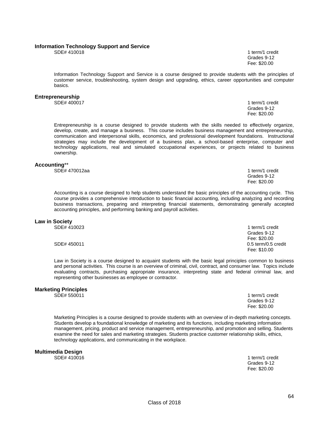#### **Information Technology Support and Service**

SDE# 410018 1 term/1 credit Grades 9-12 Fee: \$20.00

Information Technology Support and Service is a course designed to provide students with the principles of customer service, troubleshooting, system design and upgrading, ethics, career opportunities and computer basics.

# **Entrepreneurship**<br>SDE# 400017

1 term/1 credit Grades 9-12 Fee: \$20.00

Entrepreneurship is a course designed to provide students with the skills needed to effectively organize, develop, create, and manage a business. This course includes business management and entrepreneurship, communication and interpersonal skills, economics, and professional development foundations. Instructional strategies may include the development of a business plan, a school-based enterprise, computer and technology applications, real and simulated occupational experiences, or projects related to business ownership.

#### **Accounting**\*\*

SDE# 470012aa 1 term/1 credit

Accounting is a course designed to help students understand the basic principles of the accounting cycle. This course provides a comprehensive introduction to basic financial accounting, including analyzing and recording business transactions, preparing and interpreting financial statements, demonstrating generally accepted accounting principles, and performing banking and payroll activities.

 Grades 9-12 Fee: \$20.00

# **Law in Society**

 SDE# 410023 1 term/1 credit Grades 9-12 Fee: \$20.00 SDE# 450011 0.5 term/0.5 credit Fee: \$10.00

Law in Society is a course designed to acquaint students with the basic legal principles common to business and personal activities. This course is an overview of criminal, civil, contract, and consumer law. Topics include evaluating contracts, purchasing appropriate insurance, interpreting state and federal criminal law, and representing other businesses as employee or contractor.

# **Marketing Principles**

1 term/1 credit<br>Grades 9-12 Grades 9-12 Fee: \$20.00

Marketing Principles is a course designed to provide students with an overview of in-depth marketing concepts. Students develop a foundational knowledge of marketing and its functions, including marketing information management, pricing, product and service management, entrepreneurship, and promotion and selling. Students examine the need for sales and marketing strategies. Students practice customer relationship skills, ethics, technology applications, and communicating in the workplace.

**Multimedia Design**

1 term/1 credit<br>Grades 9-12 Grades 9-12 Fee: \$20.00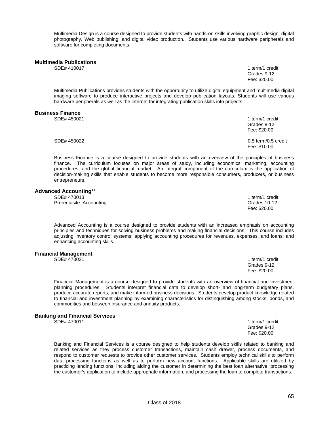Multimedia Design is a course designed to provide students with hands-on skills involving graphic design, digital photography, Web publishing, and digital video production. Students use various hardware peripherals and software for completing documents.

# **Multimedia Publications**

1 term/1 credit Grades 9-12 Fee: \$20.00

Multimedia Publications provides students with the opportunity to utilize digital equipment and multimedia digital imaging software to produce interactive projects and develop publication layouts. Students will use various hardware peripherals as well as the internet for integrating publication skills into projects.

#### **Business Finance**

SDE# 450021 1 term/1 credit Grades 9-12<br>Fee: \$20.00 Fee: \$20.00 SDE# 450022 0.5 term/0.5 credit Fee: \$10.00

Business Finance is a course designed to provide students with an overview of the principles of business finance. The curriculum focuses on major areas of study, including economics, marketing, accounting procedures, and the global financial market. An integral component of the curriculum is the application of decision-making skills that enable students to become more responsible consumers, producers, or business entrepreneurs.

#### **Advanced Accounting**\*\*

| SDE# 470013              | 1 term/1 credit |
|--------------------------|-----------------|
| Prerequisite: Accounting | Grades 10-12    |
|                          | Fee: \$20.00    |

Advanced Accounting is a course designed to provide students with an increased emphasis on accounting principles and techniques for solving business problems and making financial decisions. This course includes adjusting inventory control systems; applying accounting procedures for revenues, expenses, and loans; and enhancing accounting skills.

# **Financial Management**

1 term/1 credit Grades 9-12 Fee: \$20.00

Financial Management is a course designed to provide students with an overview of financial and investment planning procedures. Students interpret financial data to develop short- and long-term budgetary plans, produce accurate reports, and make informed business decisions. Students develop product knowledge related to financial and investment planning by examining characteristics for distinguishing among stocks, bonds, and commodities and between insurance and annuity products.

# **Banking and Financial Services**

1 term/1 credit<br>Grades 9-12 Grades 9-12 Fee: \$20.00

Banking and Financial Services is a course designed to help students develop skills related to banking and related services as they process customer transactions, maintain cash drawer, process documents, and respond to customer requests to provide other customer services. Students employ technical skills to perform data processing functions as well as to perform new account functions. Applicable skills are utilized by practicing lending functions, including aiding the customer in determining the best loan alternative, processing the customer's application to include appropriate information, and processing the loan to complete transactions.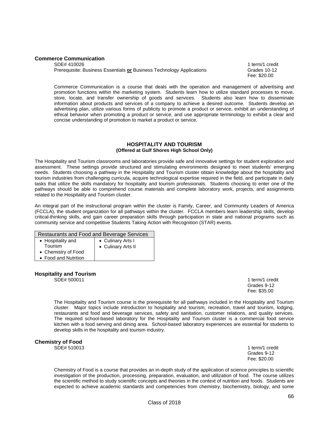### **Commerce Communication**

SDE# 410026 1 term/1 credit Prerequisite: Business Essentials or Business Technology Applications Grades 10-12

Fee: \$20.00

Commerce Communication is a course that deals with the operation and management of advertising and promotion functions within the marketing system. Students learn how to utilize standard processes to move, store, locate, and transfer ownership of goods and services. Students also learn how to disseminate information about products and services of a company to achieve a desired outcome. Students develop an advertising plan, utilize various forms of publicity to promote a product or service, exhibit an understanding of ethical behavior when promoting a product or service, and use appropriate terminology to exhibit a clear and concise understanding of promotion to market a product or service.

### **HOSPITALITY AND TOURISM (Offered at Gulf Shores High School Only)**

The Hospitality and Tourism classrooms and laboratories provide safe and innovative settings for student exploration and assessment. These settings provide structured and stimulating environments designed to meet students' emerging needs. Students choosing a pathway in the Hospitality and Tourism cluster obtain knowledge about the hospitality and tourism industries from challenging curricula, acquire technological expertise required in the field, and participate in daily tasks that utilize the skills mandatory for hospitality and tourism professionals. Students choosing to enter one of the pathways should be able to comprehend course materials and complete laboratory work, projects, and assignments related to the Hospitality and Tourism cluster.

An integral part of the instructional program within the cluster is Family, Career, and Community Leaders of America (FCCLA), the student organization for all pathways within the cluster. FCCLA members learn leadership skills, develop critical-thinking skills, and gain career preparation skills through participation in state and national programs such as community service and competitive Students Taking Action with Recognition (STAR) events.

| Restaurants and Food and Beverage Services |                    |  |  |
|--------------------------------------------|--------------------|--|--|
| • Hospitality and                          | • Culinary Arts I  |  |  |
| <b>Tourism</b>                             | • Culinary Arts II |  |  |
| • Chemistry of Food                        |                    |  |  |
| • Food and Nutrition                       |                    |  |  |

### **Hospitality and Tourism**

SDE# 500011 1 term/1 credit

 Grades 9-12 Fee: \$35.00

The Hospitality and Tourism course is the prerequisite for all pathways included in the Hospitality and Tourism cluster. Major topics include introduction to hospitality and tourism, recreation, travel and tourism, lodging, restaurants and food and beverage services, safety and sanitation, customer relations, and quality services. The required school-based laboratory for the Hospitality and Tourism cluster is a commercial food service kitchen with a food serving and dining area. School-based laboratory experiences are essential for students to develop skills in the hospitality and tourism industry.

# **Chemistry of Food**

1 term/1 credit Grades 9-12 Fee: \$20.00

Chemistry of Food is a course that provides an in-depth study of the application of science principles to scientific investigation of the production, processing, preparation, evaluation, and utilization of food. The course utilizes the scientific method to study scientific concepts and theories in the context of nutrition and foods. Students are expected to achieve academic standards and competencies from chemistry, biochemistry, biology, and some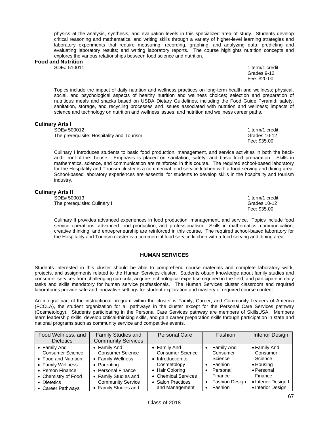physics at the analysis, synthesis, and evaluation levels in this specialized area of study. Students develop critical reasoning and mathematical and writing skills through a variety of higher-level learning strategies and laboratory experiments that require measuring, recording, graphing, and analyzing data; predicting and evaluating laboratory results; and writing laboratory reports. The course highlights nutrition concepts and explores the various relationships between food science and nutrition.

# **Food and Nutrition**

1 term/1 credit Grades 9-12 Fee: \$20.00

Topics include the impact of daily nutrition and wellness practices on long-term health and wellness; physical, social, and psychological aspects of healthy nutrition and wellness choices; selection and preparation of nutritious meals and snacks based on USDA Dietary Guidelines, including the Food Guide Pyramid; safety, sanitation, storage, and recycling processes and issues associated with nutrition and wellness; impacts of science and technology on nutrition and wellness issues; and nutrition and wellness career paths.

### **Culinary Arts I**

SDE# 500012 1 term/1 credit<br>The prerequisite: Hospitality and Tourism example and the state of the states of the Strades 10-12 The prerequisite: Hospitality and Tourism Grades 10-1<br>Fee: \$35.00

Fee: \$35.00

Culinary I introduces students to basic food production, management, and service activities in both the backand- front-of-the- house. Emphasis is placed on sanitation, safety, and basic food preparation. Skills in mathematics, science, and communication are reinforced in this course. The required school-based laboratory for the Hospitality and Tourism cluster is a commercial food service kitchen with a food serving and dining area. School-based laboratory experiences are essential for students to develop skills in the hospitality and tourism industry.

### **Culinary Arts II**

SDE# 500013 1 term/1 credit The prerequisite: Culinary I

Fee: \$35.00

Culinary II provides advanced experiences in food production, management, and service. Topics include food service operations, advanced food production, and professionalism. Skills in mathematics, communication, creative thinking, and entrepreneurship are reinforced in this course. The required school-based laboratory for the Hospitality and Tourism cluster is a commercial food service kitchen with a food serving and dining area.

### **HUMAN SERVICES**

Students interested in this cluster should be able to comprehend course materials and complete laboratory work, projects, and assignments related to the Human Services cluster. Students obtain knowledge about family studies and consumer services from challenging curricula, acquire technological expertise required in the field, and participate in daily tasks and skills mandatory for human service professionals. The Human Services cluster classroom and required laboratories provide safe and innovative settings for student exploration and mastery of required course content.

An integral part of the instructional program within the cluster is Family, Career, and Community Leaders of America (FCCLA), the student organization for all pathways in the cluster except for the Personal Care Services pathway (Cosmetology). Students participating in the Personal Care Services pathway are members of SkillsUSA. Members learn leadership skills, develop critical-thinking skills, and gain career preparation skills through participation in state and national programs such as community service and competitive events.

| Food Wellness, and      | <b>Family Studies and</b> | <b>Personal Care</b>    | Fashion                            | <b>Interior Design</b> |
|-------------------------|---------------------------|-------------------------|------------------------------------|------------------------|
| <b>Dietetics</b>        | <b>Community Services</b> |                         |                                    |                        |
| • Family And            | • Family And              | • Family And            | <b>Family And</b>                  | • Family And           |
| <b>Consumer Science</b> | <b>Consumer Science</b>   | <b>Consumer Science</b> | Consumer                           | Consumer               |
| • Food and Nutrition    | • Family Wellness         | • Introduction to       | Science                            | Science                |
| • Family Wellness       | • Parenting               | Cosmetology             | Fashion<br>٠                       | • Housing              |
| • Person Finance        | • Personal Finance        | • Hair Coloring         | Personal                           | • Personal             |
| • Chemistry of Food     | • Family Studies and      | • Chemical Services     | Finance                            | Finance                |
| • Dietetics             | <b>Community Service</b>  | • Salon Practices       | <b>Fashion Design</b><br>$\bullet$ | • Interior Design I    |
| • Career Pathways       | • Family Studies and      | and Management          | Fashion<br>٠                       | • Interior Design      |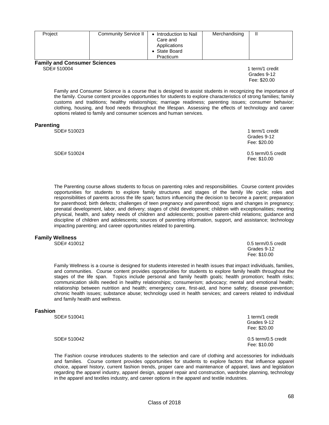| Project                                            | <b>Community Service II</b> | • Introduction to Nail<br>Care and<br>Applications<br>• State Board<br>Practicum | Merchandising |                 |
|----------------------------------------------------|-----------------------------|----------------------------------------------------------------------------------|---------------|-----------------|
| <b>Family and Consumer Sciences</b><br>SDE# 510004 |                             |                                                                                  |               | 1 term/1 credit |

 Grades 9-12 Fee: \$20.00

1 term/1 credit

Family and Consumer Science is a course that is designed to assist students in recognizing the importance of the family. Course content provides opportunities for students to explore characteristics of strong families; family customs and traditions; healthy relationships; marriage readiness; parenting issues; consumer behavior; clothing, housing, and food needs throughout the lifespan. Assessing the effects of technology and career options related to family and consumer sciences and human services.

# **Parenting**<br>**SDE# 510023**

|             | Grades 9-12<br>Fee: \$20.00         |
|-------------|-------------------------------------|
| SDE# 510024 | 0.5 term/0.5 credit<br>Fee: \$10.00 |

The Parenting course allows students to focus on parenting roles and responsibilities. Course content provides opportunities for students to explore family structures and stages of the family life cycle; roles and responsibilities of parents across the life span; factors influencing the decision to become a parent; preparation for parenthood; birth defects; challenges of teen pregnancy and parenthood; signs and changes in pregnancy; prenatal development, labor, and delivery; stages of child development; children with exceptionalities; meeting physical, health, and safety needs of children and adolescents; positive parent-child relations; guidance and discipline of children and adolescents; sources of parenting information, support, and assistance; technology impacting parenting; and career opportunities related to parenting.

#### **Family Wellness**

SDE# 410012 0.5 term/0.5 credit Grades 9-12 Fee: \$10.00

Family Wellness is a course is designed for students interested in health issues that impact individuals, families, and communities. Course content provides opportunities for students to explore family health throughout the stages of the life span. Topics include personal and family health goals; health promotion; health risks; communication skills needed in healthy relationships; consumerism; advocacy; mental and emotional health; relationship between nutrition and health; emergency care, first-aid, and home safety; disease prevention; chronic health issues; substance abuse; technology used in health services; and careers related to individual and family health and wellness.

### **Fashion**

SDE# 510041 1 term/1 credit<br>
Grades 9-12 Grades 9-12 Fee: \$20.00 SDE# 510042 0.5 term/0.5 credit Fee: \$10.00

The Fashion course introduces students to the selection and care of clothing and accessories for individuals and families. Course content provides opportunities for students to explore factors that influence apparel choice, apparel history, current fashion trends, proper care and maintenance of apparel, laws and legislation regarding the apparel industry, apparel design, apparel repair and construction, wardrobe planning, technology in the apparel and textiles industry, and career options in the apparel and textile industries.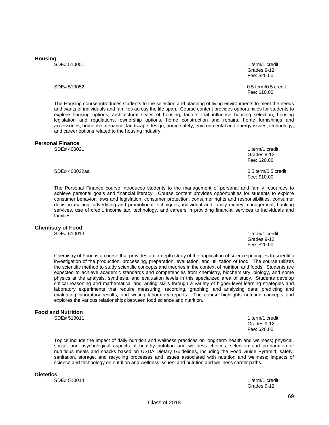**Housing** 

1 term/1 credit Grades 9-12 Fee: \$20.00

SDE# 510052 0.5 term/0.5 credit Fee: \$10.00

The Housing course introduces students to the selection and planning of living environments to meet the needs and wants of individuals and families across the life span. Course content provides opportunities for students to explore housing options, architectural styles of housing, factors that influence housing selection, housing legislation and regulations, ownership options, home construction and repairs, home furnishings and accessories, home maintenance, landscape design, home safety, environmental and energy issues, technology, and career options related to the housing industry.

# **Personal Finance**

1 term/1 credit Grades 9-12 Fee: \$20.00

SDE# 400022aa 0.5 term/0.5 credit Fee: \$10.00

The Personal Finance course introduces students to the management of personal and family resources to achieve personal goals and financial literacy. Course content provides opportunities for students to explore consumer behavior, laws and legislation, consumer protection, consumer rights and responsibilities, consumer decision making, advertising and promotional techniques, individual and family money management, banking services, use of credit, income tax, technology, and careers in providing financial services to individuals and families.

#### **Chemistry of Food**

SDE# 510013 1 term/1 credit

Chemistry of Food is a course that provides an in-depth study of the application of science principles to scientific investigation of the production, processing, preparation, evaluation, and utilization of food. The course utilizes the scientific method to study scientific concepts and theories in the context of nutrition and foods. Students are expected to achieve academic standards and competencies from chemistry, biochemistry, biology, and some physics at the analysis, synthesis, and evaluation levels in this specialized area of study. Students develop critical reasoning and mathematical and writing skills through a variety of higher-level learning strategies and laboratory experiments that require measuring, recording, graphing, and analyzing data; predicting and evaluating laboratory results; and writing laboratory reports. The course highlights nutrition concepts and explores the various relationships between food science and nutrition.

Fee: \$20.00

# **Food and Nutrition**

1 term/1 credit Grades 9-12 Fee: \$20.00

Grades 9-12<br>Fee: \$20.00

Topics include the impact of daily nutrition and wellness practices on long-term health and wellness; physical, social, and psychological aspects of healthy nutrition and wellness choices; selection and preparation of nutritious meals and snacks based on USDA Dietary Guidelines, including the Food Guide Pyramid; safety, sanitation, storage, and recycling processes and issues associated with nutrition and wellness; impacts of science and technology on nutrition and wellness issues; and nutrition and wellness career paths.

**Dietetics** 

1 term/1 credit Grades 9-12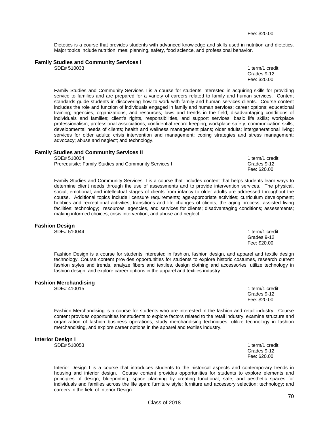Dietetics is a course that provides students with advanced knowledge and skills used in nutrition and dietetics. Major topics include nutrition, meal planning, safety, food science, and professional behavior.

# **Family Studies and Community Services** I

1 term/1 credit<br>Grades 9-12 Grades 9-12 Fee: \$20.00

Family Studies and Community Services I is a course for students interested in acquiring skills for providing service to families and are prepared for a variety of careers related to family and human services. Content standards guide students in discovering how to work with family and human services clients. Course content includes the role and function of individuals engaged in family and human services; career options; educational training; agencies, organizations, and resources; laws and trends in the field; disadvantaging conditions of individuals and families; client's rights, responsibilities, and support services; basic life skills; workplace professionalism; professional associations; confidential record keeping; workplace safety; communication skills; developmental needs of clients; health and wellness management plans; older adults; intergenerational living; services for older adults; crisis intervention and management; coping strategies and stress management; advocacy; abuse and neglect; and technology.

#### **Family Studies and Community Services II**

SDE# 510034 1 term/1 credit

Prerequisite: Family Studies and Community Services I Grades 9-12

Family Studies and Community Services II is a course that includes content that helps students learn ways to determine client needs through the use of assessments and to provide intervention services. The physical, social, emotional, and intellectual stages of clients from infancy to older adults are addressed throughout the course. Additional topics include licensure requirements; age-appropriate activities; curriculum development; hobbies and recreational activities; transitions and life changes of clients; the aging process; assisted living facilities; technology; resources, agencies, and services for clients; disadvantaging conditions; assessments; making informed choices; crisis intervention; and abuse and neglect.

# **Fashion Design**

Fashion Design is a course for students interested in fashion, fashion design, and apparel and textile design technology. Course content provides opportunities for students to explore historic costumes, research current fashion styles and trends, analyze fibers and textiles, design clothing and accessories, utilize technology in fashion design, and explore career options in the apparel and textiles industry.

#### **Fashion Merchandising**

SDE# 410015 1 term/1 credit

Fashion Merchandising is a course for students who are interested in the fashion and retail industry. Course content provides opportunities for students to explore factors related to the retail industry, examine structure and organization of fashion business operations, study merchandising techniques, utilize technology in fashion merchandising, and explore career options in the apparel and textiles industry.

# **Interior Design I**

1 term/1 credit<br>Grades 9-12

Interior Design I is a course that introduces students to the historical aspects and contemporary trends in housing and interior design. Course content provides opportunities for students to explore elements and principles of design; blueprinting; space planning by creating functional, safe, and aesthetic spaces for individuals and families across the life span; furniture style; furniture and accessory selection; technology; and careers in the field of Interior Design.

Fee: \$20.00

1 term/1 credit Grades 9-12 Fee: \$20.00

 Grades 9-12 Fee: \$20.00

 Grades 9-12 Fee: \$20.00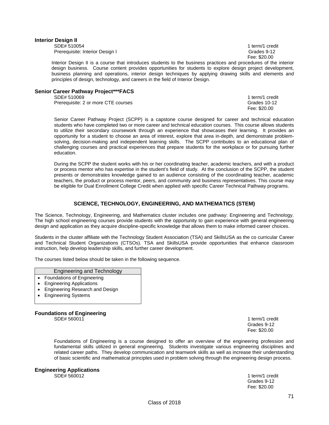#### **Interior Design II**

SDE# 510054 1 term/1 credit Prerequisite: Interior Design I Grades 9-12

Fee: \$20.00

Interior Design II is a course that introduces students to the business practices and procedures of the interior design business. Course content provides opportunities for students to explore design project development, business planning and operations, interior design techniques by applying drawing skills and elements and principles of design, technology, and careers in the field of Interior Design.

# **Senior Career Pathway Project\*\*\*FACS**

Prerequisite: 2 or more CTE courses

1 term/1 credit<br>Grades 10-12 Fee: \$20.00

Senior Career Pathway Project (SCPP) is a capstone course designed for career and technical education students who have completed two or more career and technical education courses. This course allows students to utilize their secondary coursework through an experience that showcases their learning. It provides an opportunity for a student to choose an area of interest, explore that area in-depth, and demonstrate problemsolving, decision-making and independent learning skills. The SCPP contributes to an educational plan of challenging courses and practical experiences that prepare students for the workplace or for pursuing further education.

During the SCPP the student works with his or her coordinating teacher, academic teachers, and with a product or process mentor who has expertise in the student's field of study. At the conclusion of the SCPP, the student presents or demonstrates knowledge gained to an audience consisting of the coordinating teacher, academic teachers, the product or process mentor, peers, and community and business representatives. This course may be eligible for Dual Enrollment College Credit when applied with specific Career Technical Pathway programs.

### **SCIENCE, TECHNOLOGY, ENGINEERING, AND MATHEMATICS (STEM)**

The Science, Technology, Engineering, and Mathematics cluster includes one pathway: Engineering and Technology. The high school engineering courses provide students with the opportunity to gain experience with general engineering design and application as they acquire discipline-specific knowledge that allows them to make informed career choices.

Students in the cluster affiliate with the Technology Student Association (TSA) and SkillsUSA as the co curricular Career and Technical Student Organizations (CTSOs). TSA and SkillsUSA provide opportunities that enhance classroom instruction, help develop leadership skills, and further career development.

The courses listed below should be taken in the following sequence.

### Engineering and Technology

- Foundations of Engineering
- Engineering Applications
- Engineering Research and Design
- Engineering Systems

**Foundations of Engineering**

1 term/1 credit<br>Grades 9-12 Grades 9-12 Fee: \$20.00

Foundations of Engineering is a course designed to offer an overview of the engineering profession and fundamental skills utilized in general engineering. Students investigate various engineering disciplines and related career paths. They develop communication and teamwork skills as well as increase their understanding of basic scientific and mathematical principles used in problem solving through the engineering design process.

# **Engineering Applications**

1 term/1 credit<br>Grades 9-12 Grades 9-12 Fee: \$20.00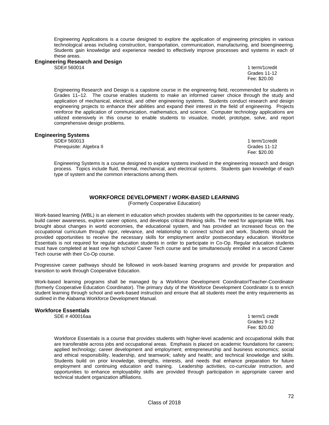Engineering Applications is a course designed to explore the application of engineering principles in various technological areas including construction, transportation, communication, manufacturing, and bioengineering. Students gain knowledge and experience needed to effectively improve processes and systems in each of these areas.

### **Engineering Research and Design**

SDE# 560014 1 term/1credit Grades 11-12 Fee: \$20.00

Engineering Research and Design is a capstone course in the engineering field, recommended for students in Grades 11–12. The course enables students to make an informed career choice through the study and application of mechanical, electrical, and other engineering systems. Students conduct research and design engineering projects to enhance their abilities and expand their interest in the field of engineering. Projects reinforce the application of communication, mathematics, and science. Computer technology applications are utilized extensively in this course to enable students to visualize, model, prototype, solve, and report comprehensive design problems.

#### **Engineering Systems**

SDE# 560013 1 term/1credit Prerequisite: Algebra II Grades 11-12

Fee: \$20.00

Engineering Systems is a course designed to explore systems involved in the engineering research and design process. Topics include fluid, thermal, mechanical, and electrical systems. Students gain knowledge of each type of system and the common interactions among them.

# **WORKFORCE DEVELOPMENT / WORK-BASED LEARNING**

(Formerly Cooperative Education)

Work-based learning (WBL) is an element in education which provides students with the opportunities to be career ready, build career awareness, explore career options, and develops critical thinking skills. The need for appropriate WBL has brought about changes in world economies, the educational system, and has provided an increased focus on the occupational curriculum through rigor, relevance, and relationship to connect school and work. Students should be provided opportunities to receive the necessary skills for employment and/or postsecondary education. Workforce Essentials is not required for regular education students in order to participate in Co-Op. Regular education students must have completed at least one high school Career Tech course and be simultaneously enrolled in a second Career Tech course with their Co-Op course.

Progressive career pathways should be followed in work-based learning programs and provide for preparation and transition to work through Cooperative Education.

Work-based learning programs shall be managed by a Workforce Development Coordinator/Teacher-Coordinator (formerly Cooperative Education Coordinator). The primary duty of the Workforce Development Coordinator is to enrich student learning through school and work-based instruction and ensure that all students meet the entry requirements as outlined in the Alabama Workforce Development Manual.

#### **Workforce Essentials**

SDE # 400016aa 1 term/1 credit 1 term/1 credit 1 term/1 credit 1 term/1 credit 1 term/1 credit

 Grades 9-12 Fee: \$20.00

Workforce Essentials is a course that provides students with higher-level academic and occupational skills that are transferable across jobs and occupational areas. Emphasis is placed on academic foundations for careers; applied technology; career development and employment; entrepreneurship and business economics; social and ethical responsibility, leadership, and teamwork; safety and health; and technical knowledge and skills. Students build on prior knowledge, strengths, interests, and needs that enhance preparation for future employment and continuing education and training. Leadership activities, co-curricular instruction, and opportunities to enhance employability skills are provided through participation in appropriate career and technical student organization affiliations.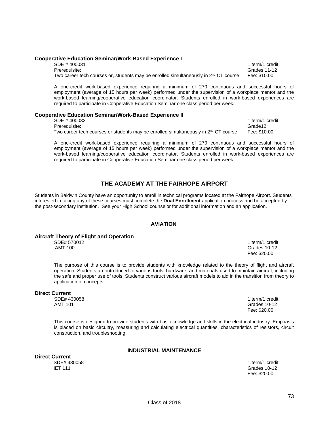### Two career tech courses or, students may be enrolled simultaneously in  $2<sup>nd</sup>$  CT course Fee: \$10.00

**Cooperative Education Seminar/Work-Based Experience I** 

A one-credit work-based experience requiring a minimum of 270 continuous and successful hours of employment (average of 15 hours per week) performed under the supervision of a workplace mentor and the work-based learning/cooperative education coordinator. Students enrolled in work-based experiences are required to participate in Cooperative Education Seminar one class period per week.

### **Cooperative Education Seminar/Work-Based Experience II**

SDE # 400032 1 term/1 credit<br>Prerequisite: 1990 1 term/2 term/2 term/2 term/2 term/2 term/2 term/2 term/2 term/2 term/2 term/2 term/2 term<br>Prerequisite: Prerequisite: Two career tech courses or students may be enrolled simultaneously in  $2^{nd}$  CT course Fee: \$10.00

A one-credit work-based experience requiring a minimum of 270 continuous and successful hours of employment (average of 15 hours per week) performed under the supervision of a workplace mentor and the work-based learning/cooperative education coordinator. Students enrolled in work-based experiences are required to participate in Cooperative Education Seminar one class period per week.

### **THE ACADEMY AT THE FAIRHOPE AIRPORT**

Students in Baldwin County have an opportunity to enroll in technical programs located at the Fairhope Airport. Students interested in taking any of these courses must complete the **Dual Enrollment** application process and be accepted by the post-secondary institution. See your High School counselor for additional information and an application.

### **AVIATION**

### **Aircraft Theory of Flight and Operation**

The purpose of this course is to provide students with knowledge related to the theory of flight and aircraft operation. Students are introduced to various tools, hardware, and materials used to maintain aircraft, including the safe and proper use of tools. Students construct various aircraft models to aid in the transition from theory to application of concepts.

#### **Direct Current**

 SDE# 430058 1 term/1 credit AMT 101 Grades 10-12 Fee: \$20.00

This course is designed to provide students with basic knowledge and skills in the electrical industry. Emphasis is placed on basic circuitry, measuring and calculating electrical quantities, characteristics of resistors, circuit construction, and troubleshooting.

#### **INDUSTRIAL MAINTENANCE**

**Direct Current**  IET 111 Grades 10-12

1 term/1 credit Fee: \$20.00

SDE # 400031 1 term/1 credit Prerequisite: Grades 11-12

SDE# 570012 1 term/1 credit AMT 100 Grades 10-12 Fee: \$20.00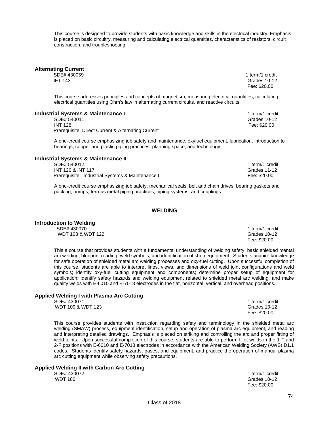This course is designed to provide students with basic knowledge and skills in the electrical industry. Emphasis is placed on basic circuitry, measuring and calculating electrical quantities, characteristics of resistors, circuit construction, and troubleshooting.

**Alternating Current** 

SDE# 430059 1 term/1 credit IET 143 Grades 10-12

This course addresses principles and concepts of magnetism, measuring electrical quantities, calculating electrical quantities using Ohm's law in alternating current circuits, and reactive circuits.

### **Industrial Systems & Maintenance I** 1 term/1 credit

SDE# 540011 Grades 10-12 Prerequisite: Direct Current & Alternating Current

A one-credit course emphasizing job safety and maintenance, oxyfuel equipment, lubrication, introduction to bearings, copper and plastic piping practices, planning space, and technology.

### **Industrial Systems & Maintenance II**

SDE# 540012 1 term/1 credit INT 126 & INT 117 Grades 11-12 Prerequisite: Industrial Systems & Maintenance I Fee: \$20.00

A one-credit course emphasizing job safety, mechanical seals, belt and chain drives, bearing gaskets and packing, pumps, ferrous metal piping practices, piping systems, and couplings.

### **WELDING**

# **Introduction to Welding**

SDE# 430070 1 term/1 credit

This a course that provides students with a fundamental understanding of welding safety, basic shielded mental arc welding, blueprint reading, weld symbols, and identification of shop equipment. Students acquire knowledge for safe operation of shielded metal arc welding processes and oxy-fuel cutting. Upon successful completion of this course, students are able to interpret lines, views, and dimensions of weld joint configurations and weld symbols; identify oxy-fuel cutting equipment and components; determine proper setup of equipment for application; identify safety hazards and welding equipment related to shielded metal arc welding; and make quality welds with E-6010 and E-7018 electrodes in the flat, horizontal, vertical, and overhead positions.

# **Applied Welding I with Plasma Arc Cutting**

This course provides students with instruction regarding safety and terminology in the shielded metal arc welding (SMAW) process, equipment identification, setup and operation of plasma arc equipment, and reading and interpreting detailed drawings. Emphasis is placed on striking and controlling the arc and proper fitting of weld joints. Upon successful completion of this course, students are able to perform fillet welds in the 1-F and 2-F positions with E-6010 and E-7018 electrodes in accordance with the American Welding Society (AWS) D1.1 codes. Students identify safety hazards, gases, and equipment, and practice the operation of manual plasma arc cutting equipment while observing safety precautions.

# **Applied Welding II with Carbon Arc Cutting**

SDE# 430072 1 term/1 credit WDT 180 Grades 10-12 Fee: \$20.00

WDT 108 & WDT 122 Grades 10-12<br>
Fee: \$20.00 Fee: \$20.00

Fee: \$20.00

Fee: \$20.00

1 term/1 credit<br>Grades 10-12 WDT 109 & WDT 123 Grades 10-1<br>
Grades 10-1 Fee: \$20.00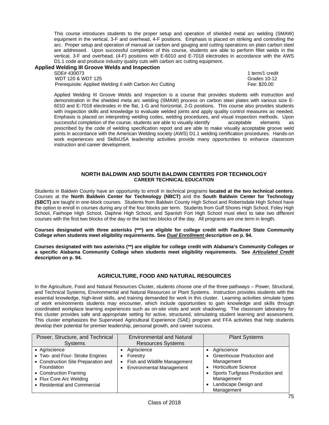This course introduces students to the proper setup and operation of shielded metal arc welding (SMAW) equipment in the vertical, 3-F and overhead, 4-F positions. Emphasis is placed on striking and controlling the arc. Proper setup and operation of manual air carbon and gouging and cutting operations on plain carbon steel are addressed. Upon successful completion of this course, students are able to perform fillet welds in the vertical, 3-F and overhead, (4-F) positions with E-6010 and E-7018 electrodes in accordance with the AWS D1.1 code and produce industry quality cuts with carbon arc cutting equipment.

# **Applied Welding III Groove Welds and Inspection**

WDT 120 & WDT 125<br>Prerequisite: Applied Welding II with Carbon Arc Cutting The Content of the Case: \$20.00 Prerequisite: Applied Welding II with Carbon Arc Cutting

1 term/1 credit

Applied Welding III Groove Welds and Inspection is a course that provides students with instruction and demonstration in the shielded meta arc welding (SMAW) process on carbon steel plates with various size E-6010 and E-7018 electrodes in the flat, 1-G and horizontal, 2-G positions. This course also provides students with inspection skills and knowledge to evaluate welded joints and apply quality control measures as needed. Emphasis is placed on interpreting welding codes, welding procedures, and visual inspection methods. Upon successful completion of the course, students are able to visually identify acceptable elements as prescribed by the code of welding specification report and are able to make visually acceptable groove weld joints in accordance with the American Welding society (AWS) D1.1 welding certification procedures. Hands-on work experiences and SkillsUSA leadership activities provide many opportunities to enhance classroom instruction and career development.

### **NORTH BALDWIN AND SOUTH BALDWIN CENTERS FOR TECHNOLOGY CAREER TECHNICAL EDUCATION**

Students in Baldwin County have an opportunity to enroll in technical programs **located at the two technical centers**. Courses at the **North Baldwin Center for Technology (NBCT)** and the **South Baldwin Center for Technology (SBCT)** are taught in one-block courses. Students from Baldwin County High School and Robertsdale High School have the option to enroll in courses during any of the four blocks per term. Students from Gulf Shores High School, Foley High School, Fairhope High School, Daphne High School, and Spanish Fort High School must elect to take two different courses with the first two blocks of the day or the last two blocks of the day. All programs are one term in length.

**Courses designated with three asterisks (\*\*\*) are eligible for college credit with Faulkner State Community College when students meet eligibility requirements. See** *Dual Enrollment* **description on p. 94.** 

**Courses designated with two asterisks (\*\*) are eligible for college credit with Alabama's Community Colleges or a specific Alabama Community College when students meet eligibility requirements. See** *Articulated Credit*  **description on p. 94.** 

### **AGRICULTURE, FOOD AND NATURAL RESOURCES**

In the Agriculture, Food and Natural Resources Cluster, students choose one of the three pathways – Power, Structural, and Technical Systems, Environmental and Natural Resources or Plant Systems. Instruction provides students with the essential knowledge, high-level skills, and training demanded for work in this cluster. Learning activities simulate types of work environments students may encounter, which include opportunities to gain knowledge and skills through coordinated workplace learning experiences such as on-site visits and work shadowing. The classroom laboratory for this cluster provides safe and appropriate setting for active, structured, stimulating student learning and assessment. This cluster emphasizes the Supervised Agricultural Experience (SAE) program and FFA activities that help students develop their potential for premier leadership, personal growth, and career success.

| Power, Structure, and Technical<br><b>Systems</b>                                                                                                                                          | <b>Environmental and Natural</b><br><b>Resources Systems</b>                               | <b>Plant Systems</b>                                                                                                                                                         |
|--------------------------------------------------------------------------------------------------------------------------------------------------------------------------------------------|--------------------------------------------------------------------------------------------|------------------------------------------------------------------------------------------------------------------------------------------------------------------------------|
| • Agriscience<br>• Two- and Four- Stroke Engines<br>• Construction Site Preparation and<br>Foundation<br>• Construction Framing<br>• Flux Core Arc Welding<br>• Residential and Commercial | Agriscience<br>Forestry<br>Fish and Wildlife Management<br><b>Environmental Management</b> | Agriscience<br>Greenhouse Production and<br>Management<br><b>Horticulture Science</b><br>Sports Turfgrass Production and<br>Management<br>Landscape Design and<br>Management |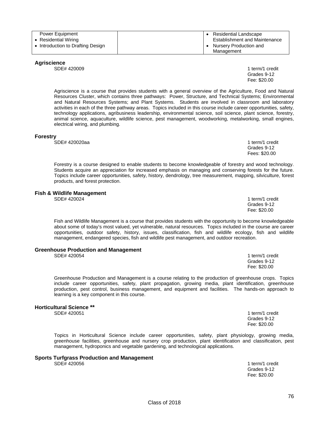| Power Equipment                   | • Residential Landscape              |
|-----------------------------------|--------------------------------------|
| • Residential Wiring              | <b>Establishment and Maintenance</b> |
| • Introduction to Drafting Design | Nursery Production and               |
|                                   | Management                           |

Fee: \$20.00

### **Agriscience**

SDE# 420009 1 term/1 credit

Agriscience is a course that provides students with a general overview of the Agriculture, Food and Natural Resources Cluster, which contains three pathways: Power, Structure, and Technical Systems; Environmental and Natural Resources Systems; and Plant Systems. Students are involved in classroom and laboratory activities in each of the three pathway areas. Topics included in this course include career opportunities, safety, technology applications, agribusiness leadership, environmental science, soil science, plant science, forestry, animal science, aquaculture, wildlife science, pest management, woodworking, metalworking, small engines, electrical wiring, and plumbing.

### **Forestry**

SDE# 420020aa 1 term/1 credit

Forestry is a course designed to enable students to become knowledgeable of forestry and wood technology. Students acquire an appreciation for increased emphasis on managing and conserving forests for the future. Topics include career opportunities, safety, history, dendrology, tree measurement, mapping, silviculture, forest products, and forest protection.

## **Fish & Wildlife Management**<br>SDE# 420024

Fish and Wildlife Management is a course that provides students with the opportunity to become knowledgeable about some of today's most valued, yet vulnerable, natural resources. Topics included in the course are career opportunities, outdoor safety, history, issues, classification, fish and wildlife ecology, fish and wildlife management, endangered species, fish and wildlife pest management, and outdoor recreation.

#### **Greenhouse Production and Management**

SDE# 420054 1 term/1 credit

Greenhouse Production and Management is a course relating to the production of greenhouse crops. Topics include career opportunities, safety, plant propagation, growing media, plant identification, greenhouse production, pest control, business management, and equipment and facilities. The hands-on approach to learning is a key component in this course.

 Grades 9-12 Fee: \$20.00

### **Horticultural Science \*\***

SDE# 420051 1 term/1 credit

Grades 9-12<br>Fee: \$20.00 Fee: \$20.00

Topics in Horticultural Science include career opportunities, safety, plant physiology, growing media, greenhouse facilities, greenhouse and nursery crop production, plant identification and classification, pest management, hydroponics and vegetable gardening, and technological applications.

### **Sports Turfgrass Production and Management**

SDE# 4200561 term/1 credit

Grades 9-12<br>Fee: \$20.00 Fee: \$20.00

 Grades 9-12 Fees: \$20.00

Grades 9-12<br>Fee: \$20.00

1 term/1 credit Grades 9-12 Fee: \$20.00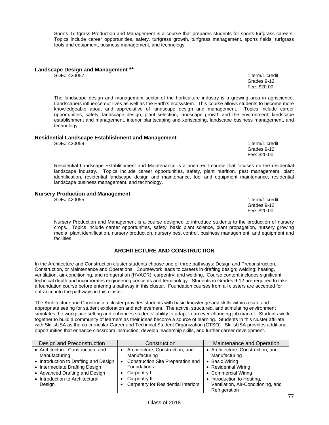Class of 2018

Sports Turfgrass Production and Management is a course that prepares students for sports turfgrass careers. Topics include career opportunities, safety, turfgrass growth, turfgrass management, sports fields, turfgrass tools and equipment, business management, and technology.

# **Landscape Design and Management \*\***

The landscape design and management sector of the horticulture industry is a growing area in agriscience. Landscapers influence our lives as well as the Earth's ecosystem. This course allows students to become more knowledgeable about and appreciative of landscape design and management. Topics include career opportunities, safety, landscape design, plant selection, landscape growth and the environment, landscape establishment and management, interior plantscaping and xeriscaping, landscape business management, and technology.

#### **Residential Landscape Establishment and Management** SDE# 420059 1 term/1 credit

Grades 9-12

 Fee: \$20.00 Residential Landscape Establishment and Maintenance is a one-credit course that focuses on the residential landscape industry. Topics include career opportunities, safety, plant nutrition, pest management, plant identification, residential landscape design and maintenance, tool and equipment maintenance, residential landscape business management, and technology.

### **Nursery Production and Management**

SDE# 420055 1 term/1 credit Grades 9-12 Fee: \$20.00

Nursery Production and Management is a course designed to introduce students to the production of nursery crops. Topics include career opportunities, safety, basic plant science, plant propagation, nursery growing media, plant identification, nursery production, nursery pest control, business management, and equipment and facilities.

### **ARCHITECTURE AND CONSTRUCTION**

In the Architecture and Construction cluster students choose one of three pathways: Design and Preconstruction, Construction, or Maintenance and Operations. Coursework leads to careers in drafting design; welding; heating, ventilation, air-conditioning, and refrigeration (HVACR); carpentry; and welding. Course content includes significant technical depth and incorporates engineering concepts and terminology. Students in Grades 9-12 are required to take a foundation course before entering a pathway in this cluster. Foundation courses from all clusters are accepted for entrance into the pathways in this cluster.

The Architecture and Construction cluster provides students with basic knowledge and skills within a safe and appropriate setting for student exploration and achievement. The active, structured, and stimulating environment simulates the workplace setting and enhances students' ability to adapt to an ever-changing job market. Students work together to build a community of learners as their ideas become a source of learning. Students in this cluster affiliate with SkillsUSA as the co-curricular Career and Technical Student Organization (CTSO). SkillsUSA provides additional opportunities that enhance classroom instruction, develop leadership skills, and further career development.

| Design and Preconstruction            | Construction                        | Maintenance and Operation          |
|---------------------------------------|-------------------------------------|------------------------------------|
| • Architecture, Construction, and     | Architecture, Construction, and     | • Architecture, Construction, and  |
| Manufacturing                         | Manufacturing                       | Manufacturing                      |
| • Introduction to Drafting and Design | Construction Site Preparation and   | • Basic Wiring                     |
| • Intermediate Drafting Design        | <b>Foundations</b>                  | • Residential Wiring               |
| • Advanced Drafting and Design        | Carpentry I                         | • Commercial Wiring                |
| • Introduction to Architectural       | Carpentry II                        | • Introduction to Heating,         |
| Design                                | Carpentry for Residential Interiors | Ventilation, Air-Conditioning, and |
|                                       |                                     | Refrigeration                      |

1 term/1 credit Grades 9-12 Fee: \$20.00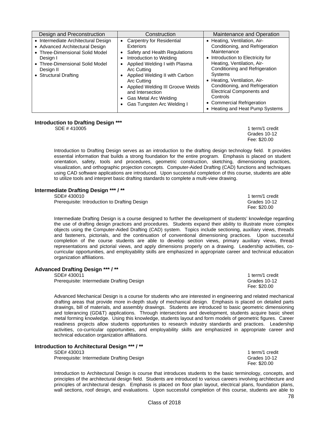| Design and Preconstruction                                                                                                                                                                     | Construction                                                                                                                                                                                                                                                                                                                                                                                         | Maintenance and Operation                                                                                                                                                                                                                                                                                                                                                                 |
|------------------------------------------------------------------------------------------------------------------------------------------------------------------------------------------------|------------------------------------------------------------------------------------------------------------------------------------------------------------------------------------------------------------------------------------------------------------------------------------------------------------------------------------------------------------------------------------------------------|-------------------------------------------------------------------------------------------------------------------------------------------------------------------------------------------------------------------------------------------------------------------------------------------------------------------------------------------------------------------------------------------|
| • Intermediate Architectural Design<br>• Advanced Architectural Design<br>• Three-Dimensional Solid Model<br>Desian I<br>• Three-Dimensional Solid Model<br>Design II<br>• Structural Drafting | <b>Carpentry for Residential</b><br>$\bullet$<br>Exteriors<br>Safety and Health Regulations<br>$\bullet$<br>Introduction to Welding<br>٠<br>Applied Welding I with Plasma<br>$\bullet$<br>Arc Cutting<br>Applied Welding II with Carbon<br>٠<br>Arc Cutting<br>Applied Welding III Groove Welds<br>$\bullet$<br>and Intersection<br>Gas Metal Arc Welding<br>$\bullet$<br>Gas Tungsten Arc Welding I | • Heating, Ventilation, Air-<br>Conditioning, and Refrigeration<br>Maintenance<br>• Introduction to Electricity for<br>Heating, Ventilation, Air-<br>Conditioning and Refrigeration<br><b>Systems</b><br>• Heating, Ventilation, Air-<br>Conditioning, and Refrigeration<br><b>Electrical Components and</b><br>Controls<br>• Commercial Refrigeration<br>• Heating and Heat Pump Systems |

### **Introduction to Drafting Design \*\*\***

**SDE # 410005** 1 term/1 credit

 Grades 10-12 Fee: \$20.00

Introduction to Drafting Design serves as an introduction to the drafting design technology field. It provides essential information that builds a strong foundation for the entire program. Emphasis is placed on student orientation, safety, tools and procedures, geometric construction, sketching, dimensioning practices, visualization, and orthographic projection concepts. Computer-Aided Drafting (CAD) functions and techniques using CAD software applications are introduced. Upon successful completion of this course, students are able to utilize tools and interpret basic drafting standards to complete a multi-view drawing.

### **Intermediate Drafting Design \*\*\* / \*\***

Prerequisite: Introduction to Drafting Design Grades 10-12<br>Fee: \$20.00

SDE# 430010 1 term/1 credit 1 term/1 credit 1 term/1 credit 1 term/1 credit Fee: \$20.00

Intermediate Drafting Design is a course designed to further the development of students' knowledge regarding the use of drafting design practices and procedures. Students expand their ability to illustrate more complex objects using the Computer-Aided Drafting (CAD) system. Topics include sectioning, auxiliary views, threads and fasteners, pictorials, and the continuation of conventional dimensioning practices. Upon successful completion of the course students are able to develop section views, primary auxiliary views, thread representations and pictorial views, and apply dimensions properly on a drawing. Leadership activities, cocurricular opportunities, and employability skills are emphasized in appropriate career and technical education organization affiliations.

### **Advanced Drafting Design \*\*\* / \*\***

| SDE# 430011                                | 1 term/1 credit |
|--------------------------------------------|-----------------|
| Prerequisite: Intermediate Drafting Design | Grades 10-12    |
|                                            | Fee: \$20.00    |

Advanced Mechanical Design is a course for students who are interested in engineering and related mechanical drafting areas that provide more in-depth study of mechanical design. Emphasis is placed on detailed parts drawings, bill of materials, and assembly drawings. Students are introduced to basic geometric dimensioning and tolerancing (GD&T) applications. Through intersections and development, students acquire basic sheet metal forming knowledge. Using this knowledge, students layout and form models of geometric figures. Career readiness projects allow students opportunities to research industry standards and practices. Leadership activities, co-curricular opportunities, and employability skills are emphasized in appropriate career and technical education organization affiliations.

### **Introduction to Architectural Design \*\*\* / \*\***

SDE# 430013 1 term/1 credit

Prerequisite: Intermediate Drafting Design Grades 10-12<br>Fee: \$20.00

Fee: \$20.00

Introduction to Architectural Design is course that introduces students to the basic terminology, concepts, and principles of the architectural design field. Students are introduced to various careers involving architecture and principles of architectural design. Emphasis is placed on floor plan layout, electrical plans, foundation plans, wall sections, roof design, and evaluations. Upon successful completion of this course, students are able to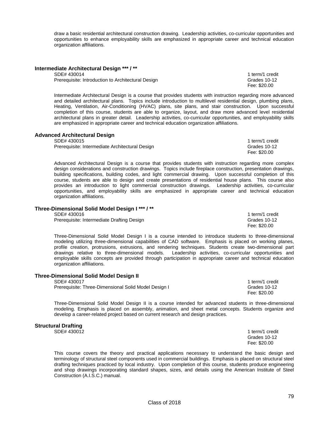draw a basic residential architectural construction drawing. Leadership activities, co-curricular opportunities and opportunities to enhance employability skills are emphasized in appropriate career and technical education organization affiliations.

SDE# 430014 11 Term/1 credit<br>Prerequisite: Introduction to Architectural Design<br>Prerequisite: Introduction to Architectural Design<br>Alternation of the Contract of Crades 10-12 Prerequisite: Introduction to Architectural Design<br>Fee: \$20.00

Fee: \$20.00

Intermediate Architectural Design is a course that provides students with instruction regarding more advanced and detailed architectural plans. Topics include introduction to multilevel residential design, plumbing plans, Heating, Ventilation, Air-Conditioning (HVAC) plans, site plans, and stair construction. Upon successful completion of this course, students are able to organize, layout, and draw more advanced level residential architectural plans in greater detail. Leadership activities, co-curricular opportunities, and employability skills are emphasized in appropriate career and technical education organization affiliations.

# **Advanced Architectural Design**

Prerequisite: Intermediate Architectural Design Grandes 10-12

Advanced Architectural Design is a course that provides students with instruction regarding more complex design considerations and construction drawings. Topics include fireplace construction, presentation drawings, building specifications, building codes, and light commercial drawing. Upon successful completion of this course, students are able to design and create presentations of residential house plans. This course also provides an introduction to light commercial construction drawings. Leadership activities, co-curricular opportunities, and employability skills are emphasized in appropriate career and technical education organization affiliations.

### **Three-Dimensional Solid Model Design I \*\*\* / \*\***

SDE# 430016 1 term/1 credit

Prerequisite: Intermediate Drafting Design Grades 10-12

Three-Dimensional Solid Model Design I is a course intended to introduce students to three-dimensional modeling utilizing three-dimensional capabilities of CAD software. Emphasis is placed on working planes, profile creation, protrusions, extrusions, and rendering techniques. Students create two-dimensional part drawings relative to three-dimensional models. Leadership activities, co-curricular opportunities and employable skills concepts are provided through participation in appropriate career and technical education organization affiliations.

### **Three-Dimensional Solid Model Design II**

Prerequisite: Three-Dimensional Solid Model Design I Grades 10-12<br>Fee: \$20.00

Three-Dimensional Solid Model Design II is a course intended for advanced students in three-dimensional modeling. Emphasis is placed on assembly, animation, and sheet metal concepts. Students organize and develop a career-related project based on current research and design practices.

### **Structural Drafting**

SDE# 430012 1 term/1 credit Grades 10-12 Fee: \$20.00

This course covers the theory and practical applications necessary to understand the basic design and terminology of structural steel components used in commercial buildings. Emphasis is placed on structural steel drafting techniques practiced by local industry. Upon completion of this course, students produce engineering and shop drawings incorporating standard shapes, sizes, and details using the American Institute of Steel Construction (A.I.S.C.) manual.

1 term/1 credit Fee: \$20.00

Fee: \$20.00

SDE# 430017 1 term/1 credit Fee: \$20.00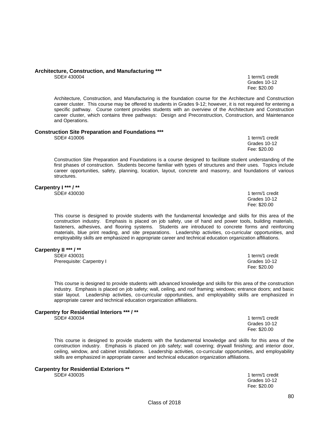# **Architecture, Construction, and Manufacturing \*\*\***

1 term/1 credit Grades 10-12<br>Fee: \$20.00 Fee: \$20.00

Architecture, Construction, and Manufacturing is the foundation course for the Architecture and Construction career cluster. This course may be offered to students in Grades 9-12; however, it is not required for entering a specific pathway. Course content provides students with an overview of the Architecture and Construction career cluster, which contains three pathways: Design and Preconstruction, Construction, and Maintenance and Operations.

#### **Construction Site Preparation and Foundations \*\*\***

SDE# 410006 1 term/1 credit 1 term in the state of the state of the state of the state of the state of the state of the state of the state of the state of the state of the state of the state of the state of the state of th

Grades 10-12 Fee: \$20.00

Construction Site Preparation and Foundations is a course designed to facilitate student understanding of the first phases of construction. Students become familiar with types of structures and their uses. Topics include career opportunities, safety, planning, location, layout, concrete and masonry, and foundations of various structures.

# **Carpentry I \*\*\* / \*\***<br>SDE# 430030

1 term/1 credit Grades 10-12<br>Fee: \$20.00 Fee: \$20.00

This course is designed to provide students with the fundamental knowledge and skills for this area of the construction industry. Emphasis is placed on job safety, use of hand and power tools, building materials, fasteners, adhesives, and flooring systems. Students are introduced to concrete forms and reinforcing materials, blue print reading, and site preparations. Leadership activities, co-curricular opportunities, and employability skills are emphasized in appropriate career and technical education organization affiliations.

Fee: \$20.00

appropriate career and technical education organization affiliations.

### **Carpentry II \*\*\* / \*\***

SDE# 430031 1 term/1 credit Prerequisite: Carpentry I Grades 10-12<br>
Fee: \$20.00

This course is designed to provide students with advanced knowledge and skills for this area of the construction industry. Emphasis is placed on job safety; wall, ceiling, and roof framing; windows; entrance doors; and basic stair layout. Leadership activities, co-curricular opportunities, and employability skills are emphasized in

# **Carpentry for Residential Interiors \*\*\* / \*\***

1 term/1 credit Grades 10-12 Fee: \$20.00

This course is designed to provide students with the fundamental knowledge and skills for this area of the construction industry. Emphasis is placed on job safety; wall covering; drywall finishing; and interior door, ceiling, window, and cabinet installations. Leadership activities, co-curricular opportunities, and employability skills are emphasized in appropriate career and technical education organization affiliations.

# **Carpentry for Residential Exteriors \*\***

1 term/1 credit Grades 10-12 Fee: \$20.00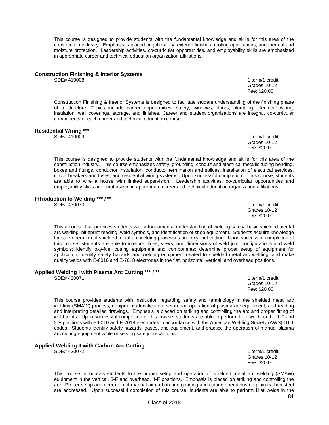This course is designed to provide students with the fundamental knowledge and skills for this area of the construction industry. Emphasis is placed on job safety, exterior finishes, roofing applications, and thermal and moisture protection. Leadership activities, co-curricular opportunities, and employability skills are emphasized in appropriate career and technical education organization affiliations.

# **Construction Finishing & Interior Systems**

Construction Finishing & Interior Systems is designed to facilitate student understanding of the finishing phase of a structure. Topics include career opportunities, safety, windows, doors, plumbing, electrical wiring, insulation, wall coverings, storage, and finishes. Career and student organizations are integral, co-curricular components of each career and technical education course.

Grades 10-12 Fee: \$20.00

# **Residential Wiring \*\*\***

1 term/1 credit Grades 10-12<br>Fee: \$20.00 Fee: \$20.00

1 term/1 credit<br>Grades 10-12

This course is designed to provide students with the fundamental knowledge and skills for this area of the construction industry. This course emphasizes safety, grounding, conduit and electrical metallic tubing bending, boxes and fittings, conductor installation, conductor termination and splices, installation of electrical services, circuit breakers and fuses, and residential wiring systems. Upon successful completion of this course, students are able to wire a house with limited supervision. Leadership activities, co-curricular opportunities and employability skills are emphasized in appropriate career and technical education organization affiliations.

# **Introduction to Welding \*\*\* / \*\***

1 term/1 credit<br>Grades 10-12 Grades 10-12 Fee: \$20.00

This a course that provides students with a fundamental understanding of welding safety, basic shielded mental arc welding, blueprint reading, weld symbols, and identification of shop equipment. Students acquire knowledge for safe operation of shielded metal arc welding processes and oxy-fuel cutting. Upon successful completion of this course, students are able to interpret lines, views, and dimensions of weld joint configurations and weld symbols; identify oxy-fuel cutting equipment and components; determine proper setup of equipment for application; identify safety hazards and welding equipment related to shielded metal arc welding; and make quality welds with E-6010 and E-7018 electrodes in the flat, horizontal, vertical, and overhead positions.

# **Applied Welding I with Plasma Arc Cutting \*\*\* / \*\***

1 term/1 credit Grades 10-12<br>Fee: \$20.00 Fee: \$20.00

This course provides students with instruction regarding safety and terminology in the shielded metal arc welding (SMAW) process, equipment identification, setup and operation of plasma arc equipment, and reading and interpreting detailed drawings. Emphasis is placed on striking and controlling the arc and proper fitting of weld joints. Upon successful completion of this course, students are able to perform fillet welds in the 1-F and 2-F positions with E-6010 and E-7018 electrodes in accordance with the American Welding Society (AWS) D1.1 codes. Students identify safety hazards, gases, and equipment, and practice the operation of manual plasma arc cutting equipment while observing safety precautions.

### **Applied Welding II with Carbon Arc Cutting**

SDE# 430072 1 term/1 credit

 Grades 10-12 Fee: \$20.00

This course introduces students to the proper setup and operation of shielded metal arc welding (SMAW) equipment in the vertical, 3-F and overhead, 4-F positions. Emphasis is placed on striking and controlling the arc. Proper setup and operation of manual air carbon and gouging and cutting operations on plain carbon steel are addressed. Upon successful completion of this course, students are able to perform fillet welds in the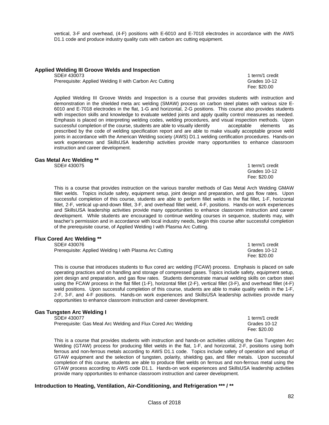vertical, 3-F and overhead, (4-F) positions with E-6010 and E-7018 electrodes in accordance with the AWS D1.1 code and produce industry quality cuts with carbon arc cutting equipment.

### **Applied Welding III Groove Welds and Inspection**

Prerequisite: Applied Welding II with Carbon Arc Cutting Grammachines Crades 10-12

SDE# 430073 1 term/1 credit Fee: \$20.00

Applied Welding III Groove Welds and Inspection is a course that provides students with instruction and demonstration in the shielded meta arc welding (SMAW) process on carbon steel plates with various size E-6010 and E-7018 electrodes in the flat, 1-G and horizontal, 2-G positions. This course also provides students with inspection skills and knowledge to evaluate welded joints and apply quality control measures as needed. Emphasis is placed on interpreting welding codes, welding procedures, and visual inspection methods. Upon successful completion of the course, students are able to visually identify acceptable elements as prescribed by the code of welding specification report and are able to make visually acceptable groove weld joints in accordance with the American Welding society (AWS) D1.1 welding certification procedures. Hands-on work experiences and SkillsUSA leadership activities provide many opportunities to enhance classroom instruction and career development.

#### **Gas Metal Arc Welding \*\***

SDE# 430075 1 term/1 credit Grades 10-12<br>Fee: \$20.00 Fee: \$20.00

This is a course that provides instruction on the various transfer methods of Gas Metal Arch Welding GMAW fillet welds. Topics include safety, equipment setup, joint design and preparation, and gas flow rates. Upon successful completion of this course, students are able to perform fillet welds in the flat fillet, 1-F, horizontal fillet, 2-F, vertical up-and-down fillet, 3-F, and overhead fillet weld, 4-F, positions. Hands-on work experiences and SkillsUSA leadership activities provide many opportunities to enhance classroom instruction and career development. While students are encouraged to continue welding courses in sequence, students may, with teacher's permission and in accordance with local industry needs, begin this course after successful completion of the prerequisite course, of Applied Welding I with Plasma Arc Cutting.

### **Flux Cored Arc Welding \*\***

| SDE# 430076                                             | 1 term/1 credit              |
|---------------------------------------------------------|------------------------------|
| Prerequisite: Applied Welding I with Plasma Arc Cutting | Grades 10-12<br>Fee: \$20.00 |
|                                                         |                              |

This is course that introduces students to flux cored arc welding (FCAW) process. Emphasis is placed on safe operating practices and on handling and storage of compressed gases. Topics include safety, equipment setup, joint design and preparation, and gas flow rates. Students demonstrate manual welding skills on carbon steel using the FCAW process in the flat fillet (1-F), horizontal fillet (2-F), vertical fillet (3-F), and overhead fillet (4-F) weld positions. Upon successful completion of this course, students are able to make quality welds in the 1-F, 2-F, 3-F, and 4-F positions. Hands-on work experiences and SkillsUSA leadership activities provide many opportunities to enhance classroom instruction and career development.

### **Gas Tungsten Arc Welding I**

| SDE# 430077                                                   | 1 term/1 credit |
|---------------------------------------------------------------|-----------------|
| Prerequisite: Gas Meal Arc Welding and Flux Cored Arc Welding | Grades 10-12    |
|                                                               | Fee: \$20.00    |

This is a course that provides students with instruction and hands-on activities utilizing the Gas Tungsten Arc Welding (GTAW) process for producing fillet welds in the flat, 1-F, and horizontal, 2-F, positions using both ferrous and non-ferrous metals according to AWS D1.1 code. Topics include safety of operation and setup of GTAW equipment and the selection of tungsten, polarity, shielding gas, and filler metals. Upon successful completion of this course, students are able to produce fillet welds on ferrous and non-ferrous metal using the GTAW process according to AWS code D1.1. Hands-on work experiences and SkillsUSA leadership activities provide many opportunities to enhance classroom instruction and career development.

### **Introduction to Heating, Ventilation, Air-Conditioning, and Refrigeration \*\*\* / \*\***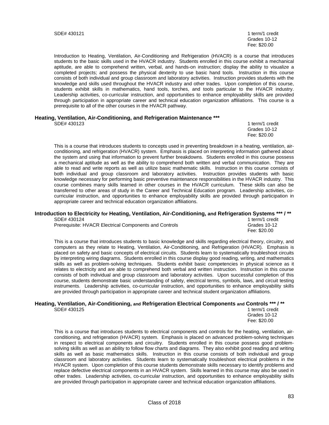Grades 10-12 Fee: \$20.00

Introduction to Heating, Ventilation, Air-Conditioning and Refrigeration (HVACR) is a course that introduces students to the basic skills used in the HVACR industry. Students enrolled in this course exhibit a mechanical aptitude, are able to comprehend written, verbal, and hands-on instruction; display the ability to visualize a completed projects; and possess the physical dexterity to use basic hand tools. Instruction in this course consists of both individual and group classroom and laboratory activities. Instruction provides students with the knowledge and skills used throughout the HVACR industry and other trades. Upon completion of this course, students exhibit skills in mathematics, hand tools, torches, and tools particular to the HVACR industry. Leadership activities, co-curricular instruction, and opportunities to enhance employability skills are provided through participation in appropriate career and technical education organization affiliations. This course is a prerequisite to all of the other courses in the HVACR pathway.

# **Heating, Ventilation, Air-Conditioning, and Refrigeration Maintenance \*\*\***

1 term/1 credit<br>Grades 10-12 Grades 10-12 Fee: \$20.00

This is a course that introduces students to concepts used in preventing breakdown in a heating, ventilation, airconditioning, and refrigeration (HVACR) system. Emphasis is placed on interpreting information gathered about the system and using that information to prevent further breakdowns. Students enrolled in this course possess a mechanical aptitude as well as the ability to comprehend both written and verbal communication. They are able to read and write reports as well as utilize basic mathematic skills. Instruction in this course consists of both individual and group classroom and laboratory activities. Instruction provides students with basic knowledge necessary for performing basic preventive maintenance responsibilities in the HVACR industry. This course combines many skills learned in other courses in the HVACR curriculum. These skills can also be transferred to other areas of study in the Career and Technical Education program. Leadership activities, cocurricular instruction, and opportunities to enhance employability skills are provided through participation in appropriate career and technical education organization affiliations.

### **Introduction to Electricity for Heating, Ventilation, Air-Conditioning, and Refrigeration Systems \*\*\* / \*\***

SDE# 430124 1 term/1 credit Prerequisite: HVACR Electrical Components and Controls Grand Grades 10-12

Fee: \$20.00

This is a course that introduces students to basic knowledge and skills regarding electrical theory, circuitry, and computers as they relate to Heating, Ventilation, Air-Conditioning, and Refrigeration (HVACR). Emphasis is placed on safety and basic concepts of electrical circuits. Students learn to systematically troubleshoot circuits by interpreting wiring diagrams. Students enrolled in this course display good reading, writing, and mathematics skills as well as problem-solving techniques. Students exhibit basic competencies in physical science as it relates to electricity and are able to comprehend both verbal and written instruction. Instruction in this course consists of both individual and group classroom and laboratory activities. Upon successful completion of this course, students demonstrate basic understanding of safety, electrical terms, symbols, laws, and circuit testing instruments. Leadership activities, co-curricular instruction, and opportunities to enhance employability skills are provided through participation in appropriate career and technical student organization affiliations.

# **Heating, Ventilation, Air-Conditioning, and Refrigeration Electrical Components and Controls \*\*\* / \*\***

1 term/1 credit Grades 10-12 Fee: \$20.00

This is a course that introduces students to electrical components and controls for the heating, ventilation, airconditioning, and refrigeration (HVACR) system. Emphasis is placed on advanced problem-solving techniques in respect to electrical components and circuitry. Students enrolled in this course possess good problemsolving skills as well as an ability to follow flow charts and diagrams. They also exhibit good reading and writing skills as well as basic mathematics skills. Instruction in this course consists of both individual and group classroom and laboratory activities. Students learn to systematically troubleshoot electrical problems in the HVACR system. Upon completion of this course students demonstrate skills necessary to identify problems and replace defective electrical components in an HVACR system. Skills learned in this course may also be used in other trades. Leadership activities, co-curricular instruction, and opportunities to enhance employability skills are provided through participation in appropriate career and technical education organization affiliations.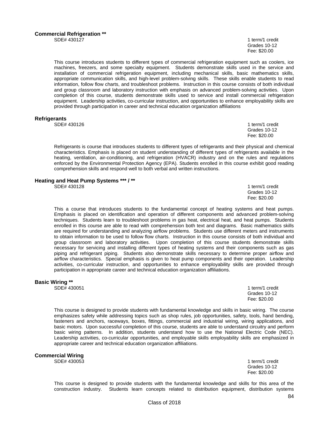Grades 10-12 Fee: \$20.00

This course introduces students to different types of commercial refrigeration equipment such as coolers, ice machines, freezers, and some specialty equipment. Students demonstrate skills used in the service and installation of commercial refrigeration equipment, including mechanical skills, basic mathematics skills, appropriate communication skills, and high-level problem-solving skills. These skills enable students to read information, follow flow charts, and troubleshoot problems. Instruction in this course consists of both individual and group classroom and laboratory instruction with emphasis on advanced problem-solving activities. Upon completion of this course, students demonstrate skills used to service and install commercial refrigeration equipment. Leadership activities, co-curricular instruction, and opportunities to enhance employability skills are provided through participation in career and technical education organization affiliations

#### **Refrigerants**

SDE# 430126 1 term/1 credit

 Grades 10-12 Fee: \$20.00

Refrigerants is course that introduces students to different types of refrigerants and their physical and chemical characteristics. Emphasis is placed on student understanding of different types of refrigerants available in the heating, ventilation, air-conditioning, and refrigeration (HVACR) industry and on the rules and regulations enforced by the Environmental Protection Agency (EPA). Students enrolled in this course exhibit good reading comprehension skills and respond well to both verbal and written instructions.

### **Heating and Heat Pump Systems \*\*\* / \*\***

SDE# 430128 1 term/1 credit

 Grades 10-12 Fee: \$20.00

This a course that introduces students to the fundamental concept of heating systems and heat pumps. Emphasis is placed on identification and operation of different components and advanced problem-solving techniques. Students learn to troubleshoot problems in gas heat, electrical heat, and heat pumps. Students enrolled in this course are able to read with comprehension both text and diagrams. Basic mathematics skills are required for understanding and analyzing airflow problems. Students use different meters and instruments to obtain information to be used to follow flow charts. Instruction in this course consists of both individual and group classroom and laboratory activities. Upon completion of this course students demonstrate skills necessary for servicing and installing different types of heating systems and their components such as gas piping and refrigerant piping. Students also demonstrate skills necessary to determine proper airflow and airflow characteristics. Special emphasis is given to heat pump components and their operation. Leadership activities, co-curricular instruction, and opportunities to enhance employability skills are provided through participation in appropriate career and technical education organization affiliations.

#### **Basic Wiring \*\***

 $\text{SDE}\n$  and  $\text{SDE}\n$  and  $\text{SDE}\n$  and  $\text{SDE}\n$  and  $\text{SDE}\n$  and  $\text{SDE}\n$  and  $\text{SDE}\n$  and  $\text{SDE}\n$  and  $\text{SDE}\n$  and  $\text{SDE}\n$  and  $\text{SDE}\n$  and  $\text{SDE}\n$  and  $\text{SDE}\n$  and  $\text{SDE}\n$  and  $\text{SDE}\n$  and  $\text{SDE}\n$  a Grades 10-12 Fee: \$20.00

This course is designed to provide students with fundamental knowledge and skills in basic wiring. The course emphasizes safety while addressing topics such as shop rules, job opportunities, safety, tools, hand bending, fasteners and anchors, raceways, boxes, fittings, commercial and industrial wiring, wiring applications, and basic motors. Upon successful completion of this course, students are able to understand circuitry and perform basic wiring patterns. In addition, students understand how to use the National Electric Code (NEC). Leadership activities, co-curricular opportunities, and employable skills employability skills are emphasized in appropriate career and technical education organization affiliations.

### **Commercial Wiring**

SDE# 430053 1 term/1 credit Grades 10-12 Fee: \$20.00

This course is designed to provide students with the fundamental knowledge and skills for this area of the construction industry. Students learn concepts related to distribution equipment, distribution systems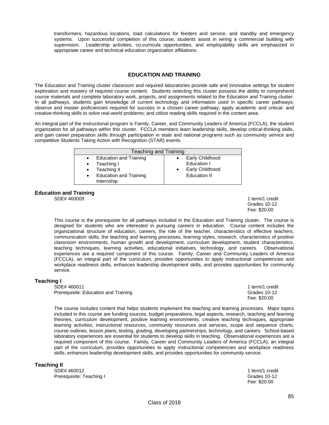transformers, hazardous locations, load calculations for feeders and service, and standby and emergency systems. Upon successful completion of this course, students assist in wiring a commercial building with supervision. Leadership activities, co-curricula opportunities, and employability skills are emphasized in appropriate career and technical education organization affiliations.

### **EDUCATION AND TRAINING**

The Education and Training cluster classroom and required laboratories provide safe and innovative settings for student exploration and mastery of required course content. Students selecting this cluster possess the ability to comprehend course materials and complete laboratory work, projects, and assignments related to the Education and Training cluster. In all pathways, students gain knowledge of current technology and information used in specific career pathways; observe and master proficiencies required for success in a chosen career pathway; apply academic and critical- and creative-thinking skills to solve real-world problems; and utilize reading skills required in the content area.

An integral part of the instructional program is Family, Career, and Community Leaders of America (FCCLA), the student organization for all pathways within this cluster. FCCLA members learn leadership skills, develop critical-thinking skills, and gain career preparation skills through participation in state and national programs such as community service and competitive Students Taking Action with Recognition (STAR) events.

| <b>Teaching and Training</b>                     |                                                                                             |  |                                                                                 |  |
|--------------------------------------------------|---------------------------------------------------------------------------------------------|--|---------------------------------------------------------------------------------|--|
| $\bullet$<br>$\bullet$<br>$\bullet$<br>$\bullet$ | <b>Education and Training</b><br>Teaching I<br>Teaching II<br><b>Education and Training</b> |  | Early Childhood<br>Education I<br><b>Early Childhood</b><br><b>Education II</b> |  |
|                                                  | Internship                                                                                  |  |                                                                                 |  |

# **Education and Training**

1 term/1 credit Grades 10-12 Fee: \$20.00

This course is the prerequisite for all pathways included in the Education and Training cluster. The course is designed for students who are interested in pursuing careers in education. Course content includes the organizational structure of education, careers, the role of the teacher, characteristics of effective teachers, communication skills, the teaching and learning processes, learning styles, research, characteristics of positive classroom environments, human growth and development, curriculum development, student characteristics, teaching techniques, learning activities, educational initiatives, technology, and careers. Observational experiences are a required component of this course. Family, Career and Community Leaders of America (FCCLA), an integral part of the curriculum, provides opportunities to apply instructional competencies and workplace readiness skills, enhances leadership development skills, and provides opportunities for community service.

# **Teaching I**<br>**SDE# 460011**

Prerequisite: Education and Training Communication and Training Communication of Crades 10-1<br>Fee: \$20.00

1 term/1 credit<br>Grades 10-12 Fee: \$20.00

The course includes content that helps students implement the teaching and learning processes. Major topics included in this course are funding sources, budget preparations, legal aspects, research, teaching and learning theories, curriculum development, positive learning environments, creative teaching techniques, appropriate learning activities, instructional resources, community resources and services, scope and sequence charts, course outlines, lesson plans, testing, grading, developing partnerships, technology, and careers. School-based laboratory experiences are essential for students to develop skills in teaching. Observational experiences are a required component of this course. Family, Career and Community Leaders of America (FCCLA), an integral part of the curriculum, provides opportunities to apply instructional competencies and workplace readiness skills, enhances leadership development skills, and provides opportunities for community service.

**Teaching II** 

SDE# 460012 1 term/1 credit Prerequisite: Teaching I Grades 10-12

Fee: \$20.00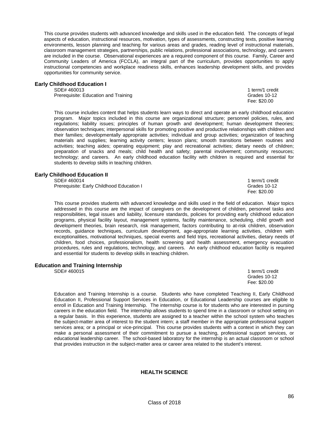This course provides students with advanced knowledge and skills used in the education field. The concepts of legal aspects of education, instructional resources, motivation, types of assessments, constructing texts, positive learning environments, lesson planning and teaching for various areas and grades, reading level of instructional materials, classroom management strategies, partnerships, public relations, professional associations, technology, and careers are included in the course. Observational experiences are a required component of this course. Family, Career and Community Leaders of America (FCCLA), an integral part of the curriculum, provides opportunities to apply instructional competencies and workplace readiness skills, enhances leadership development skills, and provides opportunities for community service.

### **Early Childhood Education I**

SDE# 460013 1 term/1 credit Prerequisite: Education and Training Communication and Training Communication and Training Communication and Training

Fee: \$20.00

This course includes content that helps students learn ways to direct and operate an early childhood education program. Major topics included in this course are organizational structure; personnel policies, rules, and regulations; liability issues; principles of human growth and development; human development theories; observation techniques; interpersonal skills for promoting positive and productive relationships with children and their families; developmentally appropriate activities; individual and group activities; organization of teaching materials and supplies; learning activity centers; lesson plans; smooth transitions between routines and activities; teaching aides; operating equipment; play and recreational activities; dietary needs of children; preparation of snacks and meals; child health and safety; parental involvement; community resources; technology; and careers. An early childhood education facility with children is required and essential for students to develop skills in teaching children.

# **Early Childhood Education II**

Prerequisite: Early Childhood Education I

1 term/1 credit<br>Grades 10-12 Fee: \$20.00

This course provides students with advanced knowledge and skills used in the field of education. Major topics addressed in this course are the impact of caregivers on the development of children, personnel tasks and responsibilities, legal issues and liability, licensure standards, policies for providing early childhood education programs, physical facility layout, management systems, facility maintenance, scheduling, child growth and development theories, brain research, risk management, factors contributing to at-risk children, observation records, guidance techniques, curriculum development, age-appropriate learning activities, children with exceptionalities, motivational techniques, special events and field trips, recreational activities, dietary needs of children, food choices, professionalism, health screening and health assessment, emergency evacuation procedures, rules and regulations, technology, and careers. An early childhood education facility is required and essential for students to develop skills in teaching children.

### **Education and Training Internship**

SDE# 460015 1 term/1 credit Grades 10-12 Fee: \$20.00

Education and Training Internship is a course. Students who have completed Teaching II, Early Childhood Education II, Professional Support Services in Education, or Educational Leadership courses are eligible to enroll in Education and Training Internship. The internship course is for students who are interested in pursing careers in the education field. The internship allows students to spend time in a classroom or school setting on a regular basis. In this experience, students are assigned to a teacher within the school system who teaches the subject-matter area of interest to the student intern; a staff member in the appropriate professional support services area; or a principal or vice-principal. This course provides students with a context in which they can make a personal assessment of their commitment to pursue a teaching, professional support services, or educational leadership career. The school-based laboratory for the internship is an actual classroom or school that provides instruction in the subject-matter area or career area related to the student's interest.

### **HEALTH SCIENCE**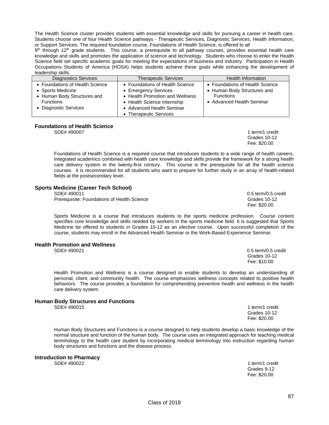personal, client, and community health. The course emphasizes wellness concepts related to positive health behaviors. The course provides a foundation for comprehending preventive health and wellness in the health

Health Promotion and Wellness is a course designed to enable students to develop an understanding of

Sports Medicine is a course that introduces students to the sports medicine profession. Course content specifies core knowledge and skills needed by workers in the sports medicine field. It is suggested that Sports Medicine be offered to students in Grades 10-12 as an elective course. Upon successful completion of the

#### **Human Body Structures and Functions**

care delivery system.

SDE# 490015 1 term/1 credit

**Health Promotion and Wellness** 

Human Body Structures and Functions is a course designed to help students develop a basic knowledge of the normal structure and function of the human body. The course uses an integrated approach for teaching medical terminology to the health care student by incorporating medical terminology into instruction regarding human body structures and functions and the disease process.

**Introduction to Pharmacy** 

1 term/1 credit<br>Grades 9-12 Grades 9-12 Fee: \$20.00

Grades 10-12<br>Fee: \$20.00

course, students may enroll in the Advanced Health Seminar or the Work-Based Experience Seminar.

SDE# 490021 0.5 term/0.5 credit Grades 10-12 Fee: \$10.00

SDE# 490011 0.5 term/0.5 credit Prerequisite: Foundations of Health Science Grades 10-12 Crades 10-12 Fee: \$20.00

Grades 10-12

Foundations of Health Science is a required course that introduces students to a wide range of health careers. Integrated academics combined with health care knowledge and skills provide the framework for a strong health care delivery system in the twenty-first century. This course is the prerequisite for all the health science courses. It is recommended for all students who want to prepare for further study in an array of health-related

### **Foundations of Health Science**

fields at the postsecondary level.

**Sports Medicine (Career Tech School)** 

SDE# 490007 1 term/1 credit

| leadership skills.              |                                 |                                 |
|---------------------------------|---------------------------------|---------------------------------|
| <b>Diagnostics Services</b>     | <b>Therapeutic Services</b>     | <b>Health Information</b>       |
| • Foundations of Health Science | • Foundations of Health Science | • Foundations of Health Science |
| • Sports Medicine               | • Emergency Services            | • Human Body Structures and     |
| • Human Body Structures and     | • Health Promotion and Wellness | <b>Functions</b>                |
| <b>Functions</b>                | • Health Science Internship     | • Advanced Health Seminar       |
| • Diagnostic Services           | • Advanced Health Seminar       |                                 |
|                                 | • Therapeutic Services          |                                 |

Fee: \$20.00

The Health Science cluster provides students with essential knowledge and skills for pursuing a career in health care. Students choose one of four Health Science pathways - Therapeutic Services, Diagnostic Services, Health Information,

9<sup>th</sup> through 12<sup>th</sup> grade students. This course, a prerequisite to all pathway courses, provides essential health care knowledge and skills and promotes the application of science and technology. Students who choose to enter the Health Science field set specific academic goals for meeting the expectations of business and industry. Participation in Health Occupations Students of America (HOSA) helps students achieve these goals while enhancing the development of

or Support Services. The required foundation course, Foundations of Health Science, is offered to all

Fee: \$20.00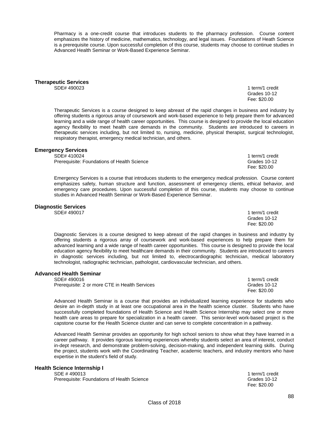Pharmacy is a one-credit course that introduces students to the pharmacy profession. Course content emphasizes the history of medicine, mathematics, technology, and legal issues. Foundations of Heath Science is a prerequisite course. Upon successful completion of this course, students may choose to continue studies in Advanced Health Seminar or Work-Based Experience Seminar.

**Therapeutic Services** 

1 term/1 credit Grades 10-12 Fee: \$20.00

1 term/1 credit

Therapeutic Services is a course designed to keep abreast of the rapid changes in business and industry by offering students a rigorous array of coursework and work-based experience to help prepare them for advanced learning and a wide range of health career opportunities. This course is designed to provide the local education agency flexibility to meet health care demands in the community. Students are introduced to careers in therapeutic services including, but not limited to, nursing, medicine, physical therapist, surgical technologist, respiratory therapist, emergency medical technician, and others.

# **Emergency Services**

Prerequisite: Foundations of Health Science Grades 10-12 Crades 10-12

Emergency Services is a course that introduces students to the emergency medical profession. Course content emphasizes safety, human structure and function, assessment of emergency clients, ethical behavior, and emergency care procedures. Upon successful completion of this course, students may choose to continue studies in Advanced Health Seminar or Work-Based Experience Seminar.

Fee: \$20.00

# **Diagnostic Services**

1 term/1 credit Grades 10-12 Fee: \$20.00

Diagnostic Services is a course designed to keep abreast of the rapid changes in business and industry by offering students a rigorous array of coursework and work-based experiences to help prepare them for advanced learning and a wide range of health career opportunities. This course is designed to provide the local education agency flexibility to meet healthcare demands in their community. Students are introduced to careers in diagnostic services including, but not limited to, electrocardiographic technician, medical laboratory technologist, radiographic technician, pathologist, cardiovascular technician, and others.

### **Advanced Health Seminar**

SDE# 490016 1 term/1 credit 1 term/1 credit 1 term/1 credit 1 term/1 credit Prerequisite: 2 or more CTE in Health Services Contract Contract Contract Crades 10-12

 Fee: \$20.00 Advanced Health Seminar is a course that provides an individualized learning experience for students who desire an in-depth study in at least one occupational area in the health science cluster. Students who have successfully completed foundations of Health Science and Health Science Internship may select one or more health care areas to prepare for specialization in a health career. This senior-level work-based project is the capstone course for the Health Science cluster and can serve to complete concentration in a pathway.

Advanced Health Seminar provides an opportunity for high school seniors to show what they have learned in a career pathway. It provides rigorous learning experiences whereby students select an area of interest, conduct in-dept research, and demonstrate problem-solving, decision-making, and independent learning skills. During the project, students work with the Coordinating Teacher, academic teachers, and industry mentors who have expertise in the student's field of study.

### **Health Science Internship I**

SDE # 490013 1 term/1 credit Prerequisite: Foundations of Health Science Grades 10-12

Fee: \$20.00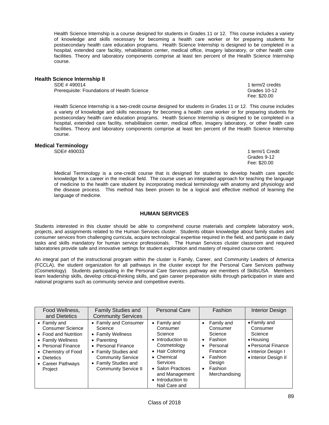Health Science Internship is a course designed for students in Grades 11 or 12. This course includes a variety of knowledge and skills necessary for becoming a health care worker or for preparing students for postsecondary health care education programs. Health Science Internship is designed to be completed in a hospital, extended care facility, rehabilitation center, medical office, imagery laboratory, or other health care facilities. Theory and laboratory components comprise at least ten percent of the Health Science Internship course.

#### **Health Science Internship II**

SDE # 490014 1 term/2 credits Prerequisite: Foundations of Health Science Grades 10-12

Health Science Internship is a two-credit course designed for students in Grades 11 or 12. This course includes a variety of knowledge and skills necessary for becoming a health care worker or for preparing students for postsecondary health care education programs. Health Science Internship is designed to be completed in a hospital, extended care facility, rehabilitation center, medical office, imagery laboratory, or other health care facilities. Theory and laboratory components comprise at least ten percent of the Health Science Internship course.

Fee: \$20.00

### **Medical Terminology**

SDE# 4900331 term/1 Credit

 Grades 9-12 Fee: \$20.00

Medical Terminology is a one-credit course that is designed for students to develop health care specific knowledge for a career in the medical field. The course uses an integrated approach for teaching the language of medicine to the health care student by incorporating medical terminology with anatomy and physiology and the disease process. This method has been proven to be a logical and effective method of learning the language of medicine.

### **HUMAN SERVICES**

Students interested in this cluster should be able to comprehend course materials and complete laboratory work, projects, and assignments related to the Human Services cluster. Students obtain knowledge about family studies and consumer services from challenging curricula, acquire technological expertise required in the field, and participate in daily tasks and skills mandatory for human service professionals. The Human Services cluster classroom and required laboratories provide safe and innovative settings for student exploration and mastery of required course content.

An integral part of the instructional program within the cluster is Family, Career, and Community Leaders of America (FCCLA), the student organization for all pathways in the cluster except for the Personal Care Services pathway (Cosmetology). Students participating in the Personal Care Services pathway are members of SkillsUSA. Members learn leadership skills, develop critical-thinking skills, and gain career preparation skills through participation in state and national programs such as community service and competitive events.

| Food Wellness,<br>and Dietetics                                                                                                                                                          | <b>Family Studies and</b><br><b>Community Services</b>                                                                                                                                                | <b>Personal Care</b>                                                                                                                                                                              | <b>Fashion</b>                                                                                                                                                   | <b>Interior Design</b>                                                                                                |
|------------------------------------------------------------------------------------------------------------------------------------------------------------------------------------------|-------------------------------------------------------------------------------------------------------------------------------------------------------------------------------------------------------|---------------------------------------------------------------------------------------------------------------------------------------------------------------------------------------------------|------------------------------------------------------------------------------------------------------------------------------------------------------------------|-----------------------------------------------------------------------------------------------------------------------|
| $\bullet$ Family and<br><b>Consumer Science</b><br>• Food and Nutrition<br>• Family Wellness<br>• Personal Finance<br>• Chemistry of Food<br>• Dietetics<br>• Career Pathways<br>Project | • Family and Consumer<br>Science<br>• Family Wellness<br>• Parenting<br>• Personal Finance<br>• Family Studies and<br><b>Community Service</b><br>• Family Studies and<br><b>Community Service II</b> | • Family and<br>Consumer<br>Science<br>• Introduction to<br>Cosmetology<br>• Hair Coloring<br>• Chemical<br>Services<br>• Salon Practices<br>and Management<br>• Introduction to<br>Nail Care and | Family and<br>$\bullet$<br>Consumer<br>Science<br>Fashion<br>$\bullet$<br>Personal<br>٠<br>Finance<br>Fashion<br>Design<br>Fashion<br>$\bullet$<br>Merchandising | • Family and<br>Consumer<br>Science<br>• Housing<br>• Personal Finance<br>• Interior Design I<br>• Interior Design II |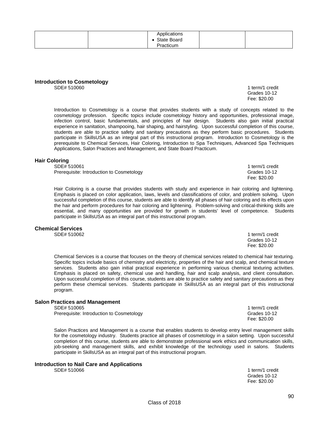| $\cdots$<br>Applications |  |
|--------------------------|--|
| <b>State Board</b>       |  |
| Practicum                |  |

#### **Introduction to Cosmetology**

SDE# 510060 1 term/1 credit in the state of the state of the state of the state of the state of the state of the state of the state of the state of the state of the state of the state of the state of the state of the state

 Grades 10-12 Fee: \$20.00

Introduction to Cosmetology is a course that provides students with a study of concepts related to the cosmetology profession. Specific topics include cosmetology history and opportunities, professional image, infection control, basic fundamentals, and principles of hair design. Students also gain initial practical experience in sanitation, shampooing, hair shaping, and hairstyling. Upon successful completion of this course, students are able to practice safety and sanitary precautions as they perform basic procedures. Students participate in SkillsUSA as an integral part of this instructional program. Introduction to Cosmetology is the prerequisite to Chemical Services, Hair Coloring, Introduction to Spa Techniques, Advanced Spa Techniques Applications, Salon Practices and Management, and State Board Practicum.

# **Hair Coloring**

Prerequisite: Introduction to Cosmetology entity and the Cosmetology of the Grades 10-12<br>Fee: \$20.00

Hair Coloring is a course that provides students with study and experience in hair coloring and lightening. Emphasis is placed on color application, laws, levels and classifications of color, and problem solving. Upon successful completion of this course, students are able to identify all phases of hair coloring and its effects upon the hair and perform procedures for hair coloring and lightening. Problem-solving and critical-thinking skills are essential, and many opportunities are provided for growth in students' level of competence. Students participate in SkillsUSA as an integral part of this instructional program.

### **Chemical Services**

Chemical Services is a course that focuses on the theory of chemical services related to chemical hair texturing. Specific topics include basics of chemistry and electricity, properties of the hair and scalp, and chemical texture services. Students also gain initial practical experience in performing various chemical texturing activities. Emphasis is placed on safety, chemical use and handling, hair and scalp analysis, and client consultation. Upon successful completion of this course, students are able to practice safety and sanitary precautions as they perform these chemical services. Students participate in SkillsUSA as an integral part of this instructional program.

# **Salon Practices and Management**

Prerequisite: Introduction to Cosmetology entity and the Cosmetology of the Cosmetology of the Cosmetology of the Cosmetology of the Cosmetology of the Cosmetology of the Cosmetology of the Cosmetology of the Cosmetology o

Salon Practices and Management is a course that enables students to develop entry level management skills for the cosmetology industry. Students practice all phases of cosmetology in a salon setting. Upon successful completion of this course, students are able to demonstrate professional work ethics and communication skills, job-seeking and management skills, and exhibit knowledge of the technology used in salons. Students participate in SkillsUSA as an integral part of this instructional program.

Fee: \$20.00

# **Introduction to Nail Care and Applications**

1 term/1 credit Grades 10-12 Fee: \$20.00

1 term/1 credit<br>Grades 10-12 Fee: \$20.00

 Grades 10-12 Fee: \$20.00

1 term/1 credit

1 term/1 credit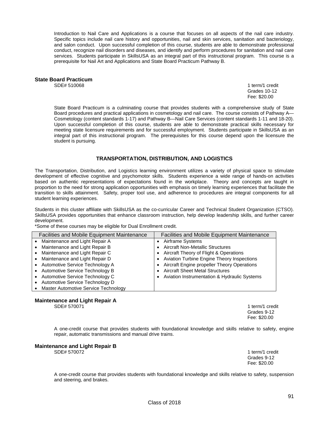Introduction to Nail Care and Applications is a course that focuses on all aspects of the nail care industry. Specific topics include nail care history and opportunities, nail and skin services, sanitation and bacteriology, and salon conduct. Upon successful completion of this course, students are able to demonstrate professional conduct, recognize nail disorders and diseases, and identify and perform procedures for sanitation and nail care services. Students participate in SkillsUSA as an integral part of this instructional program. This course is a prerequisite for Nail Art and Applications and State Board Practicum Pathway B.

### **State Board Practicum**

1 term/1 credit Grades 10-12 Fee: \$20.00

State Board Practicum is a culminating course that provides students with a comprehensive study of State Board procedures and practical applications in cosmetology and nail care. The course consists of Pathway A— Cosmetology (content standards 1-17) and Pathway B—Nail Care Services (content standards 1-11 and 18-20). Upon successful completion of this course, students are able to demonstrate practical skills necessary for meeting state licensure requirements and for successful employment. Students participate in SkillsUSA as an integral part of this instructional program. The prerequisites for this course depend upon the licensure the student is pursuing.

### **TRANSPORTATION, DISTRIBUTION, AND LOGISTICS**

The Transportation, Distribution, and Logistics learning environment utilizes a variety of physical space to stimulate development of effective cognitive and psychomotor skills. Students experience a wide range of hands-on activities based on authentic representations of expectations found in the workplace. Theory and concepts are taught in proportion to the need for strong application opportunities with emphasis on timely learning experiences that facilitate the transition to skills attainment. Safety, proper tool use, and adherence to procedures are integral components for all student learning experiences.

Students in this cluster affiliate with SkillsUSA as the co-curricular Career and Technical Student Organization (CTSO). SkillsUSA provides opportunities that enhance classroom instruction, help develop leadership skills, and further career development.

\*Some of these courses may be eligible for Dual Enrollment credit.

| Facilities and Mobile Equipment Maintenance | <b>Facilities and Mobile Equipment Maintenance</b> |
|---------------------------------------------|----------------------------------------------------|
| Maintenance and Light Repair A              | Airframe Systems                                   |
| Maintenance and Light Repair B              | Aircraft Non-Metallic Structures                   |
| Maintenance and Light Repair C              | Aircraft Theory of Flight & Operations             |
| Maintenance and Light Repair D              | <b>Aviation Turbine Engine Theory Inspections</b>  |
| • Automotive Service Technology A           | Aircraft Engine propeller Theory Operations        |
| • Automotive Service Technology B           | <b>Aircraft Sheet Metal Structures</b>             |
| Automotive Service Technology C             | Aviation Instrumentation & Hydraulic Systems       |
| Automotive Service Technology D             |                                                    |
| Master Automotive Service Technology        |                                                    |

### **Maintenance and Light Repair A**<br>SDE# 570071

1 term/1 credit Grades 9-12 Fee: \$20.00

A one-credit course that provides students with foundational knowledge and skills relative to safety, engine repair, automatic transmissions and manual drive trains.

# **Maintenance and Light Repair B**

1 term/1 credit<br>Grades 9-12 Grades 9-12 Fee: \$20.00

A one-credit course that provides students with foundational knowledge and skills relative to safety, suspension and steering, and brakes.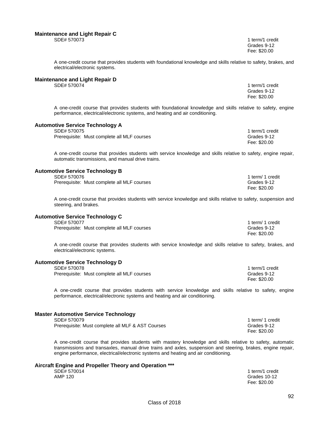#### **Maintenance and Light Repair C**

SDE# 570073 Grades 9-12 Fee: \$20.00

A one-credit course that provides students with foundational knowledge and skills relative to safety, brakes, and electrical/electronic systems.

# **Maintenance and Light Repair D**

1 term/1 credit Grades 9-12 Fee: \$20.00

A one-credit course that provides students with foundational knowledge and skills relative to safety, engine performance, electrical/electronic systems, and heating and air conditioning.

### **Automotive Service Technology A**

| SDE# 570075                                 | 1 term/1 credit |
|---------------------------------------------|-----------------|
| Prerequisite: Must complete all MLF courses | Grades 9-12     |
|                                             | Fee: \$20.00    |

A one-credit course that provides students with service knowledge and skills relative to safety, engine repair, automatic transmissions, and manual drive trains.

### **Automotive Service Technology B**

|  | SDE# 570076 |
|--|-------------|
|--|-------------|

| SDE# 570076                                 | 1 term/ 1 credit |
|---------------------------------------------|------------------|
| Prerequisite: Must complete all MLF courses | Grades 9-12      |
|                                             | Fee: \$20.00     |

A one-credit course that provides students with service knowledge and skills relative to safety, suspension and steering, and brakes.

### **Automotive Service Technology C**

| SDE# 570077                                 | 1 term/ 1 credit |
|---------------------------------------------|------------------|
| Prerequisite: Must complete all MLF courses | Grades 9-12      |
|                                             | Fee: \$20.00     |

A one-credit course that provides students with service knowledge and skills relative to safety, brakes, and electrical/electronic systems.

#### **Automotive Service Technology D**

| SDE# 570078                                 | 1 term/1 credit |
|---------------------------------------------|-----------------|
| Prerequisite: Must complete all MLF courses | Grades 9-12     |
|                                             | Fee: \$20.00    |

A one-credit course that provides students with service knowledge and skills relative to safety, engine performance, electrical/electronic systems and heating and air conditioning.

### **Master Automotive Service Technology**

| SDE# 570079                                       | 1 term/ 1 credit |
|---------------------------------------------------|------------------|
| Prerequisite: Must complete all MLF & AST Courses | Grades 9-12      |
|                                                   | Fee: \$20.00     |

A one-credit course that provides students with mastery knowledge and skills relative to safety, automatic transmissions and transaxles, manual drive trains and axles, suspension and steering, brakes, engine repair, engine performance, electrical/electronic systems and heating and air conditioning.

# **Aircraft Engine and Propeller Theory and Operation \*\*\***

SDE# 570014 1 term/1 credit<br>AMP 120 3000 12 AMP 120 Grades 10-12 Fee: \$20.00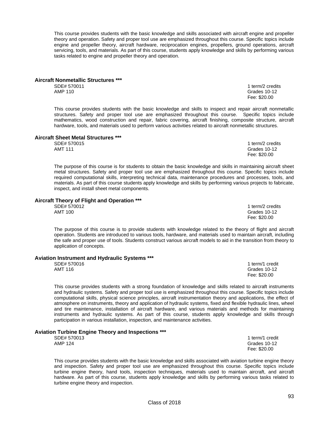This course provides students with the basic knowledge and skills associated with aircraft engine and propeller theory and operation. Safety and proper tool use are emphasized throughout this course. Specific topics include engine and propeller theory, aircraft hardware, reciprocation engines, propellers, ground operations, aircraft servicing, tools, and materials. As part of this course, students apply knowledge and skills by performing various tasks related to engine and propeller theory and operation.

# **Aircraft Nonmetallic Structures \*\*\***

SDE# 570011 1 term/2 credits and the state of the state of the state of the state of the state of the state of the state of the state of the state of the state of the state of the state of the state of the state of the sta

This course provides students with the basic knowledge and skills to inspect and repair aircraft nonmetallic structures. Safety and proper tool use are emphasized throughout this course. Specific topics include mathematics, wood construction and repair, fabric covering, aircraft finishing, composite structure, aircraft hardware, tools, and materials used to perform various activities related to aircraft nonmetallic structures.

# **Aircraft Sheet Metal Structures \*\*\***

SDE# 570015 1 term/2 credits<br>AMT 111 Grades 10-12 AMT 111 Grades 10-12 Fee: \$20.00

The purpose of this course is for students to obtain the basic knowledge and skills in maintaining aircraft sheet metal structures. Safety and proper tool use are emphasized throughout this course. Specific topics include required computational skills, interpreting technical data, maintenance procedures and processes, tools, and materials. As part of this course students apply knowledge and skills by performing various projects to fabricate, inspect, and install sheet metal components.

# **Aircraft Theory of Flight and Operation \*\*\***

SDE# 570012 1 term/2 credits and 1 term/2 credits and 1 term/2 credits and 1 term/2 credits and 1 term/2 credits and 1 term/2 credits and 1 term/2 credits and 1 term in the state of the state of the state of the state of t

The purpose of this course is to provide students with knowledge related to the theory of flight and aircraft operation. Students are introduced to various tools, hardware, and materials used to maintain aircraft, including the safe and proper use of tools. Students construct various aircraft models to aid in the transition from theory to application of concepts.

### **Aviation Instrument and Hydraulic Systems \*\*\***

| SDE# 570016 |  | 1 term/1 credit |
|-------------|--|-----------------|
| AMT 116     |  | Grades 10-12    |
|             |  | Fee: \$20.00    |

This course provides students with a strong foundation of knowledge and skills related to aircraft instruments and hydraulic systems. Safety and proper tool use is emphasized throughout this course. Specific topics include computational skills, physical science principles, aircraft instrumentation theory and applications, the effect of atmosphere on instruments, theory and application of hydraulic systems, fixed and flexible hydraulic lines, wheel and tire maintenance, installation of aircraft hardware, and various materials and methods for maintaining instruments and hydraulic systems. As part of this course, students apply knowledge and skills through participation in various installation, inspection, and maintenance activities.

This course provides students with the basic knowledge and skills associated with aviation turbine engine theory and inspection. Safety and proper tool use are emphasized throughout this course. Specific topics include turbine engine theory, hand tools, inspection techniques, materials used to maintain aircraft, and aircraft hardware. As part of this course, students apply knowledge and skills by performing various tasks related to

# **Aviation Turbine Engine Theory and Inspections \*\*\***

turbine engine theory and inspection.

SDE# 570013 1 term/1 credit

Grades 10-12 Fee: \$20.00

Grades 10-12 Fee: \$20.00

93

Grades 10-12<br>Fee: \$20.00 Fee: \$20.00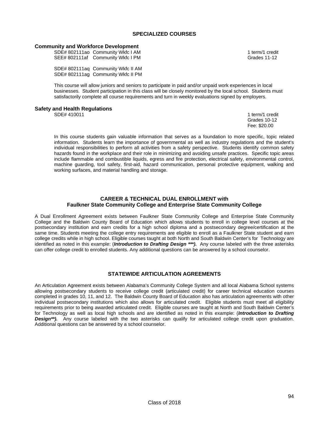### **SPECIALIZED COURSES**

### **Community and Workforce Development**

SDE# 802111ao Community Wkfc I AM 1 term/1 credit SEE# 802111af Community Wkfc I PM Grades 11-12

 SDE# 802111aq Community Wkfc II AM SDE# 802111ag Community Wkfc II PM

This course will allow juniors and seniors to participate in paid and/or unpaid work experiences in local businesses. Student participation in this class will be closely monitored by the local school. Students must satisfactorily complete all course requirements and turn in weekly evaluations signed by employers.

Fee: \$20.00

# **Safety and Health Regulations**

In this course students gain valuable information that serves as a foundation to more specific, topic related information. Students learn the importance of governmental as well as industry regulations and the student's individual responsibilities to perform all activities from a safety perspective. Students identify common safety hazards found in the workplace and their role in minimizing and avoiding unsafe practices. Specific topic areas include flammable and combustible liquids, egress and fire protection, electrical safety, environmental control, machine guarding, tool safety, first-aid, hazard communication, personal protective equipment, walking and working surfaces, and material handling and storage.

### **CAREER & TECHNICAL DUAL ENROLLMENT with Faulkner State Community College and Enterprise State Community College**

A Dual Enrollment Agreement exists between Faulkner State Community College and Enterprise State Community College and the Baldwin County Board of Education which allows students to enroll in college level courses at the postsecondary institution and earn credits for a high school diploma and a postsecondary degree/certification at the same time. Students meeting the college entry requirements are eligible to enroll as a Faulkner State student and earn college credits while in high school. Eligible courses taught at both North and South Baldwin Center's for Technology are identified as noted in this example: (*Introduction to Drafting Design \*\*\*).* Any course labeled with the three asterisks can offer college credit to enrolled students. Any additional questions can be answered by a school counselor.

### **STATEWIDE ARTICULATION AGREEMENTS**

An Articulation Agreement exists between Alabama's Community College System and all local Alabama School systems allowing postsecondary students to receive college credit (articulated credit) for career technical education courses completed in grades 10, 11, and 12. The Baldwin County Board of Education also has articulation agreements with other individual postsecondary institutions which also allows for articulated credit. Eligible students must meet all eligibility requirements prior to being awarded articulated credit. Eligible courses are taught at North and South Baldwin Center's for Technology as well as local high schools and are identified as noted in this example: (*Introduction to Drafting Design\*\*).* Any course labeled with the two asterisks can qualify for articulated college credit upon graduation. Additional questions can be answered by a school counselor.

1 term/1 credit Grades 10-12<br>Fee: \$20.00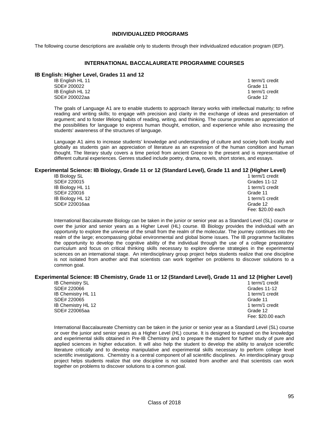### **INDIVIDUALIZED PROGRAMS**

The following course descriptions are available only to students through their individualized education program (IEP).

### **INTERNATIONAL BACCALAUREATE PROGRAMME COURSES**

### **IB English: Higher Level, Grades 11 and 12**

**IB English HL 11** 1 term/1 credit SDE# 200022 Grade 11 IB English HL 12 12<br>
SDE# 200022aa SDE# 200022aa

The goals of Language A1 are to enable students to approach literary works with intellectual maturity; to refine reading and writing skills; to engage with precision and clarity in the exchange of ideas and presentation of argument; and to foster lifelong habits of reading, writing, and thinking. The course promotes an appreciation of the possibilities for language to express human thought, emotion, and experience while also increasing the students' awareness of the structures of language.

Language A1 aims to increase students' knowledge and understanding of culture and society both locally and globally as students gain an appreciation of literature as an expression of the human condition and human thought. The literary study covers a time period from ancient Greece to the present and is representative of different cultural experiences. Genres studied include poetry, drama, novels, short stories, and essays.

### **Experimental Science: IB Biology, Grade 11 or 12 (Standard Level), Grade 11 and 12 (Higher Level)**

| <b>IB Biology SL</b> |  | 1 term/1 credit   |
|----------------------|--|-------------------|
| SDE# 220015          |  | Grades 11-12      |
| IB Biology HL 11     |  | 1 term/1 credit   |
| SDE# 220016          |  | Grade 11          |
| IB Biology HL 12     |  | 1 term/1 credit   |
| SDE# 220016aa        |  | Grade 12          |
|                      |  | Fee: \$20.00 each |

International Baccalaureate Biology can be taken in the junior or senior year as a Standard Level (SL) course or over the junior and senior years as a Higher Level (HL) course. IB Biology provides the individual with an opportunity to explore the universe of the small from the realm of the molecular. The journey continues into the realm of the large; encompassing global environmental and global biome issues. The IB programme facilitates the opportunity to develop the cognitive ability of the individual through the use of a college preparatory curriculum and focus on critical thinking skills necessary to explore diverse strategies in the experimental sciences on an international stage. An interdisciplinary group project helps students realize that one discipline is not isolated from another and that scientists can work together on problems to discover solutions to a common goal.

# **Experimental Science: IB Chemistry, Grade 11 or 12 (Standard Level), Grade 11 and 12 (Higher Level)**

**IB Chemistry SL** SDE# 220066 Grades 11-12<br>
IB Chemistry HI 11 11 12 IB Chemistry HL 11 SDE# 220065 Grade 11 IB Chemistry HL 12 1 term/1 credit SDE# 220065aa Grade 12 Fee: \$20.00 each

International Baccalaureate Chemistry can be taken in the junior or senior year as a Standard Level (SL) course or over the junior and senior years as a Higher Level (HL) course. It is designed to expand on the knowledge and experimental skills obtained in Pre-IB Chemistry and to prepare the student for further study of pure and applied sciences in higher education. It will also help the student to develop the ability to analyze scientific literature critically and to develop manipulative and experimental skills necessary to perform college level scientific investigations. Chemistry is a central component of all scientific disciplines. An interdisciplinary group project helps students realize that one discipline is not isolated from another and that scientists can work together on problems to discover solutions to a common goal.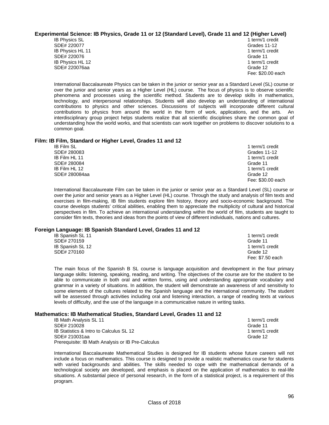### **Experimental Science: IB Physics, Grade 11 or 12 (Standard Level), Grade 11 and 12 (Higher Level)**

 SDE# 220077 Grades 11-12 IB Physics HL 11 **1** term/1 credit SDE# 220076 Grade 11 IB Physics HL 12 1 term/1 credit SDE# 220076aa Grade 12

**IB Physics SL** 1 term/1 credit Fee: \$20.00 each

International Baccalaureate Physics can be taken in the junior or senior year as a Standard Level (SL) course or over the junior and senior years as a Higher Level (HL) course. The focus of physics is to observe scientific phenomena and processes using the scientific method. Students are to develop skills in mathematics, technology, and interpersonal relationships. Students will also develop an understanding of international contributions to physics and other sciences. Discussions of subjects will incorporate different cultural contributions to physics from around the world in the form of work, applications, and the arts. An interdisciplinary group project helps students realize that all scientific disciplines share the common goal of understanding how the world works, and that scientists can work together on problems to discover solutions to a common goal.

### **Film: IB Film, Standard or Higher Level, Grades 11 and 12**

| <b>IB Film SL</b> | 1 term/1 credit   |
|-------------------|-------------------|
| SDE# 280083       | Grades 11-12      |
| IB Film HL 11     | 1 term/1 credit   |
| SDE# 280084       | Grade 11          |
| IB Film HL 12     | 1 term/1 credit   |
| SDE# 280084aa     | Grade 12          |
|                   | Fee: \$30.00 each |

International Baccalaureate Film can be taken in the junior or senior year as a Standard Level (SL) course or over the junior and senior years as a Higher Level (HL) course. Through the study and analysis of film texts and exercises in film-making, IB film students explore film history, theory and socio-economic background. The course develops students' critical abilities, enabling them to appreciate the multiplicity of cultural and historical perspectives in film. To achieve an international understanding within the world of film, students are taught to consider film texts, theories and ideas from the points of view of different individuals, nations and cultures.

### **Foreign Language: IB Spanish Standard Level, Grades 11 and 12**

| <b>IB Spanish SL 11</b> | 1 term/1 credit  |
|-------------------------|------------------|
| SDE# 270159             | Grade 11         |
| IB Spanish SL 12        | 1 term/1 credit  |
| SDE# 270160             | Grade 12         |
|                         | Fee: \$7.50 each |

The main focus of the Spanish B SL course is language acquisition and development in the four primary language skills: listening, speaking, reading, and writing. The objectives of the course are for the student to be able to communicate in both oral and written forms, using and understanding appropriate vocabulary and grammar in a variety of situations. In addition, the student will demonstrate an awareness of and sensitivity to some elements of the cultures related to the Spanish language and the international community. The student will be assessed through activities including oral and listening interaction, a range of reading texts at various levels of difficulty, and the use of the language in a communicative nature in writing tasks.

### **Mathematics: IB Mathematical Studies, Standard Level, Grades 11 and 12**

| <b>IB Math Analysis SL 11</b>                     | 1 term/1 credit |
|---------------------------------------------------|-----------------|
| SDE# 210028                                       | Grade 11        |
| IB Statistics & Intro to Calculus SL 12           | 1 term/1 credit |
| SDE# 210031aa                                     | Grade 12        |
| Prerequisite: IB Math Analysis or IB Pre-Calculus |                 |

International Baccalaureate Mathematical Studies is designed for IB students whose future careers will not include a focus on mathematics. This course is designed to provide a realistic mathematics course for students with varied backgrounds and abilities. The skills needed to cope with the mathematical demands of a technological society are developed, and emphasis is placed on the application of mathematics to real-life situations. A substantial piece of personal research, in the form of a statistical project, is a requirement of this program.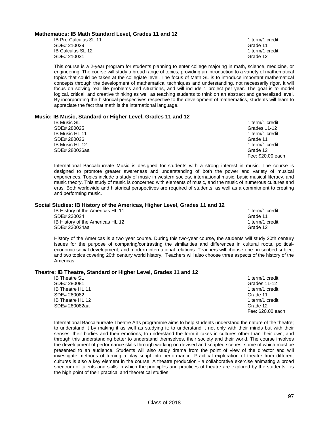### **Mathematics: IB Math Standard Level, Grades 11 and 12**

IB Pre-Calculus SL 11 term/1 credit SDE# 210029 Grade 11 IB Calculus SL 12 1 term/1 credit SDE# 210031 Grade 12

This course is a 2-year program for students planning to enter college majoring in math, science, medicine, or engineering. The course will study a broad range of topics, providing an introduction to a variety of mathematical topics that could be taken at the collegiate level. The focus of Math SL is to introduce important mathematical concepts through the development of mathematical techniques and understanding, not necessarily rigor. It will focus on solving real life problems and situations, and will include 1 project per year. The goal is to model logical, critical, and creative thinking as well as teaching students to think on an abstract and generalized level. By incorporating the historical perspectives respective to the development of mathematics, students will learn to appreciate the fact that math is the international language.

### **Music: IB Music, Standard or Higher Level, Grades 11 and 12**

| <b>IB Music SL</b>    | 1 term/1 credit   |
|-----------------------|-------------------|
| SDE# 280025           | Grades 11-12      |
| <b>IB Music HL 11</b> | 1 term/1 credit   |
| SDE# 280026           | Grade 11          |
| IB Music HL 12        | 1 term/1 credit   |
| SDE# 280026aa         | Grade 12          |
|                       | Fee: \$20,00 each |

International Baccalaureate Music is designed for students with a strong interest in music. The course is designed to promote greater awareness and understanding of both the power and variety of musical experiences. Topics include a study of music in western society, international music, basic musical literacy, and music theory. This study of music is concerned with elements of music, and the music of numerous cultures and eras. Both worldwide and historical perspectives are required of students, as well as a commitment to creating and performing music.

### **Social Studies: IB History of the Americas, Higher Level, Grades 11 and 12**

| IB History of the Americas HL 11 | 1 term/1 credit |
|----------------------------------|-----------------|
| SDE# 230024                      | Grade 11        |
| IB History of the Americas HL 12 | 1 term/1 credit |
| SDE# 230024aa                    | Grade 12        |

History of the Americas is a two year course. During this two-year course, the students will study 20th century issues for the purpose of comparing/contrasting the similarities and differences in cultural roots, politicaleconomic-social development, and modern international relations. Teachers will choose one prescribed subject and two topics covering 20th century world history. Teachers will also choose three aspects of the history of the Americas.

### **Theatre: IB Theatre, Standard or Higher Level, Grades 11 and 12**

| <b>IB Theatre SL</b>    | 1 term/1 credit   |
|-------------------------|-------------------|
| SDE# 280081             | Grades 11-12      |
| <b>IB Theatre HL 11</b> | 1 term/1 credit   |
| SDE# 280082             | Grade 11          |
| IB Theatre HL 12        | 1 term/1 credit   |
| SDE# 280082aa           | Grade 12          |
|                         | Fee: \$20.00 each |

International Baccalaureate Theatre Arts programme aims to help students understand the nature of the theatre; to understand it by making it as well as studying it; to understand it not only with their minds but with their senses, their bodies and their emotions; to understand the form it takes in cultures other than their own; and through this understanding better to understand themselves, their society and their world. The course involves the development of performance skills through working on devised and scripted scenes, some of which must be presented to an audience. Students will also study drama from the point of view of the director and will investigate methods of turning a play script into performance. Practical exploration of theatre from different cultures is also a key element in the course. A theatre production - a collaborative exercise animating a broad spectrum of talents and skills in which the principles and practices of theatre are explored by the students - is the high point of their practical and theoretical studies.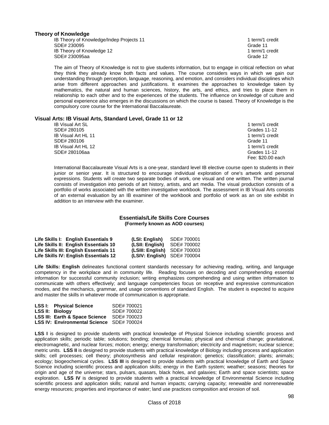### **Theory of Knowledge**

**IB Theory of Knowledge/Indep Projects 11 term/1 credit in the state of the 1 term/1 credit**  SDE# 230095 Grade 11 IB Theory of Knowledge 12 1 term/1 credit SDE# 230095aa Grade 12 Grade 12 Grade 12 Grade 12 Grade 12 Grade 12 Grade 12 Grade 12

The aim of Theory of Knowledge is not to give students information, but to engage in critical reflection on what they think they already know both facts and values. The course considers ways in which we gain our understanding through perception, language, reasoning, and emotion, and considers individual disciplines which arise from different approaches and justifications. It examines the approaches to knowledge taken by mathematics, the natural and human sciences, history, the arts, and ethics, and tries to place them in relationship to each other and to the experiences of the students. The influence on knowledge of culture and personal experience also emerges in the discussions on which the course is based. Theory of Knowledge is the compulsory core course for the International Baccalaureate.

### **Visual Arts: IB Visual Arts, Standard Level, Grade 11 or 12**

| <b>IB Visual Art SL</b> | 1 term/1 credit   |
|-------------------------|-------------------|
| SDE# 280105             | Grades 11-12      |
| IB Visual Art HL 11     | 1 term/1 credit   |
| SDE# 280106             | Grade 11          |
| IB Visual Art HL 12     | 1 term/1 credit   |
| SDE# 280106aa           | Grades 11-12      |
|                         | Fee: \$20.00 each |

International Baccalaureate Visual Arts is a one-year, standard level IB elective course open to students in their junior or senior year. It is structured to encourage individual exploration of one's artwork and personal expressions. Students will create two separate bodies of work, one visual and one written. The written journal consists of investigation into periods of art history, artists, and art media. The visual production consists of a portfolio of works associated with the written investigative workbook. The assessment in IB Visual Arts consists of an external evaluation by an IB examiner of the workbook and portfolio of work as an on site exhibit in addition to an interview with the examiner.

#### **Essentials/Life Skills Core Courses (Formerly known as AOD courses)**

| Life Skills I: English Essentials 9    |                                       | (LSI: English)                 | SDE# 700001 |
|----------------------------------------|---------------------------------------|--------------------------------|-------------|
| Life Skills II: English Essentials 10  |                                       | (LSII: English)                | SDE# 700002 |
| Life Skills III: English Essentials 11 |                                       | $(LSIII: English)$ SDE# 700003 |             |
|                                        | Life Skills IV: English Essentials 12 | $(LSIV: English)$ SDE# 700004  |             |

**Life Skills: English** delineates functional content standards necessary for achieving reading, writing, and language competency in the workplace and in community life. Reading focuses on decoding and comprehending essential information for successful community inclusion; writing emphasizes comprehending and using written information to communicate with others effectively; and language competencies focus on receptive and expressive communication modes, and the mechanics, grammar, and usage conventions of standard English. The student is expected to acquire and master the skills in whatever mode of communication is appropriate.

| <b>LSS I: Physical Science</b>            | SDE# 700021 |
|-------------------------------------------|-------------|
| LSS II: Biology                           | SDE# 700022 |
| LSS III: Earth & Space Science            | SDE# 700023 |
| LSS IV: Environmental Science SDE# 700024 |             |

**LSS I** is designed to provide students with practical knowledge of Physical Science including scientific process and application skills; periodic table; solutions; bonding; chemical formulas; physical and chemical change; gravitational, electromagnetic, and nuclear forces; motion; energy; energy transformation; electricity and magnetism; nuclear science; metric units. **LSS II** is designed to provide students with practical knowledge of Biology including process and application skills; cell processes; cell theory; photosynthesis and cellular respiration; genetics; classification; plants; animals; ecology; biogeochemical cycles. **LSS III** is designed to provide students with practical knowledge of Earth and Space Science including scientific process and application skills; energy in the Earth system; weather; seasons; theories for origin and age of the universe; stars, pulsars, quasars, black holes, and galaxies; Earth and space scientists; space exploration. **LSS IV** is designed to provide students with a practical knowledge of Environmental Science including scientific process and application skills; natural and human impacts; carrying capacity; renewable and nonrenewable energy resources; properties and importance of water; land use practices composition and erosion of soil.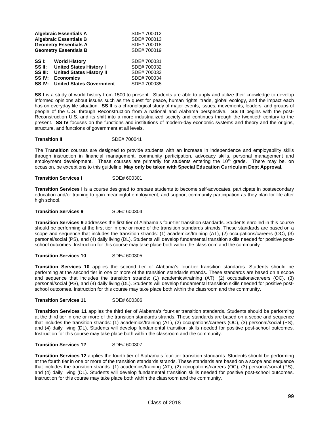|                   | <b>Algebraic Essentials A</b>   | SDE# 700012 |
|-------------------|---------------------------------|-------------|
|                   | <b>Algebraic Essentials B</b>   | SDE# 700013 |
|                   | <b>Geometry Essentials A</b>    | SDE# 700018 |
|                   | <b>Geometry Essentials B</b>    | SDE# 700019 |
| SS I:             | <b>World History</b>            | SDE# 700031 |
| SS II:            | <b>United States History I</b>  | SDE# 700032 |
| SS III:           | <b>United States History II</b> | SDE# 700033 |
| SS IV:            | <b>Economics</b>                | SDE# 700034 |
| SS <sub>IV:</sub> | <b>United States Government</b> | SDE# 700035 |

**SS I** is a study of world history from 1500 to present. Students are able to apply and utilize their knowledge to develop informed opinions about issues such as the quest for peace, human rights, trade, global ecology, and the impact each has on everyday life situation. **SS II** is a chronological study of major events, issues, movements, leaders, and groups of people of the U.S. through Reconstruction from a national and Alabama perspective. **SS III** begins with the post-Reconstruction U.S. and its shift into a more industrialized society and continues through the twentieth century to the present. **SS IV** focuses on the functions and institutions of modern-day economic systems and theory and the origins, structure, and functions of government at all levels.

**Transition II** SDE# 700041

The **Transition** courses are designed to provide students with an increase in independence and employability skills through instruction in financial management, community participation, advocacy skills, personal management and employment development. These courses are primarily for students entering the 10<sup>th</sup> grade. There may be, on occasion, be exceptions to this guideline. **May only be taken with Special Education Curriculum Dept Approval.**

#### **Transition Services I** SDE# 600301

**Transition Services I** is a course designed to prepare students to become self-advocates, participate in postsecondary education and/or training to gain meaningful employment, and support community participation as they plan for life after high school.

**Transition Services 9 SDE# 600304** 

**Transition Services 9** addresses the first tier of Alabama's four-tier transition standards. Students enrolled in this course should be performing at the first tier in one or more of the transition standards strands. These standards are based on a scope and sequence that includes the transition strands: (1) academics/training (AT), (2) occupations/careers (OC), (3) personal/social (PS), and (4) daily living (DL). Students will develop fundamental transition skills needed for positive postschool outcomes. Instruction for this course may take place both within the classroom and the community.

**Transition Services 10** SDE# 600305

**Transition Services 10** applies the second tier of Alabama's four-tier transition standards. Students should be performing at the second tier in one or more of the transition standards strands. These standards are based on a scope and sequence that includes the transition strands: (1) academics/training (AT), (2) occupations/careers (OC), (3) personal/social (PS), and (4) daily living (DL). Students will develop fundamental transition skills needed for positive postschool outcomes. Instruction for this course may take place both within the classroom and the community.

**Transition Services 11** SDE# 600306

**Transition Services 11** applies the third tier of Alabama's four-tier transition standards. Students should be performing at the third tier in one or more of the transition standards strands. These standards are based on a scope and sequence that includes the transition strands: (1) academics/training (AT), (2) occupations/careers (OC), (3) personal/social (PS), and (4) daily living (DL). Students will develop fundamental transition skills needed for positive post-school outcomes. Instruction for this course may take place both within the classroom and the community.

#### **Transition Services 12** SDE# 600307

**Transition Services 12** applies the fourth tier of Alabama's four-tier transition standards. Students should be performing at the fourth tier in one or more of the transition standards strands. These standards are based on a scope and sequence that includes the transition strands: (1) academics/training (AT), (2) occupations/careers (OC), (3) personal/social (PS), and (4) daily living (DL). Students will develop fundamental transition skills needed for positive post-school outcomes. Instruction for this course may take place both within the classroom and the community.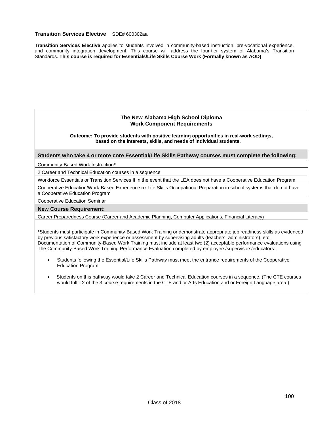### **Transition Services Elective** SDE# 600302aa

**Transition Services Elective** applies to students involved in community-based instruction, pre-vocational experience, and community integration development. This course will address the four-tier system of Alabama's Transition Standards. **This course is required for Essentials/Life Skills Course Work (Formally known as AOD)** 

### **The New Alabama High School Diploma Work Component Requirements**

**Outcome: To provide students with positive learning opportunities in real-work settings, based on the interests, skills, and needs of individual students.** 

### **Students who take 4 or more core Essential/Life Skills Pathway courses must complete the following:**

Community-Based Work Instruction**\***

2 Career and Technical Education courses in a sequence

Workforce Essentials or Transition Services II in the event that the LEA does not have a Cooperative Education Program

Cooperative Education/Work-Based Experience **or** Life Skills Occupational Preparation in school systems that do not have a Cooperative Education Program

Cooperative Education Seminar

#### **New Course Requirement:**

Career Preparedness Course (Career and Academic Planning, Computer Applications, Financial Literacy)

**\***Students must participate in Community-Based Work Training or demonstrate appropriate job readiness skills as evidenced by previous satisfactory work experience or assessment by supervising adults (teachers, administrators), etc. Documentation of Community-Based Work Training must include at least two (2) acceptable performance evaluations using The Community-Based Work Training Performance Evaluation completed by employers/supervisors/educators.

- Students following the Essential/Life Skills Pathway must meet the entrance requirements of the Cooperative Education Program.
- Students on this pathway would take 2 Career and Technical Education courses in a sequence. (The CTE courses would fulfill 2 of the 3 course requirements in the CTE and or Arts Education and or Foreign Language area.)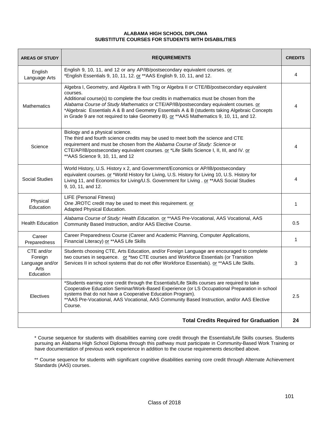### **ALABAMA HIGH SCHOOL DIPLOMA SUBSTITUTE COURSES FOR STUDENTS WITH DISABILITIES**

| <b>AREAS OF STUDY</b>                                         | <b>REQUIREMENTS</b>                                                                                                                                                                                                                                                                                                                                                                                                                                                                           | <b>CREDITS</b> |
|---------------------------------------------------------------|-----------------------------------------------------------------------------------------------------------------------------------------------------------------------------------------------------------------------------------------------------------------------------------------------------------------------------------------------------------------------------------------------------------------------------------------------------------------------------------------------|----------------|
| English<br>Language Arts                                      | English 9, 10, 11, and 12 or any AP/IB/postsecondary equivalent courses. or<br>*English Essentials 9, 10, 11, 12. or ** AAS English 9, 10, 11, and 12.                                                                                                                                                                                                                                                                                                                                        | 4              |
| <b>Mathematics</b>                                            | Algebra I, Geometry, and Algebra II with Trig or Algebra II or CTE/IB/postsecondary equivalent<br>courses.<br>Additional course(s) to complete the four credits in mathematics must be chosen from the<br>Alabama Course of Study Mathematics or CTE/AP/IB/postsecondary equivalent courses. or<br>*Algebraic Essentials A & B and Geometry Essentials A & B (students taking Algebraic Concepts<br>in Grade 9 are not required to take Geometry B). or ** AAS Mathematics 9, 10, 11, and 12. | 4              |
| Science                                                       | Biology and a physical science.<br>The third and fourth science credits may be used to meet both the science and CTE<br>requirement and must be chosen from the Alabama Course of Study: Science or<br>CTE/AP/IB/postsecondary equivalent courses. or *Life Skills Science I, II, III, and IV. or<br>** AAS Science 9, 10, 11, and 12                                                                                                                                                         | 4              |
| <b>Social Studies</b>                                         | World History, U.S. History x 2, and Government/Economics or AP/IB/postsecondary<br>equivalent courses. or *World History for Living, U.S. History for Living 10, U.S. History for<br>Living 11, and Economics for Living/U.S. Government for Living . or ** AAS Social Studies<br>9, 10, 11, and 12.                                                                                                                                                                                         | 4              |
| Physical<br>Education                                         | LIFE (Personal Fitness)<br>One JROTC credit may be used to meet this requirement. or<br>Adapted Physical Education.                                                                                                                                                                                                                                                                                                                                                                           | $\mathbf{1}$   |
| <b>Health Education</b>                                       | Alabama Course of Study: Health Education. or ** AAS Pre-Vocational, AAS Vocational, AAS<br>Community Based Instruction, and/or AAS Elective Course.                                                                                                                                                                                                                                                                                                                                          | 0.5            |
| Career<br>Preparedness                                        | Career Preparedness Course (Career and Academic Planning, Computer Applications,<br>Financial Literacy) or ** AAS Life Skills                                                                                                                                                                                                                                                                                                                                                                 | $\mathbf{1}$   |
| CTE and/or<br>Foreign<br>Language and/or<br>Arts<br>Education | Students choosing CTE, Arts Education, and/or Foreign Language are encouraged to complete<br>two courses in sequence. or *two CTE courses and Workforce Essentials (or Transition<br>Services II in school systems that do not offer Workforce Essentials). or ** AAS Life Skills.                                                                                                                                                                                                            | 3              |
| Electives                                                     | *Students earning core credit through the Essentials/Life Skills courses are required to take<br>Cooperative Education Seminar/Work-Based Experience (or LS Occupational Preparation in school<br>systems that do not have a Cooperative Education Program).<br>** AAS Pre-Vocational, AAS Vocational, AAS Community Based Instruction, and/or AAS Elective<br>Course.                                                                                                                        | 2.5            |
|                                                               | <b>Total Credits Required for Graduation</b>                                                                                                                                                                                                                                                                                                                                                                                                                                                  | 24             |

\* Course sequence for students with disabilities earning core credit through the Essentials/Life Skills courses. Students pursuing an Alabama High School Diploma through this pathway must participate in Community-Based Work Training or have documentation of previous work experience in addition to the course requirements described above.

\*\* Course sequence for students with significant cognitive disabilities earning core credit through Alternate Achievement Standards (AAS) courses.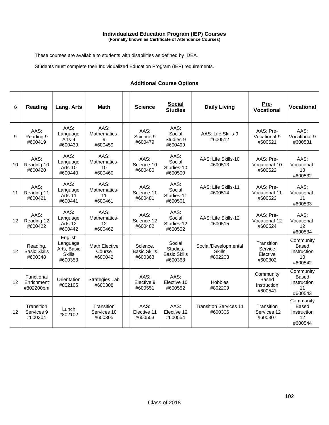#### **Individualized Education Program (IEP) Courses (Formally known as Certificate of Attendance Courses)**

These courses are available to students with disabilities as defined by IDEA.

Students must complete their Individualized Education Program (IEP) requirements.

### **Additional Course Options**

| $\mathbf G$ | <b>Reading</b>                             | <b>Lang. Arts</b>                                              | <b>Math</b>                               | <b>Science</b>                             | <b>Social</b><br><b>Studies</b>                      | <b>Daily Living</b>                              | Pre-<br><b>Vocational</b>                           | <b>Vocational</b>                                  |
|-------------|--------------------------------------------|----------------------------------------------------------------|-------------------------------------------|--------------------------------------------|------------------------------------------------------|--------------------------------------------------|-----------------------------------------------------|----------------------------------------------------|
| 9           | AAS:<br>Reading-9<br>#600419               | AAS:<br>Language<br>Arts-9<br>#600439                          | AAS:<br>Mathematics-<br>9<br>#600459      | AAS:<br>Science-9<br>#600479               | AAS:<br>Social<br>Studies-9<br>#600499               | AAS: Life Skills-9<br>#600512                    | AAS: Pre-<br>Vocational-9<br>#600521                | AAS:<br>Vocational-9<br>#600531                    |
| 10          | AAS:<br>Reading-10<br>#600420              | AAS:<br>Language<br>Arts-10<br>#600440                         | AAS:<br>Mathematics-<br>10<br>#600460     | AAS:<br>Science-10<br>#600480              | AAS:<br>Social<br>Studies-10<br>#600500              | AAS: Life Skills-10<br>#600513                   | AAS: Pre-<br>Vocational-10<br>#600522               | AAS:<br>Vocational-<br>10<br>#600532               |
| 11          | AAS:<br>Reading-11<br>#600421              | AAS:<br>Language<br>Arts-11<br>#600441                         | AAS:<br>Mathematics-<br>11<br>#600461     | AAS:<br>Science-11<br>#600481              | AAS:<br>Social<br>Studies-11<br>#600501              | AAS: Life Skills-11<br>#600514                   | AAS: Pre-<br>Vocational-11<br>#600523               | AAS:<br>Vocational-<br>11<br>#600533               |
| 12          | AAS:<br>Reading-12<br>#600422              | AAS:<br>Language<br>Arts-12<br>#600442                         | AAS:<br>Mathematics-<br>12<br>#600462     | AAS:<br>Science-12<br>#600482              | AAS:<br>Social<br>Studies-12<br>#600502              | AAS: Life Skills-12<br>#600515                   | AAS: Pre-<br>Vocational-12<br>#600524               | AAS:<br>Vocational-<br>12<br>#600534               |
| 12          | Reading,<br><b>Basic Skills</b><br>#600348 | English<br>Language<br>Arts, Basic<br><b>Skills</b><br>#600353 | <b>Math Elective</b><br>Course<br>#600042 | Science.<br><b>Basic Skills</b><br>#600363 | Social<br>Studies,<br><b>Basic Skills</b><br>#600368 | Social/Developmental<br><b>Skills</b><br>#802203 | Transition<br>Service<br>Elective<br>#600302        | Community<br>Based<br>Instruction<br>10<br>#600542 |
| 12          | Functional<br>Enrichment<br>#802200bm      | Orientation<br>#802105                                         | Strategies Lab<br>#600308                 | AAS:<br>Elective 9<br>#600551              | AAS:<br>Elective 10<br>#600552                       | <b>Hobbies</b><br>#802209                        | Community<br><b>Based</b><br>Instruction<br>#600541 | Community<br>Based<br>Instruction<br>11<br>#600543 |
| 12          | Transition<br>Services 9<br>#600304        | Lunch<br>#802102                                               | Transition<br>Services 10<br>#600305      | AAS:<br>Elective 11<br>#600553             | AAS:<br>Elective 12<br>#600554                       | <b>Transition Services 11</b><br>#600306         | Transition<br>Services 12<br>#600307                | Community<br>Based<br>Instruction<br>12<br>#600544 |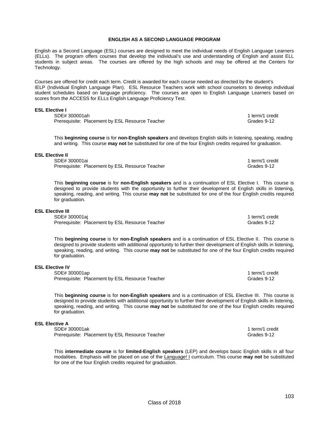#### **ENGLISH AS A SECOND LANGUAGE PROGRAM**

English as a Second Language (ESL) courses are designed to meet the individual needs of English Language Learners (ELLs). The program offers courses that develop the individual's use and understanding of English and assist ELL students in subject areas. The courses are offered by the high schools and may be offered at the Centers for Technology.

Courses are offered for credit each term. Credit is awarded for each course needed as directed by the student's IELP (Individual English Language Plan). ESL Resource Teachers work with school counselors to develop individual student schedules based on language proficiency. The courses are open to English Language Learners based on scores from the ACCESS for ELLs English Language Proficiency Test.

#### **ESL Elective I**

SDE# 300001ah 1 term/1 credit<br>Prerequisite: Placement by ESL Resource Teacher 1 1 term is a controller credit credit credit 1 term/1 credit Prerequisite: Placement by ESL Resource Teacher

This **beginning course** is for **non-English speakers** and develops English skills in listening, speaking, reading and writing. This course **may not** be substituted for one of the four English credits required for graduation.

#### **ESL Elective II**

SDE# 300001ai 1 term/1 credit Prerequisite: Placement by ESL Resource Teacher Grame Communication of Grades 9-12

This **beginning course** is for **non-English speakers** and is a continuation of ESL Elective I. This course is designed to provide students with the opportunity to further their development of English skills in listening, speaking, reading, and writing. This course **may not** be substituted for one of the four English credits required for graduation.

#### **ESL Elective III**

SDE# 300001ai 1 term/1 credit 1 term/1 credit 1 term/1 credit 1 term/1 credit 1 term/1 credit Prerequisite: Placement by ESL Resource Teacher Grame Communications of Grades 9-12

This **beginning course** is for **non-English speakers** and is a continuation of ESL Elective II. This course is designed to provide students with additional opportunity to further their development of English skills in listening, speaking, reading, and writing. This course **may not** be substituted for one of the four English credits required for graduation.

#### **ESL Elective IV**

SDE# 300001ap 1 term/1 credit<br>Prerequisite: Placement by ESL Resource Teacher 1 1 term is a control of the Grades 9-12 Prerequisite: Placement by ESL Resource Teacher

This **beginning course** is for **non-English speakers** and is a continuation of ESL Elective III. This course is designed to provide students with additional opportunity to further their development of English skills in listening, speaking, reading, and writing. This course **may not** be substituted for one of the four English credits required for graduation.

#### **ESL Elective A**

SDE# 300001ak 1 term/1 credit Prerequisite: Placement by ESL Resource Teacher Grame Communications of Grades 9-12

This **intermediate course** is for **limited-English speakers** (LEP) and develops basic English skills in all four modalities. Emphasis will be placed on use of the Language! I curriculum. This course **may not** be substituted for one of the four English credits required for graduation.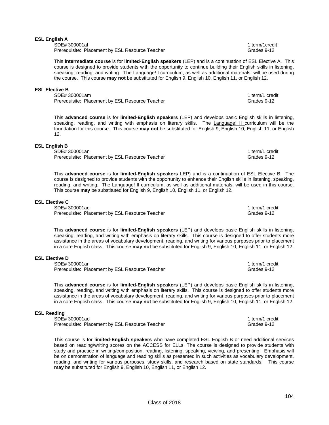### **ESL English A**

SDE# 300001al 1 term/1credit<br>Prerequisite: Placement by ESL Resource Teacher 1 1 term/1credit 1 term/1credit Prerequisite: Placement by ESL Resource Teacher

This **intermediate course** is for **limited-English speakers** (LEP) and is a continuation of ESL Elective A. This course is designed to provide students with the opportunity to continue building their English skills in listening, speaking, reading, and writing. The Language! I curriculum, as well as additional materials, will be used during the course. This course **may not** be substituted for English 9, English 10, English 11, or English 12.

### **ESL Elective B**

SDE# 300001am 1 term/1 credit Prerequisite: Placement by ESL Resource Teacher Grame Communications of Grades 9-12

This **advanced course** is for **limited-English speakers** (LEP) and develops basic English skills in listening, speaking, reading, and writing with emphasis on literary skills. The Language! II curriculum will be the foundation for this course. This course **may not** be substituted for English 9, English 10, English 11, or English 12.

### **ESL English B**

SDE# 300001an 1 term/1 credit 1 term/1 credit 1 term/1 credit 1 term/1 credit Prerequisite: Placement by ESL Resource Teacher Grame Communications of Grades 9-12

This **advanced course** is for **limited-English speakers** LEP) and is a continuation of ESL Elective B. The course is designed to provide students with the opportunity to enhance their English skills in listening, speaking, reading, and writing. The Language! Il curriculum, as well as additional materials, will be used in this course. This course **may** be substituted for English 9, English 10, English 11, or English 12.

### **ESL Elective C**

SDE# 300001aq<br>Prerequisite: Placement by ESL Resource Teacher 1 term and 1 term/1 credit Prerequisite: Placement by ESL Resource Teacher

This **advanced course** is for **limited-English speakers** (LEP) and develops basic English skills in listening, speaking, reading, and writing with emphasis on literary skills. This course is designed to offer students more assistance in the areas of vocabulary development, reading, and writing for various purposes prior to placement in a core English class. This course **may not** be substituted for English 9, English 10, English 11, or English 12.

### **ESL Elective D**

SDE# 300001ar 1 term/1 credit 1 term/1 credit 1 term/1 credit 1 term/1 credit 1 term/1 credit Prerequisite: Placement by ESL Resource Teacher Grame Communications of Grades 9-12

This **advanced course** is for **limited-English speakers** (LEP) and develops basic English skills in listening, speaking, reading, and writing with emphasis on literary skills. This course is designed to offer students more assistance in the areas of vocabulary development, reading, and writing for various purposes prior to placement in a core English class. This course **may not** be substituted for English 9, English 10, English 11, or English 12.

### **ESL Reading**

SDE# 300001ao 1 term/1 credit 1 term/1 credit 1 term/1 credit 1 term/1 credit 1 term/1 credit Prerequisite: Placement by ESL Resource Teacher Grame Communications of Grades 9-12

This course is for **limited-English speakers** who have completed ESL English B or need additional services based on reading/writing scores on the ACCESS for ELLs. The course is designed to provide students with study and practice in writing/composition, reading, listening, speaking, viewing, and presenting. Emphasis will be on demonstration of language and reading skills as presented in such activities as vocabulary development, reading, and writing for various purposes, study skills, and research based on state standards. This course **may** be substituted for English 9, English 10, English 11, or English 12.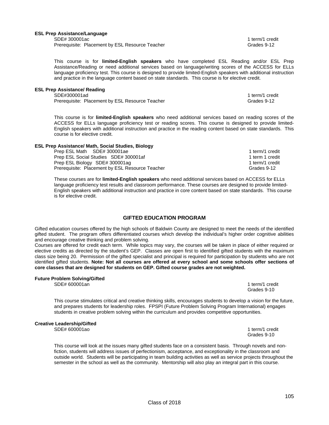#### **ESL Prep Assistance/Language**

SDE# 300001ac1 term/1 credit Prerequisite: Placement by ESL Resource Teacher Grades 9-12

This course is for **limited-English speakers** who have completed ESL Reading and/or ESL Prep Assistance/Reading or need additional services based on language/writing scores of the ACCESS for ELLs language proficiency test. This course is designed to provide limited-English speakers with additional instruction and practice in the language content based on state standards. This course is for elective credit.

#### **ESL Prep Assistance/ Reading**

SDE#300001ad 1 term/1 credit

Prerequisite: Placement by ESL Resource Teacher Grame Communications of Grades 9-12

This course is for **limited-English speakers** who need additional services based on reading scores of the ACCESS for ELLs language proficiency test or reading scores. This course is designed to provide limited-English speakers with additional instruction and practice in the reading content based on state standards. This course is for elective credit.

### **ESL Prep Assistance/ Math, Social Studies, Biology**

Prep ESL Math SDE# 300001ae 1 term/1 credit 1 term/1 credit Prep ESL Social Studies SDE# 300001af 1 term 1 credit Prep ESL Biology SDE# 300001ag 1 term/1 credit Prerequisite: Placement by ESL Resource Teacher Grame Communications of Grades 9-12

These courses are for **limited-English speakers** who need additional services based on ACCESS for ELLs language proficiency test results and classroom performance. These courses are designed to provide limited-English speakers with additional instruction and practice in core content based on state standards. This course is for elective credit.

### **GIFTED EDUCATION PROGRAM**

Gifted education courses offered by the high schools of Baldwin County are designed to meet the needs of the identified gifted student. The program offers differentiated courses which develop the individual's higher order cognitive abilities and encourage creative thinking and problem solving.

Courses are offered for credit each term. While topics may vary, the courses will be taken in place of either required or elective credits as directed by the student's GEP. Classes are open first to identified gifted students with the maximum class size being 20. Permission of the gifted specialist and principal is required for participation by students who are not identified gifted students. **Note: Not all courses are offered at every school and some schools offer sections of core classes that are designed for students on GEP. Gifted course grades are not weighted.** 

### **Future Problem Solving/Gifted**

SDE# 600001an 1 term/1 credit

Grades 9-10

This course stimulates critical and creative thinking skills, encourages students to develop a vision for the future, and prepares students for leadership roles. FPSPI (Future Problem Solving Program International) engages students in creative problem solving within the curriculum and provides competitive opportunities.

### **Creative Leadership/Gifted**

SDE# 600001ao 1 term/1 credit

Grades 9-10

This course will look at the issues many gifted students face on a consistent basis. Through novels and nonfiction, students will address issues of perfectionism, acceptance, and exceptionality in the classroom and outside world. Students will be participating in team building activities as well as service projects throughout the semester in the school as well as the community. Mentorship will also play an integral part in this course.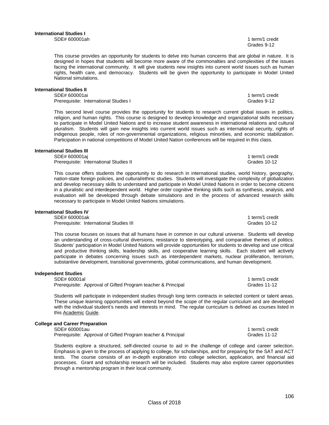106

This course provides an opportunity for students to delve into human concerns that are global in nature. It is designed in hopes that students will become more aware of the commonalties and complexities of the issues facing the international community. It will give students new insights into current world issues such as human rights, health care, and democracy. Students will be given the opportunity to participate in Model United National simulations.

#### **International Studies II**

SDE# 600001ai 1 term/1 credit Prerequisite: International Studies I Grades 9-12

This second level course provides the opportunity for students to research current global issues in politics, religion, and human rights. This course is designed to develop knowledge and organizational skills necessary to participate in Model United Nations and to increase student awareness in international relations and cultural pluralism. Students will gain new insights into current world issues such as international security, rights of indigenous people, roles of non-governmental organizations, religious minorities, and economic stabilization. Participation in national competitions of Model United Nation conferences will be required in this class.

#### **International Studies III**

SDE# 600001aj 1 term/1 credit Prerequisite: International Studies II

This course offers students the opportunity to do research in international studies, world history, geography, nation-state foreign policies, and cultural/ethnic studies. Students will investigate the complexity of globalization and develop necessary skills to understand and participate in Model United Nations in order to become citizens in a pluralistic and interdependent world. Higher order cognitive thinking skills such as synthesis, analysis, and evaluation will be developed through debate simulations and in the process of advanced research skills necessary to participate in Model United Nations simulations.

#### **International Studies IV**

SDE# 600001ak 1 term/1 credit Prerequisite: International Studies III Grades 10-12

This course focuses on issues that all humans have in common in our cultural universe. Students will develop an understanding of cross-cultural diversions, resistance to stereotyping, and comparative themes of politics. Students' participation in Model United Nations will provide opportunities for students to develop and use critical and productive thinking skills, leadership skills, and cooperative learning skills. Each student will actively participate in debates concerning issues such as interdependent markets, nuclear proliferation, terrorism, substantive development, transitional governments, global communications, and human development.

#### **Independent Studies**

SDE# 60001al 1 term/1 credit Prerequisite: Approval of Gifted Program teacher & Principal Grades 11-12

Students will participate in independent studies through long term contracts in selected content or talent areas. These unique learning opportunities will extend beyond the scope of the regular curriculum and are developed with the individual student's needs and interests in mind. The regular curriculum is defined as courses listed in this Academic Guide.

### **College and Career Preparation**

SDE# 600001au 1 term/1 credit 1 term/1 credit 1 term/1 credit 1 term/1 credit 1 term/1 credit Prerequisite: Approval of Gifted Program teacher & Principal Grandes 11-12

Students explore a structured, self-directed course to aid in the challenge of college and career selection. Emphasis is given to the process of applying to college, for scholarships, and for preparing for the SAT and ACT tests. The course consists of an in-depth exploration into college selection, application, and financial aid processes. Grant and scholarship research will be included. Students may also explore career opportunities through a mentorship program in their local community.

Class of 2018

# Grades 9-12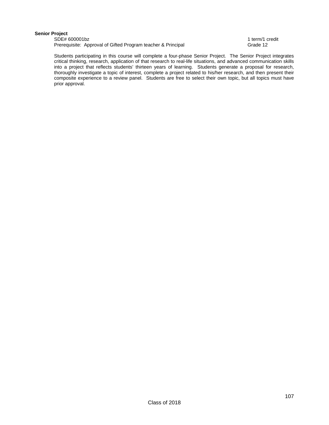### **Senior Project**

SDE# 600001bz<br>
Prerequisite: Approval of Gifted Program teacher & Principal<br>
Prerequisite: Approval of Gifted Program teacher & Principal Prerequisite: Approval of Gifted Program teacher & Principal

 Students participating in this course will complete a four-phase Senior Project. The Senior Project integrates critical thinking, research, application of that research to real-life situations, and advanced communication skills into a project that reflects students' thirteen years of learning. Students generate a proposal for research, thoroughly investigate a topic of interest, complete a project related to his/her research, and then present their composite experience to a review panel. Students are free to select their own topic, but all topics must have prior approval.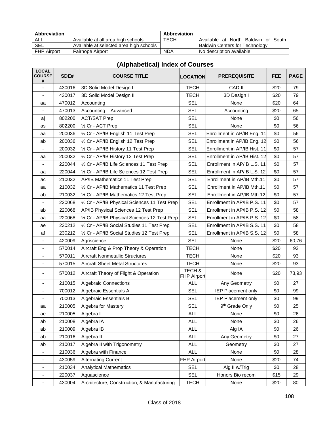| <b>Abbreviation</b> |                                         | <b>Abbreviation</b> |                                       |
|---------------------|-----------------------------------------|---------------------|---------------------------------------|
| ALL                 | Available at all area high schools      | TECH                | Available at North Baldwin or South   |
| SEL                 | Available at selected area high schools |                     | <b>Baldwin Centers for Technology</b> |
| <b>FHP Airport</b>  | <b>Fairhope Airport</b>                 | <b>NDA</b>          | No description available              |

| <b>LOCAL</b><br><b>COURSE</b><br># | SDE#   | <b>COURSE TITLE</b>                                                   | <b>LOCATION</b>       | <b>PREREQUISITE</b>          | <b>FEE</b> | <b>PAGE</b> |
|------------------------------------|--------|-----------------------------------------------------------------------|-----------------------|------------------------------|------------|-------------|
| $\overline{\phantom{a}}$           | 430016 | 3D Solid Model Design I                                               | <b>TECH</b><br>CAD II |                              | \$20       | 79          |
|                                    | 430017 | 3D Solid Model Design II                                              | <b>TECH</b>           | 3D Design I                  | \$20       | 79          |
| aa                                 | 470012 | Accounting                                                            | <b>SEL</b>            | None                         | \$20       | 64          |
|                                    | 470013 | Accounting - Advanced                                                 | <b>SEL</b>            | Accounting                   | \$20       | 65          |
| aj                                 | 802200 | <b>ACT/SAT Prep</b>                                                   | <b>SEL</b>            | None                         | \$0        | 56          |
| as                                 | 802200 | 1/2 Cr - ACT Prep                                                     | <b>SEL</b>            | None                         | \$0        | 56          |
| aa                                 | 200036 | 1/2 Cr - AP/IB English 11 Test Prep                                   | <b>SEL</b>            | Enrollment in AP/IB Eng. 11  | \$0        | 56          |
| ab                                 | 200036 | 1/2 Cr - AP/IB English 12 Test Prep                                   | <b>SEL</b>            | Enrollment in AP/IB Eng. 12  | \$0        | 56          |
|                                    | 200032 | 1/2 Cr - AP/IB History 11 Test Prep                                   | <b>SEL</b>            | Enrollment in AP/IB Hist. 11 | \$0        | 57          |
| aa                                 | 200032 | 1/2 Cr - AP/IB History 12 Test Prep                                   | <b>SEL</b>            | Enrollment in AP/IB Hist. 12 | \$0        | 57          |
| $\overline{\phantom{a}}$           | 220044 | 1/2 Cr - AP/IB Life Sciences 11 Test Prep                             | <b>SEL</b>            | Enrollment in AP/IB L.S. 11  | \$0        | 57          |
| aa                                 | 220044 | 1/2 Cr - AP/IB Life Sciences 12 Test Prep                             | <b>SEL</b>            | Enrollment in AP/IB L.S. 12  | \$0        | 57          |
| ac                                 | 210032 | <b>AP/IB Mathematics 11 Test Prep</b>                                 | <b>SEL</b>            | Enrollment in AP/IB Mth.11   | \$0        | 57          |
| aa                                 | 210032 | 1/2 Cr - AP/IB Mathematics 11 Test Prep                               | <b>SEL</b>            | Enrollment in AP/IB Mth.11   | \$0        | 57          |
| ab                                 | 210032 | 1/2 Cr - AP/IB Mathematics 12 Test Prep                               | <b>SEL</b>            | Enrollment in AP/IB Mth 12   | \$0        | 57          |
|                                    | 220068 | 1/2 Cr - AP/IB Physical Sciences 11 Test Prep                         | <b>SEL</b>            | Enrollment in AP/IB P.S. 11  | \$0        | 57          |
| ab                                 | 220068 | AP/IB Physical Sciences 12 Test Prep                                  | <b>SEL</b>            | Enrollment in AP/IB P.S. 12  | \$0        | 58          |
| aa                                 | 220068 | 1/2 Cr - AP/IB Physical Sciences 12 Test Prep                         | <b>SEL</b>            | Enrollment in AP/IB P.S. 12  | \$0        | 58          |
| ae                                 | 230212 | 1/2 Cr - AP/IB Social Studies 11 Test Prep                            | <b>SEL</b>            | Enrollment in AP/IB S.S. 11  | \$0        | 58          |
| af                                 | 230212 | 1/2 Cr - AP/IB Social Studies 12 Test Prep                            | <b>SEL</b>            | Enrollment in AP/IB S.S. 12  | \$0        | 58          |
|                                    | 420009 | Agriscience                                                           | <b>SEL</b>            | None                         | \$20       | 60,76       |
|                                    | 570014 | <b>TECH</b><br>Aircraft Eng & Prop Theory & Operation                 |                       | None                         | \$20       | 92          |
|                                    | 570011 | <b>Aircraft Nonmetallic Structures</b><br><b>TECH</b><br>None         |                       | \$20                         | 93         |             |
| $\overline{\phantom{a}}$           | 570015 | <b>Aircraft Sheet Metal Structures</b><br><b>TECH</b><br>None         |                       |                              | \$20       | 93          |
| $\overline{\phantom{a}}$           | 570012 | TECH &<br>Aircraft Theory of Flight & Operation<br><b>FHP Airport</b> |                       | None                         | \$20       | 73,93       |
| $\overline{\phantom{a}}$           | 210015 | Algebraic Connections                                                 | <b>ALL</b>            | Any Geometry                 | \$0        | 27          |
|                                    | 700012 | Algebraic Essentials A                                                | <b>SEL</b>            | <b>IEP Placement only</b>    | \$0        | 99          |
|                                    | 700013 | Algebraic Essentials B                                                | <b>SEL</b>            | <b>IEP Placement only</b>    | \$0        | 99          |
| aa                                 | 210005 | Algebra for Mastery                                                   | <b>SEL</b>            | 9 <sup>th</sup> Grade Only   | \$0        | 25          |
| ae                                 | 210005 | Algebra I                                                             | <b>ALL</b>            | None                         | \$0        | 26          |
| ab                                 | 210008 | Algebra IA                                                            | <b>ALL</b>            | None                         | \$0        | 26          |
| ab                                 | 210009 | Algebra IB                                                            | <b>ALL</b>            | Alg IA                       | \$0        | 26          |
| ab                                 | 210016 | Algebra II                                                            | <b>ALL</b>            | Any Geometry                 | \$0        | 27          |
| ab                                 | 210017 | Algebra II with Trigonometry                                          | <b>ALL</b>            | Geometry                     | \$0        | 27          |
|                                    | 210036 | Algebra with Finance                                                  | <b>ALL</b>            | None                         | \$0        | 28          |
| ۰                                  | 430059 | <b>Alternating Current</b>                                            | <b>FHP Airport</b>    | None                         | \$20       | 74          |
|                                    | 210034 | <b>Analytical Mathematics</b>                                         | <b>SEL</b>            | Alg II w/Trig                | \$0        | 28          |
|                                    | 220037 | Aquascience                                                           | <b>SEL</b>            | Honors Bio recom             | \$15       | 29          |
| $\overline{\phantom{a}}$           | 430004 | Architecture, Construction, & Manufacturing                           | <b>TECH</b>           | None                         | \$20       | 80          |

### **(Alphabetical) Index of Courses**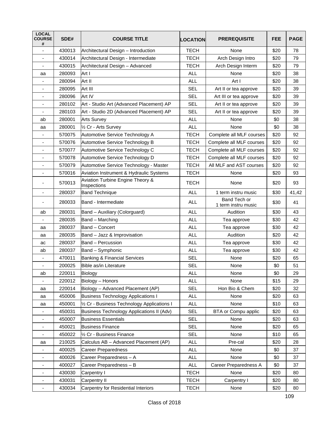| <b>LOCAL</b><br><b>COURSE</b><br># | SDE#   | <b>COURSE TITLE</b>                             | <b>LOCATION</b> | <b>PREREQUISITE</b>                 | <b>FEE</b> | <b>PAGE</b> |
|------------------------------------|--------|-------------------------------------------------|-----------------|-------------------------------------|------------|-------------|
| ÷,                                 | 430013 | Architectural Design - Introduction             | <b>TECH</b>     | None                                | \$20       | 78          |
| $\overline{\phantom{a}}$           | 430014 | Architectural Design - Intermediate             | <b>TECH</b>     | Arch Design Intro                   | \$20       | 79          |
| $\blacksquare$                     | 430015 | Architectural Design - Advanced                 | <b>TECH</b>     | Arch Design Interm                  | \$20       | 79          |
| aa                                 | 280093 | Art I                                           | <b>ALL</b>      | None                                | \$20       | 38          |
| $\overline{\phantom{a}}$           | 280094 | Art II                                          | <b>ALL</b>      | Art I                               | \$20       | 38          |
| $\overline{\phantom{a}}$           | 280095 | Art III                                         | <b>SEL</b>      | Art II or tea approve               | \$20       | 39          |
| ٠                                  | 280096 | Art IV                                          | <b>SEL</b>      | Art III or tea approve              | \$20       | 39          |
| $\overline{\phantom{a}}$           | 280102 | Art - Studio Art (Advanced Placement) AP        | <b>SEL</b>      | Art II or tea approve               | \$20       | 39          |
| $\overline{\phantom{a}}$           | 280103 | Art - Studio 2D (Advanced Placement) AP         | <b>SEL</b>      | Art II or tea approve               | \$20       | 39          |
| ab                                 | 280001 | <b>Arts Survey</b>                              | <b>ALL</b>      | None                                | \$0        | 38          |
| aa                                 | 280001 | 1/2 Cr - Arts Survey                            | <b>ALL</b>      | None                                | \$0        | 38          |
| ٠                                  | 570075 | Automotive Service Technology A                 | <b>TECH</b>     | Complete all MLF courses            | \$20       | 92          |
| $\qquad \qquad \blacksquare$       | 570076 | Automotive Service Technology B                 | <b>TECH</b>     | Complete all MLF courses            | \$20       | 92          |
| $\overline{\phantom{a}}$           | 570077 | Automotive Service Technology C                 | <b>TECH</b>     | Complete all MLF courses            | \$20       | 92          |
|                                    | 570078 | Automotive Service Technology D                 | <b>TECH</b>     | Complete all MLF courses            | \$20       | 92          |
| $\overline{\phantom{a}}$           | 570079 | Automotive Service Technology - Master          | <b>TECH</b>     | All MLF and AST courses             | \$20       | 92          |
| ÷,                                 | 570016 | Aviation Instrument & Hydraulic Systems         | <b>TECH</b>     | None                                | \$20       | 93          |
|                                    | 570013 | Aviation Turbine Engine Theory &<br>Inspections | <b>TECH</b>     | None                                | \$20       | 93          |
|                                    | 280037 | <b>Band Technique</b>                           | <b>ALL</b>      | 1 term instru music                 | \$30       | 41,42       |
| $\overline{\phantom{a}}$           | 280033 | Band - Intermediate                             | <b>ALL</b>      | Band Tech or<br>1 term instru music | \$30       | 41          |
| ab                                 | 280031 | Band - Auxiliary (Colorguard)                   | <b>ALL</b>      | Audition                            | \$30       | 43          |
| $\overline{\phantom{a}}$           | 280035 | Band - Marching                                 | <b>ALL</b>      | Tea approve                         | \$30       | 42          |
| aa                                 | 280037 | Band - Concert                                  | <b>ALL</b>      | Tea approve                         | \$30       | 42          |
| aa                                 | 280035 | Band - Jazz & Improvisation                     | <b>ALL</b>      | Audition                            | \$20       | 42          |
| ac                                 | 280037 | Band - Percussion                               | <b>ALL</b>      | Tea approve                         | \$30       | 42          |
| ab                                 | 280037 | Band - Symphonic                                | <b>ALL</b>      | Tea approve                         | \$30       | 42          |
| $\qquad \qquad \blacksquare$       | 470011 | Banking & Financial Services                    | <b>SEL</b>      | None                                | \$20       | 65          |
| $\overline{\phantom{a}}$           | 200025 | Bible as/in Literature                          | <b>SEL</b>      | None                                | \$0        | 51          |
| ab                                 | 220011 | Biology                                         | <b>ALL</b>      | None                                | \$0        | 29          |
| $\blacksquare$                     | 220012 | Biology - Honors                                | <b>ALL</b>      | None                                | \$15       | 29          |
| aa                                 | 220014 | Biology - Advanced Placement (AP)               | <b>SEL</b>      | Hon Bio & Chem                      | \$20       | 32          |
| aa                                 | 450006 | <b>Business Technology Applications I</b>       | <b>ALL</b>      | None                                | \$20       | 63          |
| aa                                 | 450001 | 1/2 Cr - Business Technology Applications I     | <b>ALL</b>      | None                                | \$10       | 63          |
| $\overline{\phantom{0}}$           | 450031 | Business Technology Applications II (Adv)       | <b>SEL</b>      | BTA or Compu applic                 | \$20       | 63          |
| $\qquad \qquad \blacksquare$       | 450007 | <b>Business Essentials</b>                      | <b>SEL</b>      | None                                | \$20       | 63          |
| $\overline{\phantom{a}}$           | 450021 | <b>Business Finance</b>                         | <b>SEL</b>      | None                                | \$20       | 65          |
|                                    | 450022 | 1/2 Cr - Business Finance                       | <b>SEL</b>      | None                                | \$10       | 65          |
| aa                                 | 210025 | Calculus AB - Advanced Placement (AP)           | <b>ALL</b>      | Pre-cal                             | \$20       | 28          |
| $\overline{\phantom{a}}$           | 400025 | <b>Career Preparedness</b>                      | <b>ALL</b>      | None                                | \$0        | 37          |
| -                                  | 400026 | Career Preparedness - A                         | <b>ALL</b>      | None                                | \$0        | 37          |
| $\overline{\phantom{a}}$           | 400027 | Career Preparedness - B                         | <b>ALL</b>      | Career Preparedness A               | \$0        | 37          |
| $\overline{\phantom{a}}$           | 430030 | Carpentry I                                     | <b>TECH</b>     | None                                | \$20       | 80          |
| $\qquad \qquad \blacksquare$       | 430031 | Carpentry II                                    | <b>TECH</b>     | Carpentry I                         | \$20       | 80          |
| $\overline{\phantom{a}}$           | 430034 | Carpentry for Residential Interiors             | <b>TECH</b>     | None                                | \$20       | 80          |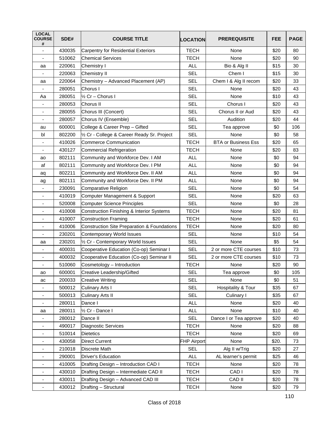| <b>LOCAL</b><br><b>COURSE</b><br># | SDE#   | <b>COURSE TITLE</b>                                  | <b>LOCATION</b>    | <b>PREREQUISITE</b>        | FEE   | <b>PAGE</b> |
|------------------------------------|--------|------------------------------------------------------|--------------------|----------------------------|-------|-------------|
|                                    | 430035 | <b>Carpentry for Residential Exteriors</b>           | <b>TECH</b>        | None                       | \$20  | 80          |
| ٠                                  | 510062 | Chemical Services                                    | <b>TECH</b>        | None                       | \$20  | 90          |
| aa                                 | 220061 | Chemistry I                                          | <b>ALL</b>         | Bio & Alg II               | \$15  | 30          |
|                                    | 220063 | Chemistry II                                         | <b>SEL</b>         | Chem I                     | \$15  | 30          |
| aa                                 | 220064 | Chemistry - Advanced Placement (AP)                  | <b>SEL</b>         | Chem I & Alg II recom      | \$20  | 33          |
|                                    | 280051 | Chorus I                                             | <b>SEL</b>         | None                       | \$20  | 43          |
| Aa                                 | 280051 | 1/ <sub>2</sub> Cr - Chorus I                        | <b>SEL</b>         | None                       | \$10  | 43          |
| ٠                                  | 280053 | Chorus II                                            | <b>SEL</b>         | Chorus I                   | \$20  | 43          |
| ٠                                  | 280055 | Chorus III (Concert)                                 | <b>SEL</b>         | Chorus II or Aud           | \$20  | 43          |
|                                    | 280057 | Chorus IV (Ensemble)                                 | <b>SEL</b>         | Audition                   | \$20  | 44          |
| au                                 | 600001 | College & Career Prep - Gifted                       | <b>SEL</b>         | Tea approve                | \$0   | 106         |
| bl                                 | 802200 | 1/2 Cr - College & Career Ready Sr. Project          | <b>SEL</b>         | None                       | \$0   | 58          |
| $\overline{\phantom{a}}$           | 410026 | <b>Commerce Communication</b>                        | <b>TECH</b>        | <b>BTA or Business Ess</b> | \$20  | 65          |
| $\frac{1}{2}$                      | 430127 | <b>Commercial Refrigeration</b>                      | <b>TECH</b>        | None                       | \$20  | 83          |
| ao                                 | 802111 | Community and Workforce Dev. I AM                    | <b>ALL</b>         | None                       | \$0   | 94          |
| af                                 | 802111 | Community and Workforce Dev. I PM                    | <b>ALL</b>         | None                       | \$0   | 94          |
| aq                                 | 802211 | Community and Workforce Dev. II AM                   | <b>ALL</b>         | None                       | \$0   | 94          |
| ag                                 | 802111 | Community and Workforce Dev. II PM                   | <b>ALL</b>         | None                       | \$0   | 94          |
| ٠                                  | 230091 | Comparative Religion                                 | <b>SEL</b>         | None                       | \$0   | 54          |
| $\blacksquare$                     | 410019 | Computer Management & Support                        | <b>SEL</b>         | None                       | \$20  | 63          |
| ٠                                  | 520008 | <b>Computer Science Principles</b>                   | <b>SEL</b>         | None                       | \$0   | 28          |
| ä,                                 | 410008 | <b>Construction Finishing &amp; Interior Systems</b> | <b>TECH</b>        | None                       | \$20  | 81          |
|                                    | 410007 | <b>Construction Framing</b>                          | <b>TECH</b>        | None                       | \$20  | 61          |
| $\overline{\phantom{a}}$           | 410006 | Construction Site Preparation & Foundations          | <b>TECH</b>        | None                       | \$20  | 80          |
|                                    | 230201 | Contemporary World Issues                            | <b>SEL</b>         | None                       | \$10  | 54          |
| aa                                 | 230201 | 1/2 Cr - Contemporary World Issues                   | <b>SEL</b>         | None                       | \$5   | 54          |
|                                    | 400031 | Cooperative Education (Co-op) Seminar I              | <b>SEL</b>         | 2 or more CTE courses      | \$10  | 73          |
| ٠                                  | 400032 | Cooperative Education (Co-op) Seminar II             | <b>SEL</b>         | 2 or more CTE courses      | \$10  | 73          |
| $\overline{\phantom{a}}$           | 510060 | Cosmetology - Introduction                           | <b>TECH</b>        | None                       | \$20  | 90          |
| ao                                 | 600001 | Creative Leadership/Gifted                           | <b>SEL</b>         | Tea approve                | \$0   | 105         |
| ac                                 | 200033 | <b>Creative Writing</b>                              | <b>SEL</b>         | None                       | \$0   | 51          |
| -                                  | 500012 | <b>Culinary Arts I</b>                               | <b>SEL</b>         | Hospitality & Tour         | \$35  | 67          |
| -                                  | 500013 | <b>Culinary Arts II</b>                              | <b>SEL</b>         | Culinary I                 | \$35  | 67          |
|                                    | 280011 | Dance I                                              | <b>ALL</b>         | None                       | \$20  | 40          |
| aa                                 | 280011 | 1/2 Cr - Dance I                                     | <b>ALL</b>         | None                       | \$10  | 40          |
|                                    | 280012 | Dance II                                             | <b>SEL</b>         | Dance I or Tea approve     | \$20  | 40          |
| $\qquad \qquad \blacksquare$       | 490017 | Diagnostic Services                                  | <b>TECH</b>        | None                       | \$20  | 88          |
|                                    | 510014 | <b>Dietetics</b>                                     | <b>TECH</b>        | None                       | \$20  | 69          |
|                                    | 430058 | <b>Direct Current</b>                                | <b>FHP Airport</b> | None                       | \$20. | 73          |
| $\overline{a}$                     | 210018 | Discrete Math                                        | <b>SEL</b>         | Alg II w/Trig              | \$20  | 27          |
|                                    | 290001 | Driver's Education                                   | ALL                | AL learner's permit        | \$25  | 46          |
|                                    | 410005 | Drafting Design - Introduction CAD I                 | <b>TECH</b>        | None                       | \$20  | 78          |
|                                    | 430010 | Drafting Design - Intermediate CAD II                | <b>TECH</b>        | CAD I                      | \$20  | 78          |
|                                    | 430011 | Drafting Design - Advanced CAD III                   | <b>TECH</b>        | CAD II                     | \$20  | 78          |
| $\qquad \qquad \blacksquare$       | 430012 | Drafting - Structural                                | <b>TECH</b>        | None                       | \$20  | 79          |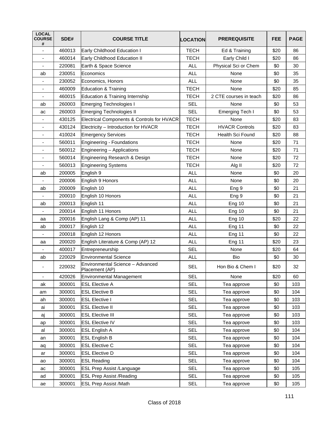| <b>LOCAL</b><br><b>COURSE</b><br># | SDE#   | <b>COURSE TITLE</b>                                | <b>LOCATION</b> | <b>PREREQUISITE</b>     | <b>FEE</b> | <b>PAGE</b> |
|------------------------------------|--------|----------------------------------------------------|-----------------|-------------------------|------------|-------------|
| ä,                                 | 460013 | Early Childhood Education I                        | <b>TECH</b>     | Ed & Training           | \$20       | 86          |
| ÷                                  | 460014 | Early Childhood Education II                       | <b>TECH</b>     | Early Child I           | \$20       | 86          |
| $\blacksquare$                     | 220081 | Earth & Space Science                              | <b>ALL</b>      | Physical Sci or Chem    | \$0        | 30          |
| ab                                 | 230051 | Economics                                          | <b>ALL</b>      | None                    | \$0        | 35          |
| $\overline{\phantom{a}}$           | 230052 | Economics, Honors                                  | <b>ALL</b>      | None                    | \$0        | 35          |
| ÷                                  | 460009 | Education & Training                               | <b>TECH</b>     | None                    | \$20       | 85          |
| ٠                                  | 460015 | Education & Training Internship                    | <b>TECH</b>     | 2 CTE courses in teach  | \$20       | 86          |
| ab                                 | 260003 | Emerging Technologies I                            | <b>SEL</b>      | None                    | \$0        | 53          |
| ac                                 | 260003 | Emerging Technologies II                           | <b>SEL</b>      | <b>Emerging Tech I</b>  | \$0        | 53          |
| ٠                                  | 430125 | Electrical Components & Controls for HVACR         | <b>TECH</b>     | None                    | \$20       | 83          |
| $\overline{\phantom{a}}$           | 430124 | Electricity - Introduction for HVACR               | <b>TECH</b>     | <b>HVACR Controls</b>   | \$20       | 83          |
| $\overline{a}$                     | 410024 | <b>Emergency Services</b>                          | <b>TECH</b>     | <b>Health Sci Found</b> | \$20       | 88          |
| $\overline{\phantom{a}}$           | 560011 | Engineering - Foundations                          | <b>TECH</b>     | None                    | \$20       | 71          |
| ٠                                  | 560012 | Engineering - Applications                         | <b>TECH</b>     | None                    | \$20       | 71          |
| ٠                                  | 560014 | Engineering Research & Design                      | <b>TECH</b>     | None                    | \$20       | 72          |
| $\overline{\phantom{a}}$           | 560013 | <b>Engineering Systems</b>                         | <b>TECH</b>     | Alg II                  | \$20       | 72          |
| ab                                 | 200005 | English 9                                          | <b>ALL</b>      | None                    | \$0        | 20          |
|                                    | 200006 | English 9 Honors                                   | <b>ALL</b>      | None                    | \$0        | 20          |
| ab                                 | 200009 | English 10                                         | <b>ALL</b>      | Eng 9                   | \$0        | 21          |
|                                    | 200010 | English 10 Honors                                  | <b>ALL</b>      | Eng <sub>9</sub>        | \$0        | 21          |
| ab                                 | 200013 | English 11                                         | <b>ALL</b>      | Eng 10                  | \$0        | 21          |
|                                    | 200014 | English 11 Honors                                  | <b>ALL</b>      | <b>Eng 10</b>           | \$0        | 21          |
| aa                                 | 200016 | English Lang & Comp (AP) 11                        | <b>ALL</b>      | <b>Eng 10</b>           | \$20       | 22          |
| ab                                 | 200017 | English 12                                         | <b>ALL</b>      | Eng 11                  | \$0        | 22          |
|                                    | 200018 | English 12 Honors                                  | <b>ALL</b>      | Eng 11                  | \$0        | 22          |
| аа                                 | 200020 | English Literature & Comp (AP) 12                  | <b>ALL</b>      | Eng 11                  | \$20       | 23          |
|                                    | 400017 | Entrepreneurship                                   | <b>SEL</b>      | None                    | \$20       | 64          |
| ab                                 | 220029 | <b>Environmental Science</b>                       | <b>ALL</b>      | Bio                     | \$0        | 30          |
|                                    | 220032 | Environmental Science - Advanced<br>Placement (AP) | <b>SEL</b>      | Hon Bio & Chem I        | \$20       | 32          |
| ÷                                  | 420026 | Environmental Management                           | <b>SEL</b>      | None                    | \$20       | 60          |
| ak                                 | 300001 | <b>ESL Elective A</b>                              | <b>SEL</b>      | Tea approve             | \$0        | 103         |
| am                                 | 300001 | <b>ESL Elective B</b>                              | <b>SEL</b>      | Tea approve             | \$0        | 104         |
| ah                                 | 300001 | <b>ESL Elective I</b>                              | <b>SEL</b>      | Tea approve             | \$0        | 103         |
| ai                                 | 300001 | <b>ESL Elective II</b>                             | <b>SEL</b>      | Tea approve             | \$0        | 103         |
| aj                                 | 300001 | <b>ESL Elective III</b>                            | <b>SEL</b>      | Tea approve             | \$0        | 103         |
| ap                                 | 300001 | <b>ESL Elective IV</b>                             | <b>SEL</b>      | Tea approve             | \$0        | 103         |
| al                                 | 300001 | <b>ESL English A</b>                               | <b>SEL</b>      | Tea approve             | \$0        | 104         |
| an                                 | 300001 | <b>ESL English B</b>                               | <b>SEL</b>      | Tea approve             | \$0        | 104         |
| aq                                 | 300001 | <b>ESL Elective C</b>                              | <b>SEL</b>      | Tea approve             | \$0        | 104         |
| ar                                 | 300001 | <b>ESL Elective D</b>                              | <b>SEL</b>      | Tea approve             | \$0        | 104         |
| ao                                 | 300001 | <b>ESL Reading</b>                                 | <b>SEL</b>      | Tea approve             | \$0        | 104         |
| ac                                 | 300001 | <b>ESL Prep Assist /Language</b>                   | <b>SEL</b>      | Tea approve             | \$0        | 105         |
| ad                                 | 300001 | <b>ESL Prep Assist /Reading</b>                    | <b>SEL</b>      | Tea approve             | \$0        | 105         |
| ae                                 | 300001 | <b>ESL Prep Assist /Math</b>                       | <b>SEL</b>      | Tea approve             | \$0        | 105         |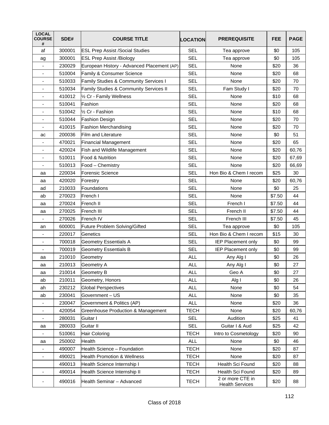| <b>LOCAL</b><br><b>COURSE</b><br># | SDE#   | <b>COURSE TITLE</b>                           | <b>LOCATION</b> | <b>PREREQUISITE</b>                        | FEE    | <b>PAGE</b> |
|------------------------------------|--------|-----------------------------------------------|-----------------|--------------------------------------------|--------|-------------|
| af                                 | 300001 | <b>ESL Prep Assist /Social Studies</b>        | <b>SEL</b>      | Tea approve                                | \$0    | 105         |
| ag                                 | 300001 | <b>ESL Prep Assist /Biology</b>               | <b>SEL</b>      | Tea approve                                | \$0    | 105         |
| $\overline{\phantom{a}}$           | 230029 | European History - Advanced Placement (AP)    | <b>SEL</b>      | None                                       | \$20   | 36          |
|                                    | 510004 | Family & Consumer Science                     | <b>SEL</b>      | None                                       | \$20   | 68          |
| $\overline{\phantom{a}}$           | 510033 | Family Studies & Community Services I         | <b>SEL</b>      | None                                       | \$20   | 70          |
| ٠                                  | 510034 | Family Studies & Community Services II        | <b>SEL</b>      | Fam Study I                                | \$20   | 70          |
| ٠                                  | 410012 | 1/2 Cr - Family Wellness                      | <b>SEL</b>      | None                                       | \$10   | 68          |
| ٠                                  | 510041 | Fashion                                       | <b>SEL</b>      | None                                       | \$20   | 68          |
| ä,                                 | 510042 | 1/ <sub>2</sub> Cr - Fashion                  | <b>SEL</b>      | None                                       | \$10   | 68          |
|                                    | 510044 | <b>Fashion Design</b>                         | <b>SEL</b>      | None                                       | \$20   | 70          |
| $\blacksquare$                     | 410015 | <b>Fashion Merchandising</b>                  | <b>SEL</b>      | None                                       | \$20   | 70          |
| ac                                 | 200036 | <b>Film and Literature</b>                    | <b>SEL</b>      | None                                       | \$0    | 51          |
| $\overline{\phantom{a}}$           | 470021 | <b>Financial Management</b>                   | <b>SEL</b>      | None                                       | \$20   | 65          |
| ٠                                  | 420024 | Fish and Wildlife Management                  | <b>SEL</b>      | None                                       | \$20   | 60,76       |
|                                    | 510011 | Food & Nutrition                              | <b>SEL</b>      | None                                       | \$20   | 67,69       |
| -                                  | 510013 | Food - Chemistry                              | <b>SEL</b>      | None                                       | \$20   | 66,69       |
| aa                                 | 220034 | <b>Forensic Science</b>                       | <b>SEL</b>      | Hon Bio & Chem I recom                     | \$25   | 30          |
| аа                                 | 420020 | Forestry                                      | <b>SEL</b>      | None                                       | \$20   | 60,76       |
| ad                                 | 210033 | Foundations                                   | <b>SEL</b>      | None                                       | \$0    | 25          |
| ab                                 | 270023 | French I                                      | <b>SEL</b>      | None                                       | \$7.50 | 44          |
| aa                                 | 270024 | French II                                     | <b>SEL</b>      | French I                                   | \$7.50 | 44          |
| аа                                 | 270025 | French III                                    | <b>SEL</b>      | French II                                  | \$7.50 | 44          |
|                                    | 270026 | French IV                                     | <b>SEL</b>      | French III                                 | \$7.50 | 45          |
| an                                 | 600001 | Future Problem Solving/Gifted                 | <b>SEL</b>      | Tea approve                                | \$0    | 105         |
| ٠                                  | 220017 | Genetics                                      | <b>SEL</b>      | Hon Bio & Chem I recom                     | \$15   | 30          |
|                                    | 700018 | <b>Geometry Essentials A</b>                  | <b>SEL</b>      | <b>IEP Placement only</b>                  | \$0    | 99          |
| -                                  | 700019 | <b>Geometry Essentials B</b>                  | <b>SEL</b>      | <b>IEP Placement only</b>                  | \$0    | 99          |
| aa                                 | 210010 | Geometry                                      | <b>ALL</b>      | Any Alg I                                  | \$0    | 26          |
| aa                                 | 210013 | Geometry A                                    | <b>ALL</b>      | Any Alg I                                  | \$0    | 27          |
| aa                                 | 210014 | <b>Geometry B</b>                             | <b>ALL</b>      | Geo A                                      | \$0    | 27          |
| ab                                 | 210011 | Geometry, Honors                              | ALL             | Alg I                                      | \$0    | 26          |
| ah                                 | 230212 | <b>Global Perspectives</b>                    | <b>ALL</b>      | None                                       | \$0    | 54          |
| ab                                 | 230041 | Government-US                                 | ALL             | None                                       | \$0    | 35          |
| -                                  | 230047 | Government & Politics (AP)                    | <b>ALL</b>      | None                                       | \$20   | 36          |
| $\overline{\phantom{a}}$           | 420054 | <b>Greenhouse Production &amp; Management</b> | <b>TECH</b>     | None                                       | \$20   | 60,76       |
| -                                  | 280031 | Guitar I                                      | <b>SEL</b>      | Audition                                   | \$25   | 41          |
| aa                                 | 280033 | Guitar II                                     | <b>SEL</b>      | Guitar I & Aud                             | \$25   | 42          |
|                                    | 510061 | <b>Hair Coloring</b>                          | <b>TECH</b>     | Intro to Cosmetology                       | \$20   | 90          |
| aa                                 | 250002 | Health                                        | <b>ALL</b>      | None                                       | \$0    | 46          |
|                                    | 490007 | Health Science - Foundation                   | <b>TECH</b>     | None                                       | \$20   | 87          |
| ÷,                                 | 490021 | <b>Health Promotion &amp; Wellness</b>        | <b>TECH</b>     | None                                       | \$20   | 87          |
|                                    | 490013 | Health Science Internship I                   | <b>TECH</b>     | Health Sci Found                           | \$20   | 88          |
| $\overline{\phantom{a}}$           | 490014 | Health Science Internship II                  | <b>TECH</b>     | Health Sci Found                           | \$20   | 89          |
| -                                  | 490016 | Health Seminar - Advanced                     | <b>TECH</b>     | 2 or more CTE in<br><b>Health Services</b> | \$20   | 88          |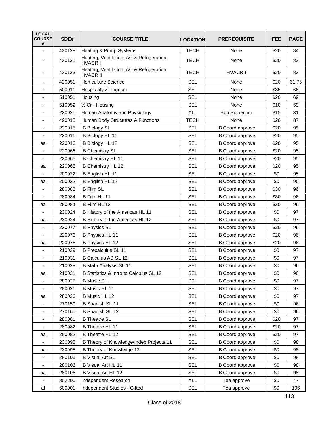| <b>LOCAL</b><br><b>COURSE</b><br># | SDE#   | <b>COURSE TITLE</b>                                         | <b>LOCATION</b> | <b>PREREQUISITE</b>     | <b>FEE</b> | <b>PAGE</b> |
|------------------------------------|--------|-------------------------------------------------------------|-----------------|-------------------------|------------|-------------|
|                                    | 430128 | Heating & Pump Systems                                      | <b>TECH</b>     | None                    | \$20       | 84          |
|                                    | 430121 | Heating, Ventilation, AC & Refrigeration<br>HVACR I         | <b>TECH</b>     | None                    | \$20       | 82          |
|                                    | 430123 | Heating, Ventilation, AC & Refrigeration<br><b>HVACR II</b> | <b>TECH</b>     | <b>HVACR I</b>          | \$20       | 83          |
|                                    | 420051 | <b>Horticulture Science</b>                                 | <b>SEL</b>      | None                    | \$20       | 61,76       |
|                                    | 500011 | <b>Hospitality &amp; Tourism</b>                            | <b>SEL</b>      | None                    | \$35       | 66          |
| $\overline{\phantom{a}}$           | 510051 | Housing                                                     | <b>SEL</b>      | None                    | \$20       | 69          |
|                                    | 510052 | 1/2 Cr - Housing                                            | <b>SEL</b>      | None                    | \$10       | 69          |
|                                    | 220026 | Human Anatomy and Physiology                                | <b>ALL</b>      | Hon Bio recom           | \$15       | 31          |
| ٠                                  | 490015 | Human Body Structures & Functions                           | <b>TECH</b>     | None                    | \$20       | 87          |
|                                    | 220015 | <b>IB Biology SL</b>                                        | <b>SEL</b>      | IB Coord approve        | \$20       | 95          |
|                                    | 220016 | <b>IB Biology HL 11</b>                                     | <b>SEL</b>      | IB Coord approve        | \$20       | 95          |
| aa                                 | 220016 | <b>IB Biology HL 12</b>                                     | <b>SEL</b>      | <b>IB Coord approve</b> | \$20       | 95          |
|                                    | 220066 | <b>IB Chemistry SL</b>                                      | <b>SEL</b>      | <b>IB Coord approve</b> | \$20       | 95          |
| $\overline{\phantom{a}}$           | 220065 | <b>IB Chemistry HL 11</b>                                   | <b>SEL</b>      | IB Coord approve        | \$20       | 95          |
| aa                                 | 220065 | <b>IB Chemistry HL 12</b>                                   | <b>SEL</b>      | IB Coord approve        | \$20       | 95          |
|                                    | 200022 | IB English HL 11                                            | <b>SEL</b>      | <b>IB Coord approve</b> | \$0        | 95          |
| aa                                 | 200022 | IB English HL 12                                            | <b>SEL</b>      | IB Coord approve        | \$0        | 95          |
|                                    | 280083 | <b>IB Film SL</b>                                           | <b>SEL</b>      | IB Coord approve        | \$30       | 96          |
|                                    | 280084 | <b>IB Film HL 11</b>                                        | <b>SEL</b>      | <b>IB Coord approve</b> | \$30       | 96          |
| aa                                 | 280084 | <b>IB Film HL 12</b>                                        | <b>SEL</b>      | IB Coord approve        | \$30       | 96          |
|                                    | 230024 | IB History of the Americas HL 11                            | <b>SEL</b>      | <b>IB Coord approve</b> | \$0        | 97          |
| aa                                 | 230024 | IB History of the Americas HL 12                            | <b>SEL</b>      | IB Coord approve        | \$0        | 97          |
|                                    | 220077 | <b>IB Physics SL</b>                                        | <b>SEL</b>      | <b>IB Coord approve</b> | \$20       | 96          |
|                                    | 220076 | <b>IB Physics HL 11</b>                                     | <b>SEL</b>      | <b>IB Coord approve</b> | \$20       | 96          |
| aa                                 | 220076 | <b>IB Physics HL 12</b>                                     | <b>SEL</b>      | IB Coord approve        | \$20       | 96          |
|                                    | 210029 | <b>IB Precalculus SL 11</b>                                 | <b>SEL</b>      | IB Coord approve        | \$0        | 97          |
| ÷                                  | 210031 | IB Calculus AB SL 12                                        | SEL             | IB Coord approve        | \$0        | 97          |
| $\overline{\phantom{a}}$           | 210028 | <b>IB Math Analysis SL 11</b>                               | <b>SEL</b>      | IB Coord approve        | \$0        | 96          |
| aa                                 | 210031 | IB Statistics & Intro to Calculus SL 12                     | <b>SEL</b>      | IB Coord approve        | \$0        | 96          |
| $\overline{\phantom{0}}$           | 280025 | <b>IB Music SL</b>                                          | <b>SEL</b>      | IB Coord approve        | \$0        | 97          |
| $\overline{\phantom{0}}$           | 280026 | <b>IB Music HL 11</b>                                       | <b>SEL</b>      | IB Coord approve        | \$0        | 97          |
| aa                                 | 280026 | IB Music HL 12                                              | <b>SEL</b>      | IB Coord approve        | \$0        | 97          |
|                                    | 270159 | <b>IB Spanish SL 11</b>                                     | <b>SEL</b>      | IB Coord approve        | \$0        | 96          |
| -                                  | 270160 | <b>IB Spanish SL 12</b>                                     | <b>SEL</b>      | IB Coord approve        | \$0        | 96          |
| -                                  | 280081 | <b>IB Theatre SL</b>                                        | <b>SEL</b>      | IB Coord approve        | \$20       | 97          |
| ۰                                  | 280082 | IB Theatre HL 11                                            | <b>SEL</b>      | IB Coord approve        | \$20       | 97          |
| aa                                 | 280082 | <b>IB Theatre HL 12</b>                                     | <b>SEL</b>      | IB Coord approve        | \$20       | 97          |
| ۰                                  | 230095 | IB Theory of Knowledge/Indep Projects 11                    | <b>SEL</b>      | IB Coord approve        | \$0        | 98          |
| аа                                 | 230095 | IB Theory of Knowledge 12                                   | <b>SEL</b>      | IB Coord approve        | \$0        | 98          |
| ۰                                  | 280105 | <b>IB Visual Art SL</b>                                     | <b>SEL</b>      | IB Coord approve        | \$0        | 98          |
| $\overline{\phantom{a}}$           | 280106 | IB Visual Art HL 11                                         | <b>SEL</b>      | IB Coord approve        | \$0        | 98          |
| aa                                 | 280106 | <b>IB Visual Art HL 12</b>                                  | <b>SEL</b>      | IB Coord approve        | \$0        | 98          |
|                                    | 802200 | Independent Research                                        | <b>ALL</b>      | Tea approve             | \$0        | 47          |
| al                                 | 600001 | Independent Studies - Gifted                                | <b>SEL</b>      | Tea approve             | \$0        | 106         |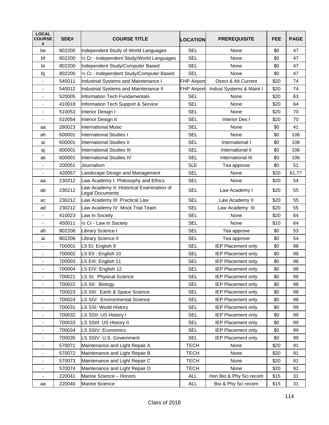| <b>LOCAL</b><br><b>COURSE</b><br># | SDE#   | <b>COURSE TITLE</b>                                          | <b>LOCATION</b>    | <b>PREREQUISITE</b>       | FEE  | <b>PAGE</b> |
|------------------------------------|--------|--------------------------------------------------------------|--------------------|---------------------------|------|-------------|
| be                                 | 802200 | Independent Study of World Languages                         | <b>SEL</b>         | None                      | \$0  | 47          |
| bf                                 | 802200 | 1/2 Cr - Independent Study/World Languages                   | <b>SEL</b>         | None                      | \$0  | 47          |
| bi                                 | 802200 | Independent Study/Computer Based                             | <b>SEL</b>         | None                      | \$0  | 47          |
| bj                                 | 802200 | 1/2 Cr - Independent Study/Computer Based                    | <b>SEL</b>         | None                      | \$0  | 47          |
| $\overline{\phantom{a}}$           | 540011 | Industrial Systems and Maintenance I                         | <b>FHP Airport</b> | Direct & Alt Current      | \$20 | 74          |
| $\overline{\phantom{a}}$           | 540012 | Industrial Systems and Maintenance II                        | <b>FHP Airport</b> | Indust Systems & Maint I  | \$20 | 74          |
| ٠                                  | 520005 | Information Tech Fundamentals                                | <b>SEL</b>         | None                      | \$20 | 63          |
| $\overline{\phantom{a}}$           | 410018 | Information Tech Support & Service                           | <b>SEL</b>         | None                      | \$20 | 64          |
| ÷,                                 | 510053 | Interior Design I                                            | <b>SEL</b>         | None                      | \$20 | 70          |
| ٠                                  | 510054 | Interior Design II                                           | <b>SEL</b>         | Interior Des I            | \$20 | 70          |
| aa                                 | 280023 | <b>International Music</b>                                   | <b>SEL</b>         | None                      | \$0  | 41          |
| ah                                 | 600001 | IInternational Studies I                                     | <b>SEL</b>         | None                      | \$0  | 106         |
| ai                                 | 600001 | International Studies II                                     | <b>SEL</b>         | International I           | \$0  | 106         |
| aj                                 | 600001 | International Studies III                                    | <b>SEL</b>         | International II          | \$0  | 106         |
| ak                                 | 600001 | <b>International Studies IV</b>                              | <b>SEL</b>         | International III         | \$0  | 106         |
| $\overline{\phantom{a}}$           | 200051 | Journalism                                                   | <b>SLE</b>         | Tea approve               | \$0  | 51          |
| $\overline{\phantom{a}}$           | 420057 | Landscape Design and Management                              | <b>SEL</b>         | None                      | \$20 | 61,77       |
| aa                                 | 230212 | Law Academy I: Philosophy and Ethics                         | <b>SEL</b>         | None                      | \$20 | 54          |
| ab                                 | 230212 | Law Academy II: Historical Examination of<br>Legal Documents | <b>SEL</b>         | Law Academy I             | \$20 | 55          |
| ac                                 | 230212 | Law Academy III: Practical Law                               | <b>SEL</b>         | Law Academy II            | \$20 | 55          |
| ad                                 | 230212 | Law Academy IV: Mock Trial Team                              | <b>SEL</b>         | Law Academy III           | \$20 | 55          |
|                                    | 410023 | Law In Society                                               | <b>SEL</b>         | None                      | \$20 | 64          |
| $\overline{\phantom{a}}$           | 450011 | 1/2 Cr - Law In Society                                      | <b>SEL</b>         | None                      | \$10 | 64          |
| ah                                 | 802206 | Library Science I                                            | <b>SEL</b>         | Tea approve               | \$0  | 53          |
| ai                                 | 802206 | Library Science II                                           | <b>SEL</b>         | Tea approve               | \$0  | 54          |
| $\overline{\phantom{a}}$           | 700001 | LS EI: English 9                                             | <b>SEL</b>         | <b>IEP Placement only</b> | \$0  | 98          |
| $\blacksquare$                     | 700002 | LS EII : English 10                                          | <b>SEL</b>         | <b>IEP Placement only</b> | \$0  | 98          |
| $\overline{\phantom{a}}$           | 700003 | LS EIII: English 11                                          | <b>SEL</b>         | <b>IEP Placement only</b> | \$0  | 98          |
| $\blacksquare$                     | 700004 | LS EIV: English 12                                           | <b>SEL</b>         | <b>IEP Placement only</b> | \$0  | 98          |
| ٠                                  | 700021 | LS SI: Physical Science                                      | <b>SEL</b>         | <b>IEP Placement only</b> | \$0  | 98          |
| $\overline{\phantom{a}}$           | 700022 | LS SII: Biology                                              | <b>SEL</b>         | <b>IEP Placement only</b> | \$0  | 98          |
| $\overline{\phantom{a}}$           | 700023 | LS SIII: Earth & Space Science                               | <b>SEL</b>         | <b>IEP Placement only</b> | \$0  | 98          |
| $\qquad \qquad \blacksquare$       | 700024 | LS SIV: Environmental Science                                | <b>SEL</b>         | IEP Placement only        | \$0  | 98          |
| $\overline{\phantom{a}}$           | 700031 | LS SSI: World History                                        | <b>SEL</b>         | IEP Placement only        | \$0  | 99          |
| $\overline{\phantom{a}}$           | 700032 | LS SSII: US History I                                        | <b>SEL</b>         | <b>IEP Placement only</b> | \$0  | 99          |
| $\qquad \qquad \blacksquare$       | 700033 | LS SSIII: US History II                                      | <b>SEL</b>         | IEP Placement only        | \$0  | 99          |
| $\overline{\phantom{a}}$           | 700034 | LS SSIV: Economics                                           | <b>SEL</b>         | <b>IEP Placement only</b> | \$0  | 99          |
| $\qquad \qquad \blacksquare$       | 700035 | LS SSIV: U.S. Government                                     | <b>SEL</b>         | IEP Placement only        | \$0  | 99          |
| $\overline{\phantom{a}}$           | 570071 | Maintenance and Light Repair A                               | <b>TECH</b>        | None                      | \$20 | 91          |
| $\overline{\phantom{a}}$           | 570072 | Maintenance and Light Repair B                               | <b>TECH</b>        | None                      | \$20 | 91          |
| $\overline{\phantom{a}}$           | 570073 | Maintenance and Light Repair C                               | <b>TECH</b>        | None                      | \$20 | 91          |
| $\overline{\phantom{a}}$           | 570074 | Maintenance and Light Repair D                               | <b>TECH</b>        | None                      | \$20 | 92          |
| $\overline{\phantom{a}}$           | 220041 | Marine Science - Honors                                      | ALL                | Hon Bio & Phy Sci recom   | \$15 | 31          |
| aa                                 | 220040 | <b>Marine Science</b>                                        | ALL                | Bio & Phy Sci recom       | \$15 | 31          |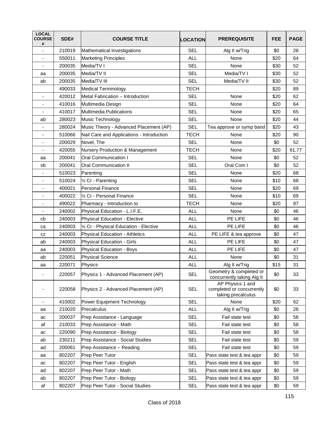| <b>LOCAL</b><br><b>COURSE</b><br># | SDE#   | <b>COURSE TITLE</b>                       | <b>LOCATION</b> | <b>PREREQUISITE</b>                                                 | FEE  | <b>PAGE</b> |
|------------------------------------|--------|-------------------------------------------|-----------------|---------------------------------------------------------------------|------|-------------|
|                                    | 210019 | Mathematical Investigations               | <b>SEL</b>      | Alg II w/Trig                                                       | \$0  | 28          |
| $\overline{\phantom{a}}$           | 550011 | <b>Marketing Principles</b>               | <b>ALL</b>      | None                                                                | \$20 | 64          |
| ٠                                  | 200035 | Media/TV I                                | <b>SEL</b>      | None                                                                | \$30 | 52          |
| aa                                 | 200035 | Media/TV II                               | <b>SEL</b>      | Media/TV I                                                          | \$30 | 52          |
| ab                                 | 200035 | Media/TV III                              | <b>SEL</b>      | Media/TV II                                                         | \$30 | 52          |
|                                    | 490033 | <b>Medical Terminology</b>                | <b>TECH</b>     |                                                                     | \$20 | 89          |
| $\overline{\phantom{a}}$           | 420012 | Metal Fabrication - Introduction          | <b>SEL</b>      | None                                                                | \$20 | 62          |
| $\overline{\phantom{a}}$           | 410016 | Multimedia Design                         | <b>SEL</b>      | None                                                                | \$20 | 64          |
|                                    | 410017 | Multimedia Publications                   | <b>SEL</b>      | None                                                                | \$20 | 65          |
| ab                                 | 280023 | Music Technology                          | <b>SEL</b>      | None                                                                | \$20 | 44          |
|                                    | 280024 | Music Theory - Advanced Placement (AP)    | <b>SEL</b>      | Tea approve or symp band                                            | \$20 | 43          |
| ٠                                  | 510066 | Nail Care and Applications - Introduction | <b>TECH</b>     | None                                                                | \$20 | 90          |
| $\overline{\phantom{a}}$           | 200029 | Novel, The                                | <b>SEL</b>      | None                                                                | \$0  | 52          |
|                                    | 420055 | Nursery Production & Management           | <b>TECH</b>     | None                                                                | \$20 | 61,77       |
| aa                                 | 200041 | Oral Communication I                      | <b>SEL</b>      | None                                                                | \$0  | 52          |
| sb                                 | 200041 | <b>Oral Communication II</b>              | <b>SEL</b>      | Oral Com I                                                          | \$0  | 52          |
| $\overline{\phantom{0}}$           | 510023 | Parenting                                 | <b>SEL</b>      | None                                                                | \$20 | 68          |
| $\overline{\phantom{a}}$           | 510024 | 1/ <sub>2</sub> Cr - Parenting            | <b>SEL</b>      | None                                                                | \$10 | 68          |
| ä,                                 | 400021 | <b>Personal Finance</b>                   | <b>SEL</b>      | None                                                                | \$20 | 69          |
|                                    | 400022 | 1/2 Cr - Personal Finance                 | <b>SEL</b>      | None                                                                | \$10 | 69          |
| -                                  | 490022 | Pharmacy - Introduction to                | <b>TECH</b>     | None                                                                | \$20 | 87          |
|                                    | 240002 | Physical Education - L.I.F.E.             | <b>ALL</b>      | None                                                                | \$0  | 46          |
| cb                                 | 240003 | <b>Physical Education - Elective</b>      | <b>ALL</b>      | PE LIFE                                                             | \$0  | 46          |
| ca                                 | 240003 | 1/2 Cr - Physical Education - Elective    | <b>ALL</b>      | PE LIFE                                                             | \$0  | 46          |
| CZ                                 | 240003 | Physical Education - Athletics            | ALL             | PE LIFE & tea approve                                               | \$0  | 47          |
| ab                                 | 240003 | Physical Education - Girls                | <b>ALL</b>      | PE LIFE                                                             | \$0  | 47          |
| aa                                 | 240003 | Physical Education - Boys                 | <b>ALL</b>      | PE LIFE                                                             | \$0  | 47          |
| ab                                 | 220051 | <b>Physical Science</b>                   | <b>ALL</b>      | None                                                                | \$0  | 31          |
| aa                                 | 220071 | Physics                                   | <b>ALL</b>      | Alg II w/Trig                                                       | \$15 | 31          |
| -                                  | 220057 | Physics 1 - Advanced Placement (AP)       | <b>SEL</b>      | Geometry & completed or<br>concurrently taking Alg II               | \$0  | 33          |
|                                    | 220058 | Physics 2 - Advanced Placement (AP)       | <b>SEL</b>      | AP Physics 1 and<br>completed or concurrently<br>taking precalculus | \$0  | 33          |
|                                    | 410002 | Power Equipment Technology                | <b>SEL</b>      | None                                                                | \$20 | 62          |
| aa                                 | 210020 | Precalculus                               | <b>ALL</b>      | Alg II w/Trig                                                       | \$0  | 28          |
| ac                                 | 200037 | Prep Assistance - Language                | <b>SEL</b>      | Fail state test                                                     | \$0  | 58          |
| af                                 | 210033 | Prep Assistance - Math                    | <b>SEL</b>      | Fail state test                                                     | \$0  | 58          |
| ac                                 | 220090 | Prep Assistance - Biology                 | <b>SEL</b>      | Fail state test                                                     | \$0  | 58          |
| ab                                 | 230211 | Prep Assistance - Social Studies          | <b>SEL</b>      | Fail state test                                                     | \$0  | 59          |
| ad                                 | 200061 | Prep Assistance - Reading                 | <b>SEL</b>      | Fail state test                                                     | \$0  | 59          |
| aa                                 | 802207 | Prep Peer Tutor                           | <b>SEL</b>      | Pass state test & tea appr                                          | \$0  | 59          |
| ac                                 | 802207 | Prep Peer Tutor - English                 | <b>SEL</b>      | Pass state test & tea appr                                          | \$0  | 59          |
| ad                                 | 802207 | Prep Peer Tutor - Math                    | <b>SEL</b>      | Pass state test & tea appr                                          | \$0  | 59          |
| ab                                 | 802207 | Prep Peer Tutor - Biology                 | <b>SEL</b>      | Pass state test & tea appr                                          | \$0  | 59          |
| af                                 | 802207 | Prep Peer Tutor - Social Studies          | <b>SEL</b>      | Pass state test & tea appr                                          | \$0  | 59          |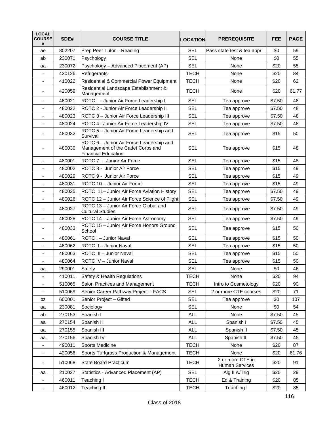| <b>LOCAL</b><br><b>COURSE</b><br># | SDE#   | <b>COURSE TITLE</b>                                                                                         | LOCATION    | <b>PREREQUISITE</b>                | <b>FEE</b> | <b>PAGE</b> |
|------------------------------------|--------|-------------------------------------------------------------------------------------------------------------|-------------|------------------------------------|------------|-------------|
| ae                                 | 802207 | Prep Peer Tutor - Reading                                                                                   | <b>SEL</b>  | Pass state test & tea appr         | \$0        | 59          |
| ab                                 | 230071 | Psychology                                                                                                  | <b>SEL</b>  | None                               | \$0        | 55          |
| aa                                 | 230072 | Psychology - Advanced Placement (AP)                                                                        | <b>SEL</b>  | None                               | \$20       | 55          |
|                                    | 430126 | Refrigerants                                                                                                | <b>TECH</b> | None                               | \$20       | 84          |
| $\overline{\phantom{a}}$           | 410022 | Residential & Commercial Power Equipment                                                                    | <b>TECH</b> | None                               | \$20       | 62          |
| $\overline{\phantom{a}}$           | 420059 | Residential Landscape Establishment &<br>Management                                                         | <b>TECH</b> | None                               | \$20       | 61,77       |
| $\overline{\phantom{a}}$           | 480021 | ROTC I - Junior Air Force Leadership I                                                                      | <b>SEL</b>  | Tea approve                        | \$7.50     | 48          |
|                                    | 480022 | ROTC 2 - Junior Air Force Leadership II                                                                     | <b>SEL</b>  | Tea approve                        | \$7.50     | 48          |
|                                    | 480023 | ROTC 3 - Junior Air Force Leadership III                                                                    | <b>SEL</b>  | Tea approve                        | \$7.50     | 48          |
| $\overline{\phantom{a}}$           | 480024 | ROTC 4- Junior Air Force Leadership IV                                                                      | <b>SEL</b>  | Tea approve                        | \$7.50     | 48          |
|                                    | 480032 | ROTC 5 - Junior Air Force Leadership and<br>Survival                                                        | <b>SEL</b>  | Tea approve                        | \$15       | 50          |
|                                    | 480030 | ROTC 6 - Junior Air Force Leadership and<br>Management of the Cadet Corps and<br><b>Financial Education</b> | <b>SEL</b>  | Tea approve                        | \$15       | 48          |
|                                    | 480001 | ROTC 7 - Junior Air Force                                                                                   | <b>SEL</b>  | Tea approve                        | \$15       | 48          |
| $\overline{\phantom{a}}$           | 480002 | <b>IROTC 8 - Junior Air Force</b>                                                                           | <b>SEL</b>  | Tea approve                        | \$15       | 49          |
|                                    | 480029 | <b>IROTC 9 - Junior Air Force</b>                                                                           | <b>SEL</b>  | Tea approve                        | \$15       | 49          |
|                                    | 480031 | <b>IROTC 10 - Junior Air Force</b>                                                                          | <b>SEL</b>  | Tea approve                        | \$15       | 49          |
| $\overline{\phantom{a}}$           | 480025 | ROTC 11- Junior Air Force Aviation History                                                                  | <b>SEL</b>  | Tea approve                        | \$7.50     | 49          |
|                                    | 480026 | ROTC 12 – Junior Air Force Science of Flight                                                                | <b>SEL</b>  | Tea approve                        | \$7.50     | 49          |
| $\blacksquare$                     | 480027 | ROTC 13 - Junior Air Force Global and<br><b>Cultural Studies</b>                                            | <b>SEL</b>  | Tea approve                        | \$7.50     | 49          |
|                                    | 480028 | ROTC 14 - Junior Air Force Astronomy                                                                        | <b>SEL</b>  | Tea approve                        | \$7.50     | 49          |
|                                    | 480033 | ROTC 15 - Junior Air Force Honors Ground<br>School                                                          | <b>SEL</b>  | Tea approve                        | \$15       | 50          |
|                                    | 480061 | ROTC I - Junior Naval                                                                                       | <b>SEL</b>  | Tea approve                        | \$15       | 50          |
| $\overline{\phantom{a}}$           | 480062 | <b>IROTC II - Junior Naval</b>                                                                              | <b>SEL</b>  | Tea approve                        | \$15       | 50          |
| $\overline{\phantom{0}}$           | 480063 | ROTC III - Junior Naval                                                                                     | <b>SEL</b>  | Tea approve                        | \$15       | 50          |
|                                    | 480064 | ROTC IV - Junior Naval                                                                                      | SEL         | Tea approve                        | \$15       | 50          |
| aa                                 | 290001 | Safety                                                                                                      | <b>SEL</b>  | None                               | \$0        | 46          |
|                                    | 410011 | Safety & Health Regulations                                                                                 | <b>TECH</b> | None                               | \$20       | 94          |
| $\overline{\phantom{a}}$           | 510065 | Salon Practices and Management                                                                              | <b>TECH</b> | Intro to Cosmetology               | \$20       | 90          |
| $\blacksquare$                     | 510069 | Senior Career Pathway Project - FACS                                                                        | <b>SEL</b>  | 2 or more CTE courses              | \$20       | 71          |
| bz                                 | 600001 | Senior Project - Gifted                                                                                     | <b>SEL</b>  | Tea approve                        | \$0        | 107         |
| aa                                 | 230081 | Sociology                                                                                                   | <b>SEL</b>  | None                               | \$0        | 54          |
| ab                                 | 270153 | Spanish I                                                                                                   | <b>ALL</b>  | None                               | \$7.50     | 45          |
| aa                                 | 270154 | Spanish II                                                                                                  | <b>ALL</b>  | Spanish I                          | \$7.50     | 45          |
| aa                                 | 270155 | Spanish III                                                                                                 | <b>ALL</b>  | Spanish II                         | \$7.50     | 45          |
| aa                                 | 270156 | Spanish IV                                                                                                  | <b>ALL</b>  | Spanish III                        | \$7.50     | 45          |
| $\qquad \qquad \blacksquare$       | 490011 | Sports Medicine                                                                                             | <b>TECH</b> | None                               | \$20       | 87          |
| $\blacksquare$                     | 420056 | Sports Turfgrass Production & Management                                                                    | <b>TECH</b> | None                               | \$20       | 61,76       |
| ٠                                  | 510068 | State Board Practicum                                                                                       | <b>TECH</b> | 2 or more CTE in<br>Human Services | \$20       | 91          |
| aa                                 | 210027 | Statistics - Advanced Placement (AP)                                                                        | <b>SEL</b>  | Alg II w/Trig                      | \$20       | 29          |
|                                    | 460011 | Teaching I                                                                                                  | <b>TECH</b> | Ed & Training                      | \$20       | 85          |
| $\qquad \qquad \blacksquare$       | 460012 | <b>Teaching II</b>                                                                                          | <b>TECH</b> | Teaching I                         | \$20       | 85          |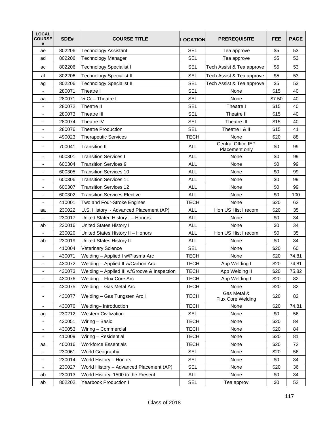| <b>LOCAL</b><br><b>COURSE</b><br># | SDE#   | <b>COURSE TITLE</b>                         | LOCATION    | <b>PREREQUISITE</b>                  | <b>FEE</b> | <b>PAGE</b> |
|------------------------------------|--------|---------------------------------------------|-------------|--------------------------------------|------------|-------------|
| ae                                 | 802206 | <b>Technology Assistant</b>                 | <b>SEL</b>  | Tea approve                          | \$5        | 53          |
| ad                                 | 802206 | <b>Technology Manager</b>                   | <b>SEL</b>  | Tea approve                          | \$5        | 53          |
| ac                                 | 802206 | <b>Technology Specialist I</b>              | <b>SEL</b>  | Tech Assist & Tea approve            | \$5        | 53          |
| af                                 | 802206 | <b>Technology Specialist II</b>             | SEL         | Tech Assist & Tea approve            | \$5        | 53          |
| ag                                 | 802206 | <b>Technology Specialist III</b>            | <b>SEL</b>  | Tech Assist & Tea approve            | \$5        | 53          |
| $\blacksquare$                     | 280071 | Theatre I                                   | <b>SEL</b>  | None                                 | \$15       | 40          |
| aa                                 | 280071 | 1/2 Cr - Theatre I                          | <b>SEL</b>  | None                                 | \$7.50     | 40          |
|                                    | 280072 | Theatre II                                  | SEL         | Theatre I                            | \$15       | 40          |
| $\overline{\phantom{a}}$           | 280073 | <b>Theatre III</b>                          | <b>SEL</b>  | Theatre II                           | \$15       | 40          |
| $\overline{\phantom{a}}$           | 280074 | Theatre IV                                  | <b>SEL</b>  | Theatre III                          | \$15       | 40          |
| $\qquad \qquad \blacksquare$       | 280076 | <b>Theatre Production</b>                   | <b>SEL</b>  | Theatre I & II                       | \$15       | 41          |
| $\overline{\phantom{a}}$           | 490023 | <b>Therapeutic Services</b>                 | <b>TECH</b> | None                                 | \$20       | 88          |
| $\overline{\phantom{a}}$           | 700041 | <b>Transition II</b>                        | <b>ALL</b>  | Central Office IEP<br>Placement only | \$0        | 99          |
| $\blacksquare$                     | 600301 | <b>Transition Services I</b>                | <b>ALL</b>  | None                                 | \$0        | 99          |
|                                    | 600304 | <b>Transition Services 9</b>                | <b>ALL</b>  | None                                 | \$0        | 99          |
| $\overline{\phantom{a}}$           | 600305 | Transition Services 10                      | <b>ALL</b>  | None                                 | \$0        | 99          |
| $\blacksquare$                     | 600306 | <b>Transition Services 11</b>               | <b>ALL</b>  | None                                 | \$0        | 99          |
| ٠                                  | 600307 | <b>Transition Services 12</b>               | <b>ALL</b>  | None                                 | \$0        | 99          |
| $\overline{\phantom{a}}$           | 600302 | <b>Transition Services Elective</b>         | <b>ALL</b>  | None                                 | \$0        | 100         |
| $\overline{\phantom{a}}$           | 410001 | Two and Four-Stroke Engines                 | <b>TECH</b> | None                                 | \$20       | 62          |
| aa                                 | 230022 | U.S. History - Advanced Placement (AP)      | <b>ALL</b>  | Hon US Hist I recom                  | \$20       | 35          |
|                                    | 230017 | United Stated History I - Honors            | <b>ALL</b>  | None                                 | \$0        | 34          |
| ab                                 | 230016 | <b>United States History I</b>              | <b>ALL</b>  | None                                 | \$0        | 34          |
| $\blacksquare$                     | 230020 | United States History II - Honors           | <b>ALL</b>  | Hon US Hist I recom                  | \$0        | 35          |
| ab                                 | 230019 | United States History II                    | <b>ALL</b>  | None                                 | \$0        | 34          |
|                                    | 410004 | <b>Veterinary Science</b>                   | <b>SEL</b>  | None                                 | \$20       | 60          |
| $\overline{\phantom{a}}$           | 430071 | Welding - Applied I w/Plasma Arc            | <b>TECH</b> | None                                 | \$20       | 74,81       |
| $\overline{\phantom{a}}$           | 430072 | Welding - Applied II w/Carbon Arc           | <b>TECH</b> | App Welding I                        | \$20       | 74,81       |
| ٠                                  | 430073 | Welding - Applied III w/Groove & Inspection | <b>TECH</b> | App Welding II                       | \$20       | 75,82       |
| ä,                                 | 430076 | Welding - Flux Core Arc                     | <b>TECH</b> | App Welding I                        | \$20       | 82          |
|                                    | 430075 | Welding - Gas Metal Arc                     | <b>TECH</b> | None                                 | \$20       | 82          |
| ٠                                  | 430077 | Welding - Gas Tungsten Arc I                | <b>TECH</b> | Gas Metal &<br>Flux Core Welding     | \$20       | 82          |
| $\qquad \qquad \blacksquare$       | 430070 | Welding-Introduction                        | <b>TECH</b> | None                                 | \$20       | 74,81       |
| ag                                 | 230212 | <b>Western Civilization</b>                 | <b>SEL</b>  | None                                 | \$0        | 56          |
|                                    | 430051 | Wiring - Basic                              | <b>TECH</b> | None                                 | \$20       | 84          |
| $\qquad \qquad \blacksquare$       | 430053 | Wiring - Commercial                         | <b>TECH</b> | None                                 | \$20       | 84          |
| $\blacksquare$                     | 410009 | Wiring - Residential                        | <b>TECH</b> | None                                 | \$20       | 81          |
| aa                                 | 400016 | <b>Workforce Essentials</b>                 | <b>TECH</b> | None                                 | \$20       | 72          |
| $\qquad \qquad \blacksquare$       | 230061 | <b>World Geography</b>                      | <b>SEL</b>  | None                                 | \$20       | 56          |
| $\overline{\phantom{a}}$           | 230014 | World History - Honors                      | <b>SEL</b>  | None                                 | \$0        | 34          |
| $\overline{\phantom{a}}$           | 230027 | World History - Advanced Placement (AP)     | <b>SEL</b>  | None                                 | \$20       | 36          |
| ab                                 | 230013 | World History: 1500 to the Present          | <b>ALL</b>  | None                                 | \$0        | 34          |
| ab                                 | 802202 | Yearbook Production I                       | <b>SEL</b>  | Tea approv                           | \$0        | 52          |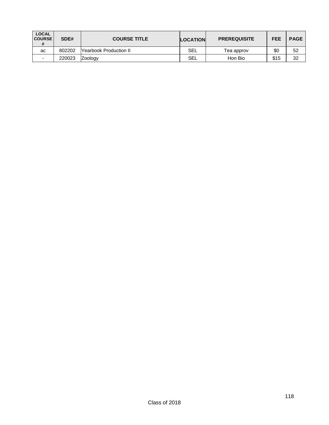| <b>LOCAL</b><br><b>COURSE</b> | SDE#   | <b>COURSE TITLE</b>             | <b>LOCATION</b> | <b>PREREQUISITE</b> | <b>FEE</b> | <b>PAGE</b> |
|-------------------------------|--------|---------------------------------|-----------------|---------------------|------------|-------------|
| ac                            | 802202 | <b>T</b> Yearbook Production II | SEL             | Tea approv          | \$0        | 52          |
| -                             | 220023 | <b>Zoology</b>                  | SEL             | Hon Bio             | \$15       | 32          |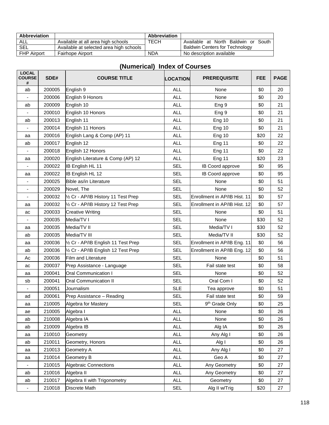| Abbreviation       |                                         | Abbreviation |                                       |
|--------------------|-----------------------------------------|--------------|---------------------------------------|
| ALL                | Available at all area high schools      | TECH         | Available at North Baldwin or South   |
| SEL                | Available at selected area high schools |              | <b>Baldwin Centers for Technology</b> |
| <b>FHP Airport</b> | <b>Fairhope Airport</b>                 | <b>NDA</b>   | No description available              |

| <b>LOCAL</b><br><b>COURSE</b><br># | SDE#   | <b>COURSE TITLE</b>                 | LOCATION   | <b>PREREQUISITE</b>          | <b>FEE</b> | <b>PAGE</b> |
|------------------------------------|--------|-------------------------------------|------------|------------------------------|------------|-------------|
| ab                                 | 200005 | English 9                           | <b>ALL</b> | None                         | \$0        | 20          |
|                                    | 200006 | English 9 Honors                    | <b>ALL</b> | None                         | \$0        | 20          |
| ab                                 | 200009 | English 10                          | <b>ALL</b> | Eng <sub>9</sub>             | \$0        | 21          |
|                                    | 200010 | English 10 Honors                   | <b>ALL</b> | Eng <sub>9</sub>             | \$0        | 21          |
| ab                                 | 200013 | English 11                          | <b>ALL</b> | Eng 10                       | \$0        | 21          |
| $\blacksquare$                     | 200014 | English 11 Honors                   | <b>ALL</b> | <b>Eng 10</b>                | \$0        | 21          |
| aa                                 | 200016 | English Lang & Comp (AP) 11         | <b>ALL</b> | <b>Eng 10</b>                | \$20       | 22          |
| ab                                 | 200017 | English 12                          | <b>ALL</b> | Eng 11                       | \$0        | 22          |
| $\blacksquare$                     | 200018 | English 12 Honors                   | <b>ALL</b> | Eng 11                       | \$0        | 22          |
| aa                                 | 200020 | English Literature & Comp (AP) 12   | <b>ALL</b> | Eng 11                       | \$20       | 23          |
| ٠                                  | 200022 | IB English HL 11                    | <b>SEL</b> | IB Coord approve             | \$0        | 95          |
| aa                                 | 200022 | IB English HL 12                    | <b>SEL</b> | IB Coord approve             | \$0        | 95          |
|                                    | 200025 | Bible as/in Literature              | <b>SEL</b> | None                         | \$0        | 51          |
| $\overline{\phantom{a}}$           | 200029 | Novel, The                          | <b>SEL</b> | None                         | \$0        | 52          |
|                                    | 200032 | 1/2 Cr - AP/IB History 11 Test Prep | <b>SEL</b> | Enrollment in AP/IB Hist. 11 | \$0        | 57          |
| aa                                 | 200032 | 1/2 Cr - AP/IB History 12 Test Prep | <b>SEL</b> | Enrollment in AP/IB Hist. 12 | \$0        | 57          |
| ac                                 | 200033 | <b>Creative Writing</b>             | <b>SEL</b> | None                         | \$0        | 51          |
|                                    | 200035 | Media/TV I                          | <b>SEL</b> | None                         | \$30       | 52          |
| aa                                 | 200035 | Media/TV II                         | <b>SEL</b> | Media/TV I                   | \$30       | 52          |
| ab                                 | 200035 | Media/TV III                        | <b>SEL</b> | Media/TV II                  | \$30       | 52          |
| aa                                 | 200036 | 1/2 Cr - AP/IB English 11 Test Prep | <b>SEL</b> | Enrollment in AP/IB Eng. 11  | \$0        | 56          |
| ab                                 | 200036 | 1/2 Cr - AP/IB English 12 Test Prep | <b>SEL</b> | Enrollment in AP/IB Eng. 12  | \$0        | 56          |
| Aс                                 | 200036 | <b>Film and Literature</b>          | <b>SEL</b> | None                         | \$0        | 51          |
| ac                                 | 200037 | Prep Assistance - Language          | <b>SEL</b> | Fail state test              | \$0        | 58          |
| aa                                 | 200041 | <b>Oral Communication I</b>         | <b>SEL</b> | None                         | \$0        | 52          |
| sb                                 | 200041 | <b>Oral Communication II</b>        | <b>SEL</b> | Oral Com I                   | \$0        | 52          |
| ٠                                  | 200051 | Journalism                          | <b>SLE</b> | Tea approve                  | \$0        | 51          |
| ad                                 | 200061 | Prep Assistance - Reading           | <b>SEL</b> | Fail state test              | \$0        | 59          |
| aa                                 | 210005 | Algebra for Mastery                 | <b>SEL</b> | 9 <sup>th</sup> Grade Only   | \$0        | 25          |
| ae                                 | 210005 | Algebra I                           | <b>ALL</b> | None                         | \$0        | 26          |
| ab                                 | 210008 | Algebra IA                          | <b>ALL</b> | None                         | \$0        | 26          |
| ab                                 | 210009 | Algebra IB                          | <b>ALL</b> | Alg IA                       | \$0        | 26          |
| aa                                 | 210010 | Geometry                            | <b>ALL</b> | Any Alg I                    | \$0        | 26          |
| ab                                 | 210011 | Geometry, Honors                    | <b>ALL</b> | Alg I                        | \$0        | 26          |
| aa                                 | 210013 | Geometry A                          | <b>ALL</b> | Any Alg I                    | \$0        | 27          |
| aa                                 | 210014 | <b>Geometry B</b>                   | <b>ALL</b> | Geo A                        | \$0        | 27          |
|                                    | 210015 | <b>Algebraic Connections</b>        | <b>ALL</b> | Any Geometry                 | \$0        | 27          |
| ab                                 | 210016 | Algebra II                          | <b>ALL</b> | Any Geometry                 | \$0        | 27          |
| ab                                 | 210017 | Algebra II with Trigonometry        | <b>ALL</b> | Geometry                     | \$0        | 27          |
| ٠                                  | 210018 | Discrete Math                       | <b>SEL</b> | Alg II w/Trig                | \$20       | 27          |

## **(Numerical) Index of Courses**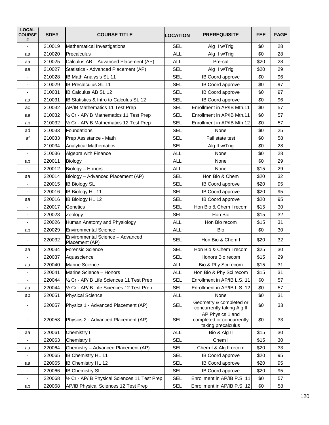| <b>LOCAL</b><br><b>COURSE</b><br># | SDE#   | <b>COURSE TITLE</b>                                | <b>LOCATION</b> | <b>PREREQUISITE</b>                                                 | <b>FEE</b> | <b>PAGE</b> |
|------------------------------------|--------|----------------------------------------------------|-----------------|---------------------------------------------------------------------|------------|-------------|
| $\overline{a}$                     | 210019 | Mathematical Investigations                        | <b>SEL</b>      | Alg II w/Trig                                                       | \$0        | 28          |
| aa                                 | 210020 | lPrecalculus                                       | <b>ALL</b>      | Alg II w/Trig                                                       | \$0        | 28          |
| aa                                 | 210025 | Calculus AB - Advanced Placement (AP)              | <b>ALL</b>      | Pre-cal                                                             | \$20       | 28          |
| aa                                 | 210027 | Statistics - Advanced Placement (AP)               | <b>SEL</b>      | Alg II w/Trig                                                       | \$20       | 29          |
| $\overline{\phantom{m}}$           | 210028 | <b>IB Math Analysis SL 11</b>                      | <b>SEL</b>      | IB Coord approve                                                    | \$0        | 96          |
| $\qquad \qquad \blacksquare$       | 210029 | <b>IB Precalculus SL 11</b>                        | <b>SEL</b>      | IB Coord approve                                                    | \$0        | 97          |
| $\blacksquare$                     | 210031 | <b>IB Calculus AB SL 12</b>                        | <b>SEL</b>      | IB Coord approve                                                    | \$0        | 97          |
| aa                                 | 210031 | <b>IB Statistics &amp; Intro to Calculus SL 12</b> | <b>SEL</b>      | IB Coord approve                                                    | \$0        | 96          |
| ac                                 | 210032 | <b>AP/IB Mathematics 11 Test Prep</b>              | <b>SEL</b>      | Enrollment in AP/IB Mth.11                                          | \$0        | 57          |
| aa                                 | 210032 | 1/2 Cr - AP/IB Mathematics 11 Test Prep            | <b>SEL</b>      | Enrollment in AP/IB Mth.11                                          | \$0        | 57          |
| ab                                 | 210032 | 1/2 Cr - AP/IB Mathematics 12 Test Prep            | <b>SEL</b>      | Enrollment in AP/IB Mth 12                                          | \$0        | 57          |
| ad                                 | 210033 | <b>Foundations</b>                                 | <b>SEL</b>      | None                                                                | \$0        | 25          |
| af                                 | 210033 | Prep Assistance - Math                             | <b>SEL</b>      | Fail state test                                                     | \$0        | 58          |
| $\overline{\phantom{0}}$           | 210034 | <b>Analytical Mathematics</b>                      | <b>SEL</b>      | Alg II w/Trig                                                       | \$0        | 28          |
|                                    | 210036 | Algebra with Finance                               | <b>ALL</b>      | None                                                                | \$0        | 28          |
| ab                                 | 220011 | <b>Biology</b>                                     | <b>ALL</b>      | None                                                                | \$0        | 29          |
| $\blacksquare$                     | 220012 | Biology - Honors                                   | <b>ALL</b>      | None                                                                | \$15       | 29          |
| aa                                 | 220014 | Biology - Advanced Placement (AP)                  | <b>SEL</b>      | Hon Bio & Chem                                                      | \$20       | 32          |
|                                    | 220015 | <b>IB Biology SL</b>                               | <b>SEL</b>      | IB Coord approve                                                    | \$20       | 95          |
| $\overline{\phantom{a}}$           | 220016 | <b>IB Biology HL 11</b>                            | <b>SEL</b>      | IB Coord approve                                                    | \$20       | 95          |
| aa                                 | 220016 | <b>IB Biology HL 12</b>                            | <b>SEL</b>      | IB Coord approve                                                    | \$20       | 95          |
| $\overline{\phantom{0}}$           | 220017 | Genetics                                           | <b>SEL</b>      | Hon Bio & Chem I recom                                              | \$15       | 30          |
| $\qquad \qquad \blacksquare$       | 220023 | Zoology                                            | <b>SEL</b>      | Hon Bio                                                             | \$15       | 32          |
|                                    | 220026 | Human Anatomy and Physiology                       | <b>ALL</b>      | Hon Bio recom                                                       | \$15       | 31          |
| ab                                 | 220029 | <b>Environmental Science</b>                       | <b>ALL</b>      | Bio                                                                 | \$0        | 30          |
|                                    | 220032 | Environmental Science - Advanced<br>Placement (AP) | <b>SEL</b>      | Hon Bio & Chem I                                                    | \$20       | 32          |
| aa                                 | 220034 | Forensic Science                                   | <b>SEL</b>      | Hon Bio & Chem I recom                                              | \$25       | 30          |
|                                    | 220037 | Aquascience                                        | <b>SEL</b>      | Honors Bio recom                                                    | \$15       | 29          |
| aa                                 | 220040 | <b>Marine Science</b>                              | <b>ALL</b>      | Bio & Phy Sci recom                                                 | \$15       | 31          |
| $\qquad \qquad \blacksquare$       | 220041 | Marine Science - Honors                            | ALL             | Hon Bio & Phy Sci recom                                             | \$15       | 31          |
|                                    | 220044 | 1/2 Cr - AP/IB Life Sciences 11 Test Prep          | <b>SEL</b>      | Enrollment in AP/IB L.S. 11                                         | \$0        | 57          |
| aa                                 | 220044 | 1/2 Cr - AP/IB Life Sciences 12 Test Prep          | <b>SEL</b>      | Enrollment in AP/IB L.S. 12                                         | \$0        | 57          |
| ab                                 | 220051 | <b>Physical Science</b>                            | <b>ALL</b>      | None                                                                | \$0        | 31          |
|                                    | 220057 | Physics 1 - Advanced Placement (AP)                | <b>SEL</b>      | Geometry & completed or<br>concurrently taking Alg II               | \$0        | 33          |
|                                    | 220058 | Physics 2 - Advanced Placement (AP)                | <b>SEL</b>      | AP Physics 1 and<br>completed or concurrently<br>taking precalculus | \$0        | 33          |
| aa                                 | 220061 | Chemistry I                                        | <b>ALL</b>      | Bio & Alg II                                                        | \$15       | 30          |
|                                    | 220063 | Chemistry II                                       | <b>SEL</b>      | Chem I                                                              | \$15       | 30          |
| aa                                 | 220064 | Chemistry - Advanced Placement (AP)                | SEL             | Chem I & Alg II recom                                               | \$20       | 33          |
| ۰                                  | 220065 | <b>IB Chemistry HL 11</b>                          | <b>SEL</b>      | IB Coord approve                                                    | \$20       | 95          |
| аа                                 | 220065 | <b>IB Chemistry HL 12</b>                          | <b>SEL</b>      | <b>IB Coord approve</b>                                             | \$20       | 95          |
| -                                  | 220066 | <b>IB Chemistry SL</b>                             | <b>SEL</b>      | IB Coord approve                                                    | \$20       | 95          |
| $\blacksquare$                     | 220068 | 1/2 Cr - AP/IB Physical Sciences 11 Test Prep      | <b>SEL</b>      | Enrollment in AP/IB P.S. 11                                         | \$0        | 57          |
| ab                                 | 220068 | AP/IB Physical Sciences 12 Test Prep               | <b>SEL</b>      | Enrollment in AP/IB P.S. 12                                         | \$0        | 58          |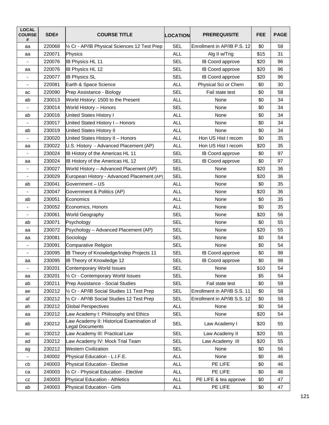| <b>LOCAL</b><br><b>COURSE</b><br># | SDE#   | <b>COURSE TITLE</b>                                                 | <b>LOCATION</b> | <b>PREREQUISITE</b>         | <b>FEE</b> | <b>PAGE</b> |
|------------------------------------|--------|---------------------------------------------------------------------|-----------------|-----------------------------|------------|-------------|
| aa                                 | 220068 | 1/2 Cr - AP/IB Physical Sciences 12 Test Prep                       | <b>SEL</b>      | Enrollment in AP/IB P.S. 12 | \$0        | 58          |
| аа                                 | 220071 | Physics                                                             | <b>ALL</b>      | Alg II w/Trig               | \$15       | 31          |
|                                    | 220076 | <b>IB Physics HL 11</b>                                             | <b>SEL</b>      | IB Coord approve            | \$20       | 96          |
| аа                                 | 220076 | <b>IB Physics HL 12</b>                                             | <b>SEL</b>      | IB Coord approve            | \$20       | 96          |
| ٠                                  | 220077 | <b>IB Physics SL</b>                                                | <b>SEL</b>      | IB Coord approve            | \$20       | 96          |
| $\overline{a}$                     | 220081 | Earth & Space Science                                               | <b>ALL</b>      | Physical Sci or Chem        | \$0        | 30          |
| ac                                 | 220090 | Prep Assistance - Biology                                           | <b>SEL</b>      | Fail state test             | \$0        | 58          |
| ab                                 | 230013 | World History: 1500 to the Present                                  | <b>ALL</b>      | None                        | \$0        | 34          |
|                                    | 230014 | World History - Honors                                              | <b>SEL</b>      | None                        | \$0        | 34          |
| ab                                 | 230016 | <b>United States History I</b>                                      | <b>ALL</b>      | None                        | \$0        | 34          |
|                                    | 230017 | United Stated History I - Honors                                    | <b>ALL</b>      | None                        | \$0        | 34          |
| ab                                 | 230019 | <b>United States History II</b>                                     | <b>ALL</b>      | None                        | \$0        | 34          |
|                                    | 230020 | United States History II - Honors                                   | <b>ALL</b>      | Hon US Hist I recom         | \$0        | 35          |
| аа                                 | 230022 | U.S. History - Advanced Placement (AP)                              | <b>ALL</b>      | Hon US Hist I recom         | \$20       | 35          |
|                                    | 230024 | IB History of the Americas HL 11                                    | <b>SEL</b>      | IB Coord approve            | \$0        | 97          |
| аа                                 | 230024 | IB History of the Americas HL 12                                    | <b>SEL</b>      | IB Coord approve            | \$0        | 97          |
| $\qquad \qquad \blacksquare$       | 230027 | World History - Advanced Placement (AP)                             | <b>SEL</b>      | None                        | \$20       | 36          |
| $\blacksquare$                     | 230029 | European History - Advanced Placement (AP)                          | <b>SEL</b>      | None                        | \$20       | 36          |
| ab                                 | 230041 | Government - US                                                     | <b>ALL</b>      | None                        | \$0        | 35          |
|                                    | 230047 | Government & Politics (AP)                                          | <b>ALL</b>      | None                        | \$20       | 36          |
| ab                                 | 230051 | Economics                                                           | <b>ALL</b>      | None                        | \$0        | 35          |
| -                                  | 230052 | Economics, Honors                                                   | <b>ALL</b>      | None                        | \$0        | 35          |
| $\blacksquare$                     | 230061 | World Geography                                                     | <b>SEL</b>      | None                        | \$20       | 56          |
| ab                                 | 230071 | Psychology                                                          | <b>SEL</b>      | None                        | \$0        | 55          |
| аа                                 | 230072 | Psychology - Advanced Placement (AP)                                | <b>SEL</b>      | None                        | \$20       | 55          |
| аа                                 | 230081 | Sociology                                                           | <b>SEL</b>      | None                        | \$0        | 54          |
| ٠                                  | 230091 | Comparative Religion                                                | <b>SEL</b>      | None                        | \$0        | 54          |
| $\blacksquare$                     | 230095 | IB Theory of Knowledge/Indep Projects 11                            | <b>SEL</b>      | IB Coord approve            | \$0        | 98          |
| аа                                 | 230095 | IB Theory of Knowledge 12                                           | <b>SEL</b>      | IB Coord approve            | \$0        | 98          |
| $\overline{\phantom{0}}$           | 230201 | Contemporary World Issues                                           | <b>SEL</b>      | None                        | \$10       | 54          |
| аа                                 | 230201 | 1/2 Cr - Contemporary World Issues                                  | <b>SEL</b>      | None                        | \$5        | 54          |
| ab                                 | 230211 | Prep Assistance - Social Studies                                    | <b>SEL</b>      | Fail state test             | \$0        | 59          |
| ae                                 | 230212 | 1/2 Cr - AP/IB Social Studies 11 Test Prep                          | <b>SEL</b>      | Enrollment in AP/IB S.S. 11 | \$0        | 58          |
| af                                 | 230212 | 1/2 Cr - AP/IB Social Studies 12 Test Prep                          | <b>SEL</b>      | Enrollment in AP/IB S.S. 12 | \$0        | 58          |
| ah                                 | 230212 | <b>Global Perspectives</b>                                          | <b>ALL</b>      | None                        | \$0        | 54          |
| aa                                 | 230212 | Law Academy I: Philosophy and Ethics                                | <b>SEL</b>      | None                        | \$20       | 54          |
| ab                                 | 230212 | Law Academy II: Historical Examination of<br><b>Legal Documents</b> | <b>SEL</b>      | Law Academy I               | \$20       | 55          |
| ac                                 | 230212 | Law Academy III: Practical Law                                      | <b>SEL</b>      | Law Academy II              | \$20       | 55          |
| ad                                 | 230212 | Law Academy IV: Mock Trial Team                                     | <b>SEL</b>      | Law Academy III             | \$20       | 55          |
| ag                                 | 230212 | <b>Western Civilization</b>                                         | <b>SEL</b>      | None                        | \$0        | 56          |
| $\overline{\phantom{a}}$           | 240002 | Physical Education - L.I.F.E.                                       | <b>ALL</b>      | None                        | \$0        | 46          |
| cb                                 | 240003 | <b>Physical Education - Elective</b>                                | <b>ALL</b>      | PE LIFE                     | \$0        | 46          |
| ca                                 | 240003 | 1/2 Cr - Physical Education - Elective                              | <b>ALL</b>      | PE LIFE                     | \$0        | 46          |
| CZ                                 | 240003 | Physical Education - Athletics                                      | <b>ALL</b>      | PE LIFE & tea approve       | \$0        | 47          |
| ab                                 | 240003 | Physical Education - Girls                                          | <b>ALL</b>      | PE LIFE                     | \$0        | 47          |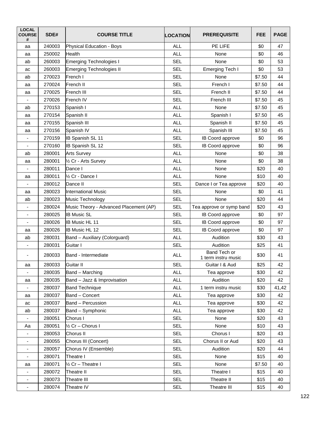| <b>LOCAL</b><br><b>COURSE</b><br># | SDE#   | <b>COURSE TITLE</b>                    | <b>LOCATION</b> | <b>PREREQUISITE</b>                 | <b>FEE</b> | <b>PAGE</b> |
|------------------------------------|--------|----------------------------------------|-----------------|-------------------------------------|------------|-------------|
| aa                                 | 240003 | <b>Physical Education - Boys</b>       | <b>ALL</b>      | PE LIFE                             | \$0        | 47          |
| aa                                 | 250002 | <b>Health</b>                          | <b>ALL</b>      | None                                | \$0        | 46          |
| ab                                 | 260003 | <b>Emerging Technologies I</b>         | <b>SEL</b>      | None                                | \$0        | 53          |
| ac                                 | 260003 | <b>Emerging Technologies II</b>        | <b>SEL</b>      | Emerging Tech I                     | \$0        | 53          |
| ab                                 | 270023 | French I                               | <b>SEL</b>      | None                                | \$7.50     | 44          |
| аа                                 | 270024 | French II                              | <b>SEL</b>      | French I                            | \$7.50     | 44          |
| аа                                 | 270025 | French III                             | <b>SEL</b>      | French II                           | \$7.50     | 44          |
|                                    | 270026 | French IV                              | <b>SEL</b>      | French III                          | \$7.50     | 45          |
| ab                                 | 270153 | Spanish I                              | <b>ALL</b>      | None                                | \$7.50     | 45          |
| аа                                 | 270154 | Spanish II                             | <b>ALL</b>      | Spanish I                           | \$7.50     | 45          |
| аа                                 | 270155 | Spanish III                            | <b>ALL</b>      | Spanish II                          | \$7.50     | 45          |
| аа                                 | 270156 | Spanish IV                             | <b>ALL</b>      | Spanish III                         | \$7.50     | 45          |
|                                    | 270159 | <b>IB Spanish SL 11</b>                | <b>SEL</b>      | IB Coord approve                    | \$0        | 96          |
|                                    | 270160 | IB Spanish SL 12                       | <b>SEL</b>      | IB Coord approve                    | \$0        | 96          |
| ab                                 | 280001 | <b>Arts Survey</b>                     | <b>ALL</b>      | None                                | \$0        | 38          |
| аа                                 | 280001 | 1/2 Cr - Arts Survey                   | <b>ALL</b>      | None                                | \$0        | 38          |
| $\overline{\phantom{0}}$           | 280011 | Dance I                                | <b>ALL</b>      | None                                | \$20       | 40          |
| аа                                 | 280011 | 1/2 Cr - Dance I                       | <b>ALL</b>      | None                                | \$10       | 40          |
|                                    | 280012 | Dance II                               | <b>SEL</b>      | Dance I or Tea approve              | \$20       | 40          |
| аа                                 | 280023 | <b>International Music</b>             | <b>SEL</b>      | None                                | \$0        | 41          |
| ab                                 | 280023 | Music Technology                       | <b>SEL</b>      | None                                | \$20       | 44          |
| ۰                                  | 280024 | Music Theory - Advanced Placement (AP) | <b>SEL</b>      | Tea approve or symp band            | \$20       | 43          |
| $\blacksquare$                     | 280025 | <b>IB Music SL</b>                     | <b>SEL</b>      | IB Coord approve                    | \$0        | 97          |
|                                    | 280026 | IB Music HL 11                         | <b>SEL</b>      | IB Coord approve                    | \$0        | 97          |
| аа                                 | 280026 | IB Music HL 12                         | <b>SEL</b>      | IB Coord approve                    | \$0        | 97          |
| ab                                 | 280031 | Band - Auxiliary (Colorguard)          | <b>ALL</b>      | Audition                            | \$30       | 43          |
|                                    | 280031 | Guitar I                               | <b>SEL</b>      | Audition                            | \$25       | 41          |
|                                    | 280033 | Band - Intermediate                    | <b>ALL</b>      | Band Tech or<br>1 term instru music | \$30       | 41          |
| аа                                 | 280033 | Guitar II                              | <b>SEL</b>      | Guitar I & Aud                      | \$25       | 42          |
| $\overline{\phantom{a}}$           | 280035 | Band - Marching                        | <b>ALL</b>      | Tea approve                         | \$30       | 42          |
| aa                                 | 280035 | Band - Jazz & Improvisation            | <b>ALL</b>      | Audition                            | \$20       | 42          |
| $\overline{\phantom{a}}$           | 280037 | <b>Band Technique</b>                  | <b>ALL</b>      | 1 term instru music                 | \$30       | 41,42       |
| aa                                 | 280037 | Band - Concert                         | <b>ALL</b>      | Tea approve                         | \$30       | 42          |
| ac                                 | 280037 | Band - Percussion                      | <b>ALL</b>      | Tea approve                         | \$30       | 42          |
| ab                                 | 280037 | Band - Symphonic                       | <b>ALL</b>      | Tea approve                         | \$30       | 42          |
|                                    | 280051 | Chorus I                               | <b>SEL</b>      | None                                | \$20       | 43          |
| Aa                                 | 280051 | 1/2 Cr - Chorus I                      | <b>SEL</b>      | None                                | \$10       | 43          |
| $\overline{\phantom{0}}$           | 280053 | Chorus II                              | <b>SEL</b>      | Chorus I                            | \$20       | 43          |
| $\overline{\phantom{a}}$           | 280055 | Chorus III (Concert)                   | <b>SEL</b>      | Chorus II or Aud                    | \$20       | 43          |
| ٠                                  | 280057 | Chorus IV (Ensemble)                   | <b>SEL</b>      | Audition                            | \$20       | 44          |
|                                    | 280071 | Theatre I                              | <b>SEL</b>      | None                                | \$15       | 40          |
| аа                                 | 280071 | 1/2 Cr - Theatre I                     | <b>SEL</b>      | None                                | \$7.50     | 40          |
| $\qquad \qquad \blacksquare$       | 280072 | Theatre II                             | <b>SEL</b>      | Theatre I                           | \$15       | 40          |
| $\blacksquare$                     | 280073 | Theatre III                            | <b>SEL</b>      | Theatre II                          | \$15       | 40          |
| $\qquad \qquad \blacksquare$       | 280074 | Theatre IV                             | <b>SEL</b>      | Theatre III                         | \$15       | 40          |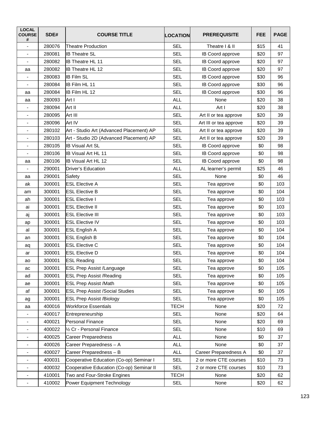| <b>LOCAL</b><br><b>COURSE</b><br># | SDE#   | <b>COURSE TITLE</b>                      | <b>LOCATION</b> | <b>PREREQUISITE</b>    | <b>FEE</b> | <b>PAGE</b> |
|------------------------------------|--------|------------------------------------------|-----------------|------------------------|------------|-------------|
| ÷,                                 | 280076 | <b>Theatre Production</b>                | <b>SEL</b>      | Theatre   & II         | \$15       | 41          |
| $\overline{\phantom{a}}$           | 280081 | <b>IB Theatre SL</b>                     | <b>SEL</b>      | IB Coord approve       | \$20       | 97          |
|                                    | 280082 | <b>IB Theatre HL 11</b>                  | <b>SEL</b>      | IB Coord approve       | \$20       | 97          |
| аа                                 | 280082 | IB Theatre HL 12                         | <b>SEL</b>      | IB Coord approve       | \$20       | 97          |
| ä,                                 | 280083 | <b>IB Film SL</b>                        | <b>SEL</b>      | IB Coord approve       | \$30       | 96          |
|                                    | 280084 | IB Film HL 11                            | <b>SEL</b>      | IB Coord approve       | \$30       | 96          |
| aa                                 | 280084 | <b>IB Film HL 12</b>                     | <b>SEL</b>      | IB Coord approve       | \$30       | 96          |
| aa                                 | 280093 | Art I                                    | <b>ALL</b>      | None                   | \$20       | 38          |
| $\overline{\phantom{0}}$           | 280094 | Art II                                   | <b>ALL</b>      | Art I                  | \$20       | 38          |
| $\overline{\phantom{m}}$           | 280095 | Art III                                  | <b>SEL</b>      | Art II or tea approve  | \$20       | 39          |
| ٠                                  | 280096 | Art IV                                   | <b>SEL</b>      | Art III or tea approve | \$20       | 39          |
| $\blacksquare$                     | 280102 | Art - Studio Art (Advanced Placement) AP | <b>SEL</b>      | Art II or tea approve  | \$20       | 39          |
|                                    | 280103 | Art - Studio 2D (Advanced Placement) AP  | <b>SEL</b>      | Art II or tea approve  | \$20       | 39          |
|                                    | 280105 | <b>IB Visual Art SL</b>                  | <b>SEL</b>      | IB Coord approve       | \$0        | 98          |
| $\overline{\phantom{a}}$           | 280106 | <b>IB Visual Art HL 11</b>               | <b>SEL</b>      | IB Coord approve       | \$0        | 98          |
| аа                                 | 280106 | <b>IB Visual Art HL 12</b>               | <b>SEL</b>      | IB Coord approve       | \$0        | 98          |
| ٠                                  | 290001 | <b>Driver's Education</b>                | <b>ALL</b>      | AL learner's permit    | \$25       | 46          |
| аа                                 | 290001 | Safety                                   | <b>SEL</b>      | None                   | \$0        | 46          |
| ak                                 | 300001 | <b>ESL Elective A</b>                    | <b>SEL</b>      | Tea approve            | \$0        | 103         |
| am                                 | 300001 | <b>ESL Elective B</b>                    | <b>SEL</b>      | Tea approve            | \$0        | 104         |
| ah                                 | 300001 | <b>ESL Elective I</b>                    | <b>SEL</b>      | Tea approve            | \$0        | 103         |
| ai                                 | 300001 | <b>ESL Elective II</b>                   | <b>SEL</b>      | Tea approve            | \$0        | 103         |
| aj                                 | 300001 | <b>ESL Elective III</b>                  | <b>SEL</b>      | Tea approve            | \$0        | 103         |
| ap                                 | 300001 | <b>ESL Elective IV</b>                   | <b>SEL</b>      | Tea approve            | \$0        | 103         |
| al                                 | 300001 | <b>ESL English A</b>                     | <b>SEL</b>      | Tea approve            | \$0        | 104         |
| an                                 | 300001 | <b>ESL English B</b>                     | <b>SEL</b>      | Tea approve            | \$0        | 104         |
| aq                                 | 300001 | <b>ESL Elective C</b>                    | <b>SEL</b>      | Tea approve            | \$0        | 104         |
| ar                                 | 300001 | <b>ESL Elective D</b>                    | <b>SEL</b>      | Tea approve            | \$0        | 104         |
| ao                                 | 300001 | <b>ESL Reading</b>                       | <b>SEL</b>      | Tea approve            | \$0        | 104         |
| ac                                 | 300001 | <b>ESL Prep Assist /Language</b>         | <b>SEL</b>      | Tea approve            | \$0        | 105         |
| ad                                 | 300001 | <b>ESL Prep Assist /Reading</b>          | <b>SEL</b>      | Tea approve            | \$0        | 105         |
| ae                                 | 300001 | <b>ESL Prep Assist /Math</b>             | <b>SEL</b>      | Tea approve            | \$0        | 105         |
| af                                 | 300001 | <b>ESL Prep Assist /Social Studies</b>   | <b>SEL</b>      | Tea approve            | \$0        | 105         |
| ag                                 | 300001 | <b>ESL Prep Assist /Biology</b>          | <b>SEL</b>      | Tea approve            | \$0        | 105         |
| аа                                 | 400016 | <b>Workforce Essentials</b>              | <b>TECH</b>     | None                   | \$20       | 72          |
| $\overline{\phantom{0}}$           | 400017 | Entrepreneurship                         | <b>SEL</b>      | None                   | \$20       | 64          |
| ٠                                  | 400021 | Personal Finance                         | <b>SEL</b>      | None                   | \$20       | 69          |
| -                                  | 400022 | 1/2 Cr - Personal Finance                | <b>SEL</b>      | None                   | \$10       | 69          |
| $\overline{\phantom{a}}$           | 400025 | <b>Career Preparedness</b>               | <b>ALL</b>      | None                   | \$0        | 37          |
| $\overline{\phantom{a}}$           | 400026 | Career Preparedness - A                  | <b>ALL</b>      | None                   | \$0        | 37          |
| $\qquad \qquad \blacksquare$       | 400027 | Career Preparedness - B                  | <b>ALL</b>      | Career Preparedness A  | \$0        | 37          |
| $\overline{\phantom{a}}$           | 400031 | Cooperative Education (Co-op) Seminar I  | <b>SEL</b>      | 2 or more CTE courses  | \$10       | 73          |
| ٠                                  | 400032 | Cooperative Education (Co-op) Seminar II | <b>SEL</b>      | 2 or more CTE courses  | \$10       | 73          |
| $\overline{\phantom{a}}$           | 410001 | Two and Four-Stroke Engines              | <b>TECH</b>     | None                   | \$20       | 62          |
| -                                  | 410002 | Power Equipment Technology               | <b>SEL</b>      | None                   | \$20       | 62          |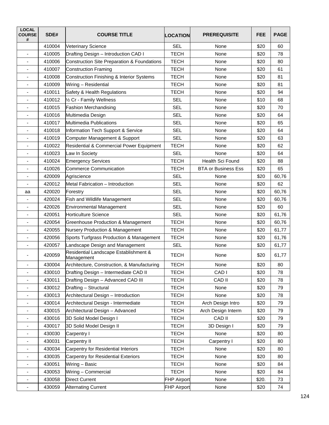| <b>LOCAL</b><br><b>COURSE</b><br># | SDE#   | <b>COURSE TITLE</b>                                    | <b>LOCATION</b>    | <b>PREREQUISITE</b>        | <b>FEE</b> | <b>PAGE</b> |
|------------------------------------|--------|--------------------------------------------------------|--------------------|----------------------------|------------|-------------|
|                                    | 410004 | Veterinary Science                                     | <b>SEL</b>         | None                       | \$20       | 60          |
| ä,                                 | 410005 | Drafting Design - Introduction CAD I                   | <b>TECH</b>        | None                       | \$20       | 78          |
|                                    | 410006 | <b>Construction Site Preparation &amp; Foundations</b> | <b>TECH</b>        | None                       | \$20       | 80          |
| $\overline{\phantom{a}}$           | 410007 | <b>Construction Framing</b>                            | <b>TECH</b>        | None                       | \$20       | 61          |
| $\overline{\phantom{a}}$           | 410008 | Construction Finishing & Interior Systems              | <b>TECH</b>        | None                       | \$20       | 81          |
| ٠                                  | 410009 | Wiring - Residential                                   | <b>TECH</b>        | None                       | \$20       | 81          |
| ٠                                  | 410011 | Safety & Health Regulations                            | <b>TECH</b>        | None                       | \$20       | 94          |
|                                    | 410012 | 1/2 Cr - Family Wellness                               | <b>SEL</b>         | None                       | \$10       | 68          |
| ۰                                  | 410015 | <b>Fashion Merchandising</b>                           | <b>SEL</b>         | None                       | \$20       | 70          |
| $\overline{\phantom{m}}$           | 410016 | Multimedia Design                                      | <b>SEL</b>         | None                       | \$20       | 64          |
|                                    | 410017 | Multimedia Publications                                | <b>SEL</b>         | None                       | \$20       | 65          |
| $\blacksquare$                     | 410018 | Information Tech Support & Service                     | <b>SEL</b>         | None                       | \$20       | 64          |
| ٠                                  | 410019 | Computer Management & Support                          | <b>SEL</b>         | None                       | \$20       | 63          |
| ٠                                  | 410022 | Residential & Commercial Power Equipment               | <b>TECH</b>        | None                       | \$20       | 62          |
| ٠                                  | 410023 | Law In Society                                         | <b>SEL</b>         | None                       | \$20       | 64          |
| $\blacksquare$                     | 410024 | <b>Emergency Services</b>                              | <b>TECH</b>        | Health Sci Found           | \$20       | 88          |
| $\overline{\phantom{a}}$           | 410026 | <b>Commerce Communication</b>                          | <b>TECH</b>        | <b>BTA or Business Ess</b> | \$20       | 65          |
| -                                  | 420009 | Agriscience                                            | <b>SEL</b>         | None                       | \$20       | 60,76       |
|                                    | 420012 | Metal Fabrication - Introduction                       | <b>SEL</b>         | None                       | \$20       | 62          |
| аа                                 | 420020 | Forestry                                               | <b>SEL</b>         | None                       | \$20       | 60,76       |
| ٠                                  | 420024 | Fish and Wildlife Management                           | <b>SEL</b>         | None                       | \$20       | 60,76       |
| ٠                                  | 420026 | <b>Environmental Management</b>                        | <b>SEL</b>         | None                       | \$20       | 60          |
| ٠                                  | 420051 | <b>Horticulture Science</b>                            | <b>SEL</b>         | None                       | \$20       | 61,76       |
|                                    | 420054 | Greenhouse Production & Management                     | <b>TECH</b>        | None                       | \$20       | 60,76       |
| ۰                                  | 420055 | Nursery Production & Management                        | <b>TECH</b>        | None                       | \$20       | 61,77       |
| ä,                                 | 420056 | Sports Turfgrass Production & Management               | <b>TECH</b>        | None                       | \$20       | 61,76       |
|                                    | 420057 | Landscape Design and Management                        | <b>SEL</b>         | None                       | \$20       | 61,77       |
|                                    | 420059 | Residential Landscape Establishment &<br>Management    | <b>TECH</b>        | None                       | \$20       | 61,77       |
|                                    | 430004 | Architecture, Construction, & Manufacturing            | <b>TECH</b>        | None                       | \$20       | 80          |
| $\overline{\phantom{a}}$           | 430010 | Drafting Design - Intermediate CAD II                  | <b>TECH</b>        | CAD I                      | \$20       | 78          |
| $\overline{\phantom{0}}$           | 430011 | Drafting Design - Advanced CAD III                     | <b>TECH</b>        | CAD II                     | \$20       | 78          |
| $\qquad \qquad \blacksquare$       | 430012 | Drafting - Structural                                  | <b>TECH</b>        | None                       | \$20       | 79          |
|                                    | 430013 | Architectural Design - Introduction                    | <b>TECH</b>        | None                       | \$20       | 78          |
| ٠                                  | 430014 | Architectural Design - Intermediate                    | <b>TECH</b>        | Arch Design Intro          | \$20       | 79          |
| $\qquad \qquad \blacksquare$       | 430015 | Architectural Design - Advanced                        | <b>TECH</b>        | Arch Design Interm         | \$20       | 79          |
| $\blacksquare$                     | 430016 | 3D Solid Model Design I                                | <b>TECH</b>        | CAD II                     | \$20       | 79          |
| -                                  | 430017 | 3D Solid Model Design II                               | <b>TECH</b>        | 3D Design I                | \$20       | 79          |
| $\overline{\phantom{a}}$           | 430030 | Carpentry I                                            | <b>TECH</b>        | None                       | \$20       | 80          |
| $\overline{\phantom{0}}$           | 430031 | Carpentry II                                           | <b>TECH</b>        | Carpentry I                | \$20       | 80          |
| -                                  | 430034 | <b>Carpentry for Residential Interiors</b>             | <b>TECH</b>        | None                       | \$20       | 80          |
| -                                  | 430035 | <b>Carpentry for Residential Exteriors</b>             | <b>TECH</b>        | None                       | \$20       | 80          |
| -                                  | 430051 | Wiring - Basic                                         | <b>TECH</b>        | None                       | \$20       | 84          |
| $\overline{\phantom{a}}$           | 430053 | Wiring - Commercial                                    | <b>TECH</b>        | None                       | \$20       | 84          |
|                                    | 430058 | <b>Direct Current</b>                                  | <b>FHP Airport</b> | None                       | \$20.      | 73          |
| $\overline{\phantom{0}}$           | 430059 | <b>Alternating Current</b>                             | FHP Airport        | None                       | \$20       | 74          |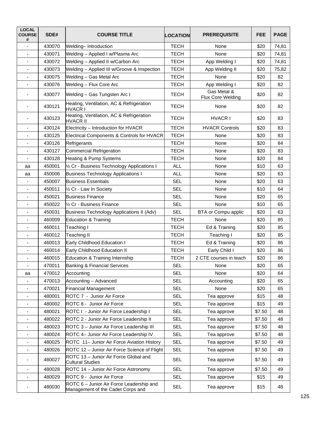| <b>LOCAL</b><br><b>COURSE</b><br># | SDE#   | <b>COURSE TITLE</b>                                                           | <b>LOCATION</b> | <b>PREREQUISITE</b>              | <b>FEE</b> | <b>PAGE</b> |
|------------------------------------|--------|-------------------------------------------------------------------------------|-----------------|----------------------------------|------------|-------------|
|                                    | 430070 | Welding-Introduction                                                          | <b>TECH</b>     | None                             | \$20       | 74,81       |
|                                    | 430071 | Welding - Applied I w/Plasma Arc                                              | TECH            | None                             | \$20       | 74,81       |
|                                    | 430072 | Welding - Applied II w/Carbon Arc                                             | <b>TECH</b>     | App Welding I                    | \$20       | 74,81       |
|                                    | 430073 | Welding - Applied III w/Groove & Inspection                                   | <b>TECH</b>     | App Welding II                   | \$20       | 75,82       |
|                                    | 430075 | Welding - Gas Metal Arc                                                       | <b>TECH</b>     | None                             | \$20       | 82          |
| $\overline{\phantom{a}}$           | 430076 | Welding - Flux Core Arc                                                       | <b>TECH</b>     | App Welding I                    | \$20       | 82          |
|                                    | 430077 | Welding - Gas Tungsten Arc I                                                  | <b>TECH</b>     | Gas Metal &<br>Flux Core Welding | \$20       | 82          |
| $\blacksquare$                     | 430121 | Heating, Ventilation, AC & Refrigeration<br><b>HVACR I</b>                    | <b>TECH</b>     | None                             | \$20       | 82          |
| ٠                                  | 430123 | Heating, Ventilation, AC & Refrigeration<br>HVACR II                          | <b>TECH</b>     | <b>HVACR I</b>                   | \$20       | 83          |
|                                    | 430124 | Electricity - Introduction for HVACR                                          | <b>TECH</b>     | <b>HVACR Controls</b>            | \$20       | 83          |
|                                    | 430125 | Electrical Components & Controls for HVACR                                    | <b>TECH</b>     | None                             | \$20       | 83          |
| $\blacksquare$                     | 430126 | Refrigerants                                                                  | <b>TECH</b>     | None                             | \$20       | 84          |
|                                    | 430127 | <b>Commercial Refrigeration</b>                                               | <b>TECH</b>     | None                             | \$20       | 83          |
| $\overline{\phantom{a}}$           | 430128 | Heating & Pump Systems                                                        | TECH            | None                             | \$20       | 84          |
| аа                                 | 450001 | 1/2 Cr - Business Technology Applications I                                   | <b>ALL</b>      | None                             | \$10       | 63          |
| аа                                 | 450006 | <b>Business Technology Applications I</b>                                     | <b>ALL</b>      | None                             | \$20       | 63          |
| $\overline{\phantom{a}}$           | 450007 | <b>Business Essentials</b>                                                    | <b>SEL</b>      | None                             | \$20       | 63          |
| $\overline{\phantom{a}}$           | 450011 | 1/2 Cr - Law In Society                                                       | <b>SEL</b>      | None                             | \$10       | 64          |
|                                    | 450021 | <b>Business Finance</b>                                                       | <b>SEL</b>      | None                             | \$20       | 65          |
|                                    | 450022 | 1/2 Cr - Business Finance                                                     | <b>SEL</b>      | None                             | \$10       | 65          |
| $\blacksquare$                     | 450031 | <b>Business Technology Applications II (Adv)</b>                              | <b>SEL</b>      | BTA or Compu applic              | \$20       | 63          |
| ۰                                  | 460009 | <b>Education &amp; Training</b>                                               | <b>TECH</b>     | None                             | \$20       | 85          |
|                                    | 460011 | Teaching I                                                                    | <b>TECH</b>     | Ed & Training                    | \$20       | 85          |
|                                    | 460012 | Teaching II                                                                   | <b>TECH</b>     | Teaching I                       | \$20       | 85          |
| $\overline{\phantom{a}}$           | 460013 | Early Childhood Education I                                                   | <b>TECH</b>     | Ed & Training                    | \$20       | 86          |
|                                    | 460014 | Early Childhood Education II                                                  | <b>TECH</b>     | Early Child I                    | \$20       | 86          |
|                                    | 460015 | Education & Training Internship                                               | TECH            | 2 CTE courses in teach           | \$20       | 86          |
|                                    | 470011 | <b>Banking &amp; Financial Services</b>                                       | <b>SEL</b>      | None                             | \$20       | 65          |
| аа                                 | 470012 | Accounting                                                                    | SEL             | None                             | \$20       | 64          |
| $\qquad \qquad \blacksquare$       | 470013 | Accounting - Advanced                                                         | <b>SEL</b>      | Accounting                       | \$20       | 65          |
|                                    | 470021 | Financial Management                                                          | <b>SEL</b>      | None                             | \$20       | 65          |
| ٠                                  | 480001 | ROTC 7 - Junior Air Force                                                     | <b>SEL</b>      | Tea approve                      | \$15       | 48          |
| $\overline{\phantom{a}}$           | 480002 | ROTC 8 - Junior Air Force                                                     | <b>SEL</b>      | Tea approve                      | \$15       | 49          |
| -                                  | 480021 | ROTC I - Junior Air Force Leadership I                                        | SEL             | Tea approve                      | \$7.50     | 48          |
| -                                  | 480022 | ROTC 2 - Junior Air Force Leadership II                                       | <b>SEL</b>      | Tea approve                      | \$7.50     | 48          |
| -                                  | 480023 | ROTC 3 - Junior Air Force Leadership III                                      | <b>SEL</b>      | Tea approve                      | \$7.50     | 48          |
| ٠                                  | 480024 | ROTC 4- Junior Air Force Leadership IV                                        | SEL             | Tea approve                      | \$7.50     | 48          |
| -                                  | 480025 | ROTC 11- Junior Air Force Aviation History                                    | <b>SEL</b>      | Tea approve                      | \$7.50     | 49          |
| $\overline{\phantom{a}}$           | 480026 | ROTC 12 - Junior Air Force Science of Flight                                  | <b>SEL</b>      | Tea approve                      | \$7.50     | 49          |
| -                                  | 480027 | ROTC 13 - Junior Air Force Global and<br><b>Cultural Studies</b>              | <b>SEL</b>      | Tea approve                      | \$7.50     | 49          |
|                                    | 480028 | ROTC 14 - Junior Air Force Astronomy                                          | <b>SEL</b>      | Tea approve                      | \$7.50     | 49          |
|                                    | 480029 | ROTC 9 - Junior Air Force                                                     | <b>SEL</b>      | Tea approve                      | \$15       | 49          |
| ۰                                  | 480030 | ROTC 6 - Junior Air Force Leadership and<br>Management of the Cadet Corps and | <b>SEL</b>      | Tea approve                      | \$15       | 48          |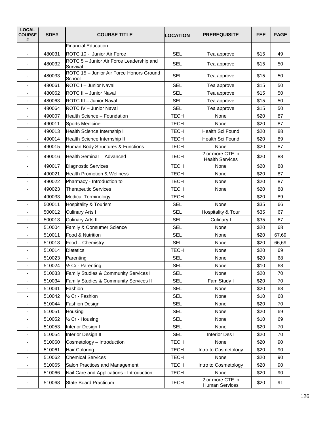| <b>LOCAL</b><br><b>COURSE</b><br># | SDE#   | <b>COURSE TITLE</b>                                  | <b>LOCATION</b> | <b>PREREQUISITE</b>                        | <b>FEE</b> | <b>PAGE</b> |
|------------------------------------|--------|------------------------------------------------------|-----------------|--------------------------------------------|------------|-------------|
|                                    |        | <b>Financial Education</b>                           |                 |                                            |            |             |
| $\blacksquare$                     | 480031 | ROTC 10 - Junior Air Force                           | <b>SEL</b>      | Tea approve                                | \$15       | 49          |
| ÷,                                 | 480032 | ROTC 5 - Junior Air Force Leadership and<br>Survival | <b>SEL</b>      | Tea approve                                | \$15       | 50          |
| $\overline{\phantom{a}}$           | 480033 | ROTC 15 - Junior Air Force Honors Ground<br>School   | <b>SEL</b>      | Tea approve                                | \$15       | 50          |
| $\overline{\phantom{a}}$           | 480061 | <b>ROTC I - Junior Naval</b>                         | <b>SEL</b>      | Tea approve                                | \$15       | 50          |
|                                    | 480062 | ROTC II - Junior Naval                               | <b>SEL</b>      | Tea approve                                | \$15       | 50          |
|                                    | 480063 | ROTC III - Junior Naval                              | <b>SEL</b>      | Tea approve                                | \$15       | 50          |
| $\qquad \qquad \blacksquare$       | 480064 | ROTC IV - Junior Naval                               | <b>SEL</b>      | Tea approve                                | \$15       | 50          |
| $\overline{\phantom{m}}$           | 490007 | Health Science - Foundation                          | <b>TECH</b>     | None                                       | \$20       | 87          |
| $\overline{\phantom{a}}$           | 490011 | Sports Medicine                                      | <b>TECH</b>     | None                                       | \$20       | 87          |
|                                    | 490013 | Health Science Internship I                          | <b>TECH</b>     | Health Sci Found                           | \$20       | 88          |
| $\overline{\phantom{a}}$           | 490014 | Health Science Internship II                         | <b>TECH</b>     | Health Sci Found                           | \$20       | 89          |
| $\overline{\phantom{a}}$           | 490015 | Human Body Structures & Functions                    | <b>TECH</b>     | None                                       | \$20       | 87          |
| $\blacksquare$                     | 490016 | Health Seminar - Advanced                            | <b>TECH</b>     | 2 or more CTE in<br><b>Health Services</b> | \$20       | 88          |
| $\qquad \qquad \blacksquare$       | 490017 | Diagnostic Services                                  | <b>TECH</b>     | None                                       | \$20       | 88          |
| $\blacksquare$                     | 490021 | <b>Health Promotion &amp; Wellness</b>               | <b>TECH</b>     | None                                       | \$20       | 87          |
| ٠                                  | 490022 | Pharmacy - Introduction to                           | <b>TECH</b>     | None                                       | \$20       | 87          |
| $\qquad \qquad \blacksquare$       | 490023 | <b>Therapeutic Services</b>                          | <b>TECH</b>     | None                                       | \$20       | 88          |
|                                    | 490033 | <b>Medical Terminology</b>                           | <b>TECH</b>     |                                            | \$20       | 89          |
| $\overline{\phantom{a}}$           | 500011 | Hospitality & Tourism                                | <b>SEL</b>      | None                                       | \$35       | 66          |
|                                    | 500012 | Culinary Arts I                                      | <b>SEL</b>      | Hospitality & Tour                         | \$35       | 67          |
| ÷,                                 | 500013 | <b>Culinary Arts II</b>                              | <b>SEL</b>      | Culinary I                                 | \$35       | 67          |
| $\overline{\phantom{a}}$           | 510004 | Family & Consumer Science                            | <b>SEL</b>      | None                                       | \$20       | 68          |
| $\blacksquare$                     | 510011 | Food & Nutrition                                     | <b>SEL</b>      | None                                       | \$20       | 67,69       |
| ٠                                  | 510013 | Food - Chemistry                                     | <b>SEL</b>      | None                                       | \$20       | 66,69       |
|                                    | 510014 | <b>Dietetics</b>                                     | <b>TECH</b>     | None                                       | \$20       | 69          |
| $\overline{\phantom{m}}$           | 510023 | Parenting                                            | <b>SEL</b>      | None                                       | \$20       | 68          |
|                                    | 510024 | 1/2 Cr - Parenting                                   | <b>SEL</b>      | None                                       | \$10       | 68          |
| ÷,                                 | 510033 | Family Studies & Community Services I                | <b>SEL</b>      | None                                       | \$20       | 70          |
|                                    | 510034 | <b>Family Studies &amp; Community Services II</b>    | <b>SEL</b>      | Fam Study I                                | \$20       | 70          |
| $\overline{\phantom{a}}$           | 510041 | Fashion                                              | <b>SEL</b>      | None                                       | \$20       | 68          |
| $\overline{\phantom{m}}$           | 510042 | 1/2 Cr - Fashion                                     | <b>SEL</b>      | None                                       | \$10       | 68          |
| -                                  | 510044 | <b>Fashion Design</b>                                | <b>SEL</b>      | None                                       | \$20       | 70          |
| $\overline{\phantom{a}}$           | 510051 | Housing                                              | <b>SEL</b>      | None                                       | \$20       | 69          |
| $\overline{\phantom{a}}$           | 510052 | 1/2 Cr - Housing                                     | <b>SEL</b>      | None                                       | \$10       | 69          |
| ٠                                  | 510053 | Interior Design I                                    | <b>SEL</b>      | None                                       | \$20       | 70          |
| $\overline{\phantom{0}}$           | 510054 | Interior Design II                                   | <b>SEL</b>      | Interior Des I                             | \$20       | 70          |
|                                    | 510060 | Cosmetology - Introduction                           | <b>TECH</b>     | None                                       | \$20       | 90          |
| $\overline{\phantom{a}}$           | 510061 | Hair Coloring                                        | <b>TECH</b>     | Intro to Cosmetology                       | \$20       | 90          |
| $\overline{\phantom{a}}$           | 510062 | <b>Chemical Services</b>                             | <b>TECH</b>     | None                                       | \$20       | 90          |
| -                                  | 510065 | Salon Practices and Management                       | <b>TECH</b>     | Intro to Cosmetology                       | \$20       | 90          |
| $\overline{\phantom{a}}$           | 510066 | Nail Care and Applications - Introduction            | <b>TECH</b>     | None                                       | \$20       | 90          |
| $\overline{\phantom{a}}$           | 510068 | State Board Practicum                                | <b>TECH</b>     | 2 or more CTE in<br><b>Human Services</b>  | \$20       | 91          |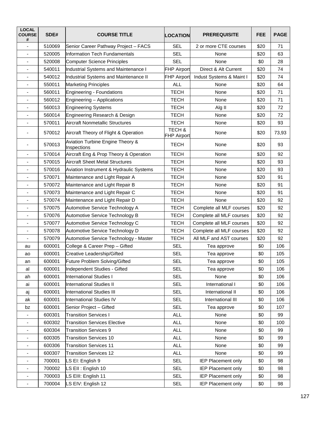| <b>LOCAL</b><br><b>COURSE</b><br># | SDE#   | <b>COURSE TITLE</b>                             | <b>LOCATION</b>              | <b>PREREQUISITE</b>       | <b>FEE</b> | <b>PAGE</b> |
|------------------------------------|--------|-------------------------------------------------|------------------------------|---------------------------|------------|-------------|
| ÷,                                 | 510069 | Senior Career Pathway Project - FACS            | <b>SEL</b>                   | 2 or more CTE courses     | \$20       | 71          |
|                                    | 520005 | <b>Information Tech Fundamentals</b>            | <b>SEL</b>                   | None                      | \$20       | 63          |
|                                    | 520008 | <b>Computer Science Principles</b>              | <b>SEL</b>                   | None                      | \$0        | 28          |
| $\overline{\phantom{a}}$           | 540011 | Industrial Systems and Maintenance I            | <b>FHP Airport</b>           | Direct & Alt Current      | \$20       | 74          |
| ٠                                  | 540012 | Industrial Systems and Maintenance II           | <b>FHP Airport</b>           | Indust Systems & Maint I  | \$20       | 74          |
| $\overline{\phantom{0}}$           | 550011 | <b>Marketing Principles</b>                     | <b>ALL</b>                   | None                      | \$20       | 64          |
| ٠                                  | 560011 | <b>Engineering - Foundations</b>                | <b>TECH</b>                  | None                      | \$20       | 71          |
|                                    | 560012 | Engineering - Applications                      | <b>TECH</b>                  | None                      | \$20       | 71          |
| $\qquad \qquad \blacksquare$       | 560013 | <b>Engineering Systems</b>                      | <b>TECH</b>                  | Alg II                    | \$20       | 72          |
| ä,                                 | 560014 | Engineering Research & Design                   | <b>TECH</b>                  | None                      | \$20       | 72          |
|                                    | 570011 | <b>Aircraft Nonmetallic Structures</b>          | <b>TECH</b>                  | None                      | \$20       | 93          |
|                                    | 570012 | Aircraft Theory of Flight & Operation           | TECH &<br><b>FHP Airport</b> | None                      | \$20       | 73,93       |
|                                    | 570013 | Aviation Turbine Engine Theory &<br>Inspections | <b>TECH</b>                  | None                      | \$20       | 93          |
| -                                  | 570014 | Aircraft Eng & Prop Theory & Operation          | <b>TECH</b>                  | None                      | \$20       | 92          |
| $\overline{\phantom{a}}$           | 570015 | <b>Aircraft Sheet Metal Structures</b>          | <b>TECH</b>                  | None                      | \$20       | 93          |
|                                    | 570016 | Aviation Instrument & Hydraulic Systems         | <b>TECH</b>                  | None                      | \$20       | 93          |
|                                    | 570071 | <b>TECH</b><br>Maintenance and Light Repair A   |                              | None                      | \$20       | 91          |
| $\overline{\phantom{a}}$           | 570072 | Maintenance and Light Repair B                  | <b>TECH</b>                  | None                      | \$20       | 91          |
| -                                  | 570073 | Maintenance and Light Repair C                  | <b>TECH</b>                  | None                      | \$20       | 91          |
| -                                  | 570074 | Maintenance and Light Repair D                  | <b>TECH</b>                  | None                      | \$20       | 92          |
| ٠                                  | 570075 | Automotive Service Technology A                 | <b>TECH</b>                  | Complete all MLF courses  | \$20       | 92          |
| $\blacksquare$                     | 570076 | Automotive Service Technology B                 | <b>TECH</b>                  | Complete all MLF courses  | \$20       | 92          |
| ۰                                  | 570077 | Automotive Service Technology C                 | <b>TECH</b>                  | Complete all MLF courses  | \$20       | 92          |
| ÷,                                 | 570078 | Automotive Service Technology D                 | <b>TECH</b>                  | Complete all MLF courses  | \$20       | 92          |
|                                    | 570079 | Automotive Service Technology - Master          | <b>TECH</b>                  | All MLF and AST courses   | \$20       | 92          |
| au                                 | 600001 | College & Career Prep - Gifted                  | <b>SEL</b>                   | Tea approve               | \$0        | 106         |
| ao                                 | 600001 | Creative Leadership/Gifted                      | <b>SEL</b>                   | Tea approve               | \$0        | 105         |
| an                                 | 600001 | Future Problem Solving/Gifted                   | <b>SEL</b>                   | Tea approve               | \$0        | 105         |
| al                                 | 600001 | Independent Studies - Gifted                    | <b>SEL</b>                   | Tea approve               | \$0        | 106         |
| ah                                 | 600001 | <b>International Studies I</b>                  | <b>SEL</b>                   | None                      | \$0        | 106         |
| ai                                 | 600001 | <b>International Studies II</b>                 | <b>SEL</b>                   | International I           | \$0        | 106         |
| aj                                 | 600001 | <b>International Studies III</b>                | <b>SEL</b>                   | International II          | \$0        | 106         |
| ak                                 | 600001 | <b>International Studies IV</b>                 | <b>SEL</b>                   | International III         | \$0        | 106         |
| bz                                 | 600001 | Senior Project - Gifted                         | <b>SEL</b>                   | Tea approve               | \$0        | 107         |
| $\overline{\phantom{a}}$           | 600301 | <b>Transition Services I</b>                    | <b>ALL</b>                   | None                      | \$0        | 99          |
| -                                  | 600302 | <b>Transition Services Elective</b>             | <b>ALL</b>                   | None                      | \$0        | 100         |
| $\overline{\phantom{a}}$           | 600304 | <b>Transition Services 9</b>                    | <b>ALL</b>                   | None                      | \$0        | 99          |
| $\overline{\phantom{a}}$           | 600305 | <b>Transition Services 10</b>                   | <b>ALL</b>                   | None                      | \$0        | 99          |
| ۰                                  | 600306 | <b>Transition Services 11</b>                   | <b>ALL</b>                   | None                      | \$0        | 99          |
| $\overline{\phantom{0}}$           | 600307 | <b>Transition Services 12</b>                   | <b>ALL</b>                   | None                      | \$0        | 99          |
| ٠                                  | 700001 | LS El: English 9                                | <b>SEL</b>                   | <b>IEP Placement only</b> | \$0        | 98          |
| $\overline{\phantom{a}}$           | 700002 | LS Ell: English 10                              | <b>SEL</b>                   | <b>IEP Placement only</b> | \$0        | 98          |
|                                    | 700003 | LS EIII: English 11                             | <b>SEL</b>                   | <b>IEP Placement only</b> | \$0        | 98          |
| -                                  | 700004 | LS EIV: English 12                              | <b>SEL</b>                   | <b>IEP Placement only</b> | \$0        | 98          |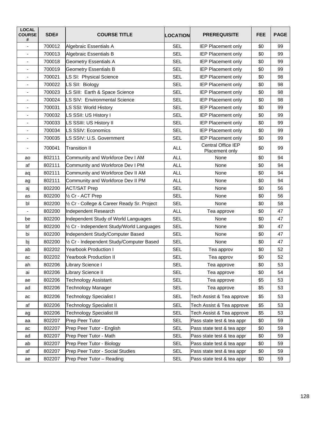| <b>LOCAL</b><br><b>COURSE</b><br># | SDE#   | <b>COURSE TITLE</b>                            | <b>LOCATION</b>    | <b>PREREQUISITE</b>                  | <b>FEE</b> | <b>PAGE</b> |
|------------------------------------|--------|------------------------------------------------|--------------------|--------------------------------------|------------|-------------|
| ÷,                                 | 700012 | Algebraic Essentials A                         | <b>SEL</b>         | <b>IEP Placement only</b>            | \$0        | 99          |
| $\blacksquare$                     | 700013 | Algebraic Essentials B                         | <b>SEL</b>         | <b>IEP Placement only</b>            | \$0        | 99          |
| ä,                                 | 700018 | <b>Geometry Essentials A</b>                   | <b>SEL</b>         | <b>IEP Placement only</b>            | \$0        | 99          |
| $\overline{\phantom{a}}$           | 700019 | <b>Geometry Essentials B</b>                   | <b>SEL</b>         | <b>IEP Placement only</b>            | \$0        | 99          |
| ÷,                                 | 700021 | LS SI: Physical Science                        | <b>SEL</b>         | <b>IEP Placement only</b>            | \$0        | 98          |
| $\qquad \qquad \blacksquare$       | 700022 | LS SII: Biology                                | <b>SEL</b>         | <b>IEP Placement only</b>            | \$0        | 98          |
| $\blacksquare$                     | 700023 | LS SIII: Earth & Space Science                 | <b>SEL</b>         | <b>IEP Placement only</b>            | \$0        | 98          |
| $\overline{\phantom{m}}$           | 700024 | LS SIV: Environmental Science                  | <b>SEL</b>         | <b>IEP Placement only</b>            | \$0        | 98          |
| $\overline{\phantom{0}}$           | 700031 | LS SSI: World History                          | <b>SEL</b>         | <b>IEP Placement only</b>            | \$0        | 99          |
| $\blacksquare$                     | 700032 | LS SSII: US History I                          | <b>SEL</b>         | <b>IEP Placement only</b>            | \$0        | 99          |
| ٠                                  | 700033 | LS SSIII: US History II                        | <b>SEL</b>         | <b>IEP Placement only</b>            | \$0        | 99          |
| $\overline{\phantom{a}}$           | 700034 | LS SSIV: Economics                             | <b>SEL</b>         | IEP Placement only                   | \$0        | 99          |
| ٠                                  | 700035 | LS SSIV: U.S. Government                       | <b>SEL</b>         | IEP Placement only                   | \$0        | 99          |
|                                    | 700041 | <b>Transition II</b>                           | <b>ALL</b>         | Central Office IEP<br>Placement only | \$0        | 99          |
| ao                                 | 802111 | Community and Workforce Dev I AM               | <b>ALL</b><br>None |                                      | \$0        | 94          |
| af                                 | 802111 | <b>ALL</b><br>Community and Workforce Dev I PM |                    | None                                 | \$0        | 94          |
| aq                                 | 802111 | Community and Workforce Dev II AM              | <b>ALL</b>         | None                                 | \$0        | 94          |
| ag                                 | 802111 | Community and Workforce Dev II PM              | <b>ALL</b>         | None                                 | \$0        | 94          |
| aj                                 | 802200 | <b>ACT/SAT Prep</b>                            | <b>SEL</b>         | None                                 | \$0        | 56          |
| as                                 | 802200 | 1/2 Cr - ACT Prep                              | <b>SEL</b>         | None                                 | \$0        | 56          |
| bl                                 | 802200 | 1/2 Cr - College & Career Ready Sr. Project    | <b>SEL</b>         | None                                 | \$0        | 58          |
|                                    | 802200 | Independent Research                           | <b>ALL</b>         | Tea approve                          | \$0        | 47          |
| be                                 | 802200 | Independent Study of World Languages           | <b>SEL</b>         | None                                 | \$0        | 47          |
| bf                                 | 802200 | 1/2 Cr - Independent Study/World Languages     | <b>SEL</b>         | None                                 | \$0        | 47          |
| bi                                 | 802200 | Independent Study/Computer Based               | <b>SEL</b>         | None                                 | \$0        | 47          |
| bj                                 | 802200 | 1/2 Cr - Independent Study/Computer Based      | <b>SEL</b>         | None                                 | \$0        | 47          |
| ab                                 | 802202 | <b>Yearbook Production I</b>                   | <b>SEL</b>         | Tea approv                           | \$0        | 52          |
| ac                                 | 802202 | <b>Yearbook Production II</b>                  | <b>SEL</b>         | Tea approv                           | \$0        | 52          |
| ah                                 | 802206 | Library Science I                              | <b>SEL</b>         | Tea approve                          | \$0        | 53          |
| ai                                 | 802206 | Library Science II                             | <b>SEL</b>         | Tea approve                          | \$0        | 54          |
| ae                                 | 802206 | Technology Assistant                           | <b>SEL</b>         | Tea approve                          | \$5        | 53          |
| ad                                 | 802206 | Technology Manager                             | <b>SEL</b>         | Tea approve                          | \$5        | 53          |
| ac                                 | 802206 | <b>Technology Specialist I</b>                 | <b>SEL</b>         | Tech Assist & Tea approve            | \$5        | 53          |
| af                                 | 802206 | <b>Technology Specialist II</b>                | <b>SEL</b>         | Tech Assist & Tea approve            | \$5        | 53          |
| ag                                 | 802206 | <b>Technology Specialist III</b>               | <b>SEL</b>         | Tech Assist & Tea approve            | \$5        | 53          |
| aa                                 | 802207 | Prep Peer Tutor                                | <b>SEL</b>         | Pass state test & tea appr           | \$0        | 59          |
| ac                                 | 802207 | Prep Peer Tutor - English                      | <b>SEL</b>         | Pass state test & tea appr           | \$0        | 59          |
| ad                                 | 802207 | Prep Peer Tutor - Math                         | <b>SEL</b>         | Pass state test & tea appr           | \$0        | 59          |
| ab                                 | 802207 | Prep Peer Tutor - Biology                      | <b>SEL</b>         | Pass state test & tea appr           | \$0        | 59          |
| af                                 | 802207 | Prep Peer Tutor - Social Studies               | <b>SEL</b>         | Pass state test & tea appr           | \$0        | 59          |
| ae                                 | 802207 | Prep Peer Tutor - Reading                      | <b>SEL</b>         | Pass state test & tea appr           | \$0        | 59          |